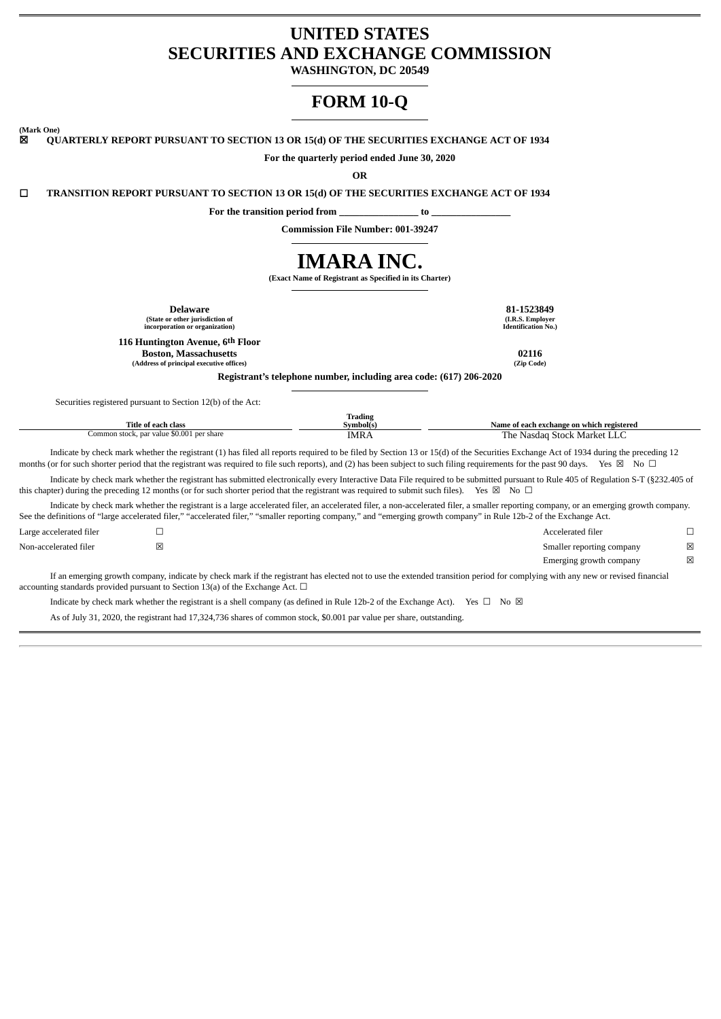# **UNITED STATES SECURITIES AND EXCHANGE COMMISSION**

**WASHINGTON, DC 20549**

# **FORM 10-Q**

**(Mark One)** ☒ **QUARTERLY REPORT PURSUANT TO SECTION 13 OR 15(d) OF THE SECURITIES EXCHANGE ACT OF 1934**

**For the quarterly period ended June 30, 2020**

**OR**

☐ **TRANSITION REPORT PURSUANT TO SECTION 13 OR 15(d) OF THE SECURITIES EXCHANGE ACT OF 1934**

**For the transition period from \_\_\_\_\_\_\_\_\_\_\_\_\_\_\_\_ to \_\_\_\_\_\_\_\_\_\_\_\_\_\_\_\_**

**Commission File Number: 001-39247**

# **IMARA INC.**

**(Exact Name of Registrant as Specified in its Charter)**

| <b>Delaware</b><br>81-1523849<br>(State or other jurisdiction of<br>(I.R.S. Employer<br><b>Identification No.)</b><br>incorporation or organization)                                                                                                                                                                                                                                  |                                                                    |                                           |             |  |  |  |
|---------------------------------------------------------------------------------------------------------------------------------------------------------------------------------------------------------------------------------------------------------------------------------------------------------------------------------------------------------------------------------------|--------------------------------------------------------------------|-------------------------------------------|-------------|--|--|--|
| 116 Huntington Avenue, 6th Floor<br><b>Boston, Massachusetts</b><br>(Address of principal executive offices)                                                                                                                                                                                                                                                                          |                                                                    | 02116<br>(Zip Code)                       |             |  |  |  |
|                                                                                                                                                                                                                                                                                                                                                                                       | Registrant's telephone number, including area code: (617) 206-2020 |                                           |             |  |  |  |
| Securities registered pursuant to Section 12(b) of the Act:                                                                                                                                                                                                                                                                                                                           |                                                                    |                                           |             |  |  |  |
| <b>Title of each class</b>                                                                                                                                                                                                                                                                                                                                                            | <b>Trading</b><br>Symbol(s)                                        | Name of each exchange on which registered |             |  |  |  |
| Common stock, par value \$0.001 per share                                                                                                                                                                                                                                                                                                                                             | <b>IMRA</b>                                                        | The Nasdaq Stock Market LLC               |             |  |  |  |
| Indicate by check mark whether the registrant (1) has filed all reports required to be filed by Section 13 or 15(d) of the Securities Exchange Act of 1934 during the preceding 12<br>months (or for such shorter period that the registrant was required to file such reports), and (2) has been subject to such filing requirements for the past 90 days. Yes $\boxtimes$ No $\Box$ |                                                                    |                                           |             |  |  |  |
| Indicate by check mark whether the registrant has submitted electronically every Interactive Data File required to be submitted pursuant to Rule 405 of Regulation S-T (§232.405 of<br>this chapter) during the preceding 12 months (or for such shorter period that the registrant was required to submit such files). Yes $\boxtimes$ No $\Box$                                     |                                                                    |                                           |             |  |  |  |
| Indicate by check mark whether the registrant is a large accelerated filer, an accelerated filer, a non-accelerated filer, a smaller reporting company, or an emerging growth company.<br>See the definitions of "large accelerated filer," "accelerated filer," "smaller reporting company," and "emerging growth company" in Rule 12b-2 of the Exchange Act.                        |                                                                    |                                           |             |  |  |  |
| □<br>Large accelerated filer                                                                                                                                                                                                                                                                                                                                                          |                                                                    | Accelerated filer                         | □           |  |  |  |
| ⊠<br>Non-accelerated filer                                                                                                                                                                                                                                                                                                                                                            |                                                                    | Smaller reporting company                 | $\boxtimes$ |  |  |  |
|                                                                                                                                                                                                                                                                                                                                                                                       |                                                                    | Emerging growth company                   | $\boxtimes$ |  |  |  |
| If an emerging growth company, indicate by check mark if the registrant has elected not to use the extended transition period for complying with any new or revised financial<br>accounting standards provided pursuant to Section 13(a) of the Exchange Act. $\Box$                                                                                                                  |                                                                    |                                           |             |  |  |  |
| Indicate by check mark whether the registrant is a shell company (as defined in Rule 12b-2 of the Exchange Act).                                                                                                                                                                                                                                                                      |                                                                    | Yes $\square$ No $\square$                |             |  |  |  |
| As of July 31, 2020, the registrant had 17,324,736 shares of common stock, \$0.001 par value per share, outstanding,                                                                                                                                                                                                                                                                  |                                                                    |                                           |             |  |  |  |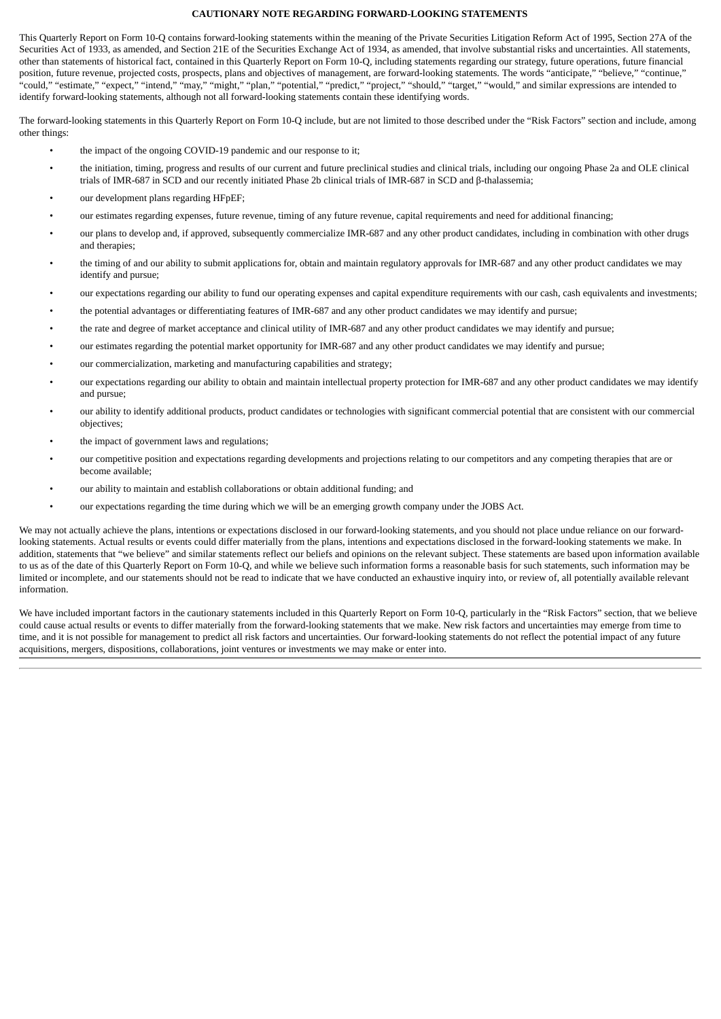# **CAUTIONARY NOTE REGARDING FORWARD-LOOKING STATEMENTS**

This Quarterly Report on Form 10-Q contains forward-looking statements within the meaning of the Private Securities Litigation Reform Act of 1995, Section 27A of the Securities Act of 1933, as amended, and Section 21E of the Securities Exchange Act of 1934, as amended, that involve substantial risks and uncertainties. All statements, other than statements of historical fact, contained in this Quarterly Report on Form 10-Q, including statements regarding our strategy, future operations, future financial position, future revenue, projected costs, prospects, plans and objectives of management, are forward-looking statements. The words "anticipate," "believe," "continue," "could," "estimate," "expect," "intend," "may," "might," "plan," "potential," "predict," "project," "should," "target," "would," and similar expressions are intended to identify forward-looking statements, although not all forward-looking statements contain these identifying words.

The forward-looking statements in this Quarterly Report on Form 10-Q include, but are not limited to those described under the "Risk Factors" section and include, among other things:

- the impact of the ongoing COVID-19 pandemic and our response to it;
- the initiation, timing, progress and results of our current and future preclinical studies and clinical trials, including our ongoing Phase 2a and OLE clinical trials of IMR-687 in SCD and our recently initiated Phase 2b clinical trials of IMR-687 in SCD and β-thalassemia;
- our development plans regarding HFpEF;
- our estimates regarding expenses, future revenue, timing of any future revenue, capital requirements and need for additional financing;
- our plans to develop and, if approved, subsequently commercialize IMR-687 and any other product candidates, including in combination with other drugs and therapies;
- the timing of and our ability to submit applications for, obtain and maintain regulatory approvals for IMR-687 and any other product candidates we may identify and pursue;
- our expectations regarding our ability to fund our operating expenses and capital expenditure requirements with our cash, cash equivalents and investments;
- the potential advantages or differentiating features of IMR-687 and any other product candidates we may identify and pursue;
- the rate and degree of market acceptance and clinical utility of IMR-687 and any other product candidates we may identify and pursue;
- our estimates regarding the potential market opportunity for IMR-687 and any other product candidates we may identify and pursue;
- our commercialization, marketing and manufacturing capabilities and strategy;
- our expectations regarding our ability to obtain and maintain intellectual property protection for IMR-687 and any other product candidates we may identify and pursue;
- our ability to identify additional products, product candidates or technologies with significant commercial potential that are consistent with our commercial objectives;
- the impact of government laws and regulations;
- our competitive position and expectations regarding developments and projections relating to our competitors and any competing therapies that are or become available;
- our ability to maintain and establish collaborations or obtain additional funding; and
- our expectations regarding the time during which we will be an emerging growth company under the JOBS Act.

We may not actually achieve the plans, intentions or expectations disclosed in our forward-looking statements, and you should not place undue reliance on our forwardlooking statements. Actual results or events could differ materially from the plans, intentions and expectations disclosed in the forward-looking statements we make. In addition, statements that "we believe" and similar statements reflect our beliefs and opinions on the relevant subject. These statements are based upon information available to us as of the date of this Quarterly Report on Form 10-Q, and while we believe such information forms a reasonable basis for such statements, such information may be limited or incomplete, and our statements should not be read to indicate that we have conducted an exhaustive inquiry into, or review of, all potentially available relevant information.

We have included important factors in the cautionary statements included in this Quarterly Report on Form 10-Q, particularly in the "Risk Factors" section, that we believe could cause actual results or events to differ materially from the forward-looking statements that we make. New risk factors and uncertainties may emerge from time to time, and it is not possible for management to predict all risk factors and uncertainties. Our forward-looking statements do not reflect the potential impact of any future acquisitions, mergers, dispositions, collaborations, joint ventures or investments we may make or enter into.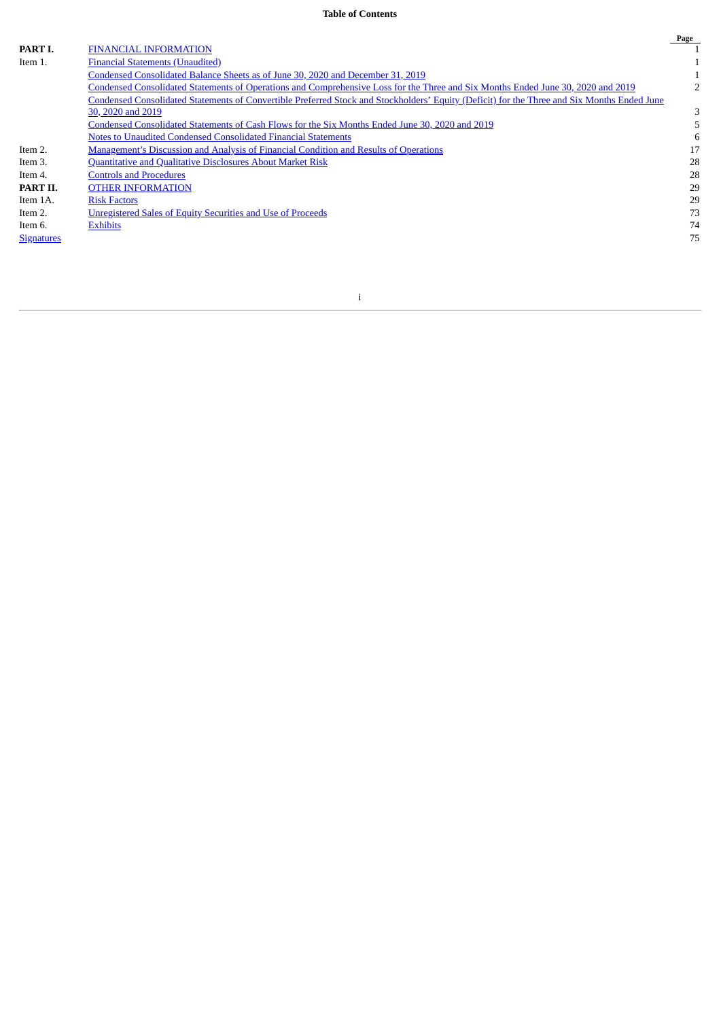# **Table of Contents**

|                   |                                                                                                                                             | Page |
|-------------------|---------------------------------------------------------------------------------------------------------------------------------------------|------|
| <b>PART I.</b>    | <b>FINANCIAL INFORMATION</b>                                                                                                                |      |
| Item 1.           | <b>Financial Statements (Unaudited)</b>                                                                                                     |      |
|                   | Condensed Consolidated Balance Sheets as of June 30, 2020 and December 31, 2019                                                             |      |
|                   | Condensed Consolidated Statements of Operations and Comprehensive Loss for the Three and Six Months Ended June 30, 2020 and 2019            |      |
|                   | Condensed Consolidated Statements of Convertible Preferred Stock and Stockholders' Equity (Deficit) for the Three and Six Months Ended June |      |
|                   | 30, 2020 and 2019                                                                                                                           | 3    |
|                   | Condensed Consolidated Statements of Cash Flows for the Six Months Ended June 30, 2020 and 2019                                             |      |
|                   | Notes to Unaudited Condensed Consolidated Financial Statements                                                                              | 6    |
| Item 2.           | Management's Discussion and Analysis of Financial Condition and Results of Operations                                                       | 17   |
| Item 3.           | <b>Quantitative and Qualitative Disclosures About Market Risk</b>                                                                           | 28   |
| Item 4.           | <b>Controls and Procedures</b>                                                                                                              | 28   |
| PART II.          | <b>OTHER INFORMATION</b>                                                                                                                    | 29   |
| Item 1A.          | <b>Risk Factors</b>                                                                                                                         | 29   |
| Item 2.           | Unregistered Sales of Equity Securities and Use of Proceeds                                                                                 | 73   |
| Item 6.           | <b>Exhibits</b>                                                                                                                             | 74   |
| <b>Signatures</b> |                                                                                                                                             | 75   |
|                   |                                                                                                                                             |      |

i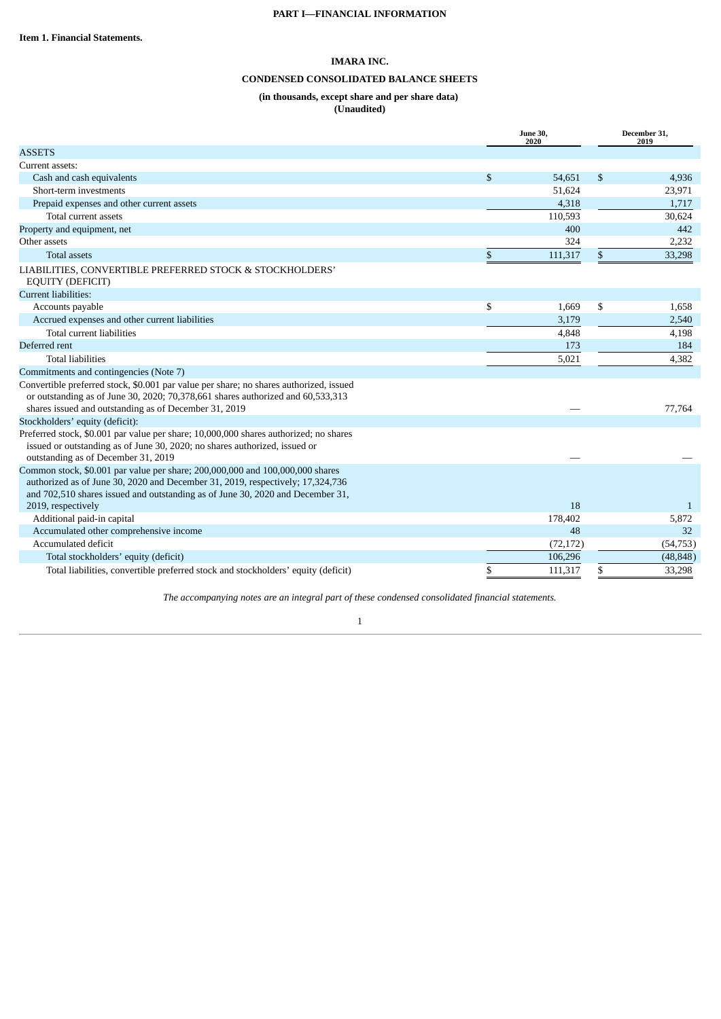# **CONDENSED CONSOLIDATED BALANCE SHEETS**

# **(in thousands, except share and per share data) (Unaudited)**

<span id="page-3-2"></span><span id="page-3-1"></span><span id="page-3-0"></span>

|                                                                                                                                                                                                                                                   |              | <b>June 30,</b><br>2020 | December 31,<br>2019 |
|---------------------------------------------------------------------------------------------------------------------------------------------------------------------------------------------------------------------------------------------------|--------------|-------------------------|----------------------|
| <b>ASSETS</b>                                                                                                                                                                                                                                     |              |                         |                      |
| Current assets:                                                                                                                                                                                                                                   |              |                         |                      |
| Cash and cash equivalents                                                                                                                                                                                                                         | $\mathbb{S}$ | 54,651                  | \$<br>4,936          |
| Short-term investments                                                                                                                                                                                                                            |              | 51,624                  | 23,971               |
| Prepaid expenses and other current assets                                                                                                                                                                                                         |              | 4,318                   | 1,717                |
| Total current assets                                                                                                                                                                                                                              |              | 110,593                 | 30,624               |
| Property and equipment, net                                                                                                                                                                                                                       |              | 400                     | 442                  |
| Other assets                                                                                                                                                                                                                                      |              | 324                     | 2,232                |
| <b>Total assets</b>                                                                                                                                                                                                                               | $\mathbb{S}$ | 111,317                 | \$<br>33,298         |
| LIABILITIES, CONVERTIBLE PREFERRED STOCK & STOCKHOLDERS'<br><b>EQUITY (DEFICIT)</b>                                                                                                                                                               |              |                         |                      |
| Current liabilities:                                                                                                                                                                                                                              |              |                         |                      |
| Accounts payable                                                                                                                                                                                                                                  | \$           | 1,669                   | \$<br>1,658          |
| Accrued expenses and other current liabilities                                                                                                                                                                                                    |              | 3,179                   | 2,540                |
| Total current liabilities                                                                                                                                                                                                                         |              | 4,848                   | 4,198                |
| Deferred rent                                                                                                                                                                                                                                     |              | 173                     | 184                  |
| <b>Total liabilities</b>                                                                                                                                                                                                                          |              | 5,021                   | 4,382                |
| Commitments and contingencies (Note 7)                                                                                                                                                                                                            |              |                         |                      |
| Convertible preferred stock, \$0.001 par value per share; no shares authorized, issued<br>or outstanding as of June 30, 2020; 70,378,661 shares authorized and 60,533,313<br>shares issued and outstanding as of December 31, 2019                |              |                         | 77,764               |
| Stockholders' equity (deficit):                                                                                                                                                                                                                   |              |                         |                      |
| Preferred stock, \$0.001 par value per share; 10,000,000 shares authorized; no shares<br>issued or outstanding as of June 30, 2020; no shares authorized, issued or<br>outstanding as of December 31, 2019                                        |              |                         |                      |
| Common stock, \$0.001 par value per share; 200,000,000 and 100,000,000 shares<br>authorized as of June 30, 2020 and December 31, 2019, respectively; 17,324,736<br>and 702,510 shares issued and outstanding as of June 30, 2020 and December 31, |              |                         |                      |
| 2019, respectively                                                                                                                                                                                                                                |              | 18                      | 1                    |
| Additional paid-in capital                                                                                                                                                                                                                        |              | 178,402                 | 5,872                |
| Accumulated other comprehensive income                                                                                                                                                                                                            |              | 48                      | 32                   |
| Accumulated deficit                                                                                                                                                                                                                               |              | (72, 172)               | (54, 753)            |
| Total stockholders' equity (deficit)                                                                                                                                                                                                              |              | 106,296                 | (48, 848)            |
| Total liabilities, convertible preferred stock and stockholders' equity (deficit)                                                                                                                                                                 | \$           | 111,317                 | \$<br>33,298         |

*The accompanying notes are an integral part of these condensed consolidated financial statements.*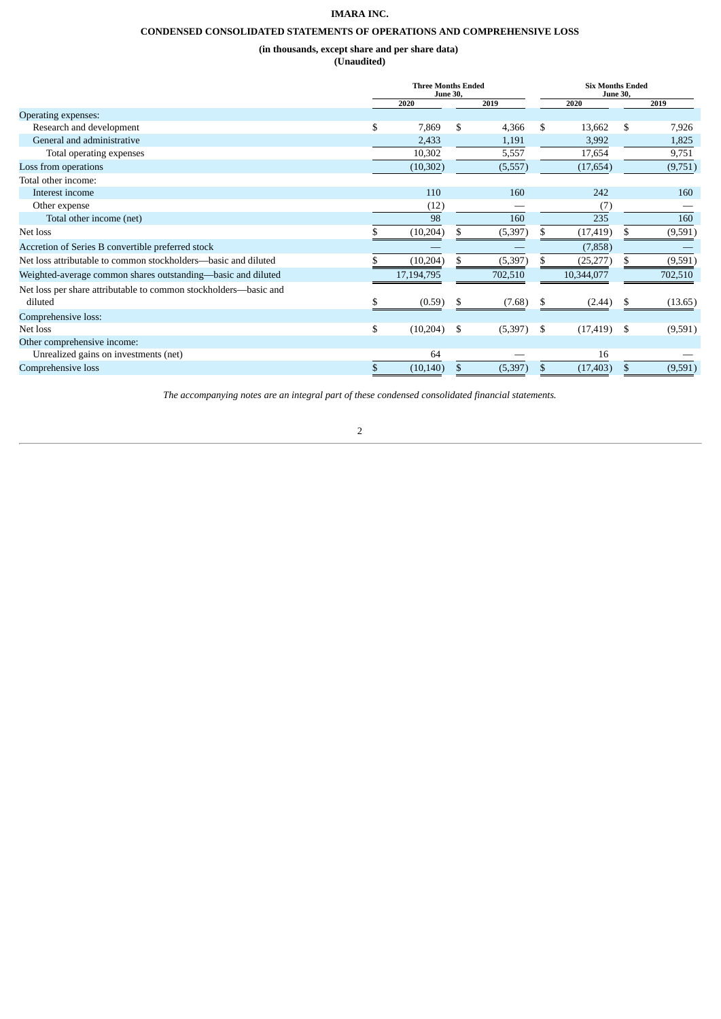# **CONDENSED CONSOLIDATED STATEMENTS OF OPERATIONS AND COMPREHENSIVE LOSS**

**(in thousands, except share and per share data)**

**(Unaudited)**

<span id="page-4-0"></span>

|                                                                  | <b>Three Months Ended</b><br><b>June 30,</b> |    | <b>Six Months Ended</b><br><b>June 30,</b> |     |            |      |         |
|------------------------------------------------------------------|----------------------------------------------|----|--------------------------------------------|-----|------------|------|---------|
|                                                                  | 2020                                         |    | 2019                                       |     | 2020       |      | 2019    |
| Operating expenses:                                              |                                              |    |                                            |     |            |      |         |
| Research and development                                         | \$<br>7,869                                  | \$ | 4,366                                      | \$  | 13,662     | \$.  | 7,926   |
| General and administrative                                       | 2,433                                        |    | 1,191                                      |     | 3,992      |      | 1,825   |
| Total operating expenses                                         | 10,302                                       |    | 5,557                                      |     | 17,654     |      | 9,751   |
| Loss from operations                                             | (10, 302)                                    |    | (5,557)                                    |     | (17, 654)  |      | (9,751) |
| Total other income:                                              |                                              |    |                                            |     |            |      |         |
| Interest income                                                  | 110                                          |    | 160                                        |     | 242        |      | 160     |
| Other expense                                                    | (12)                                         |    |                                            |     | (7)        |      |         |
| Total other income (net)                                         | 98                                           |    | 160                                        |     | 235        |      | 160     |
| Net loss                                                         | (10, 204)                                    | S. | (5, 397)                                   |     | (17,419)   | S.   | (9,591) |
| Accretion of Series B convertible preferred stock                |                                              |    |                                            |     | (7,858)    |      |         |
| Net loss attributable to common stockholders—basic and diluted   | (10, 204)                                    |    | (5, 397)                                   |     | (25, 277)  |      | (9,591) |
| Weighted-average common shares outstanding-basic and diluted     | 17,194,795                                   |    | 702,510                                    |     | 10,344,077 |      | 702,510 |
| Net loss per share attributable to common stockholders-basic and |                                              |    |                                            |     |            |      |         |
| diluted                                                          | (0.59)                                       | S  | (7.68)                                     | \$. | (2.44)     |      | (13.65) |
| Comprehensive loss:                                              |                                              |    |                                            |     |            |      |         |
| Net loss                                                         | \$<br>(10,204)                               | \$ | (5,397)                                    | -\$ | (17, 419)  | - \$ | (9,591) |
| Other comprehensive income:                                      |                                              |    |                                            |     |            |      |         |
| Unrealized gains on investments (net)                            | 64                                           |    |                                            |     | 16         |      |         |
| Comprehensive loss                                               | (10, 140)                                    |    | (5, 397)                                   |     | (17, 403)  |      | (9,591) |

*The accompanying notes are an integral part of these condensed consolidated financial statements.*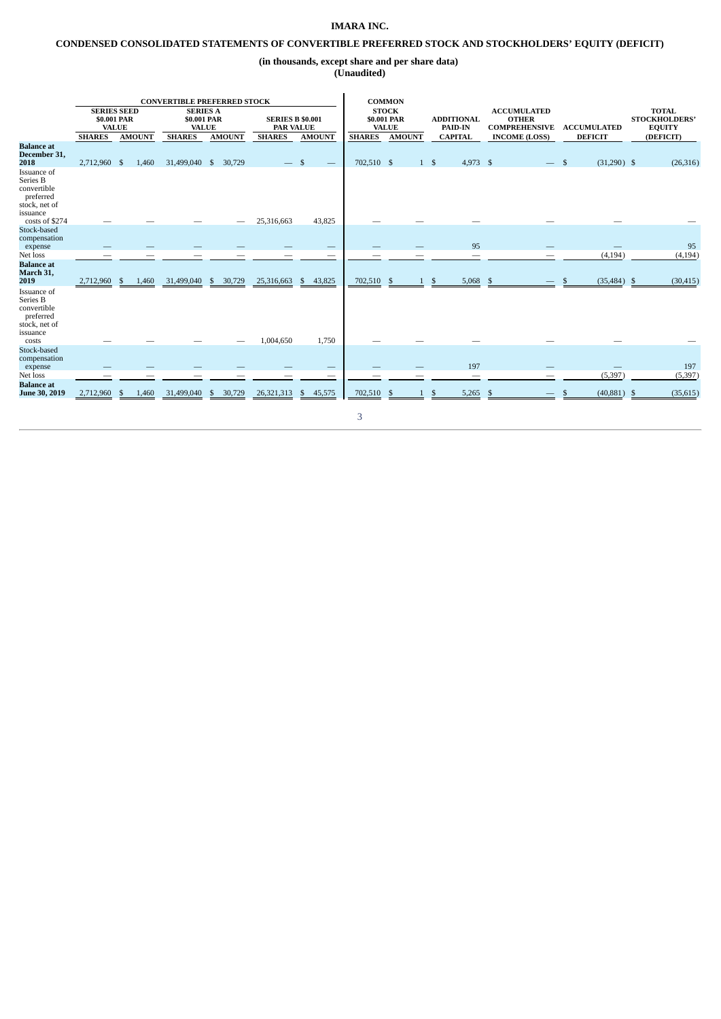# <span id="page-5-0"></span>**CONDENSED CONSOLIDATED STATEMENTS OF CONVERTIBLE PREFERRED STOCK AND STOCKHOLDERS' EQUITY (DEFICIT)**

**(in thousands, except share and per share data)**

**(Unaudited)**

|                                                                                           |                                                   |               | <b>CONVERTIBLE PREFERRED STOCK</b>             |                |                                             |                          |               | <b>COMMON</b>                               |           |                                     |    |                                                            |                               |                                                       |
|-------------------------------------------------------------------------------------------|---------------------------------------------------|---------------|------------------------------------------------|----------------|---------------------------------------------|--------------------------|---------------|---------------------------------------------|-----------|-------------------------------------|----|------------------------------------------------------------|-------------------------------|-------------------------------------------------------|
|                                                                                           | <b>SERIES SEED</b><br>\$0.001 PAR<br><b>VALUE</b> |               | <b>SERIES A</b><br>\$0.001 PAR<br><b>VALUE</b> |                | <b>SERIES B \$0.001</b><br><b>PAR VALUE</b> |                          |               | <b>STOCK</b><br>\$0.001 PAR<br><b>VALUE</b> |           | <b>ADDITIONAL</b><br><b>PAID-IN</b> |    | <b>ACCUMULATED</b><br><b>OTHER</b><br><b>COMPREHENSIVE</b> | <b>ACCUMULATED</b>            | <b>TOTAL</b><br><b>STOCKHOLDERS'</b><br><b>EQUITY</b> |
|                                                                                           | <b>SHARES</b>                                     | <b>AMOUNT</b> | <b>SHARES</b>                                  | <b>AMOUNT</b>  | <b>SHARES</b>                               | <b>AMOUNT</b>            | <b>SHARES</b> | <b>AMOUNT</b>                               |           | <b>CAPITAL</b>                      |    | <b>INCOME (LOSS)</b>                                       | <b>DEFICIT</b>                | (DEFICIT)                                             |
| <b>Balance</b> at<br>December 31,<br>2018                                                 | 2,712,960 \$                                      | 1,460         | 31,499,040 \$                                  | 30,729         |                                             |                          | 702,510 \$    |                                             | $1 \quad$ | 4,973 \$                            |    |                                                            | $(31,290)$ \$<br>$\mathbf{s}$ | (26, 316)                                             |
| Issuance of<br>Series B<br>convertible<br>preferred<br>stock, net of<br>issuance          |                                                   |               |                                                |                |                                             |                          |               |                                             |           |                                     |    |                                                            |                               |                                                       |
| costs of \$274                                                                            |                                                   |               |                                                |                | 25,316,663                                  | 43,825                   |               |                                             |           |                                     |    |                                                            |                               |                                                       |
| Stock-based<br>compensation                                                               |                                                   |               |                                                |                |                                             |                          |               |                                             |           |                                     |    |                                                            |                               |                                                       |
| expense                                                                                   |                                                   |               |                                                |                |                                             |                          |               |                                             |           | 95                                  |    |                                                            |                               | 95                                                    |
| Net loss                                                                                  |                                                   |               |                                                |                |                                             | $\overline{\phantom{m}}$ |               |                                             |           | -                                   |    |                                                            | (4, 194)                      | (4, 194)                                              |
| <b>Balance</b> at<br>March 31,<br>2019                                                    | 2,712,960                                         | 1,460<br>\$   | 31,499,040                                     | 30,729<br>-\$  | 25,316,663                                  | 43,825<br>\$             | 702,510       | -S                                          |           | 5,068                               |    |                                                            | (35, 484)                     | (30, 415)<br>-\$                                      |
| Issuance of<br>Series B<br>convertible<br>preferred<br>stock, net of<br>issuance<br>costs |                                                   |               |                                                |                | 1,004,650                                   | 1,750                    |               |                                             |           |                                     |    |                                                            |                               |                                                       |
| Stock-based<br>compensation                                                               |                                                   |               |                                                |                |                                             |                          |               |                                             |           |                                     |    |                                                            |                               |                                                       |
| expense                                                                                   |                                                   |               |                                                |                |                                             | –                        |               |                                             |           | 197                                 |    |                                                            |                               | 197                                                   |
| Net loss                                                                                  |                                                   |               |                                                |                |                                             |                          |               |                                             |           |                                     |    |                                                            | (5,397)                       | (5, 397)                                              |
| <b>Balance</b> at<br>June 30, 2019                                                        | 2,712,960                                         | 1,460<br>S    | 31,499,040                                     | 30,729<br>- \$ | 26,321,313                                  | 45,575<br>S              | 702,510       |                                             |           | 5,265                               | £. |                                                            | (40, 881)                     | (35, 615)<br>-S                                       |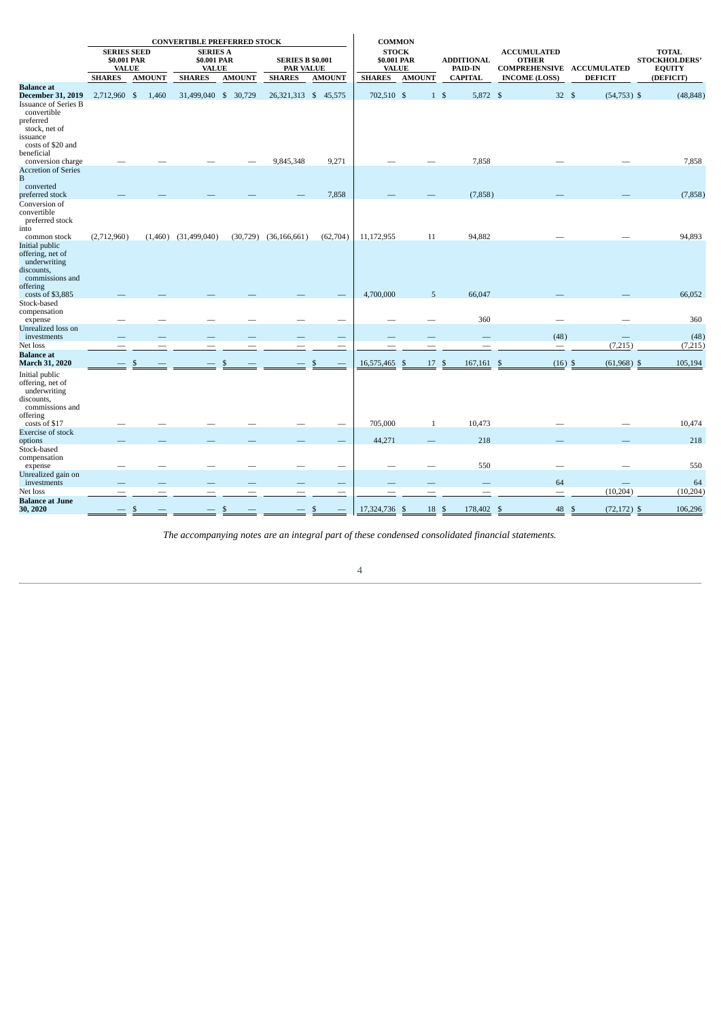|                                                                                                 |                                                   |               | <b>CONVERTIBLE PREFERRED STOCK</b>             |               |                                             |                          | <b>COMMON</b>                               |               |                              |                                                                 |                       |                                                       |
|-------------------------------------------------------------------------------------------------|---------------------------------------------------|---------------|------------------------------------------------|---------------|---------------------------------------------|--------------------------|---------------------------------------------|---------------|------------------------------|-----------------------------------------------------------------|-----------------------|-------------------------------------------------------|
|                                                                                                 | <b>SERIES SEED</b><br>\$0.001 PAR<br><b>VALUE</b> |               | <b>SERIES A</b><br>\$0.001 PAR<br><b>VALUE</b> |               | <b>SERIES B \$0.001</b><br><b>PAR VALUE</b> |                          | <b>STOCK</b><br>\$0.001 PAR<br><b>VALUE</b> |               | <b>ADDITIONAL</b><br>PAID-IN | <b>ACCUMULATED</b><br><b>OTHER</b><br>COMPREHENSIVE ACCUMULATED |                       | <b>TOTAL</b><br><b>STOCKHOLDERS'</b><br><b>EQUITY</b> |
|                                                                                                 | <b>SHARES</b>                                     | <b>AMOUNT</b> | <b>SHARES</b>                                  | <b>AMOUNT</b> | <b>SHARES</b>                               | <b>AMOUNT</b>            | <b>SHARES</b>                               | <b>AMOUNT</b> | <b>CAPITAL</b>               | <b>INCOME (LOSS)</b>                                            | <b>DEFICIT</b>        | (DEFICIT)                                             |
| <b>Balance</b> at<br><b>December 31, 2019</b><br><b>Issuance of Series B</b><br>convertible     | 2,712,960 \$                                      | 1,460         | 31,499,040 \$ 30,729                           |               | 26, 321, 313 \$ 45, 575                     |                          | 702,510 \$                                  |               | $1 \text{ }$<br>5,872 \$     | 32S                                                             | $(54,753)$ \$         | (48, 848)                                             |
| preferred<br>stock, net of<br>issuance                                                          |                                                   |               |                                                |               |                                             |                          |                                             |               |                              |                                                                 |                       |                                                       |
| costs of \$20 and<br>beneficial<br>conversion charge                                            |                                                   |               |                                                |               | 9,845,348                                   | 9,271                    |                                             |               | 7,858                        |                                                                 |                       | 7,858                                                 |
| <b>Accretion of Series</b><br>B<br>converted                                                    |                                                   |               |                                                |               |                                             |                          |                                             |               |                              |                                                                 |                       |                                                       |
| preferred stock                                                                                 |                                                   |               |                                                |               |                                             | 7,858                    |                                             |               | (7, 858)                     |                                                                 |                       | (7,858)                                               |
| Conversion of<br>convertible<br>preferred stock                                                 |                                                   |               |                                                |               |                                             |                          |                                             |               |                              |                                                                 |                       |                                                       |
| into<br>common stock                                                                            | (2,712,960)                                       |               | $(1,460)$ $(31,499,040)$                       | (30, 729)     | (36, 166, 661)                              | (62,704)                 | 11,172,955                                  | 11            | 94,882                       |                                                                 |                       | 94,893                                                |
| Initial public<br>offering, net of<br>underwriting<br>discounts,<br>commissions and<br>offering |                                                   |               |                                                |               |                                             |                          |                                             |               |                              |                                                                 |                       |                                                       |
| costs of \$3,885                                                                                |                                                   |               |                                                |               |                                             |                          | 4,700,000                                   | 5             | 66,047                       |                                                                 |                       | 66,052                                                |
| Stock-based<br>compensation<br>expense                                                          |                                                   |               |                                                |               |                                             |                          |                                             |               | 360                          |                                                                 |                       | 360                                                   |
| Unrealized loss on<br>investments                                                               |                                                   |               |                                                |               |                                             |                          |                                             |               |                              | (48)                                                            |                       | (48)                                                  |
| Net loss                                                                                        | -                                                 |               |                                                |               |                                             | $\overline{\phantom{a}}$ |                                             |               |                              |                                                                 | (7,215)               | (7,215)                                               |
| <b>Balance</b> at<br><b>March 31, 2020</b>                                                      |                                                   |               |                                                |               |                                             |                          | 16,575,465                                  | 17<br>-S      | 167,161<br>-S                | $(16)$ \$                                                       | $(61,968)$ \$         | 105,194                                               |
| Initial public<br>offering, net of<br>underwriting<br>discounts,<br>commissions and<br>offering |                                                   |               |                                                |               |                                             |                          |                                             |               |                              |                                                                 |                       |                                                       |
| costs of \$17                                                                                   |                                                   |               |                                                |               |                                             |                          | 705,000                                     | $\mathbf{1}$  | 10,473                       |                                                                 |                       | 10,474                                                |
| <b>Exercise of stock</b><br>options<br>Stock-based                                              |                                                   |               |                                                |               |                                             |                          | 44,271                                      |               | 218                          |                                                                 |                       | 218                                                   |
| compensation<br>expense                                                                         |                                                   |               |                                                |               |                                             |                          |                                             |               | 550                          |                                                                 |                       | 550                                                   |
| Unrealized gain on<br>investments                                                               |                                                   |               |                                                |               |                                             |                          |                                             |               |                              | 64                                                              |                       | 64                                                    |
| Net loss                                                                                        |                                                   |               |                                                |               |                                             |                          |                                             |               |                              |                                                                 | (10, 204)             | (10, 204)                                             |
| <b>Balance at June</b><br>30, 2020                                                              |                                                   |               |                                                |               |                                             |                          | 17,324,736                                  | 18 \$<br>- \$ | 178,402 \$                   | 48                                                              | $(72, 172)$ \$<br>-\$ | 106,296                                               |

*The accompanying notes are an integral part of these condensed consolidated financial statements.*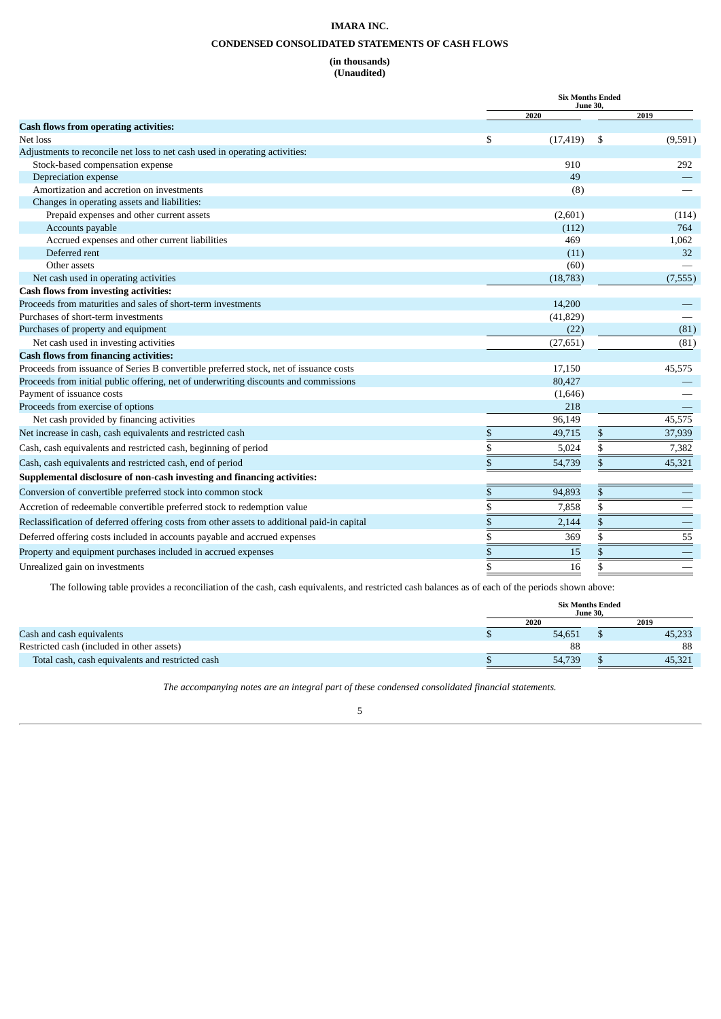# **CONDENSED CONSOLIDATED STATEMENTS OF CASH FLOWS**

# **(in thousands)**

# **(Unaudited)**

<span id="page-7-0"></span>

|                                                                                             |    | <b>Six Months Ended</b><br><b>June 30,</b> |    |          |  |  |  |
|---------------------------------------------------------------------------------------------|----|--------------------------------------------|----|----------|--|--|--|
|                                                                                             |    | 2020                                       |    | 2019     |  |  |  |
| <b>Cash flows from operating activities:</b>                                                |    |                                            |    |          |  |  |  |
| Net loss                                                                                    | \$ | (17, 419)                                  | \$ | (9,591)  |  |  |  |
| Adjustments to reconcile net loss to net cash used in operating activities:                 |    |                                            |    |          |  |  |  |
| Stock-based compensation expense                                                            |    | 910                                        |    | 292      |  |  |  |
| Depreciation expense                                                                        |    | 49                                         |    |          |  |  |  |
| Amortization and accretion on investments                                                   |    | (8)                                        |    |          |  |  |  |
| Changes in operating assets and liabilities:                                                |    |                                            |    |          |  |  |  |
| Prepaid expenses and other current assets                                                   |    | (2,601)                                    |    | (114)    |  |  |  |
| Accounts payable                                                                            |    | (112)                                      |    | 764      |  |  |  |
| Accrued expenses and other current liabilities                                              |    | 469                                        |    | 1,062    |  |  |  |
| Deferred rent                                                                               |    | (11)                                       |    | 32       |  |  |  |
| Other assets                                                                                |    | (60)                                       |    |          |  |  |  |
| Net cash used in operating activities                                                       |    | (18, 783)                                  |    | (7, 555) |  |  |  |
| <b>Cash flows from investing activities:</b>                                                |    |                                            |    |          |  |  |  |
| Proceeds from maturities and sales of short-term investments                                |    | 14,200                                     |    |          |  |  |  |
| Purchases of short-term investments                                                         |    | (41, 829)                                  |    |          |  |  |  |
| Purchases of property and equipment                                                         |    | (22)                                       |    | (81)     |  |  |  |
| Net cash used in investing activities                                                       |    | (27, 651)                                  |    | (81)     |  |  |  |
| <b>Cash flows from financing activities:</b>                                                |    |                                            |    |          |  |  |  |
| Proceeds from issuance of Series B convertible preferred stock, net of issuance costs       |    | 17,150                                     |    | 45,575   |  |  |  |
| Proceeds from initial public offering, net of underwriting discounts and commissions        |    | 80,427                                     |    |          |  |  |  |
| Payment of issuance costs                                                                   |    | (1,646)                                    |    |          |  |  |  |
| Proceeds from exercise of options                                                           |    | 218                                        |    |          |  |  |  |
| Net cash provided by financing activities                                                   |    | 96,149                                     |    | 45,575   |  |  |  |
| Net increase in cash, cash equivalents and restricted cash                                  | \$ | 49,715                                     | \$ | 37,939   |  |  |  |
| Cash, cash equivalents and restricted cash, beginning of period                             | \$ | 5,024                                      | \$ | 7,382    |  |  |  |
| Cash, cash equivalents and restricted cash, end of period                                   | \$ | 54,739                                     | \$ | 45,321   |  |  |  |
| Supplemental disclosure of non-cash investing and financing activities:                     |    |                                            |    |          |  |  |  |
| Conversion of convertible preferred stock into common stock                                 | S  | 94,893                                     | \$ |          |  |  |  |
| Accretion of redeemable convertible preferred stock to redemption value                     |    | 7,858                                      | \$ |          |  |  |  |
| Reclassification of deferred offering costs from other assets to additional paid-in capital | \$ | 2,144                                      | \$ |          |  |  |  |
| Deferred offering costs included in accounts payable and accrued expenses                   |    | 369                                        | \$ | 55       |  |  |  |
| Property and equipment purchases included in accrued expenses                               | \$ | 15                                         | \$ |          |  |  |  |
| Unrealized gain on investments                                                              | \$ | 16                                         | \$ |          |  |  |  |

The following table provides a reconciliation of the cash, cash equivalents, and restricted cash balances as of each of the periods shown above:

|                                                  | <b>Six Months Ended</b><br><b>June 30.</b> |        |  |        |  |  |  |
|--------------------------------------------------|--------------------------------------------|--------|--|--------|--|--|--|
|                                                  |                                            | 2020   |  | 2019   |  |  |  |
| Cash and cash equivalents                        |                                            | 54.651 |  | 45,233 |  |  |  |
| Restricted cash (included in other assets)       |                                            | 88     |  | 88     |  |  |  |
| Total cash, cash equivalents and restricted cash |                                            | 54,739 |  | 45,321 |  |  |  |

*The accompanying notes are an integral part of these condensed consolidated financial statements.*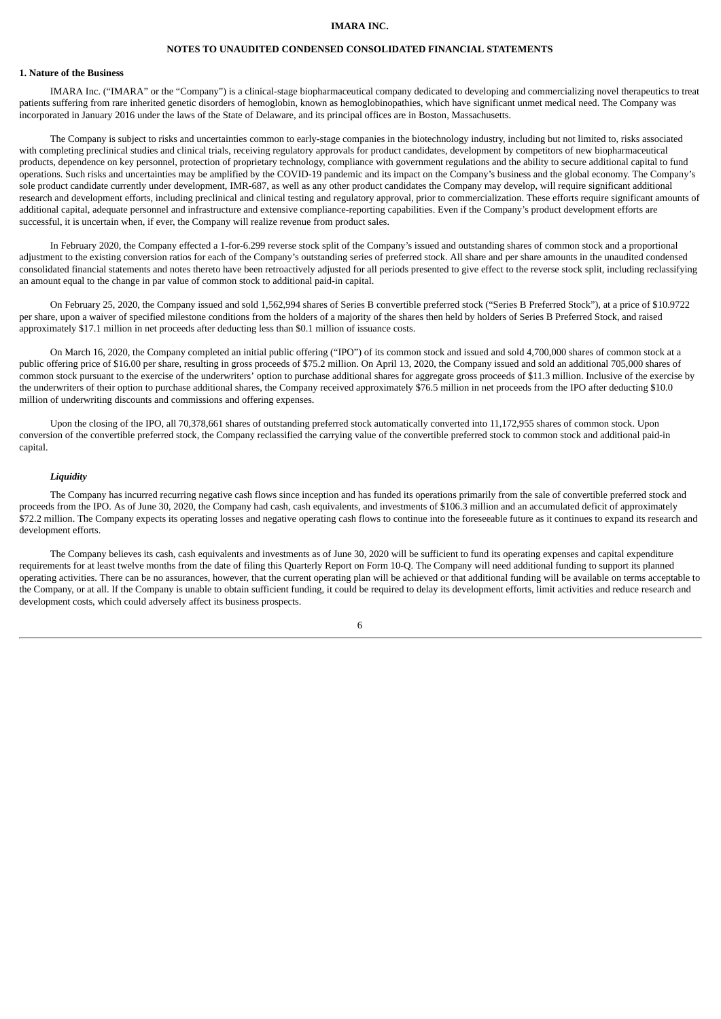# **NOTES TO UNAUDITED CONDENSED CONSOLIDATED FINANCIAL STATEMENTS**

# <span id="page-8-0"></span>**1. Nature of the Business**

IMARA Inc. ("IMARA" or the "Company") is a clinical-stage biopharmaceutical company dedicated to developing and commercializing novel therapeutics to treat patients suffering from rare inherited genetic disorders of hemoglobin, known as hemoglobinopathies, which have significant unmet medical need. The Company was incorporated in January 2016 under the laws of the State of Delaware, and its principal offices are in Boston, Massachusetts.

The Company is subject to risks and uncertainties common to early-stage companies in the biotechnology industry, including but not limited to, risks associated with completing preclinical studies and clinical trials, receiving regulatory approvals for product candidates, development by competitors of new biopharmaceutical products, dependence on key personnel, protection of proprietary technology, compliance with government regulations and the ability to secure additional capital to fund operations. Such risks and uncertainties may be amplified by the COVID-19 pandemic and its impact on the Company's business and the global economy. The Company's sole product candidate currently under development, IMR-687, as well as any other product candidates the Company may develop, will require significant additional research and development efforts, including preclinical and clinical testing and regulatory approval, prior to commercialization. These efforts require significant amounts of additional capital, adequate personnel and infrastructure and extensive compliance-reporting capabilities. Even if the Company's product development efforts are successful, it is uncertain when, if ever, the Company will realize revenue from product sales.

In February 2020, the Company effected a 1-for-6.299 reverse stock split of the Company's issued and outstanding shares of common stock and a proportional adjustment to the existing conversion ratios for each of the Company's outstanding series of preferred stock. All share and per share amounts in the unaudited condensed consolidated financial statements and notes thereto have been retroactively adjusted for all periods presented to give effect to the reverse stock split, including reclassifying an amount equal to the change in par value of common stock to additional paid-in capital.

On February 25, 2020, the Company issued and sold 1,562,994 shares of Series B convertible preferred stock ("Series B Preferred Stock"), at a price of \$10.9722 per share, upon a waiver of specified milestone conditions from the holders of a majority of the shares then held by holders of Series B Preferred Stock, and raised approximately \$17.1 million in net proceeds after deducting less than \$0.1 million of issuance costs.

On March 16, 2020, the Company completed an initial public offering ("IPO") of its common stock and issued and sold 4,700,000 shares of common stock at a public offering price of \$16.00 per share, resulting in gross proceeds of \$75.2 million. On April 13, 2020, the Company issued and sold an additional 705,000 shares of common stock pursuant to the exercise of the underwriters' option to purchase additional shares for aggregate gross proceeds of \$11.3 million. Inclusive of the exercise by the underwriters of their option to purchase additional shares, the Company received approximately \$76.5 million in net proceeds from the IPO after deducting \$10.0 million of underwriting discounts and commissions and offering expenses.

Upon the closing of the IPO, all 70,378,661 shares of outstanding preferred stock automatically converted into 11,172,955 shares of common stock. Upon conversion of the convertible preferred stock, the Company reclassified the carrying value of the convertible preferred stock to common stock and additional paid-in capital.

# *Liquidity*

The Company has incurred recurring negative cash flows since inception and has funded its operations primarily from the sale of convertible preferred stock and proceeds from the IPO. As of June 30, 2020, the Company had cash, cash equivalents, and investments of \$106.3 million and an accumulated deficit of approximately \$72.2 million. The Company expects its operating losses and negative operating cash flows to continue into the foreseeable future as it continues to expand its research and development efforts.

The Company believes its cash, cash equivalents and investments as of June 30, 2020 will be sufficient to fund its operating expenses and capital expenditure requirements for at least twelve months from the date of filing this Quarterly Report on Form 10-Q. The Company will need additional funding to support its planned operating activities. There can be no assurances, however, that the current operating plan will be achieved or that additional funding will be available on terms acceptable to the Company, or at all. If the Company is unable to obtain sufficient funding, it could be required to delay its development efforts, limit activities and reduce research and development costs, which could adversely affect its business prospects.

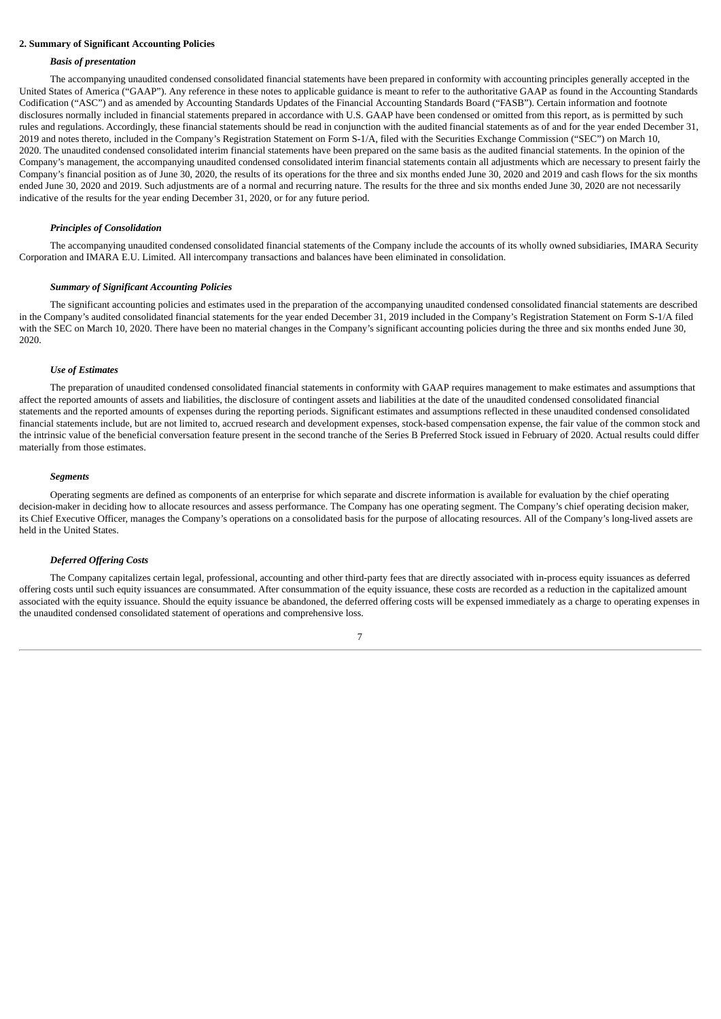### **2. Summary of Significant Accounting Policies**

#### *Basis of presentation*

The accompanying unaudited condensed consolidated financial statements have been prepared in conformity with accounting principles generally accepted in the United States of America ("GAAP"). Any reference in these notes to applicable guidance is meant to refer to the authoritative GAAP as found in the Accounting Standards Codification ("ASC") and as amended by Accounting Standards Updates of the Financial Accounting Standards Board ("FASB"). Certain information and footnote disclosures normally included in financial statements prepared in accordance with U.S. GAAP have been condensed or omitted from this report, as is permitted by such rules and regulations. Accordingly, these financial statements should be read in conjunction with the audited financial statements as of and for the year ended December 31, 2019 and notes thereto, included in the Company's Registration Statement on Form S-1/A, filed with the Securities Exchange Commission ("SEC") on March 10, 2020. The unaudited condensed consolidated interim financial statements have been prepared on the same basis as the audited financial statements. In the opinion of the Company's management, the accompanying unaudited condensed consolidated interim financial statements contain all adjustments which are necessary to present fairly the Company's financial position as of June 30, 2020, the results of its operations for the three and six months ended June 30, 2020 and 2019 and cash flows for the six months ended June 30, 2020 and 2019. Such adjustments are of a normal and recurring nature. The results for the three and six months ended June 30, 2020 are not necessarily indicative of the results for the year ending December 31, 2020, or for any future period.

#### *Principles of Consolidation*

The accompanying unaudited condensed consolidated financial statements of the Company include the accounts of its wholly owned subsidiaries, IMARA Security Corporation and IMARA E.U. Limited. All intercompany transactions and balances have been eliminated in consolidation.

#### *Summary of Significant Accounting Policies*

The significant accounting policies and estimates used in the preparation of the accompanying unaudited condensed consolidated financial statements are described in the Company's audited consolidated financial statements for the year ended December 31, 2019 included in the Company's Registration Statement on Form S-1/A filed with the SEC on March 10, 2020. There have been no material changes in the Company's significant accounting policies during the three and six months ended June 30, 2020.

#### *Use of Estimates*

The preparation of unaudited condensed consolidated financial statements in conformity with GAAP requires management to make estimates and assumptions that affect the reported amounts of assets and liabilities, the disclosure of contingent assets and liabilities at the date of the unaudited condensed consolidated financial statements and the reported amounts of expenses during the reporting periods. Significant estimates and assumptions reflected in these unaudited condensed consolidated financial statements include, but are not limited to, accrued research and development expenses, stock-based compensation expense, the fair value of the common stock and the intrinsic value of the beneficial conversation feature present in the second tranche of the Series B Preferred Stock issued in February of 2020. Actual results could differ materially from those estimates.

#### *Segments*

Operating segments are defined as components of an enterprise for which separate and discrete information is available for evaluation by the chief operating decision-maker in deciding how to allocate resources and assess performance. The Company has one operating segment. The Company's chief operating decision maker, its Chief Executive Officer, manages the Company's operations on a consolidated basis for the purpose of allocating resources. All of the Company's long-lived assets are held in the United States.

### *Deferred Offering Costs*

The Company capitalizes certain legal, professional, accounting and other third-party fees that are directly associated with in-process equity issuances as deferred offering costs until such equity issuances are consummated. After consummation of the equity issuance, these costs are recorded as a reduction in the capitalized amount associated with the equity issuance. Should the equity issuance be abandoned, the deferred offering costs will be expensed immediately as a charge to operating expenses in the unaudited condensed consolidated statement of operations and comprehensive loss.

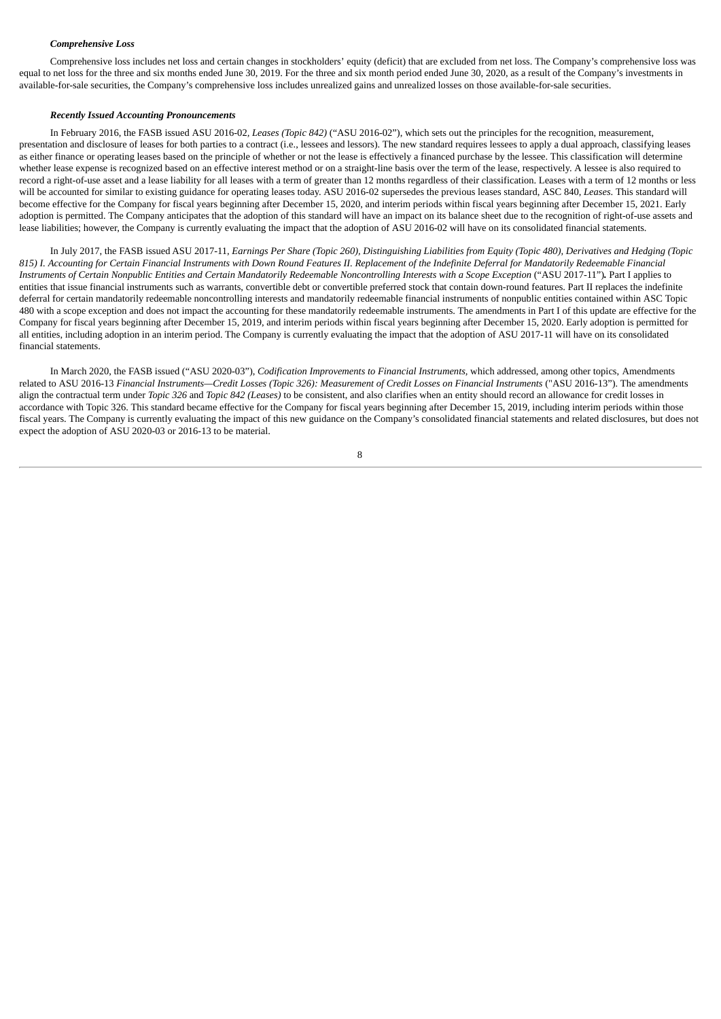## *Comprehensive Loss*

Comprehensive loss includes net loss and certain changes in stockholders' equity (deficit) that are excluded from net loss. The Company's comprehensive loss was equal to net loss for the three and six months ended June 30, 2019. For the three and six month period ended June 30, 2020, as a result of the Company's investments in available-for-sale securities, the Company's comprehensive loss includes unrealized gains and unrealized losses on those available-for-sale securities.

#### *Recently Issued Accounting Pronouncements*

In February 2016, the FASB issued ASU 2016-02*, Leases (Topic 842)* ("ASU 2016-02"), which sets out the principles for the recognition, measurement, presentation and disclosure of leases for both parties to a contract (i.e., lessees and lessors). The new standard requires lessees to apply a dual approach, classifying leases as either finance or operating leases based on the principle of whether or not the lease is effectively a financed purchase by the lessee. This classification will determine whether lease expense is recognized based on an effective interest method or on a straight-line basis over the term of the lease, respectively. A lessee is also required to record a right-of-use asset and a lease liability for all leases with a term of greater than 12 months regardless of their classification. Leases with a term of 12 months or less will be accounted for similar to existing guidance for operating leases today. ASU 2016-02 supersedes the previous leases standard, ASC 840, *Leases*. This standard will become effective for the Company for fiscal years beginning after December 15, 2020, and interim periods within fiscal years beginning after December 15, 2021. Early adoption is permitted. The Company anticipates that the adoption of this standard will have an impact on its balance sheet due to the recognition of right-of-use assets and lease liabilities; however, the Company is currently evaluating the impact that the adoption of ASU 2016-02 will have on its consolidated financial statements.

In July 2017, the FASB issued ASU 2017-11, Earnings Per Share (Topic 260), Distinguishing Liabilities from Equity (Topic 480), Derivatives and Hedging (Topic 815) I. Accounting for Certain Financial Instruments with Down Round Features II. Replacement of the Indefinite Deferral for Mandatorily Redeemable Financial Instruments of Certain Nonpublic Entities and Certain Mandatorily Redeemable Noncontrolling Interests with a Scope Exception ("ASU 2017-11"). Part I applies to entities that issue financial instruments such as warrants, convertible debt or convertible preferred stock that contain down-round features. Part II replaces the indefinite deferral for certain mandatorily redeemable noncontrolling interests and mandatorily redeemable financial instruments of nonpublic entities contained within ASC Topic 480 with a scope exception and does not impact the accounting for these mandatorily redeemable instruments. The amendments in Part I of this update are effective for the Company for fiscal years beginning after December 15, 2019, and interim periods within fiscal years beginning after December 15, 2020. Early adoption is permitted for all entities, including adoption in an interim period. The Company is currently evaluating the impact that the adoption of ASU 2017-11 will have on its consolidated financial statements.

In March 2020, the FASB issued ("ASU 2020-03"), *Codification Improvements to Financial Instruments,* which addressed, among other topics, Amendments related to ASU 2016-13 Financial Instruments-Credit Losses (Topic 326): Measurement of Credit Losses on Financial Instruments ("ASU 2016-13"). The amendments align the contractual term under *Topic 326* and *Topic 842 (Leases)* to be consistent, and also clarifies when an entity should record an allowance for credit losses in accordance with Topic 326. This standard became effective for the Company for fiscal years beginning after December 15, 2019, including interim periods within those fiscal years. The Company is currently evaluating the impact of this new guidance on the Company's consolidated financial statements and related disclosures, but does not expect the adoption of ASU 2020-03 or 2016-13 to be material.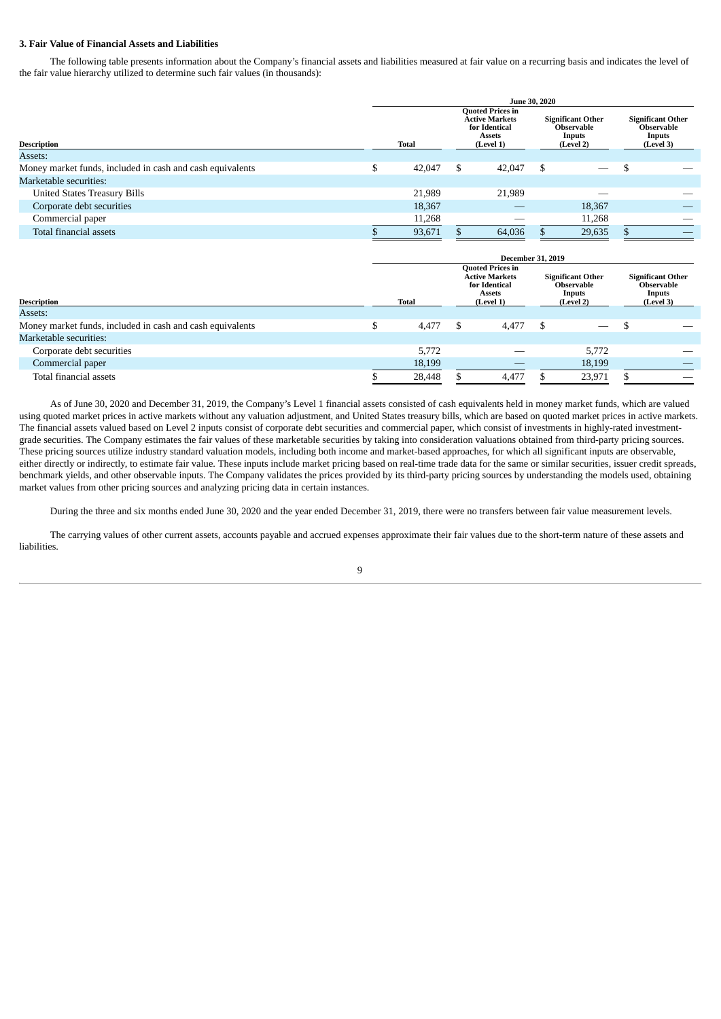## **3. Fair Value of Financial Assets and Liabilities**

The following table presents information about the Company's financial assets and liabilities measured at fair value on a recurring basis and indicates the level of the fair value hierarchy utilized to determine such fair values (in thousands):

|                                                           | <b>June 30, 2020</b> |        |                                                                                                 |        |                                                                      |        |  |                                                               |  |  |  |
|-----------------------------------------------------------|----------------------|--------|-------------------------------------------------------------------------------------------------|--------|----------------------------------------------------------------------|--------|--|---------------------------------------------------------------|--|--|--|
| <b>Description</b>                                        |                      | Total  | <b>Quoted Prices in</b><br><b>Active Markets</b><br>for Identical<br><b>Assets</b><br>(Level 1) |        | <b>Significant Other</b><br><b>Observable</b><br>Inputs<br>(Level 2) |        |  | <b>Significant Other</b><br>Observable<br>Inputs<br>(Level 3) |  |  |  |
| Assets:                                                   |                      |        |                                                                                                 |        |                                                                      |        |  |                                                               |  |  |  |
| Money market funds, included in cash and cash equivalents | ¢                    | 42,047 | \$                                                                                              | 42,047 | \$.                                                                  |        |  |                                                               |  |  |  |
| Marketable securities:                                    |                      |        |                                                                                                 |        |                                                                      |        |  |                                                               |  |  |  |
| <b>United States Treasury Bills</b>                       |                      | 21,989 |                                                                                                 | 21,989 |                                                                      |        |  |                                                               |  |  |  |
| Corporate debt securities                                 |                      | 18,367 |                                                                                                 |        |                                                                      | 18,367 |  | __                                                            |  |  |  |
| Commercial paper                                          |                      | 11,268 |                                                                                                 |        |                                                                      | 11,268 |  |                                                               |  |  |  |
| Total financial assets                                    |                      | 93,671 |                                                                                                 | 64,036 |                                                                      | 29,635 |  |                                                               |  |  |  |

|                                                           | <b>December 31, 2019</b> |   |                                                                                                 |    |                                                               |  |                                                                      |  |  |  |  |  |
|-----------------------------------------------------------|--------------------------|---|-------------------------------------------------------------------------------------------------|----|---------------------------------------------------------------|--|----------------------------------------------------------------------|--|--|--|--|--|
| <b>Description</b>                                        | <b>Total</b>             |   | <b>Quoted Prices in</b><br><b>Active Markets</b><br>for Identical<br><b>Assets</b><br>(Level 1) |    | <b>Significant Other</b><br>Observable<br>Inputs<br>(Level 2) |  | <b>Significant Other</b><br>Observable<br><b>Inputs</b><br>(Level 3) |  |  |  |  |  |
| Assets:                                                   |                          |   |                                                                                                 |    |                                                               |  |                                                                      |  |  |  |  |  |
| Money market funds, included in cash and cash equivalents | 4,477                    | S | 4,477                                                                                           | \$ | $\qquad \qquad$                                               |  |                                                                      |  |  |  |  |  |
| Marketable securities:                                    |                          |   |                                                                                                 |    |                                                               |  |                                                                      |  |  |  |  |  |
| Corporate debt securities                                 | 5,772                    |   |                                                                                                 |    | 5.772                                                         |  |                                                                      |  |  |  |  |  |
| Commercial paper                                          | 18,199                   |   |                                                                                                 |    | 18,199                                                        |  |                                                                      |  |  |  |  |  |
| Total financial assets                                    | 28,448                   |   | 4,477                                                                                           |    | 23,971                                                        |  |                                                                      |  |  |  |  |  |

As of June 30, 2020 and December 31, 2019, the Company's Level 1 financial assets consisted of cash equivalents held in money market funds, which are valued using quoted market prices in active markets without any valuation adjustment, and United States treasury bills, which are based on quoted market prices in active markets. The financial assets valued based on Level 2 inputs consist of corporate debt securities and commercial paper, which consist of investments in highly-rated investmentgrade securities. The Company estimates the fair values of these marketable securities by taking into consideration valuations obtained from third-party pricing sources. These pricing sources utilize industry standard valuation models, including both income and market-based approaches, for which all significant inputs are observable, either directly or indirectly, to estimate fair value. These inputs include market pricing based on real-time trade data for the same or similar securities, issuer credit spreads, benchmark yields, and other observable inputs. The Company validates the prices provided by its third-party pricing sources by understanding the models used, obtaining market values from other pricing sources and analyzing pricing data in certain instances.

During the three and six months ended June 30, 2020 and the year ended December 31, 2019, there were no transfers between fair value measurement levels.

The carrying values of other current assets, accounts payable and accrued expenses approximate their fair values due to the short-term nature of these assets and liabilities.

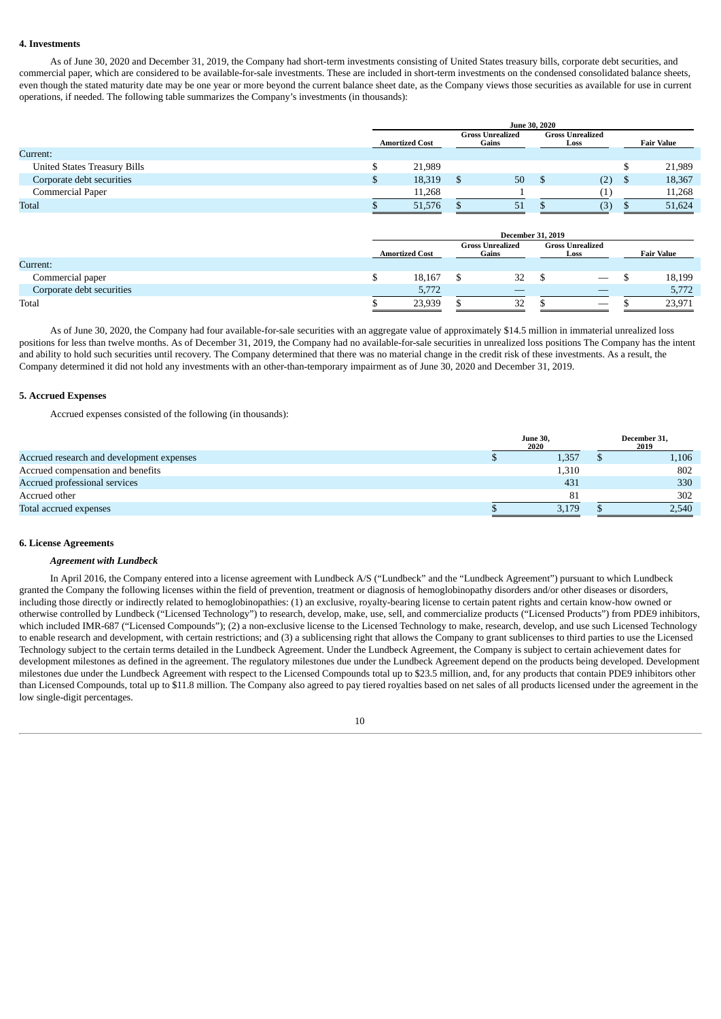## **4. Investments**

As of June 30, 2020 and December 31, 2019, the Company had short-term investments consisting of United States treasury bills, corporate debt securities, and commercial paper, which are considered to be available-for-sale investments. These are included in short-term investments on the condensed consolidated balance sheets, even though the stated maturity date may be one year or more beyond the current balance sheet date, as the Company views those securities as available for use in current operations, if needed. The following table summarizes the Company's investments (in thousands):

| <b>June 30, 2020</b> |                                  |    |      |     |                         |                   |  |  |
|----------------------|----------------------------------|----|------|-----|-------------------------|-------------------|--|--|
|                      | <b>Gross Unrealized</b><br>Gains |    | Loss |     |                         | <b>Fair Value</b> |  |  |
|                      |                                  |    |      |     |                         |                   |  |  |
| 21,989               |                                  |    |      |     |                         | 21,989            |  |  |
| 18,319               |                                  | 50 |      | (2) |                         | 18,367            |  |  |
| 11,268               |                                  |    |      |     |                         | 11,268            |  |  |
| 51,576               |                                  | 51 |      | (3) |                         | 51,624            |  |  |
|                      | <b>Amortized Cost</b>            |    |      |     | <b>Gross Unrealized</b> |                   |  |  |

|                           |                       |  | <b>December 31, 2019</b>         |  |                                 |                   |
|---------------------------|-----------------------|--|----------------------------------|--|---------------------------------|-------------------|
|                           | <b>Amortized Cost</b> |  | <b>Gross Unrealized</b><br>Gains |  | <b>Gross Unrealized</b><br>Loss | <b>Fair Value</b> |
| Current:                  |                       |  |                                  |  |                                 |                   |
| Commercial paper          | 18.167                |  | 32                               |  | $\hspace{0.1mm}-\hspace{0.1mm}$ | 18,199            |
| Corporate debt securities | 5,772                 |  |                                  |  | _                               | 5,772             |
| Total                     | 23,939                |  | 32                               |  |                                 | 23,971            |

As of June 30, 2020, the Company had four available-for-sale securities with an aggregate value of approximately \$14.5 million in immaterial unrealized loss positions for less than twelve months. As of December 31, 2019, the Company had no available-for-sale securities in unrealized loss positions The Company has the intent and ability to hold such securities until recovery. The Company determined that there was no material change in the credit risk of these investments. As a result, the Company determined it did not hold any investments with an other-than-temporary impairment as of June 30, 2020 and December 31, 2019.

#### **5. Accrued Expenses**

Accrued expenses consisted of the following (in thousands):

|                                           | <b>June 30,</b><br>2020 |       | December 31,<br>2019 |       |  |
|-------------------------------------------|-------------------------|-------|----------------------|-------|--|
| Accrued research and development expenses |                         | 1,357 |                      | 1,106 |  |
| Accrued compensation and benefits         |                         | 1,310 |                      | 802   |  |
| Accrued professional services             |                         | 431   |                      | 330   |  |
| Accrued other                             |                         | 81    |                      | 302   |  |
| Total accrued expenses                    |                         | 3,179 |                      | 2,540 |  |

#### **6. License Agreements**

#### *Agreement with Lundbeck*

In April 2016, the Company entered into a license agreement with Lundbeck A/S ("Lundbeck" and the "Lundbeck Agreement") pursuant to which Lundbeck granted the Company the following licenses within the field of prevention, treatment or diagnosis of hemoglobinopathy disorders and/or other diseases or disorders, including those directly or indirectly related to hemoglobinopathies: (1) an exclusive, royalty-bearing license to certain patent rights and certain know-how owned or otherwise controlled by Lundbeck ("Licensed Technology") to research, develop, make, use, sell, and commercialize products ("Licensed Products") from PDE9 inhibitors, which included IMR-687 ("Licensed Compounds"); (2) a non-exclusive license to the Licensed Technology to make, research, develop, and use such Licensed Technology to enable research and development, with certain restrictions; and (3) a sublicensing right that allows the Company to grant sublicenses to third parties to use the Licensed Technology subject to the certain terms detailed in the Lundbeck Agreement. Under the Lundbeck Agreement, the Company is subject to certain achievement dates for development milestones as defined in the agreement. The regulatory milestones due under the Lundbeck Agreement depend on the products being developed. Development milestones due under the Lundbeck Agreement with respect to the Licensed Compounds total up to \$23.5 million, and, for any products that contain PDE9 inhibitors other than Licensed Compounds, total up to \$11.8 million. The Company also agreed to pay tiered royalties based on net sales of all products licensed under the agreement in the low single-digit percentages.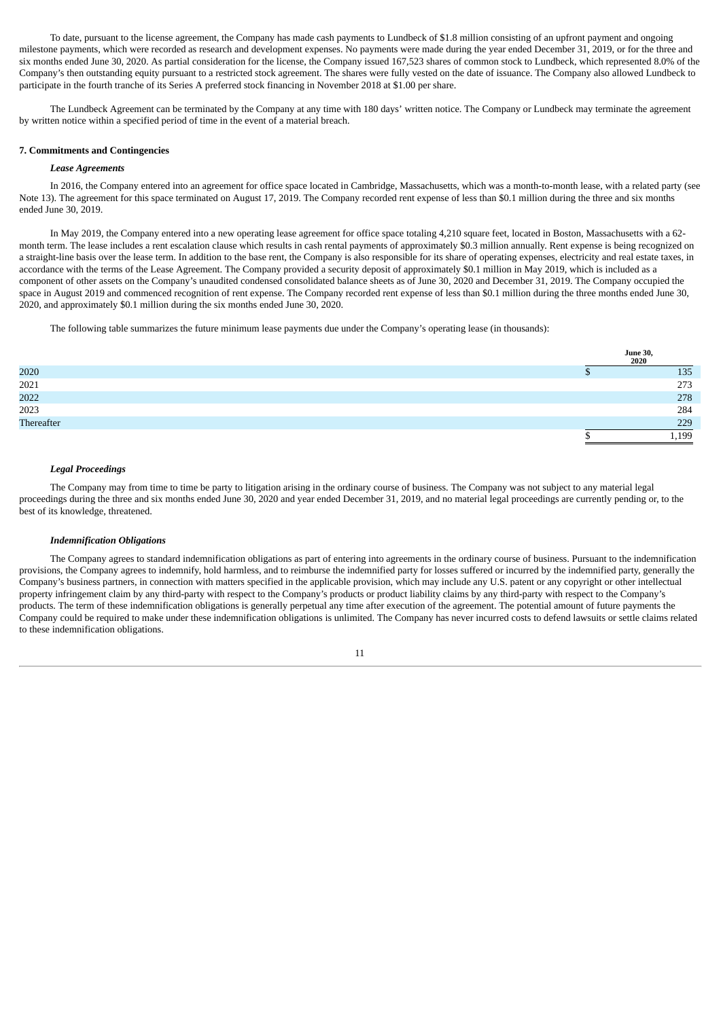To date, pursuant to the license agreement, the Company has made cash payments to Lundbeck of \$1.8 million consisting of an upfront payment and ongoing milestone payments, which were recorded as research and development expenses. No payments were made during the year ended December 31, 2019, or for the three and six months ended June 30, 2020. As partial consideration for the license, the Company issued 167,523 shares of common stock to Lundbeck, which represented 8.0% of the Company's then outstanding equity pursuant to a restricted stock agreement. The shares were fully vested on the date of issuance. The Company also allowed Lundbeck to participate in the fourth tranche of its Series A preferred stock financing in November 2018 at \$1.00 per share.

The Lundbeck Agreement can be terminated by the Company at any time with 180 days' written notice. The Company or Lundbeck may terminate the agreement by written notice within a specified period of time in the event of a material breach.

# **7. Commitments and Contingencies**

#### *Lease Agreements*

In 2016, the Company entered into an agreement for office space located in Cambridge, Massachusetts, which was a month-to-month lease, with a related party (see Note 13). The agreement for this space terminated on August 17, 2019. The Company recorded rent expense of less than \$0.1 million during the three and six months ended June 30, 2019.

In May 2019, the Company entered into a new operating lease agreement for office space totaling 4,210 square feet, located in Boston, Massachusetts with a 62 month term. The lease includes a rent escalation clause which results in cash rental payments of approximately \$0.3 million annually. Rent expense is being recognized on a straight-line basis over the lease term. In addition to the base rent, the Company is also responsible for its share of operating expenses, electricity and real estate taxes, in accordance with the terms of the Lease Agreement. The Company provided a security deposit of approximately \$0.1 million in May 2019, which is included as a component of other assets on the Company's unaudited condensed consolidated balance sheets as of June 30, 2020 and December 31, 2019. The Company occupied the space in August 2019 and commenced recognition of rent expense. The Company recorded rent expense of less than \$0.1 million during the three months ended June 30, 2020, and approximately \$0.1 million during the six months ended June 30, 2020.

The following table summarizes the future minimum lease payments due under the Company's operating lease (in thousands):

|            | June 30,<br>2020 |
|------------|------------------|
| 2020       | 135              |
| 2021       | 273              |
| 2022       | 278              |
| 2023       | 284              |
| Thereafter | 229              |
|            | 1,199            |

# *Legal Proceedings*

The Company may from time to time be party to litigation arising in the ordinary course of business. The Company was not subject to any material legal proceedings during the three and six months ended June 30, 2020 and year ended December 31, 2019, and no material legal proceedings are currently pending or, to the best of its knowledge, threatened.

#### *Indemnification Obligations*

The Company agrees to standard indemnification obligations as part of entering into agreements in the ordinary course of business. Pursuant to the indemnification provisions, the Company agrees to indemnify, hold harmless, and to reimburse the indemnified party for losses suffered or incurred by the indemnified party, generally the Company's business partners, in connection with matters specified in the applicable provision, which may include any U.S. patent or any copyright or other intellectual property infringement claim by any third-party with respect to the Company's products or product liability claims by any third-party with respect to the Company's products. The term of these indemnification obligations is generally perpetual any time after execution of the agreement. The potential amount of future payments the Company could be required to make under these indemnification obligations is unlimited. The Company has never incurred costs to defend lawsuits or settle claims related to these indemnification obligations.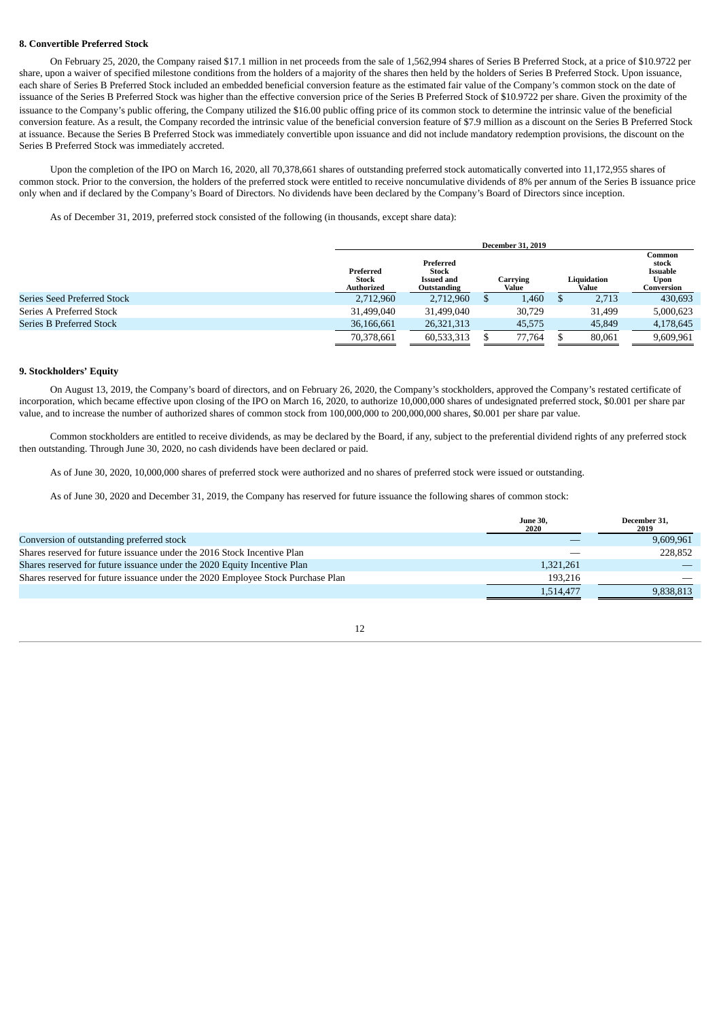### **8. Convertible Preferred Stock**

On February 25, 2020, the Company raised \$17.1 million in net proceeds from the sale of 1,562,994 shares of Series B Preferred Stock, at a price of \$10.9722 per share, upon a waiver of specified milestone conditions from the holders of a majority of the shares then held by the holders of Series B Preferred Stock. Upon issuance, each share of Series B Preferred Stock included an embedded beneficial conversion feature as the estimated fair value of the Company's common stock on the date of issuance of the Series B Preferred Stock was higher than the effective conversion price of the Series B Preferred Stock of \$10.9722 per share. Given the proximity of the issuance to the Company's public offering, the Company utilized the \$16.00 public offing price of its common stock to determine the intrinsic value of the beneficial conversion feature. As a result, the Company recorded the intrinsic value of the beneficial conversion feature of \$7.9 million as a discount on the Series B Preferred Stock at issuance. Because the Series B Preferred Stock was immediately convertible upon issuance and did not include mandatory redemption provisions, the discount on the Series B Preferred Stock was immediately accreted.

Upon the completion of the IPO on March 16, 2020, all 70,378,661 shares of outstanding preferred stock automatically converted into 11,172,955 shares of common stock. Prior to the conversion, the holders of the preferred stock were entitled to receive noncumulative dividends of 8% per annum of the Series B issuance price only when and if declared by the Company's Board of Directors. No dividends have been declared by the Company's Board of Directors since inception.

As of December 31, 2019, preferred stock consisted of the following (in thousands, except share data):

|                                    |                                  | <b>December 31, 2019</b>                                                    |  |        |  |                      |                                                   |  |  |  |
|------------------------------------|----------------------------------|-----------------------------------------------------------------------------|--|--------|--|----------------------|---------------------------------------------------|--|--|--|
|                                    | Preferred<br>Stock<br>Authorized | Preferred<br><b>Stock</b><br>Carrying<br>Issued and<br>Value<br>Outstanding |  |        |  | Liquidation<br>Value | Common<br>stock<br>Issuable<br>Upon<br>Conversion |  |  |  |
| <b>Series Seed Preferred Stock</b> | 2,712,960                        | 2,712,960                                                                   |  | 1,460  |  | 2,713                | 430,693                                           |  |  |  |
| Series A Preferred Stock           | 31,499,040                       | 31.499.040                                                                  |  | 30,729 |  | 31.499               | 5,000,623                                         |  |  |  |
| Series B Preferred Stock           | 36,166,661                       | 26.321.313                                                                  |  | 45.575 |  | 45,849               | 4,178,645                                         |  |  |  |
|                                    | 70,378,661                       | 60,533,313                                                                  |  | 77.764 |  | 80.061               | 9,609,961                                         |  |  |  |

#### **9. Stockholders' Equity**

On August 13, 2019, the Company's board of directors, and on February 26, 2020, the Company's stockholders, approved the Company's restated certificate of incorporation, which became effective upon closing of the IPO on March 16, 2020, to authorize 10,000,000 shares of undesignated preferred stock, \$0.001 per share par value, and to increase the number of authorized shares of common stock from 100,000,000 to 200,000,000 shares, \$0.001 per share par value.

Common stockholders are entitled to receive dividends, as may be declared by the Board, if any, subject to the preferential dividend rights of any preferred stock then outstanding. Through June 30, 2020, no cash dividends have been declared or paid.

As of June 30, 2020, 10,000,000 shares of preferred stock were authorized and no shares of preferred stock were issued or outstanding.

As of June 30, 2020 and December 31, 2019, the Company has reserved for future issuance the following shares of common stock:

|                                                                                 | <b>June 30,</b><br>2020 | December 31.<br>2019 |
|---------------------------------------------------------------------------------|-------------------------|----------------------|
| Conversion of outstanding preferred stock                                       |                         | 9,609,961            |
| Shares reserved for future issuance under the 2016 Stock Incentive Plan         |                         | 228,852              |
| Shares reserved for future issuance under the 2020 Equity Incentive Plan        | 1,321,261               |                      |
| Shares reserved for future issuance under the 2020 Employee Stock Purchase Plan | 193,216                 |                      |
|                                                                                 | 1,514,477               | 9,838,813            |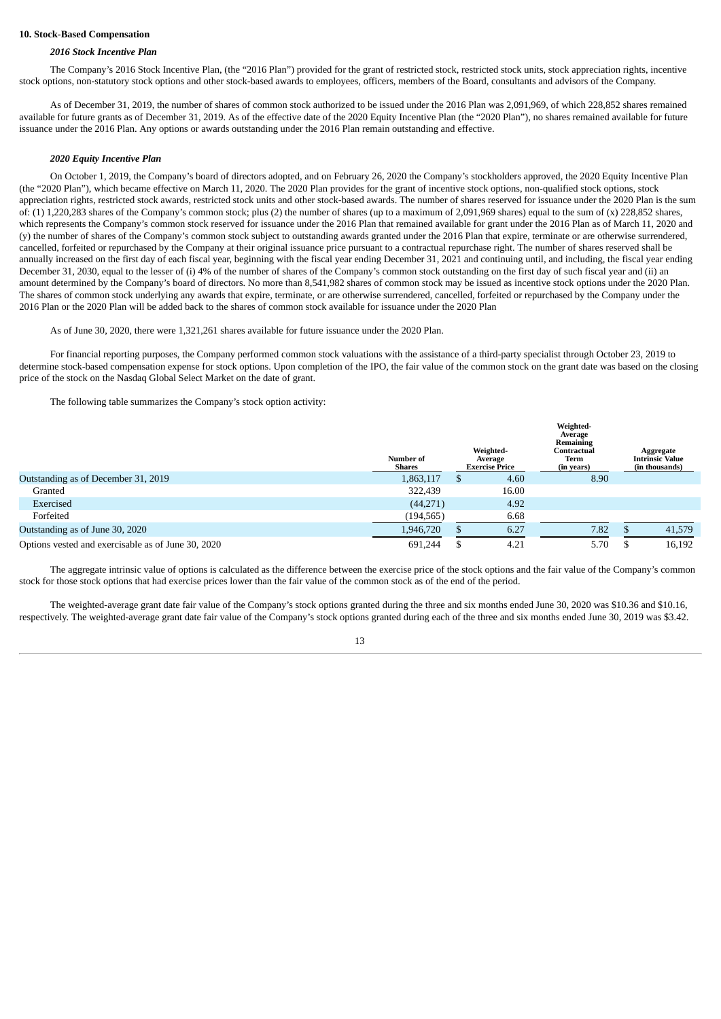### **10. Stock-Based Compensation**

### *2016 Stock Incentive Plan*

The Company's 2016 Stock Incentive Plan, (the "2016 Plan") provided for the grant of restricted stock, restricted stock units, stock appreciation rights, incentive stock options, non-statutory stock options and other stock-based awards to employees, officers, members of the Board, consultants and advisors of the Company.

As of December 31, 2019, the number of shares of common stock authorized to be issued under the 2016 Plan was 2,091,969, of which 228,852 shares remained available for future grants as of December 31, 2019. As of the effective date of the 2020 Equity Incentive Plan (the "2020 Plan"), no shares remained available for future issuance under the 2016 Plan. Any options or awards outstanding under the 2016 Plan remain outstanding and effective.

#### *2020 Equity Incentive Plan*

On October 1, 2019, the Company's board of directors adopted, and on February 26, 2020 the Company's stockholders approved, the 2020 Equity Incentive Plan (the "2020 Plan"), which became effective on March 11, 2020. The 2020 Plan provides for the grant of incentive stock options, non-qualified stock options, stock appreciation rights, restricted stock awards, restricted stock units and other stock-based awards. The number of shares reserved for issuance under the 2020 Plan is the sum of: (1) 1,220,283 shares of the Company's common stock; plus (2) the number of shares (up to a maximum of 2,091,969 shares) equal to the sum of (x) 228,852 shares, which represents the Company's common stock reserved for issuance under the 2016 Plan that remained available for grant under the 2016 Plan as of March 11, 2020 and (y) the number of shares of the Company's common stock subject to outstanding awards granted under the 2016 Plan that expire, terminate or are otherwise surrendered, cancelled, forfeited or repurchased by the Company at their original issuance price pursuant to a contractual repurchase right. The number of shares reserved shall be annually increased on the first day of each fiscal year, beginning with the fiscal year ending December 31, 2021 and continuing until, and including, the fiscal year ending December 31, 2030, equal to the lesser of (i) 4% of the number of shares of the Company's common stock outstanding on the first day of such fiscal year and (ii) an amount determined by the Company's board of directors. No more than 8,541,982 shares of common stock may be issued as incentive stock options under the 2020 Plan. The shares of common stock underlying any awards that expire, terminate, or are otherwise surrendered, cancelled, forfeited or repurchased by the Company under the 2016 Plan or the 2020 Plan will be added back to the shares of common stock available for issuance under the 2020 Plan

As of June 30, 2020, there were 1,321,261 shares available for future issuance under the 2020 Plan.

For financial reporting purposes, the Company performed common stock valuations with the assistance of a third-party specialist through October 23, 2019 to determine stock-based compensation expense for stock options. Upon completion of the IPO, the fair value of the common stock on the grant date was based on the closing price of the stock on the Nasdaq Global Select Market on the date of grant.

The following table summarizes the Company's stock option activity:

|                                                    | Number of<br>Shares | Weighted-<br>Average<br><b>Exercise Price</b> |       | Weighted-<br>Average<br>Remaining<br>Contractual<br>Term<br>(in years) |  | Aggregate<br><b>Intrinsic Value</b><br>(in thousands) |
|----------------------------------------------------|---------------------|-----------------------------------------------|-------|------------------------------------------------------------------------|--|-------------------------------------------------------|
| Outstanding as of December 31, 2019                | 1,863,117           |                                               | 4.60  | 8.90                                                                   |  |                                                       |
| Granted                                            | 322,439             |                                               | 16.00 |                                                                        |  |                                                       |
| Exercised                                          | (44, 271)           |                                               | 4.92  |                                                                        |  |                                                       |
| Forfeited                                          | (194, 565)          |                                               | 6.68  |                                                                        |  |                                                       |
| Outstanding as of June 30, 2020                    | 1,946,720           |                                               | 6.27  | 7.82                                                                   |  | 41,579                                                |
| Options vested and exercisable as of June 30, 2020 | 691,244             |                                               | 4.21  | 5.70                                                                   |  | 16,192                                                |

The aggregate intrinsic value of options is calculated as the difference between the exercise price of the stock options and the fair value of the Company's common stock for those stock options that had exercise prices lower than the fair value of the common stock as of the end of the period.

The weighted-average grant date fair value of the Company's stock options granted during the three and six months ended June 30, 2020 was \$10.36 and \$10.16, respectively. The weighted-average grant date fair value of the Company's stock options granted during each of the three and six months ended June 30, 2019 was \$3.42.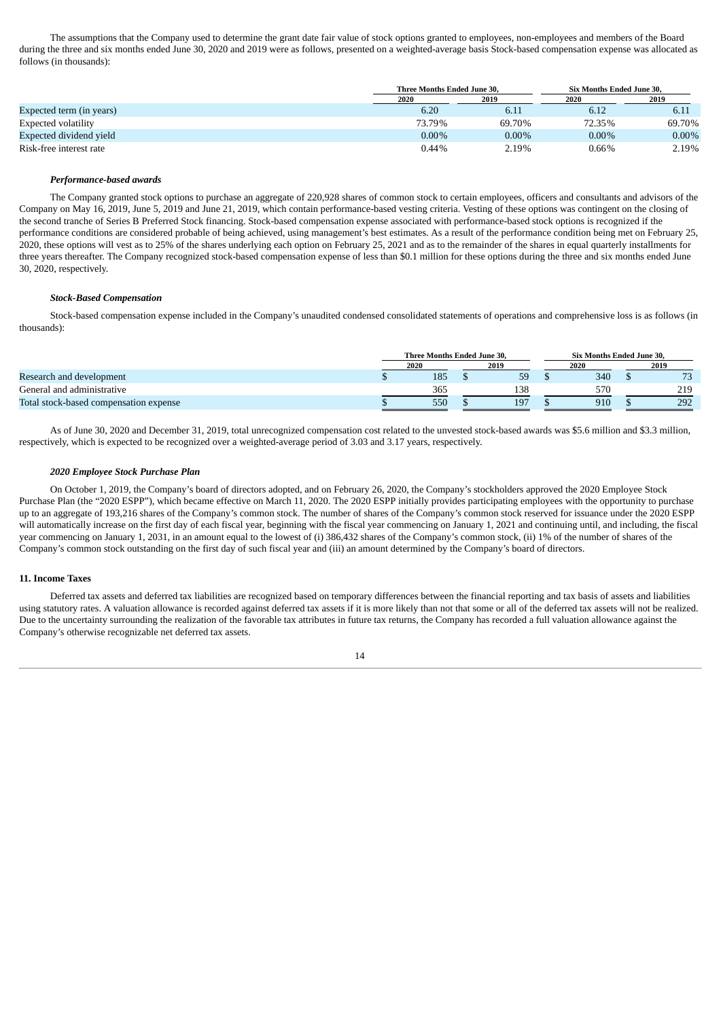The assumptions that the Company used to determine the grant date fair value of stock options granted to employees, non-employees and members of the Board during the three and six months ended June 30, 2020 and 2019 were as follows, presented on a weighted-average basis Stock-based compensation expense was allocated as follows (in thousands):

|                            | Three Months Ended June 30, |          | Six Months Ended June 30. |          |  |
|----------------------------|-----------------------------|----------|---------------------------|----------|--|
|                            | 2020                        | 2019     | 2020                      | 2019     |  |
| Expected term (in years)   | 6.20                        | 6.11     | 6.12                      | 6.11     |  |
| <b>Expected volatility</b> | 73.79%                      | 69.70%   | 72.35%                    | 69.70%   |  |
| Expected dividend vield    | $0.00\%$                    | $0.00\%$ | $0.00\%$                  | $0.00\%$ |  |
| Risk-free interest rate    | $0.44\%$                    | 2.19%    | 0.66%                     | 2.19%    |  |

#### *Performance-based awards*

The Company granted stock options to purchase an aggregate of 220,928 shares of common stock to certain employees, officers and consultants and advisors of the Company on May 16, 2019, June 5, 2019 and June 21, 2019, which contain performance-based vesting criteria. Vesting of these options was contingent on the closing of the second tranche of Series B Preferred Stock financing. Stock-based compensation expense associated with performance-based stock options is recognized if the performance conditions are considered probable of being achieved, using management's best estimates. As a result of the performance condition being met on February 25, 2020, these options will vest as to 25% of the shares underlying each option on February 25, 2021 and as to the remainder of the shares in equal quarterly installments for three years thereafter. The Company recognized stock-based compensation expense of less than \$0.1 million for these options during the three and six months ended June 30, 2020, respectively.

#### *Stock-Based Compensation*

Stock-based compensation expense included in the Company's unaudited condensed consolidated statements of operations and comprehensive loss is as follows (in thousands):

|                                        | Three Months Ended June 30. |  |      |  | <b>Six Months Ended June 30.</b> |  |                       |
|----------------------------------------|-----------------------------|--|------|--|----------------------------------|--|-----------------------|
|                                        | 2020                        |  | 2019 |  | 2020                             |  | 2019                  |
| Research and development               | 185                         |  | 59   |  | 340                              |  | $\overline{z}$<br>ر ، |
| General and administrative             | 365                         |  | 138  |  | 57 <sub>C</sub>                  |  | 219                   |
| Total stock-based compensation expense | 550                         |  | 197  |  | 910                              |  | 292                   |

As of June 30, 2020 and December 31, 2019, total unrecognized compensation cost related to the unvested stock-based awards was \$5.6 million and \$3.3 million, respectively, which is expected to be recognized over a weighted-average period of 3.03 and 3.17 years, respectively.

#### *2020 Employee Stock Purchase Plan*

On October 1, 2019, the Company's board of directors adopted, and on February 26, 2020, the Company's stockholders approved the 2020 Employee Stock Purchase Plan (the "2020 ESPP"), which became effective on March 11, 2020. The 2020 ESPP initially provides participating employees with the opportunity to purchase up to an aggregate of 193,216 shares of the Company's common stock. The number of shares of the Company's common stock reserved for issuance under the 2020 ESPP will automatically increase on the first day of each fiscal year, beginning with the fiscal year commencing on January 1, 2021 and continuing until, and including, the fiscal year commencing on January 1, 2031, in an amount equal to the lowest of (i) 386,432 shares of the Company's common stock, (ii) 1% of the number of shares of the Company's common stock outstanding on the first day of such fiscal year and (iii) an amount determined by the Company's board of directors.

# **11. Income Taxes**

Deferred tax assets and deferred tax liabilities are recognized based on temporary differences between the financial reporting and tax basis of assets and liabilities using statutory rates. A valuation allowance is recorded against deferred tax assets if it is more likely than not that some or all of the deferred tax assets will not be realized. Due to the uncertainty surrounding the realization of the favorable tax attributes in future tax returns, the Company has recorded a full valuation allowance against the Company's otherwise recognizable net deferred tax assets.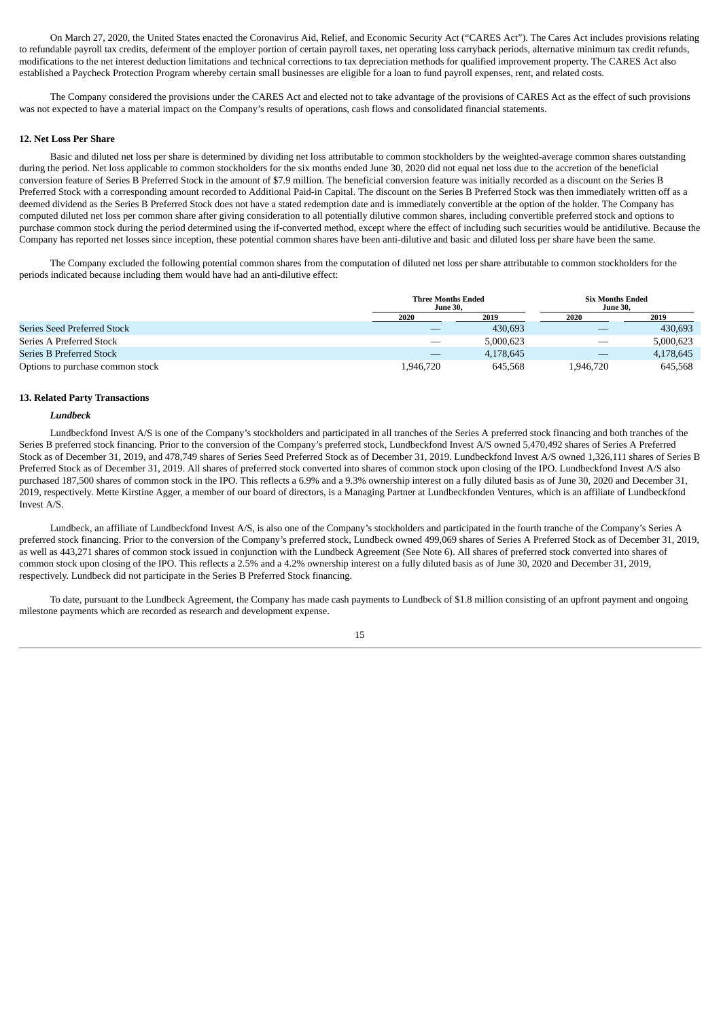On March 27, 2020, the United States enacted the Coronavirus Aid, Relief, and Economic Security Act ("CARES Act"). The Cares Act includes provisions relating to refundable payroll tax credits, deferment of the employer portion of certain payroll taxes, net operating loss carryback periods, alternative minimum tax credit refunds, modifications to the net interest deduction limitations and technical corrections to tax depreciation methods for qualified improvement property. The CARES Act also established a Paycheck Protection Program whereby certain small businesses are eligible for a loan to fund payroll expenses, rent, and related costs.

The Company considered the provisions under the CARES Act and elected not to take advantage of the provisions of CARES Act as the effect of such provisions was not expected to have a material impact on the Company's results of operations, cash flows and consolidated financial statements.

#### **12. Net Loss Per Share**

Basic and diluted net loss per share is determined by dividing net loss attributable to common stockholders by the weighted-average common shares outstanding during the period. Net loss applicable to common stockholders for the six months ended June 30, 2020 did not equal net loss due to the accretion of the beneficial conversion feature of Series B Preferred Stock in the amount of \$7.9 million. The beneficial conversion feature was initially recorded as a discount on the Series B Preferred Stock with a corresponding amount recorded to Additional Paid-in Capital. The discount on the Series B Preferred Stock was then immediately written off as a deemed dividend as the Series B Preferred Stock does not have a stated redemption date and is immediately convertible at the option of the holder. The Company has computed diluted net loss per common share after giving consideration to all potentially dilutive common shares, including convertible preferred stock and options to purchase common stock during the period determined using the if-converted method, except where the effect of including such securities would be antidilutive. Because the Company has reported net losses since inception, these potential common shares have been anti-dilutive and basic and diluted loss per share have been the same.

The Company excluded the following potential common shares from the computation of diluted net loss per share attributable to common stockholders for the periods indicated because including them would have had an anti-dilutive effect:

|                                  | <b>Three Months Ended</b><br><b>June 30.</b> |           | <b>Six Months Ended</b><br><b>June 30.</b> |           |  |
|----------------------------------|----------------------------------------------|-----------|--------------------------------------------|-----------|--|
|                                  | 2020                                         | 2019      | 2020                                       | 2019      |  |
| Series Seed Preferred Stock      |                                              | 430,693   | __                                         | 430,693   |  |
| Series A Preferred Stock         |                                              | 5,000,623 | $\overline{\phantom{a}}$                   | 5,000,623 |  |
| Series B Preferred Stock         |                                              | 4,178,645 | $\overline{\phantom{a}}$                   | 4,178,645 |  |
| Options to purchase common stock | 1,946,720                                    | 645,568   | 1.946.720                                  | 645,568   |  |

#### **13. Related Party Transactions**

### *Lundbeck*

Lundbeckfond Invest A/S is one of the Company's stockholders and participated in all tranches of the Series A preferred stock financing and both tranches of the Series B preferred stock financing. Prior to the conversion of the Company's preferred stock, Lundbeckfond Invest A/S owned 5,470,492 shares of Series A Preferred Stock as of December 31, 2019, and 478,749 shares of Series Seed Preferred Stock as of December 31, 2019. Lundbeckfond Invest A/S owned 1,326,111 shares of Series B Preferred Stock as of December 31, 2019. All shares of preferred stock converted into shares of common stock upon closing of the IPO. Lundbeckfond Invest A/S also purchased 187,500 shares of common stock in the IPO. This reflects a 6.9% and a 9.3% ownership interest on a fully diluted basis as of June 30, 2020 and December 31, 2019, respectively. Mette Kirstine Agger, a member of our board of directors, is a Managing Partner at Lundbeckfonden Ventures, which is an affiliate of Lundbeckfond Invest A/S.

Lundbeck, an affiliate of Lundbeckfond Invest A/S, is also one of the Company's stockholders and participated in the fourth tranche of the Company's Series A preferred stock financing. Prior to the conversion of the Company's preferred stock, Lundbeck owned 499,069 shares of Series A Preferred Stock as of December 31, 2019, as well as 443,271 shares of common stock issued in conjunction with the Lundbeck Agreement (See Note 6). All shares of preferred stock converted into shares of common stock upon closing of the IPO. This reflects a 2.5% and a 4.2% ownership interest on a fully diluted basis as of June 30, 2020 and December 31, 2019, respectively. Lundbeck did not participate in the Series B Preferred Stock financing.

To date, pursuant to the Lundbeck Agreement, the Company has made cash payments to Lundbeck of \$1.8 million consisting of an upfront payment and ongoing milestone payments which are recorded as research and development expense.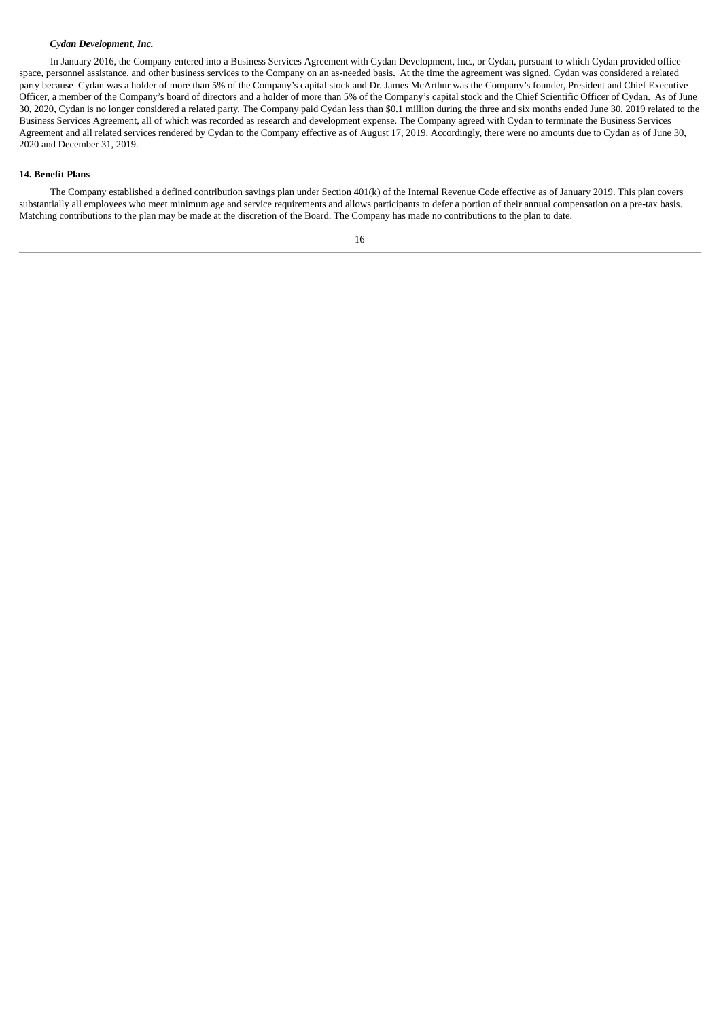# *Cydan Development, Inc.*

In January 2016, the Company entered into a Business Services Agreement with Cydan Development, Inc., or Cydan, pursuant to which Cydan provided office space, personnel assistance, and other business services to the Company on an as-needed basis. At the time the agreement was signed, Cydan was considered a related party because Cydan was a holder of more than 5% of the Company's capital stock and Dr. James McArthur was the Company's founder, President and Chief Executive Officer, a member of the Company's board of directors and a holder of more than 5% of the Company's capital stock and the Chief Scientific Officer of Cydan. As of June 30, 2020, Cydan is no longer considered a related party. The Company paid Cydan less than \$0.1 million during the three and six months ended June 30, 2019 related to the Business Services Agreement, all of which was recorded as research and development expense. The Company agreed with Cydan to terminate the Business Services Agreement and all related services rendered by Cydan to the Company effective as of August 17, 2019. Accordingly, there were no amounts due to Cydan as of June 30, 2020 and December 31, 2019.

# **14. Benefit Plans**

The Company established a defined contribution savings plan under Section 401(k) of the Internal Revenue Code effective as of January 2019. This plan covers substantially all employees who meet minimum age and service requirements and allows participants to defer a portion of their annual compensation on a pre-tax basis. Matching contributions to the plan may be made at the discretion of the Board. The Company has made no contributions to the plan to date.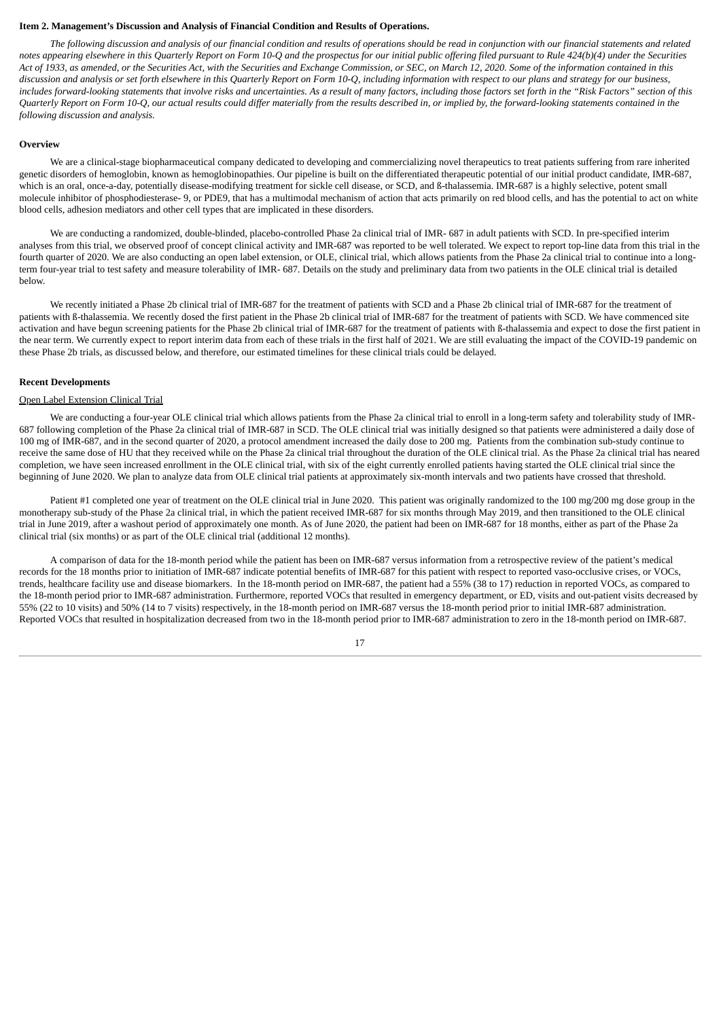#### <span id="page-19-0"></span>**Item 2. Management's Discussion and Analysis of Financial Condition and Results of Operations.**

The following discussion and analysis of our financial condition and results of operations should be read in conjunction with our financial statements and related notes appearing elsewhere in this Quarterly Report on Form 10-Q and the prospectus for our initial public offering filed pursuant to Rule 424(b)(4) under the Securities Act of 1933, as amended, or the Securities Act, with the Securities and Exchange Commission, or SEC, on March 12, 2020. Some of the information contained in this discussion and analysis or set forth elsewhere in this Quarterly Report on Form 10-Q, including information with respect to our plans and strategy for our business, includes forward-looking statements that involve risks and uncertainties. As a result of many factors, including those factors set forth in the "Risk Factors" section of this Quarterly Report on Form 10-Q, our actual results could differ materially from the results described in, or implied by, the forward-looking statements contained in the *following discussion and analysis.*

#### **Overview**

We are a clinical-stage biopharmaceutical company dedicated to developing and commercializing novel therapeutics to treat patients suffering from rare inherited genetic disorders of hemoglobin, known as hemoglobinopathies. Our pipeline is built on the differentiated therapeutic potential of our initial product candidate, IMR-687, which is an oral, once-a-day, potentially disease-modifying treatment for sickle cell disease, or SCD, and ß-thalassemia. IMR-687 is a highly selective, potent small molecule inhibitor of phosphodiesterase- 9, or PDE9, that has a multimodal mechanism of action that acts primarily on red blood cells, and has the potential to act on white blood cells, adhesion mediators and other cell types that are implicated in these disorders.

We are conducting a randomized, double-blinded, placebo-controlled Phase 2a clinical trial of IMR- 687 in adult patients with SCD. In pre-specified interim analyses from this trial, we observed proof of concept clinical activity and IMR-687 was reported to be well tolerated. We expect to report top-line data from this trial in the fourth quarter of 2020. We are also conducting an open label extension, or OLE, clinical trial, which allows patients from the Phase 2a clinical trial to continue into a longterm four-year trial to test safety and measure tolerability of IMR- 687. Details on the study and preliminary data from two patients in the OLE clinical trial is detailed below.

We recently initiated a Phase 2b clinical trial of IMR-687 for the treatment of patients with SCD and a Phase 2b clinical trial of IMR-687 for the treatment of patients with ß-thalassemia. We recently dosed the first patient in the Phase 2b clinical trial of IMR-687 for the treatment of patients with SCD. We have commenced site activation and have begun screening patients for the Phase 2b clinical trial of IMR-687 for the treatment of patients with ß-thalassemia and expect to dose the first patient in the near term. We currently expect to report interim data from each of these trials in the first half of 2021. We are still evaluating the impact of the COVID-19 pandemic on these Phase 2b trials, as discussed below, and therefore, our estimated timelines for these clinical trials could be delayed.

#### **Recent Developments**

#### Open Label Extension Clinical Trial

We are conducting a four-year OLE clinical trial which allows patients from the Phase 2a clinical trial to enroll in a long-term safety and tolerability study of IMR-687 following completion of the Phase 2a clinical trial of IMR-687 in SCD. The OLE clinical trial was initially designed so that patients were administered a daily dose of 100 mg of IMR-687, and in the second quarter of 2020, a protocol amendment increased the daily dose to 200 mg. Patients from the combination sub-study continue to receive the same dose of HU that they received while on the Phase 2a clinical trial throughout the duration of the OLE clinical trial. As the Phase 2a clinical trial has neared completion, we have seen increased enrollment in the OLE clinical trial, with six of the eight currently enrolled patients having started the OLE clinical trial since the beginning of June 2020. We plan to analyze data from OLE clinical trial patients at approximately six-month intervals and two patients have crossed that threshold.

Patient #1 completed one year of treatment on the OLE clinical trial in June 2020. This patient was originally randomized to the 100 mg/200 mg dose group in the monotherapy sub-study of the Phase 2a clinical trial, in which the patient received IMR-687 for six months through May 2019, and then transitioned to the OLE clinical trial in June 2019, after a washout period of approximately one month. As of June 2020, the patient had been on IMR-687 for 18 months, either as part of the Phase 2a clinical trial (six months) or as part of the OLE clinical trial (additional 12 months).

A comparison of data for the 18-month period while the patient has been on IMR-687 versus information from a retrospective review of the patient's medical records for the 18 months prior to initiation of IMR-687 indicate potential benefits of IMR-687 for this patient with respect to reported vaso-occlusive crises, or VOCs, trends, healthcare facility use and disease biomarkers. In the 18-month period on IMR-687, the patient had a 55% (38 to 17) reduction in reported VOCs, as compared to the 18-month period prior to IMR-687 administration. Furthermore, reported VOCs that resulted in emergency department, or ED, visits and out-patient visits decreased by 55% (22 to 10 visits) and 50% (14 to 7 visits) respectively, in the 18-month period on IMR-687 versus the 18-month period prior to initial IMR-687 administration. Reported VOCs that resulted in hospitalization decreased from two in the 18-month period prior to IMR-687 administration to zero in the 18-month period on IMR-687.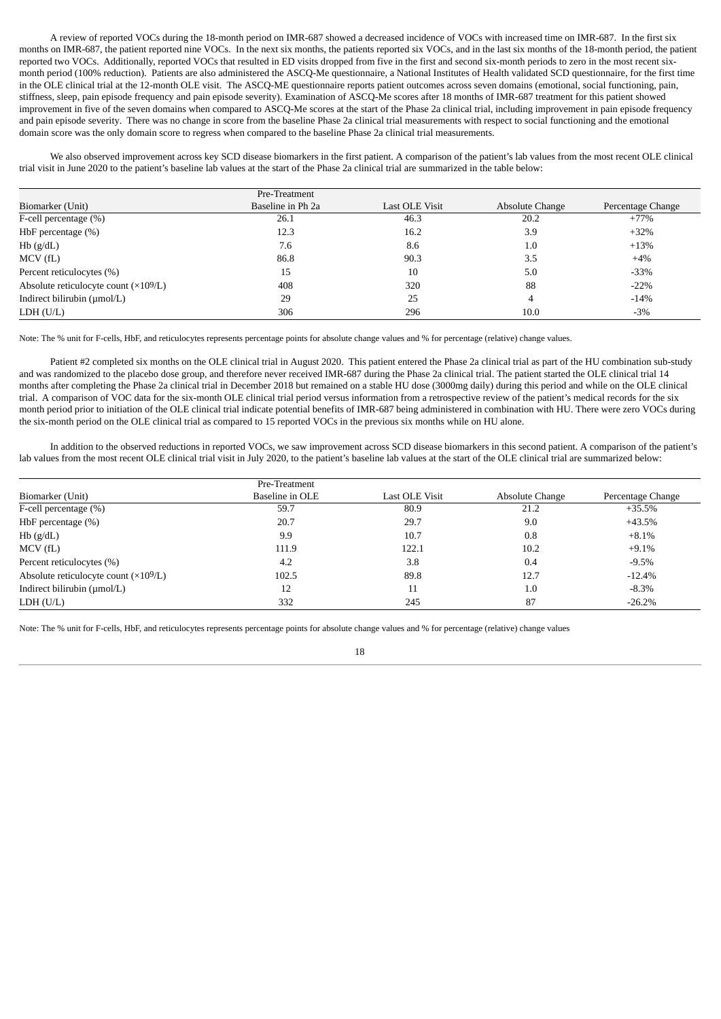A review of reported VOCs during the 18-month period on IMR-687 showed a decreased incidence of VOCs with increased time on IMR-687. In the first six months on IMR-687, the patient reported nine VOCs. In the next six months, the patients reported six VOCs, and in the last six months of the 18-month period, the patient reported two VOCs. Additionally, reported VOCs that resulted in ED visits dropped from five in the first and second six-month periods to zero in the most recent sixmonth period (100% reduction). Patients are also administered the ASCQ-Me questionnaire, a National Institutes of Health validated SCD questionnaire, for the first time in the OLE clinical trial at the 12-month OLE visit. The ASCQ-ME questionnaire reports patient outcomes across seven domains (emotional, social functioning, pain, stiffness, sleep, pain episode frequency and pain episode severity). Examination of ASCQ-Me scores after 18 months of IMR-687 treatment for this patient showed improvement in five of the seven domains when compared to ASCQ-Me scores at the start of the Phase 2a clinical trial, including improvement in pain episode frequency and pain episode severity. There was no change in score from the baseline Phase 2a clinical trial measurements with respect to social functioning and the emotional domain score was the only domain score to regress when compared to the baseline Phase 2a clinical trial measurements.

We also observed improvement across key SCD disease biomarkers in the first patient. A comparison of the patient's lab values from the most recent OLE clinical trial visit in June 2020 to the patient's baseline lab values at the start of the Phase 2a clinical trial are summarized in the table below:

|                                                | Pre-Treatment     |                |                 |                   |
|------------------------------------------------|-------------------|----------------|-----------------|-------------------|
| Biomarker (Unit)                               | Baseline in Ph 2a | Last OLE Visit | Absolute Change | Percentage Change |
| F-cell percentage $(\%)$                       | 26.1              | 46.3           | 20.2            | $+77%$            |
| HbF percentage $(\%)$                          | 12.3              | 16.2           | 3.9             | $+32%$            |
| $Hb$ ( $g/dL$ )                                | 7.6               | 8.6            | 1.0             | $+13%$            |
| MCV(fL)                                        | 86.8              | 90.3           | 3.5             | $+4\%$            |
| Percent reticulocytes (%)                      | 15                | 10             | 5.0             | $-33%$            |
| Absolute reticulocyte count $(\times 10^9$ /L) | 408               | 320            | 88              | $-22%$            |
| Indirect bilirubin (µmol/L)                    | 29                | 25             | 4               | $-14%$            |
| LDH (U/L)                                      | 306               | 296            | 10.0            | $-3%$             |

Note: The % unit for F-cells, HbF, and reticulocytes represents percentage points for absolute change values and % for percentage (relative) change values.

Patient #2 completed six months on the OLE clinical trial in August 2020. This patient entered the Phase 2a clinical trial as part of the HU combination sub-study and was randomized to the placebo dose group, and therefore never received IMR-687 during the Phase 2a clinical trial. The patient started the OLE clinical trial 14 months after completing the Phase 2a clinical trial in December 2018 but remained on a stable HU dose (3000mg daily) during this period and while on the OLE clinical trial. A comparison of VOC data for the six-month OLE clinical trial period versus information from a retrospective review of the patient's medical records for the six month period prior to initiation of the OLE clinical trial indicate potential benefits of IMR-687 being administered in combination with HU. There were zero VOCs during the six-month period on the OLE clinical trial as compared to 15 reported VOCs in the previous six months while on HU alone.

In addition to the observed reductions in reported VOCs, we saw improvement across SCD disease biomarkers in this second patient. A comparison of the patient's lab values from the most recent OLE clinical trial visit in July 2020, to the patient's baseline lab values at the start of the OLE clinical trial are summarized below:

|                                              | Pre-Treatment   |                |                 |                   |
|----------------------------------------------|-----------------|----------------|-----------------|-------------------|
| Biomarker (Unit)                             | Baseline in OLE | Last OLE Visit | Absolute Change | Percentage Change |
| F-cell percentage (%)                        | 59.7            | 80.9           | 21.2            | $+35.5%$          |
| HbF percentage $(\%)$                        | 20.7            | 29.7           | 9.0             | $+43.5%$          |
| $Hb$ ( $g/dL$ )                              | 9.9             | 10.7           | 0.8             | $+8.1%$           |
| MCV(fL)                                      | 111.9           | 122.1          | 10.2            | $+9.1%$           |
| Percent reticulocytes (%)                    | 4.2             | 3.8            | 0.4             | $-9.5%$           |
| Absolute reticulocyte count $(\times 109/L)$ | 102.5           | 89.8           | 12.7            | $-12.4%$          |
| Indirect bilirubin (µmol/L)                  | 12              | 11             | 1.0             | $-8.3\%$          |
| LDH (U/L)                                    | 332             | 245            | 87              | $-26.2%$          |

Note: The % unit for F-cells, HbF, and reticulocytes represents percentage points for absolute change values and % for percentage (relative) change values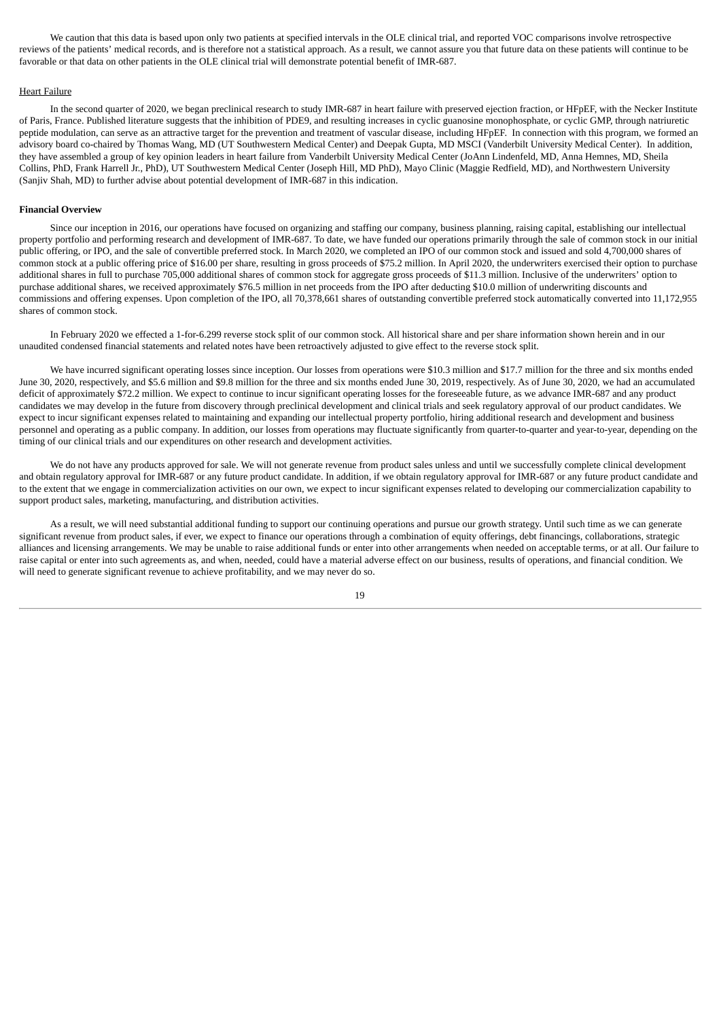We caution that this data is based upon only two patients at specified intervals in the OLE clinical trial, and reported VOC comparisons involve retrospective reviews of the patients' medical records, and is therefore not a statistical approach. As a result, we cannot assure you that future data on these patients will continue to be favorable or that data on other patients in the OLE clinical trial will demonstrate potential benefit of IMR-687.

#### Heart Failure

In the second quarter of 2020, we began preclinical research to study IMR-687 in heart failure with preserved ejection fraction, or HFpEF, with the Necker Institute of Paris, France. Published literature suggests that the inhibition of PDE9, and resulting increases in cyclic guanosine monophosphate, or cyclic GMP, through natriuretic peptide modulation, can serve as an attractive target for the prevention and treatment of vascular disease, including HFpEF. In connection with this program, we formed an advisory board co-chaired by Thomas Wang, MD (UT Southwestern Medical Center) and Deepak Gupta, MD MSCI (Vanderbilt University Medical Center). In addition, they have assembled a group of key opinion leaders in heart failure from Vanderbilt University Medical Center (JoAnn Lindenfeld, MD, Anna Hemnes, MD, Sheila Collins, PhD, Frank Harrell Jr., PhD), UT Southwestern Medical Center (Joseph Hill, MD PhD), Mayo Clinic (Maggie Redfield, MD), and Northwestern University (Sanjiv Shah, MD) to further advise about potential development of IMR-687 in this indication.

#### **Financial Overview**

Since our inception in 2016, our operations have focused on organizing and staffing our company, business planning, raising capital, establishing our intellectual property portfolio and performing research and development of IMR-687. To date, we have funded our operations primarily through the sale of common stock in our initial public offering, or IPO, and the sale of convertible preferred stock. In March 2020, we completed an IPO of our common stock and issued and sold 4,700,000 shares of common stock at a public offering price of \$16.00 per share, resulting in gross proceeds of \$75.2 million. In April 2020, the underwriters exercised their option to purchase additional shares in full to purchase 705,000 additional shares of common stock for aggregate gross proceeds of \$11.3 million. Inclusive of the underwriters' option to purchase additional shares, we received approximately \$76.5 million in net proceeds from the IPO after deducting \$10.0 million of underwriting discounts and commissions and offering expenses. Upon completion of the IPO, all 70,378,661 shares of outstanding convertible preferred stock automatically converted into 11,172,955 shares of common stock.

In February 2020 we effected a 1-for-6.299 reverse stock split of our common stock. All historical share and per share information shown herein and in our unaudited condensed financial statements and related notes have been retroactively adjusted to give effect to the reverse stock split.

We have incurred significant operating losses since inception. Our losses from operations were \$10.3 million and \$17.7 million for the three and six months ended June 30, 2020, respectively, and \$5.6 million and \$9.8 million for the three and six months ended June 30, 2019, respectively. As of June 30, 2020, we had an accumulated deficit of approximately \$72.2 million. We expect to continue to incur significant operating losses for the foreseeable future, as we advance IMR-687 and any product candidates we may develop in the future from discovery through preclinical development and clinical trials and seek regulatory approval of our product candidates. We expect to incur significant expenses related to maintaining and expanding our intellectual property portfolio, hiring additional research and development and business personnel and operating as a public company. In addition, our losses from operations may fluctuate significantly from quarter-to-quarter and year-to-year, depending on the timing of our clinical trials and our expenditures on other research and development activities.

We do not have any products approved for sale. We will not generate revenue from product sales unless and until we successfully complete clinical development and obtain regulatory approval for IMR-687 or any future product candidate. In addition, if we obtain regulatory approval for IMR-687 or any future product candidate and to the extent that we engage in commercialization activities on our own, we expect to incur significant expenses related to developing our commercialization capability to support product sales, marketing, manufacturing, and distribution activities.

As a result, we will need substantial additional funding to support our continuing operations and pursue our growth strategy. Until such time as we can generate significant revenue from product sales, if ever, we expect to finance our operations through a combination of equity offerings, debt financings, collaborations, strategic alliances and licensing arrangements. We may be unable to raise additional funds or enter into other arrangements when needed on acceptable terms, or at all. Our failure to raise capital or enter into such agreements as, and when, needed, could have a material adverse effect on our business, results of operations, and financial condition. We will need to generate significant revenue to achieve profitability, and we may never do so.

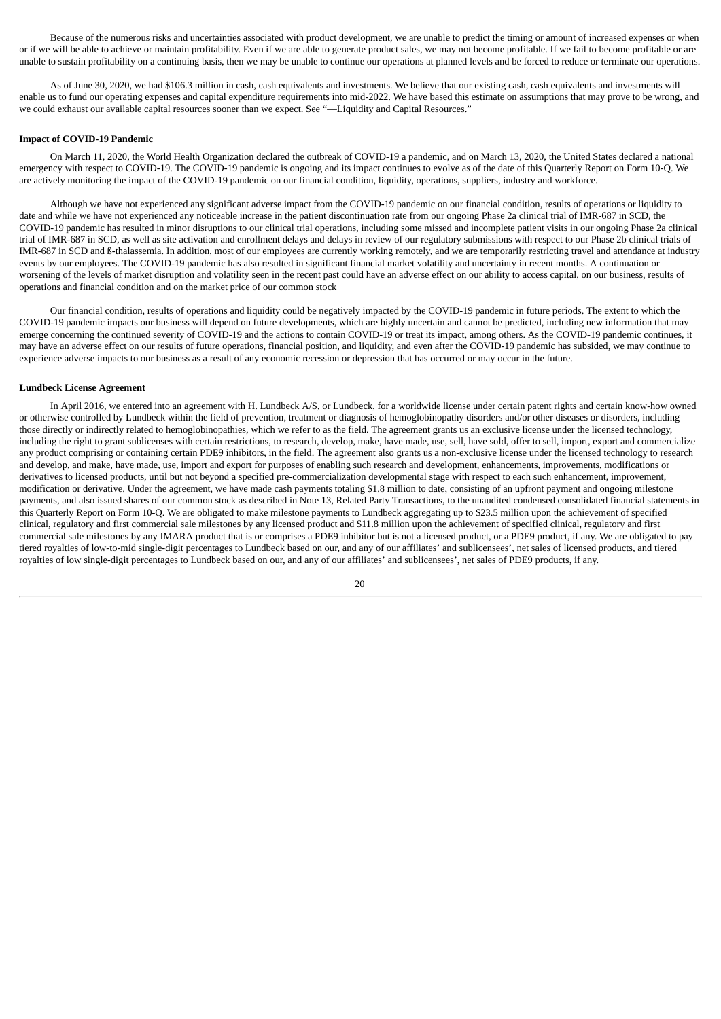Because of the numerous risks and uncertainties associated with product development, we are unable to predict the timing or amount of increased expenses or when or if we will be able to achieve or maintain profitability. Even if we are able to generate product sales, we may not become profitable. If we fail to become profitable or are unable to sustain profitability on a continuing basis, then we may be unable to continue our operations at planned levels and be forced to reduce or terminate our operations.

As of June 30, 2020, we had \$106.3 million in cash, cash equivalents and investments. We believe that our existing cash, cash equivalents and investments will enable us to fund our operating expenses and capital expenditure requirements into mid-2022. We have based this estimate on assumptions that may prove to be wrong, and we could exhaust our available capital resources sooner than we expect. See "—Liquidity and Capital Resources."

#### **Impact of COVID-19 Pandemic**

On March 11, 2020, the World Health Organization declared the outbreak of COVID-19 a pandemic, and on March 13, 2020, the United States declared a national emergency with respect to COVID-19. The COVID-19 pandemic is ongoing and its impact continues to evolve as of the date of this Quarterly Report on Form 10-Q. We are actively monitoring the impact of the COVID-19 pandemic on our financial condition, liquidity, operations, suppliers, industry and workforce.

Although we have not experienced any significant adverse impact from the COVID-19 pandemic on our financial condition, results of operations or liquidity to date and while we have not experienced any noticeable increase in the patient discontinuation rate from our ongoing Phase 2a clinical trial of IMR-687 in SCD, the COVID-19 pandemic has resulted in minor disruptions to our clinical trial operations, including some missed and incomplete patient visits in our ongoing Phase 2a clinical trial of IMR-687 in SCD, as well as site activation and enrollment delays and delays in review of our regulatory submissions with respect to our Phase 2b clinical trials of IMR-687 in SCD and ß-thalassemia. In addition, most of our employees are currently working remotely, and we are temporarily restricting travel and attendance at industry events by our employees. The COVID-19 pandemic has also resulted in significant financial market volatility and uncertainty in recent months. A continuation or worsening of the levels of market disruption and volatility seen in the recent past could have an adverse effect on our ability to access capital, on our business, results of operations and financial condition and on the market price of our common stock

Our financial condition, results of operations and liquidity could be negatively impacted by the COVID-19 pandemic in future periods. The extent to which the COVID-19 pandemic impacts our business will depend on future developments, which are highly uncertain and cannot be predicted, including new information that may emerge concerning the continued severity of COVID-19 and the actions to contain COVID-19 or treat its impact, among others. As the COVID-19 pandemic continues, it may have an adverse effect on our results of future operations, financial position, and liquidity, and even after the COVID-19 pandemic has subsided, we may continue to experience adverse impacts to our business as a result of any economic recession or depression that has occurred or may occur in the future.

#### **Lundbeck License Agreement**

In April 2016, we entered into an agreement with H. Lundbeck A/S, or Lundbeck, for a worldwide license under certain patent rights and certain know-how owned or otherwise controlled by Lundbeck within the field of prevention, treatment or diagnosis of hemoglobinopathy disorders and/or other diseases or disorders, including those directly or indirectly related to hemoglobinopathies, which we refer to as the field. The agreement grants us an exclusive license under the licensed technology, including the right to grant sublicenses with certain restrictions, to research, develop, make, have made, use, sell, have sold, offer to sell, import, export and commercialize any product comprising or containing certain PDE9 inhibitors, in the field. The agreement also grants us a non-exclusive license under the licensed technology to research and develop, and make, have made, use, import and export for purposes of enabling such research and development, enhancements, improvements, modifications or derivatives to licensed products, until but not beyond a specified pre-commercialization developmental stage with respect to each such enhancement, improvement, modification or derivative. Under the agreement, we have made cash payments totaling \$1.8 million to date, consisting of an upfront payment and ongoing milestone payments, and also issued shares of our common stock as described in Note 13, Related Party Transactions, to the unaudited condensed consolidated financial statements in this Quarterly Report on Form 10-Q. We are obligated to make milestone payments to Lundbeck aggregating up to \$23.5 million upon the achievement of specified clinical, regulatory and first commercial sale milestones by any licensed product and \$11.8 million upon the achievement of specified clinical, regulatory and first commercial sale milestones by any IMARA product that is or comprises a PDE9 inhibitor but is not a licensed product, or a PDE9 product, if any. We are obligated to pay tiered royalties of low-to-mid single-digit percentages to Lundbeck based on our, and any of our affiliates' and sublicensees', net sales of licensed products, and tiered royalties of low single-digit percentages to Lundbeck based on our, and any of our affiliates' and sublicensees', net sales of PDE9 products, if any.

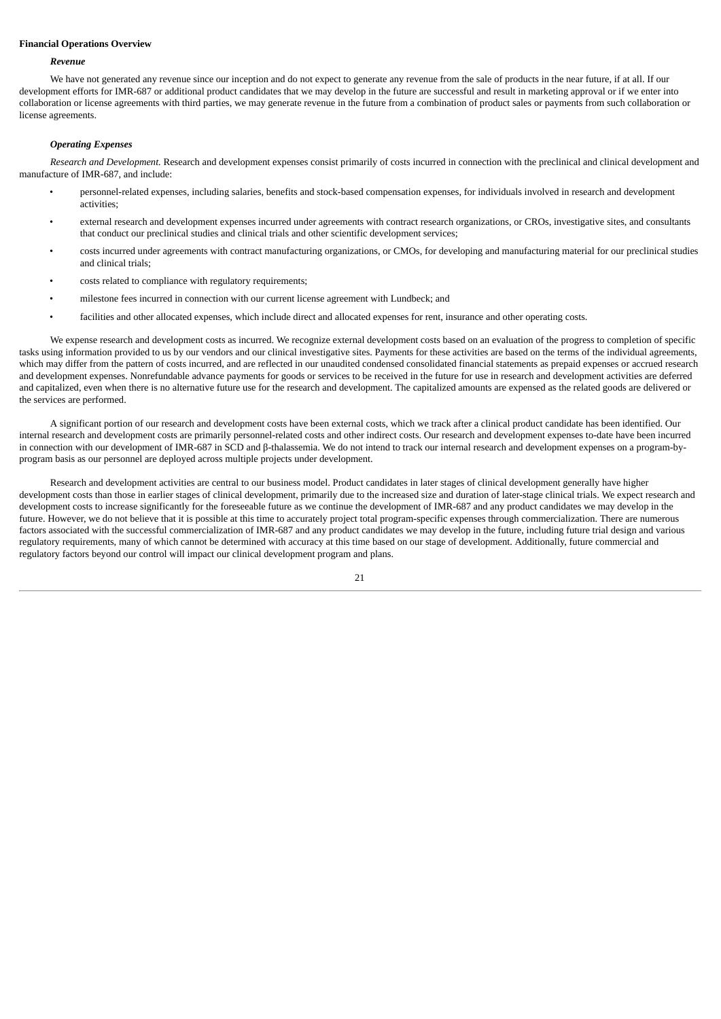#### **Financial Operations Overview**

#### *Revenue*

We have not generated any revenue since our inception and do not expect to generate any revenue from the sale of products in the near future, if at all. If our development efforts for IMR-687 or additional product candidates that we may develop in the future are successful and result in marketing approval or if we enter into collaboration or license agreements with third parties, we may generate revenue in the future from a combination of product sales or payments from such collaboration or license agreements.

#### *Operating Expenses*

*Research and Development.* Research and development expenses consist primarily of costs incurred in connection with the preclinical and clinical development and manufacture of IMR-687, and include:

- personnel-related expenses, including salaries, benefits and stock-based compensation expenses, for individuals involved in research and development activities;
- external research and development expenses incurred under agreements with contract research organizations, or CROs, investigative sites, and consultants that conduct our preclinical studies and clinical trials and other scientific development services;
- costs incurred under agreements with contract manufacturing organizations, or CMOs, for developing and manufacturing material for our preclinical studies and clinical trials;
- costs related to compliance with regulatory requirements;
- milestone fees incurred in connection with our current license agreement with Lundbeck; and
- facilities and other allocated expenses, which include direct and allocated expenses for rent, insurance and other operating costs.

We expense research and development costs as incurred. We recognize external development costs based on an evaluation of the progress to completion of specific tasks using information provided to us by our vendors and our clinical investigative sites. Payments for these activities are based on the terms of the individual agreements, which may differ from the pattern of costs incurred, and are reflected in our unaudited condensed consolidated financial statements as prepaid expenses or accrued research and development expenses. Nonrefundable advance payments for goods or services to be received in the future for use in research and development activities are deferred and capitalized, even when there is no alternative future use for the research and development. The capitalized amounts are expensed as the related goods are delivered or the services are performed.

A significant portion of our research and development costs have been external costs, which we track after a clinical product candidate has been identified. Our internal research and development costs are primarily personnel-related costs and other indirect costs. Our research and development expenses to-date have been incurred in connection with our development of IMR-687 in SCD and β-thalassemia. We do not intend to track our internal research and development expenses on a program-byprogram basis as our personnel are deployed across multiple projects under development.

Research and development activities are central to our business model. Product candidates in later stages of clinical development generally have higher development costs than those in earlier stages of clinical development, primarily due to the increased size and duration of later-stage clinical trials. We expect research and development costs to increase significantly for the foreseeable future as we continue the development of IMR-687 and any product candidates we may develop in the future. However, we do not believe that it is possible at this time to accurately project total program-specific expenses through commercialization. There are numerous factors associated with the successful commercialization of IMR-687 and any product candidates we may develop in the future, including future trial design and various regulatory requirements, many of which cannot be determined with accuracy at this time based on our stage of development. Additionally, future commercial and regulatory factors beyond our control will impact our clinical development program and plans.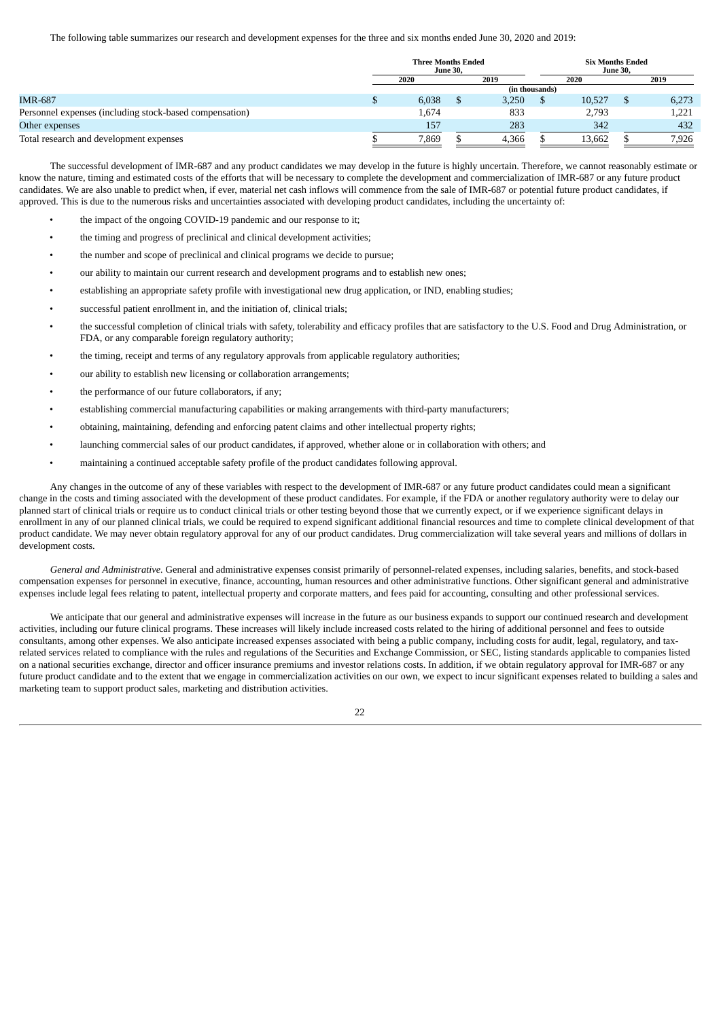The following table summarizes our research and development expenses for the three and six months ended June 30, 2020 and 2019:

|                                                         |      | <b>Three Months Ended</b><br><b>June 30.</b> |      |       | <b>Six Months Ended</b><br><b>June 30.</b> |        |      |       |
|---------------------------------------------------------|------|----------------------------------------------|------|-------|--------------------------------------------|--------|------|-------|
|                                                         | 2020 |                                              | 2019 |       | 2020                                       |        | 2019 |       |
|                                                         |      |                                              |      |       | (in thousands)                             |        |      |       |
| <b>IMR-687</b>                                          |      | 6,038                                        |      | 3,250 |                                            | 10,527 |      | 6,273 |
| Personnel expenses (including stock-based compensation) |      | 1,674                                        |      | 833   |                                            | 2.793  |      | 1,221 |
| Other expenses                                          |      | 157                                          |      | 283   |                                            | 342    |      | 432   |
| Total research and development expenses                 |      | 7,869                                        |      | 4,366 |                                            | 13,662 |      | 7,926 |

The successful development of IMR-687 and any product candidates we may develop in the future is highly uncertain. Therefore, we cannot reasonably estimate or know the nature, timing and estimated costs of the efforts that will be necessary to complete the development and commercialization of IMR-687 or any future product candidates. We are also unable to predict when, if ever, material net cash inflows will commence from the sale of IMR-687 or potential future product candidates, if approved. This is due to the numerous risks and uncertainties associated with developing product candidates, including the uncertainty of:

- the impact of the ongoing COVID-19 pandemic and our response to it;
- the timing and progress of preclinical and clinical development activities;
- the number and scope of preclinical and clinical programs we decide to pursue;
- our ability to maintain our current research and development programs and to establish new ones;
- establishing an appropriate safety profile with investigational new drug application, or IND, enabling studies;
- successful patient enrollment in, and the initiation of, clinical trials;
- the successful completion of clinical trials with safety, tolerability and efficacy profiles that are satisfactory to the U.S. Food and Drug Administration, or FDA, or any comparable foreign regulatory authority;
- the timing, receipt and terms of any regulatory approvals from applicable regulatory authorities;
- our ability to establish new licensing or collaboration arrangements;
- the performance of our future collaborators, if any;
- establishing commercial manufacturing capabilities or making arrangements with third-party manufacturers;
- obtaining, maintaining, defending and enforcing patent claims and other intellectual property rights;
- launching commercial sales of our product candidates, if approved, whether alone or in collaboration with others; and
- maintaining a continued acceptable safety profile of the product candidates following approval.

Any changes in the outcome of any of these variables with respect to the development of IMR-687 or any future product candidates could mean a significant change in the costs and timing associated with the development of these product candidates. For example, if the FDA or another regulatory authority were to delay our planned start of clinical trials or require us to conduct clinical trials or other testing beyond those that we currently expect, or if we experience significant delays in enrollment in any of our planned clinical trials, we could be required to expend significant additional financial resources and time to complete clinical development of that product candidate. We may never obtain regulatory approval for any of our product candidates. Drug commercialization will take several years and millions of dollars in development costs.

*General and Administrative.* General and administrative expenses consist primarily of personnel-related expenses, including salaries, benefits, and stock-based compensation expenses for personnel in executive, finance, accounting, human resources and other administrative functions. Other significant general and administrative expenses include legal fees relating to patent, intellectual property and corporate matters, and fees paid for accounting, consulting and other professional services.

We anticipate that our general and administrative expenses will increase in the future as our business expands to support our continued research and development activities, including our future clinical programs. These increases will likely include increased costs related to the hiring of additional personnel and fees to outside consultants, among other expenses. We also anticipate increased expenses associated with being a public company, including costs for audit, legal, regulatory, and taxrelated services related to compliance with the rules and regulations of the Securities and Exchange Commission, or SEC, listing standards applicable to companies listed on a national securities exchange, director and officer insurance premiums and investor relations costs. In addition, if we obtain regulatory approval for IMR-687 or any future product candidate and to the extent that we engage in commercialization activities on our own, we expect to incur significant expenses related to building a sales and marketing team to support product sales, marketing and distribution activities.

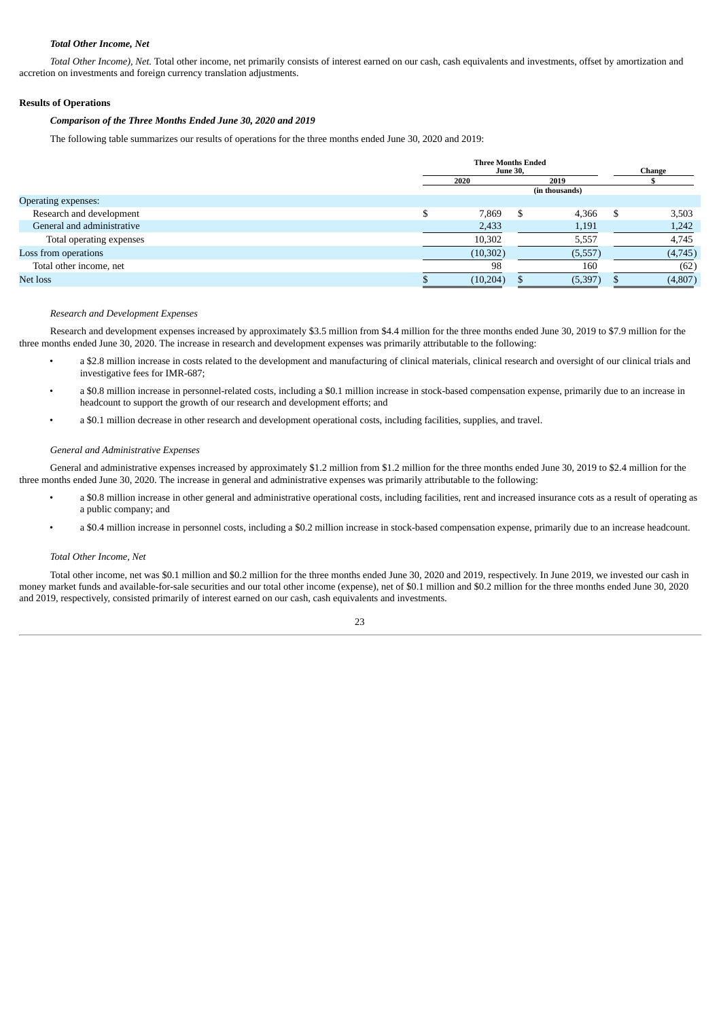## *Total Other Income, Net*

*Total Other Income), Net.* Total other income, net primarily consists of interest earned on our cash, cash equivalents and investments, offset by amortization and accretion on investments and foreign currency translation adjustments.

## **Results of Operations**

### *Comparison of the Three Months Ended June 30, 2020 and 2019*

The following table summarizes our results of operations for the three months ended June 30, 2020 and 2019:

|                |           | Change |                 |                           |         |
|----------------|-----------|--------|-----------------|---------------------------|---------|
| 2020           |           |        | 2019            |                           |         |
| (in thousands) |           |        |                 |                           |         |
|                |           |        |                 |                           |         |
|                | 7,869     | \$.    | 4,366           | S                         | 3,503   |
|                | 2,433     |        | 1,191           |                           | 1,242   |
|                | 10,302    |        | 5,557           |                           | 4,745   |
|                | (10, 302) |        | (5,557)         |                           | (4,745) |
|                | 98        |        | 160             |                           | (62)    |
|                | (10,204)  |        | (5, 397)        |                           | (4,807) |
|                |           |        | <b>June 30,</b> | <b>Three Months Ended</b> |         |

#### *Research and Development Expenses*

Research and development expenses increased by approximately \$3.5 million from \$4.4 million for the three months ended June 30, 2019 to \$7.9 million for the three months ended June 30, 2020. The increase in research and development expenses was primarily attributable to the following:

- a \$2.8 million increase in costs related to the development and manufacturing of clinical materials, clinical research and oversight of our clinical trials and investigative fees for IMR-687;
- a \$0.8 million increase in personnel-related costs, including a \$0.1 million increase in stock-based compensation expense, primarily due to an increase in headcount to support the growth of our research and development efforts; and
- a \$0.1 million decrease in other research and development operational costs, including facilities, supplies, and travel.

#### *General and Administrative Expenses*

General and administrative expenses increased by approximately \$1.2 million from \$1.2 million for the three months ended June 30, 2019 to \$2.4 million for the three months ended June 30, 2020. The increase in general and administrative expenses was primarily attributable to the following:

- a \$0.8 million increase in other general and administrative operational costs, including facilities, rent and increased insurance cots as a result of operating as a public company; and
- a \$0.4 million increase in personnel costs, including a \$0.2 million increase in stock-based compensation expense, primarily due to an increase headcount.

#### *Total Other Income, Net*

Total other income, net was \$0.1 million and \$0.2 million for the three months ended June 30, 2020 and 2019, respectively. In June 2019, we invested our cash in money market funds and available-for-sale securities and our total other income (expense), net of \$0.1 million and \$0.2 million for the three months ended June 30, 2020 and 2019, respectively, consisted primarily of interest earned on our cash, cash equivalents and investments.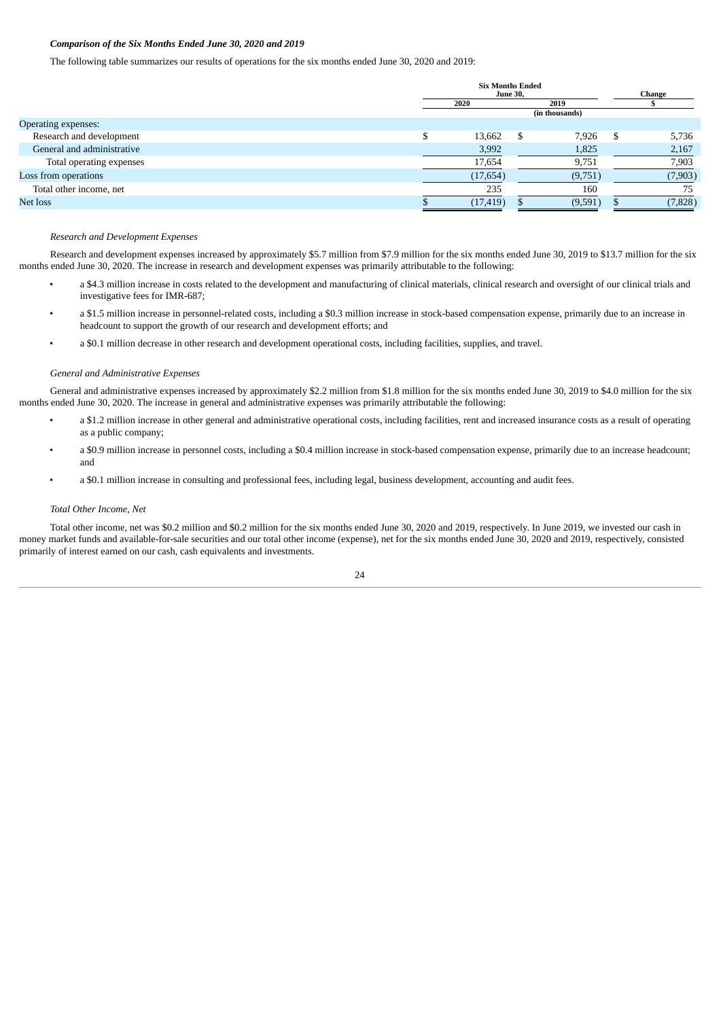# *Comparison of the Six Months Ended June 30, 2020 and 2019*

The following table summarizes our results of operations for the six months ended June 30, 2020 and 2019:

|                            | <b>Six Months Ended</b><br><b>June 30,</b> |           |                |         | Change |          |
|----------------------------|--------------------------------------------|-----------|----------------|---------|--------|----------|
|                            | 2019<br>2020                               |           |                |         |        |          |
|                            |                                            |           | (in thousands) |         |        |          |
| Operating expenses:        |                                            |           |                |         |        |          |
| Research and development   |                                            | 13,662    |                | 7,926   | S      | 5,736    |
| General and administrative |                                            | 3,992     |                | 1,825   |        | 2,167    |
| Total operating expenses   |                                            | 17,654    |                | 9,751   |        | 7,903    |
| Loss from operations       |                                            | (17, 654) |                | (9,751) |        | (7,903)  |
| Total other income, net    |                                            | 235       |                | 160     |        | 75       |
| Net loss                   |                                            | (17, 419) |                | (9,591) |        | (7, 828) |

#### *Research and Development Expenses*

Research and development expenses increased by approximately \$5.7 million from \$7.9 million for the six months ended June 30, 2019 to \$13.7 million for the six months ended June 30, 2020. The increase in research and development expenses was primarily attributable to the following:

- a \$4.3 million increase in costs related to the development and manufacturing of clinical materials, clinical research and oversight of our clinical trials and investigative fees for IMR-687;
- a \$1.5 million increase in personnel-related costs, including a \$0.3 million increase in stock-based compensation expense, primarily due to an increase in headcount to support the growth of our research and development efforts; and
- a \$0.1 million decrease in other research and development operational costs, including facilities, supplies, and travel.

#### *General and Administrative Expenses*

General and administrative expenses increased by approximately \$2.2 million from \$1.8 million for the six months ended June 30, 2019 to \$4.0 million for the six months ended June 30, 2020. The increase in general and administrative expenses was primarily attributable the following:

- a \$1.2 million increase in other general and administrative operational costs, including facilities, rent and increased insurance costs as a result of operating as a public company;
- a \$0.9 million increase in personnel costs, including a \$0.4 million increase in stock-based compensation expense, primarily due to an increase headcount; and
- a \$0.1 million increase in consulting and professional fees, including legal, business development, accounting and audit fees.

#### *Total Other Income, Net*

Total other income, net was \$0.2 million and \$0.2 million for the six months ended June 30, 2020 and 2019, respectively. In June 2019, we invested our cash in money market funds and available-for-sale securities and our total other income (expense), net for the six months ended June 30, 2020 and 2019, respectively, consisted primarily of interest earned on our cash, cash equivalents and investments.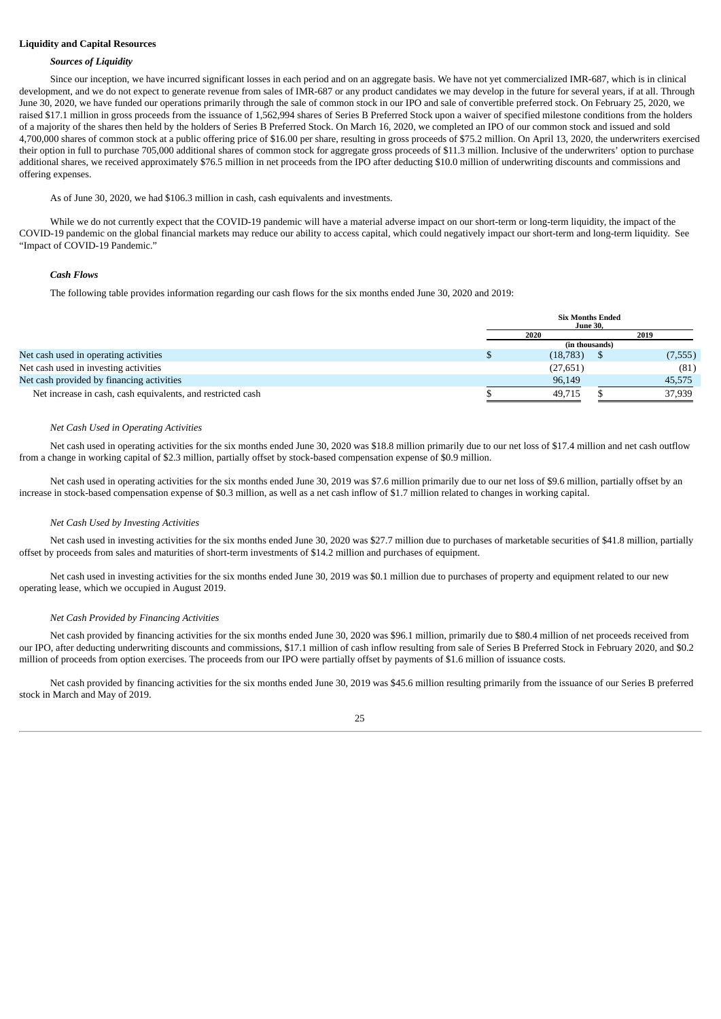# **Liquidity and Capital Resources**

#### *Sources of Liquidity*

Since our inception, we have incurred significant losses in each period and on an aggregate basis. We have not yet commercialized IMR-687, which is in clinical development, and we do not expect to generate revenue from sales of IMR-687 or any product candidates we may develop in the future for several years, if at all. Through June 30, 2020, we have funded our operations primarily through the sale of common stock in our IPO and sale of convertible preferred stock. On February 25, 2020, we raised \$17.1 million in gross proceeds from the issuance of 1,562,994 shares of Series B Preferred Stock upon a waiver of specified milestone conditions from the holders of a majority of the shares then held by the holders of Series B Preferred Stock. On March 16, 2020, we completed an IPO of our common stock and issued and sold 4,700,000 shares of common stock at a public offering price of \$16.00 per share, resulting in gross proceeds of \$75.2 million. On April 13, 2020, the underwriters exercised their option in full to purchase 705,000 additional shares of common stock for aggregate gross proceeds of \$11.3 million. Inclusive of the underwriters' option to purchase additional shares, we received approximately \$76.5 million in net proceeds from the IPO after deducting \$10.0 million of underwriting discounts and commissions and offering expenses.

As of June 30, 2020, we had \$106.3 million in cash, cash equivalents and investments.

While we do not currently expect that the COVID-19 pandemic will have a material adverse impact on our short-term or long-term liquidity, the impact of the COVID-19 pandemic on the global financial markets may reduce our ability to access capital, which could negatively impact our short-term and long-term liquidity. See "Impact of COVID-19 Pandemic."

#### *Cash Flows*

The following table provides information regarding our cash flows for the six months ended June 30, 2020 and 2019:

|                                                             | <b>Six Months Ended</b><br><b>June 30,</b> |  |         |  |  |
|-------------------------------------------------------------|--------------------------------------------|--|---------|--|--|
|                                                             | 2020                                       |  | 2019    |  |  |
|                                                             | (in thousands)                             |  |         |  |  |
| Net cash used in operating activities                       | (18, 783)                                  |  | (7,555) |  |  |
| Net cash used in investing activities                       | (27,651)                                   |  | (81)    |  |  |
| Net cash provided by financing activities                   | 96,149                                     |  | 45,575  |  |  |
| Net increase in cash, cash equivalents, and restricted cash | 49.715                                     |  | 37,939  |  |  |

#### *Net Cash Used in Operating Activities*

Net cash used in operating activities for the six months ended June 30, 2020 was \$18.8 million primarily due to our net loss of \$17.4 million and net cash outflow from a change in working capital of \$2.3 million, partially offset by stock-based compensation expense of \$0.9 million.

Net cash used in operating activities for the six months ended June 30, 2019 was \$7.6 million primarily due to our net loss of \$9.6 million, partially offset by an increase in stock-based compensation expense of \$0.3 million, as well as a net cash inflow of \$1.7 million related to changes in working capital.

#### *Net Cash Used by Investing Activities*

Net cash used in investing activities for the six months ended June 30, 2020 was \$27.7 million due to purchases of marketable securities of \$41.8 million, partially offset by proceeds from sales and maturities of short-term investments of \$14.2 million and purchases of equipment.

Net cash used in investing activities for the six months ended June 30, 2019 was \$0.1 million due to purchases of property and equipment related to our new operating lease, which we occupied in August 2019.

#### *Net Cash Provided by Financing Activities*

Net cash provided by financing activities for the six months ended June 30, 2020 was \$96.1 million, primarily due to \$80.4 million of net proceeds received from our IPO, after deducting underwriting discounts and commissions, \$17.1 million of cash inflow resulting from sale of Series B Preferred Stock in February 2020, and \$0.2 million of proceeds from option exercises. The proceeds from our IPO were partially offset by payments of \$1.6 million of issuance costs.

Net cash provided by financing activities for the six months ended June 30, 2019 was \$45.6 million resulting primarily from the issuance of our Series B preferred stock in March and May of 2019.

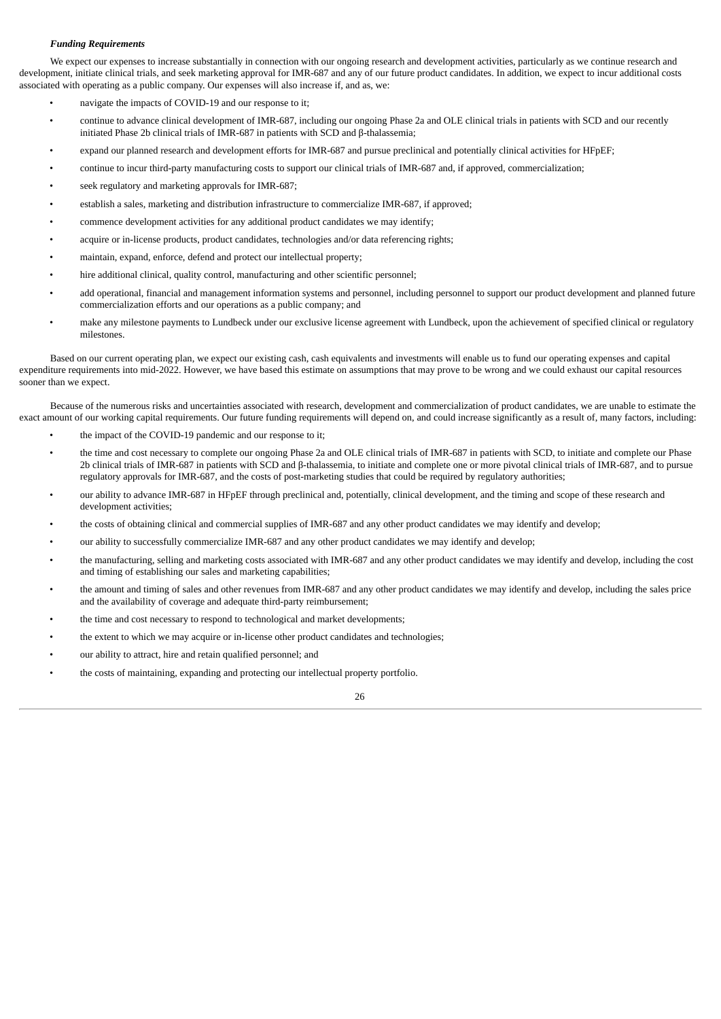## *Funding Requirements*

We expect our expenses to increase substantially in connection with our ongoing research and development activities, particularly as we continue research and development, initiate clinical trials, and seek marketing approval for IMR-687 and any of our future product candidates. In addition, we expect to incur additional costs associated with operating as a public company. Our expenses will also increase if, and as, we:

- navigate the impacts of COVID-19 and our response to it;
- continue to advance clinical development of IMR-687, including our ongoing Phase 2a and OLE clinical trials in patients with SCD and our recently initiated Phase 2b clinical trials of IMR-687 in patients with SCD and β-thalassemia;
- expand our planned research and development efforts for IMR-687 and pursue preclinical and potentially clinical activities for HFpEF;
- continue to incur third-party manufacturing costs to support our clinical trials of IMR-687 and, if approved, commercialization;
- seek regulatory and marketing approvals for IMR-687;
- establish a sales, marketing and distribution infrastructure to commercialize IMR-687, if approved;
- commence development activities for any additional product candidates we may identify;
- acquire or in-license products, product candidates, technologies and/or data referencing rights;
- maintain, expand, enforce, defend and protect our intellectual property;
- hire additional clinical, quality control, manufacturing and other scientific personnel;
- add operational, financial and management information systems and personnel, including personnel to support our product development and planned future commercialization efforts and our operations as a public company; and
- make any milestone payments to Lundbeck under our exclusive license agreement with Lundbeck, upon the achievement of specified clinical or regulatory milestones.

Based on our current operating plan, we expect our existing cash, cash equivalents and investments will enable us to fund our operating expenses and capital expenditure requirements into mid-2022. However, we have based this estimate on assumptions that may prove to be wrong and we could exhaust our capital resources sooner than we expect.

Because of the numerous risks and uncertainties associated with research, development and commercialization of product candidates, we are unable to estimate the exact amount of our working capital requirements. Our future funding requirements will depend on, and could increase significantly as a result of, many factors, including:

- the impact of the COVID-19 pandemic and our response to it;
- the time and cost necessary to complete our ongoing Phase 2a and OLE clinical trials of IMR-687 in patients with SCD, to initiate and complete our Phase 2b clinical trials of IMR-687 in patients with SCD and β-thalassemia, to initiate and complete one or more pivotal clinical trials of IMR-687, and to pursue regulatory approvals for IMR-687, and the costs of post-marketing studies that could be required by regulatory authorities;
- our ability to advance IMR-687 in HFpEF through preclinical and, potentially, clinical development, and the timing and scope of these research and development activities;
- the costs of obtaining clinical and commercial supplies of IMR-687 and any other product candidates we may identify and develop;
- our ability to successfully commercialize IMR-687 and any other product candidates we may identify and develop;
- the manufacturing, selling and marketing costs associated with IMR-687 and any other product candidates we may identify and develop, including the cost and timing of establishing our sales and marketing capabilities;
- the amount and timing of sales and other revenues from IMR-687 and any other product candidates we may identify and develop, including the sales price and the availability of coverage and adequate third-party reimbursement;
- the time and cost necessary to respond to technological and market developments;
- the extent to which we may acquire or in-license other product candidates and technologies;
- our ability to attract, hire and retain qualified personnel; and
- the costs of maintaining, expanding and protecting our intellectual property portfolio.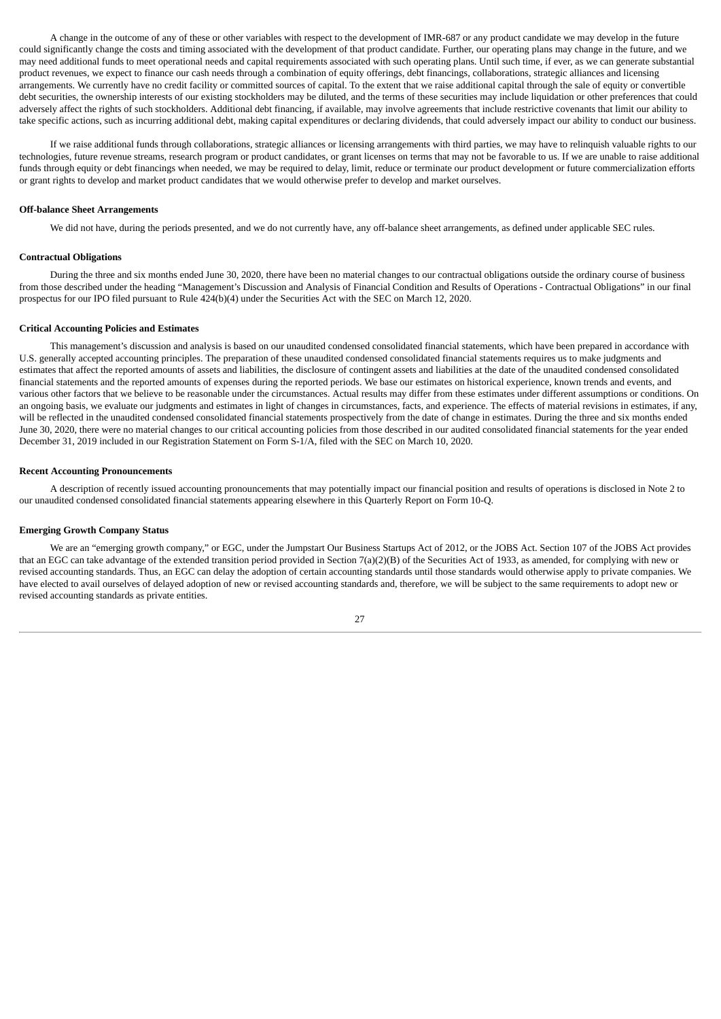A change in the outcome of any of these or other variables with respect to the development of IMR-687 or any product candidate we may develop in the future could significantly change the costs and timing associated with the development of that product candidate. Further, our operating plans may change in the future, and we may need additional funds to meet operational needs and capital requirements associated with such operating plans. Until such time, if ever, as we can generate substantial product revenues, we expect to finance our cash needs through a combination of equity offerings, debt financings, collaborations, strategic alliances and licensing arrangements. We currently have no credit facility or committed sources of capital. To the extent that we raise additional capital through the sale of equity or convertible debt securities, the ownership interests of our existing stockholders may be diluted, and the terms of these securities may include liquidation or other preferences that could adversely affect the rights of such stockholders. Additional debt financing, if available, may involve agreements that include restrictive covenants that limit our ability to take specific actions, such as incurring additional debt, making capital expenditures or declaring dividends, that could adversely impact our ability to conduct our business.

If we raise additional funds through collaborations, strategic alliances or licensing arrangements with third parties, we may have to relinquish valuable rights to our technologies, future revenue streams, research program or product candidates, or grant licenses on terms that may not be favorable to us. If we are unable to raise additional funds through equity or debt financings when needed, we may be required to delay, limit, reduce or terminate our product development or future commercialization efforts or grant rights to develop and market product candidates that we would otherwise prefer to develop and market ourselves.

#### **Off-balance Sheet Arrangements**

We did not have, during the periods presented, and we do not currently have, any off-balance sheet arrangements, as defined under applicable SEC rules.

#### **Contractual Obligations**

During the three and six months ended June 30, 2020, there have been no material changes to our contractual obligations outside the ordinary course of business from those described under the heading "Management's Discussion and Analysis of Financial Condition and Results of Operations - Contractual Obligations" in our final prospectus for our IPO filed pursuant to Rule 424(b)(4) under the Securities Act with the SEC on March 12, 2020.

#### **Critical Accounting Policies and Estimates**

This management's discussion and analysis is based on our unaudited condensed consolidated financial statements, which have been prepared in accordance with U.S. generally accepted accounting principles. The preparation of these unaudited condensed consolidated financial statements requires us to make judgments and estimates that affect the reported amounts of assets and liabilities, the disclosure of contingent assets and liabilities at the date of the unaudited condensed consolidated financial statements and the reported amounts of expenses during the reported periods. We base our estimates on historical experience, known trends and events, and various other factors that we believe to be reasonable under the circumstances. Actual results may differ from these estimates under different assumptions or conditions. On an ongoing basis, we evaluate our judgments and estimates in light of changes in circumstances, facts, and experience. The effects of material revisions in estimates, if any, will be reflected in the unaudited condensed consolidated financial statements prospectively from the date of change in estimates. During the three and six months ended June 30, 2020, there were no material changes to our critical accounting policies from those described in our audited consolidated financial statements for the year ended December 31, 2019 included in our Registration Statement on Form S-1/A, filed with the SEC on March 10, 2020.

#### **Recent Accounting Pronouncements**

A description of recently issued accounting pronouncements that may potentially impact our financial position and results of operations is disclosed in Note 2 to our unaudited condensed consolidated financial statements appearing elsewhere in this Quarterly Report on Form 10-Q.

#### **Emerging Growth Company Status**

We are an "emerging growth company," or EGC, under the Jumpstart Our Business Startups Act of 2012, or the JOBS Act. Section 107 of the JOBS Act provides that an EGC can take advantage of the extended transition period provided in Section 7(a)(2)(B) of the Securities Act of 1933, as amended, for complying with new or revised accounting standards. Thus, an EGC can delay the adoption of certain accounting standards until those standards would otherwise apply to private companies. We have elected to avail ourselves of delayed adoption of new or revised accounting standards and, therefore, we will be subject to the same requirements to adopt new or revised accounting standards as private entities.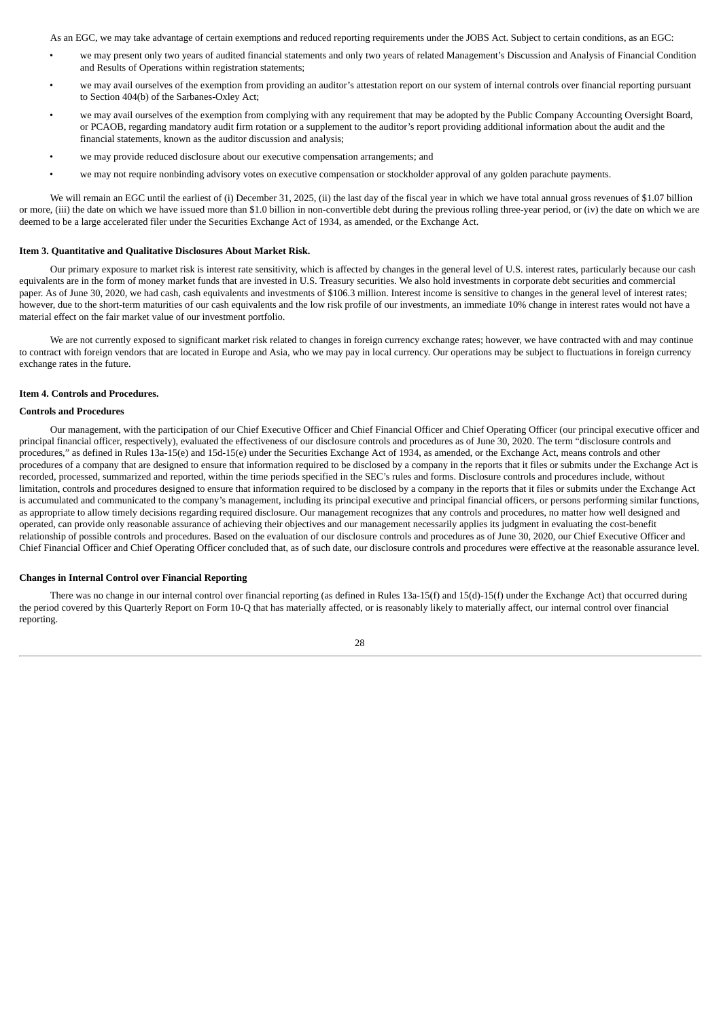As an EGC, we may take advantage of certain exemptions and reduced reporting requirements under the JOBS Act. Subject to certain conditions, as an EGC:

- we may present only two years of audited financial statements and only two years of related Management's Discussion and Analysis of Financial Condition and Results of Operations within registration statements;
- we may avail ourselves of the exemption from providing an auditor's attestation report on our system of internal controls over financial reporting pursuant to Section 404(b) of the Sarbanes-Oxley Act;
- we may avail ourselves of the exemption from complying with any requirement that may be adopted by the Public Company Accounting Oversight Board, or PCAOB, regarding mandatory audit firm rotation or a supplement to the auditor's report providing additional information about the audit and the financial statements, known as the auditor discussion and analysis;
- we may provide reduced disclosure about our executive compensation arrangements; and
- we may not require nonbinding advisory votes on executive compensation or stockholder approval of any golden parachute payments.

We will remain an EGC until the earliest of (i) December 31, 2025, (ii) the last day of the fiscal year in which we have total annual gross revenues of \$1.07 billion or more, (iii) the date on which we have issued more than \$1.0 billion in non-convertible debt during the previous rolling three-year period, or (iv) the date on which we are deemed to be a large accelerated filer under the Securities Exchange Act of 1934, as amended, or the Exchange Act.

#### <span id="page-30-0"></span>**Item 3. Quantitative and Qualitative Disclosures About Market Risk.**

Our primary exposure to market risk is interest rate sensitivity, which is affected by changes in the general level of U.S. interest rates, particularly because our cash equivalents are in the form of money market funds that are invested in U.S. Treasury securities. We also hold investments in corporate debt securities and commercial paper. As of June 30, 2020, we had cash, cash equivalents and investments of \$106.3 million. Interest income is sensitive to changes in the general level of interest rates; however, due to the short-term maturities of our cash equivalents and the low risk profile of our investments, an immediate 10% change in interest rates would not have a material effect on the fair market value of our investment portfolio.

We are not currently exposed to significant market risk related to changes in foreign currency exchange rates; however, we have contracted with and may continue to contract with foreign vendors that are located in Europe and Asia, who we may pay in local currency. Our operations may be subject to fluctuations in foreign currency exchange rates in the future.

# <span id="page-30-1"></span>**Item 4. Controls and Procedures.**

#### **Controls and Procedures**

Our management, with the participation of our Chief Executive Officer and Chief Financial Officer and Chief Operating Officer (our principal executive officer and principal financial officer, respectively), evaluated the effectiveness of our disclosure controls and procedures as of June 30, 2020. The term "disclosure controls and procedures," as defined in Rules 13a-15(e) and 15d-15(e) under the Securities Exchange Act of 1934, as amended, or the Exchange Act, means controls and other procedures of a company that are designed to ensure that information required to be disclosed by a company in the reports that it files or submits under the Exchange Act is recorded, processed, summarized and reported, within the time periods specified in the SEC's rules and forms. Disclosure controls and procedures include, without limitation, controls and procedures designed to ensure that information required to be disclosed by a company in the reports that it files or submits under the Exchange Act is accumulated and communicated to the company's management, including its principal executive and principal financial officers, or persons performing similar functions, as appropriate to allow timely decisions regarding required disclosure. Our management recognizes that any controls and procedures, no matter how well designed and operated, can provide only reasonable assurance of achieving their objectives and our management necessarily applies its judgment in evaluating the cost-benefit relationship of possible controls and procedures. Based on the evaluation of our disclosure controls and procedures as of June 30, 2020, our Chief Executive Officer and Chief Financial Officer and Chief Operating Officer concluded that, as of such date, our disclosure controls and procedures were effective at the reasonable assurance level.

#### **Changes in Internal Control over Financial Reporting**

There was no change in our internal control over financial reporting (as defined in Rules 13a-15(f) and 15(d)-15(f) under the Exchange Act) that occurred during the period covered by this Quarterly Report on Form 10-Q that has materially affected, or is reasonably likely to materially affect, our internal control over financial reporting.

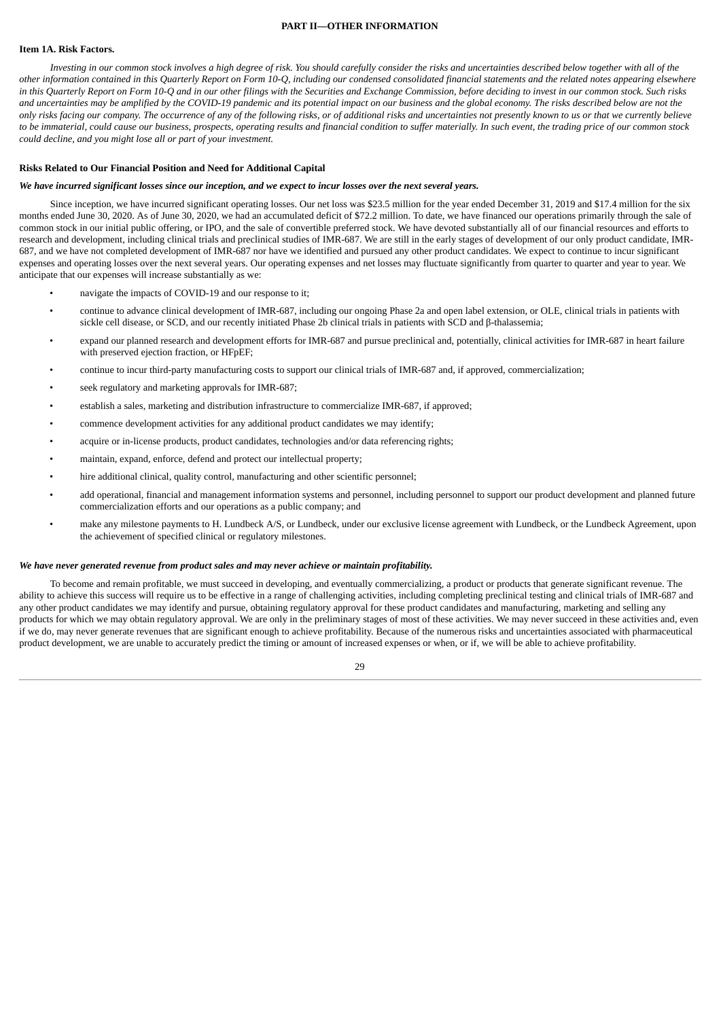# **PART II—OTHER INFORMATION**

#### <span id="page-31-1"></span><span id="page-31-0"></span>**Item 1A. Risk Factors.**

Investing in our common stock involves a high degree of risk. You should carefully consider the risks and uncertainties described below together with all of the other information contained in this Quarterly Report on Form 10-Q, including our condensed consolidated financial statements and the related notes appearing elsewhere in this Quarterly Report on Form 10-Q and in our other filings with the Securities and Exchange Commission, before deciding to invest in our common stock. Such risks and uncertainties may be amplified by the COVID-19 pandemic and its potential impact on our business and the alobal economy. The risks described below are not the only risks facing our company. The occurrence of any of the following risks, or of additional risks and uncertainties not presently known to us or that we currently believe to be immaterial, could cause our business, prospects, operating results and financial condition to suffer materially. In such event, the trading price of our common stock *could decline, and you might lose all or part of your investment.*

#### **Risks Related to Our Financial Position and Need for Additional Capital**

#### We have incurred significant losses since our inception, and we expect to incur losses over the next several years.

Since inception, we have incurred significant operating losses. Our net loss was \$23.5 million for the year ended December 31, 2019 and \$17.4 million for the six months ended June 30, 2020. As of June 30, 2020, we had an accumulated deficit of \$72.2 million. To date, we have financed our operations primarily through the sale of common stock in our initial public offering, or IPO, and the sale of convertible preferred stock. We have devoted substantially all of our financial resources and efforts to research and development, including clinical trials and preclinical studies of IMR-687. We are still in the early stages of development of our only product candidate, IMR-687, and we have not completed development of IMR-687 nor have we identified and pursued any other product candidates. We expect to continue to incur significant expenses and operating losses over the next several years. Our operating expenses and net losses may fluctuate significantly from quarter to quarter and year to year. We anticipate that our expenses will increase substantially as we:

- navigate the impacts of COVID-19 and our response to it;
- continue to advance clinical development of IMR-687, including our ongoing Phase 2a and open label extension, or OLE, clinical trials in patients with sickle cell disease, or SCD, and our recently initiated Phase 2b clinical trials in patients with SCD and β-thalassemia;
- expand our planned research and development efforts for IMR-687 and pursue preclinical and, potentially, clinical activities for IMR-687 in heart failure with preserved ejection fraction, or HFpEF;
- continue to incur third-party manufacturing costs to support our clinical trials of IMR-687 and, if approved, commercialization;
- seek regulatory and marketing approvals for IMR-687;
- establish a sales, marketing and distribution infrastructure to commercialize IMR-687, if approved;
- commence development activities for any additional product candidates we may identify;
- acquire or in-license products, product candidates, technologies and/or data referencing rights;
- maintain, expand, enforce, defend and protect our intellectual property;
- hire additional clinical, quality control, manufacturing and other scientific personnel;
- add operational, financial and management information systems and personnel, including personnel to support our product development and planned future commercialization efforts and our operations as a public company; and
- make any milestone payments to H. Lundbeck A/S, or Lundbeck, under our exclusive license agreement with Lundbeck, or the Lundbeck Agreement, upon the achievement of specified clinical or regulatory milestones.

#### *We have never generated revenue from product sales and may never achieve or maintain profitability.*

To become and remain profitable, we must succeed in developing, and eventually commercializing, a product or products that generate significant revenue. The ability to achieve this success will require us to be effective in a range of challenging activities, including completing preclinical testing and clinical trials of IMR-687 and any other product candidates we may identify and pursue, obtaining regulatory approval for these product candidates and manufacturing, marketing and selling any products for which we may obtain regulatory approval. We are only in the preliminary stages of most of these activities. We may never succeed in these activities and, even if we do, may never generate revenues that are significant enough to achieve profitability. Because of the numerous risks and uncertainties associated with pharmaceutical product development, we are unable to accurately predict the timing or amount of increased expenses or when, or if, we will be able to achieve profitability.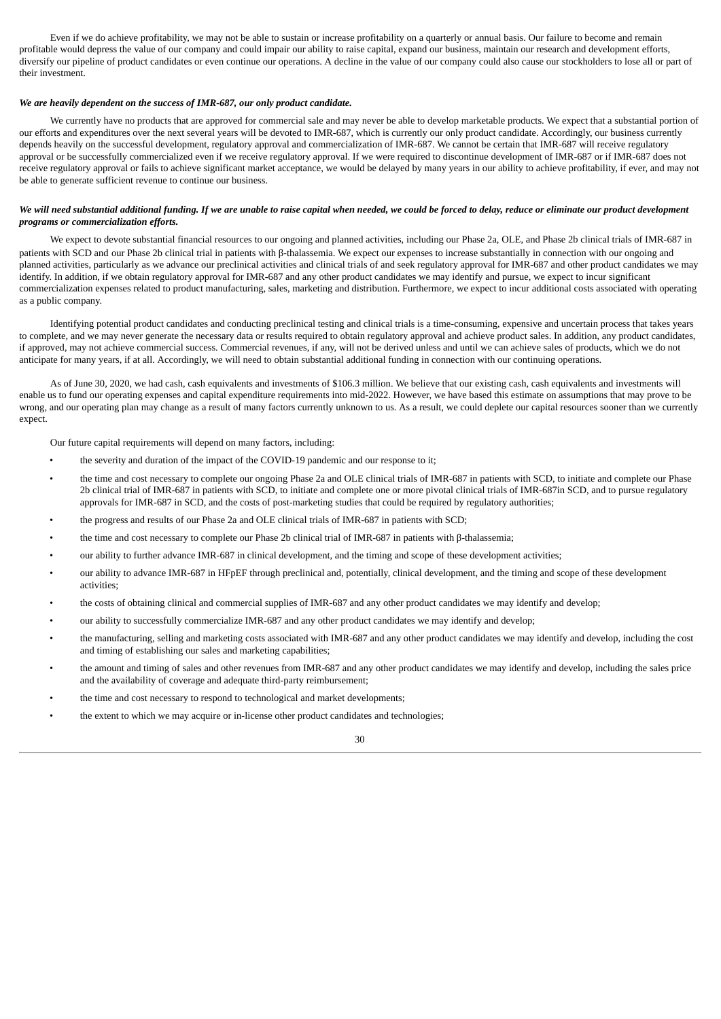Even if we do achieve profitability, we may not be able to sustain or increase profitability on a quarterly or annual basis. Our failure to become and remain profitable would depress the value of our company and could impair our ability to raise capital, expand our business, maintain our research and development efforts, diversify our pipeline of product candidates or even continue our operations. A decline in the value of our company could also cause our stockholders to lose all or part of their investment.

#### *We are heavily dependent on the success of IMR-687, our only product candidate.*

We currently have no products that are approved for commercial sale and may never be able to develop marketable products. We expect that a substantial portion of our efforts and expenditures over the next several years will be devoted to IMR-687, which is currently our only product candidate. Accordingly, our business currently depends heavily on the successful development, regulatory approval and commercialization of IMR-687. We cannot be certain that IMR-687 will receive regulatory approval or be successfully commercialized even if we receive regulatory approval. If we were required to discontinue development of IMR-687 or if IMR-687 does not receive regulatory approval or fails to achieve significant market acceptance, we would be delayed by many years in our ability to achieve profitability, if ever, and may not be able to generate sufficient revenue to continue our business.

### We will need substantial additional funding. If we are unable to raise capital when needed, we could be forced to delay, reduce or eliminate our product development *programs or commercialization efforts.*

We expect to devote substantial financial resources to our ongoing and planned activities, including our Phase 2a, OLE, and Phase 2b clinical trials of IMR-687 in patients with SCD and our Phase 2b clinical trial in patients with β-thalassemia. We expect our expenses to increase substantially in connection with our ongoing and planned activities, particularly as we advance our preclinical activities and clinical trials of and seek regulatory approval for IMR-687 and other product candidates we may identify. In addition, if we obtain regulatory approval for IMR-687 and any other product candidates we may identify and pursue, we expect to incur significant commercialization expenses related to product manufacturing, sales, marketing and distribution. Furthermore, we expect to incur additional costs associated with operating as a public company.

Identifying potential product candidates and conducting preclinical testing and clinical trials is a time-consuming, expensive and uncertain process that takes years to complete, and we may never generate the necessary data or results required to obtain regulatory approval and achieve product sales. In addition, any product candidates, if approved, may not achieve commercial success. Commercial revenues, if any, will not be derived unless and until we can achieve sales of products, which we do not anticipate for many years, if at all. Accordingly, we will need to obtain substantial additional funding in connection with our continuing operations.

As of June 30, 2020, we had cash, cash equivalents and investments of \$106.3 million. We believe that our existing cash, cash equivalents and investments will enable us to fund our operating expenses and capital expenditure requirements into mid-2022. However, we have based this estimate on assumptions that may prove to be wrong, and our operating plan may change as a result of many factors currently unknown to us. As a result, we could deplete our capital resources sooner than we currently expect.

Our future capital requirements will depend on many factors, including:

- the severity and duration of the impact of the COVID-19 pandemic and our response to it;
- the time and cost necessary to complete our ongoing Phase 2a and OLE clinical trials of IMR-687 in patients with SCD, to initiate and complete our Phase 2b clinical trial of IMR-687 in patients with SCD, to initiate and complete one or more pivotal clinical trials of IMR-687in SCD, and to pursue regulatory approvals for IMR-687 in SCD, and the costs of post-marketing studies that could be required by regulatory authorities;
- the progress and results of our Phase 2a and OLE clinical trials of IMR-687 in patients with SCD;
- the time and cost necessary to complete our Phase 2b clinical trial of IMR-687 in patients with β-thalassemia;
- our ability to further advance IMR-687 in clinical development, and the timing and scope of these development activities;
- our ability to advance IMR-687 in HFpEF through preclinical and, potentially, clinical development, and the timing and scope of these development activities;
- the costs of obtaining clinical and commercial supplies of IMR-687 and any other product candidates we may identify and develop;
- our ability to successfully commercialize IMR-687 and any other product candidates we may identify and develop;
- the manufacturing, selling and marketing costs associated with IMR-687 and any other product candidates we may identify and develop, including the cost and timing of establishing our sales and marketing capabilities;
- the amount and timing of sales and other revenues from IMR-687 and any other product candidates we may identify and develop, including the sales price and the availability of coverage and adequate third-party reimbursement;
- the time and cost necessary to respond to technological and market developments;
- the extent to which we may acquire or in-license other product candidates and technologies;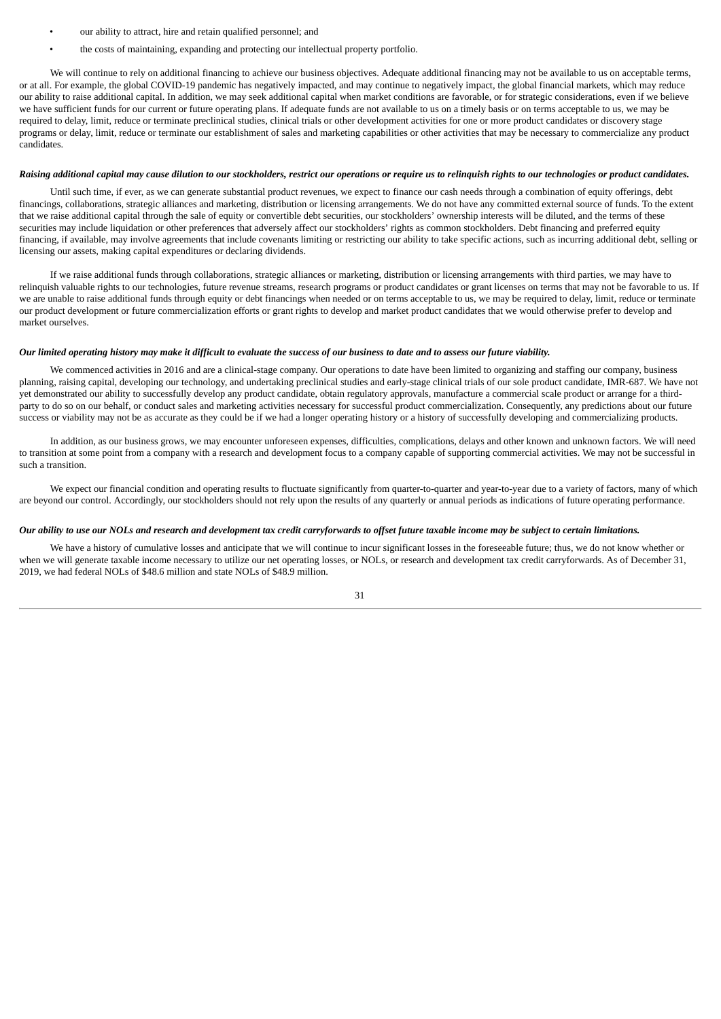- our ability to attract, hire and retain qualified personnel; and
- the costs of maintaining, expanding and protecting our intellectual property portfolio.

We will continue to rely on additional financing to achieve our business objectives. Adequate additional financing may not be available to us on acceptable terms, or at all. For example, the global COVID-19 pandemic has negatively impacted, and may continue to negatively impact, the global financial markets, which may reduce our ability to raise additional capital. In addition, we may seek additional capital when market conditions are favorable, or for strategic considerations, even if we believe we have sufficient funds for our current or future operating plans. If adequate funds are not available to us on a timely basis or on terms acceptable to us, we may be required to delay, limit, reduce or terminate preclinical studies, clinical trials or other development activities for one or more product candidates or discovery stage programs or delay, limit, reduce or terminate our establishment of sales and marketing capabilities or other activities that may be necessary to commercialize any product candidates.

#### Raising additional capital may cause dilution to our stockholders, restrict our operations or require us to relinquish rights to our technologies or product candidates.

Until such time, if ever, as we can generate substantial product revenues, we expect to finance our cash needs through a combination of equity offerings, debt financings, collaborations, strategic alliances and marketing, distribution or licensing arrangements. We do not have any committed external source of funds. To the extent that we raise additional capital through the sale of equity or convertible debt securities, our stockholders' ownership interests will be diluted, and the terms of these securities may include liquidation or other preferences that adversely affect our stockholders' rights as common stockholders. Debt financing and preferred equity financing, if available, may involve agreements that include covenants limiting or restricting our ability to take specific actions, such as incurring additional debt, selling or licensing our assets, making capital expenditures or declaring dividends.

If we raise additional funds through collaborations, strategic alliances or marketing, distribution or licensing arrangements with third parties, we may have to relinquish valuable rights to our technologies, future revenue streams, research programs or product candidates or grant licenses on terms that may not be favorable to us. If we are unable to raise additional funds through equity or debt financings when needed or on terms acceptable to us, we may be required to delay, limit, reduce or terminate our product development or future commercialization efforts or grant rights to develop and market product candidates that we would otherwise prefer to develop and market ourselves.

#### Our limited operating history may make it difficult to evaluate the success of our business to date and to assess our future viability.

We commenced activities in 2016 and are a clinical-stage company. Our operations to date have been limited to organizing and staffing our company, business planning, raising capital, developing our technology, and undertaking preclinical studies and early-stage clinical trials of our sole product candidate, IMR-687. We have not yet demonstrated our ability to successfully develop any product candidate, obtain regulatory approvals, manufacture a commercial scale product or arrange for a thirdparty to do so on our behalf, or conduct sales and marketing activities necessary for successful product commercialization. Consequently, any predictions about our future success or viability may not be as accurate as they could be if we had a longer operating history or a history of successfully developing and commercializing products.

In addition, as our business grows, we may encounter unforeseen expenses, difficulties, complications, delays and other known and unknown factors. We will need to transition at some point from a company with a research and development focus to a company capable of supporting commercial activities. We may not be successful in such a transition.

We expect our financial condition and operating results to fluctuate significantly from quarter-to-quarter and year-to-year due to a variety of factors, many of which are beyond our control. Accordingly, our stockholders should not rely upon the results of any quarterly or annual periods as indications of future operating performance.

#### Our ability to use our NOLs and research and development tax credit carryforwards to offset future taxable income may be subject to certain limitations.

We have a history of cumulative losses and anticipate that we will continue to incur significant losses in the foreseeable future; thus, we do not know whether or when we will generate taxable income necessary to utilize our net operating losses, or NOLs, or research and development tax credit carryforwards. As of December 31, 2019, we had federal NOLs of \$48.6 million and state NOLs of \$48.9 million.

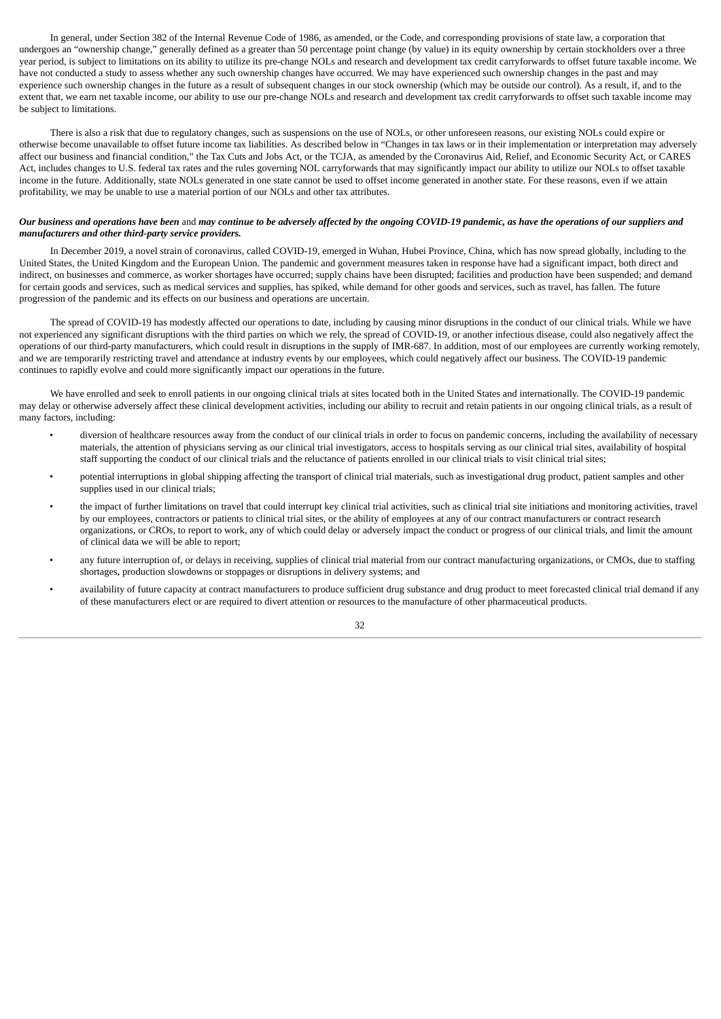In general, under Section 382 of the Internal Revenue Code of 1986, as amended, or the Code, and corresponding provisions of state law, a corporation that undergoes an "ownership change," generally defined as a greater than 50 percentage point change (by value) in its equity ownership by certain stockholders over a three year period, is subject to limitations on its ability to utilize its pre-change NOLs and research and development tax credit carryforwards to offset future taxable income. We have not conducted a study to assess whether any such ownership changes have occurred. We may have experienced such ownership changes in the past and may experience such ownership changes in the future as a result of subsequent changes in our stock ownership (which may be outside our control). As a result, if, and to the extent that, we earn net taxable income, our ability to use our pre-change NOLs and research and development tax credit carryforwards to offset such taxable income may be subject to limitations.

There is also a risk that due to regulatory changes, such as suspensions on the use of NOLs, or other unforeseen reasons, our existing NOLs could expire or otherwise become unavailable to offset future income tax liabilities. As described below in "Changes in tax laws or in their implementation or interpretation may adversely affect our business and financial condition," the Tax Cuts and Jobs Act, or the TCJA, as amended by the Coronavirus Aid, Relief, and Economic Security Act, or CARES Act, includes changes to U.S. federal tax rates and the rules governing NOL carryforwards that may significantly impact our ability to utilize our NOLs to offset taxable income in the future. Additionally, state NOLs generated in one state cannot be used to offset income generated in another state. For these reasons, even if we attain profitability, we may be unable to use a material portion of our NOLs and other tax attributes.

# Our business and operations have been and may continue to be adversely affected by the ongoing COVID-19 pandemic, as have the operations of our suppliers and *manufacturers and other third-party service providers.*

In December 2019, a novel strain of coronavirus, called COVID-19, emerged in Wuhan, Hubei Province, China, which has now spread globally, including to the United States, the United Kingdom and the European Union. The pandemic and government measures taken in response have had a significant impact, both direct and indirect, on businesses and commerce, as worker shortages have occurred; supply chains have been disrupted; facilities and production have been suspended; and demand for certain goods and services, such as medical services and supplies, has spiked, while demand for other goods and services, such as travel, has fallen. The future progression of the pandemic and its effects on our business and operations are uncertain.

The spread of COVID-19 has modestly affected our operations to date, including by causing minor disruptions in the conduct of our clinical trials. While we have not experienced any significant disruptions with the third parties on which we rely, the spread of COVID-19, or another infectious disease, could also negatively affect the operations of our third-party manufacturers, which could result in disruptions in the supply of IMR-687. In addition, most of our employees are currently working remotely, and we are temporarily restricting travel and attendance at industry events by our employees, which could negatively affect our business. The COVID-19 pandemic continues to rapidly evolve and could more significantly impact our operations in the future.

We have enrolled and seek to enroll patients in our ongoing clinical trials at sites located both in the United States and internationally. The COVID-19 pandemic may delay or otherwise adversely affect these clinical development activities, including our ability to recruit and retain patients in our ongoing clinical trials, as a result of many factors, including:

- diversion of healthcare resources away from the conduct of our clinical trials in order to focus on pandemic concerns, including the availability of necessary materials, the attention of physicians serving as our clinical trial investigators, access to hospitals serving as our clinical trial sites, availability of hospital staff supporting the conduct of our clinical trials and the reluctance of patients enrolled in our clinical trials to visit clinical trial sites;
- potential interruptions in global shipping affecting the transport of clinical trial materials, such as investigational drug product, patient samples and other supplies used in our clinical trials;
- the impact of further limitations on travel that could interrupt key clinical trial activities, such as clinical trial site initiations and monitoring activities, travel by our employees, contractors or patients to clinical trial sites, or the ability of employees at any of our contract manufacturers or contract research organizations, or CROs, to report to work, any of which could delay or adversely impact the conduct or progress of our clinical trials, and limit the amount of clinical data we will be able to report;
- any future interruption of, or delays in receiving, supplies of clinical trial material from our contract manufacturing organizations, or CMOs, due to staffing shortages, production slowdowns or stoppages or disruptions in delivery systems; and
- availability of future capacity at contract manufacturers to produce sufficient drug substance and drug product to meet forecasted clinical trial demand if any of these manufacturers elect or are required to divert attention or resources to the manufacture of other pharmaceutical products.

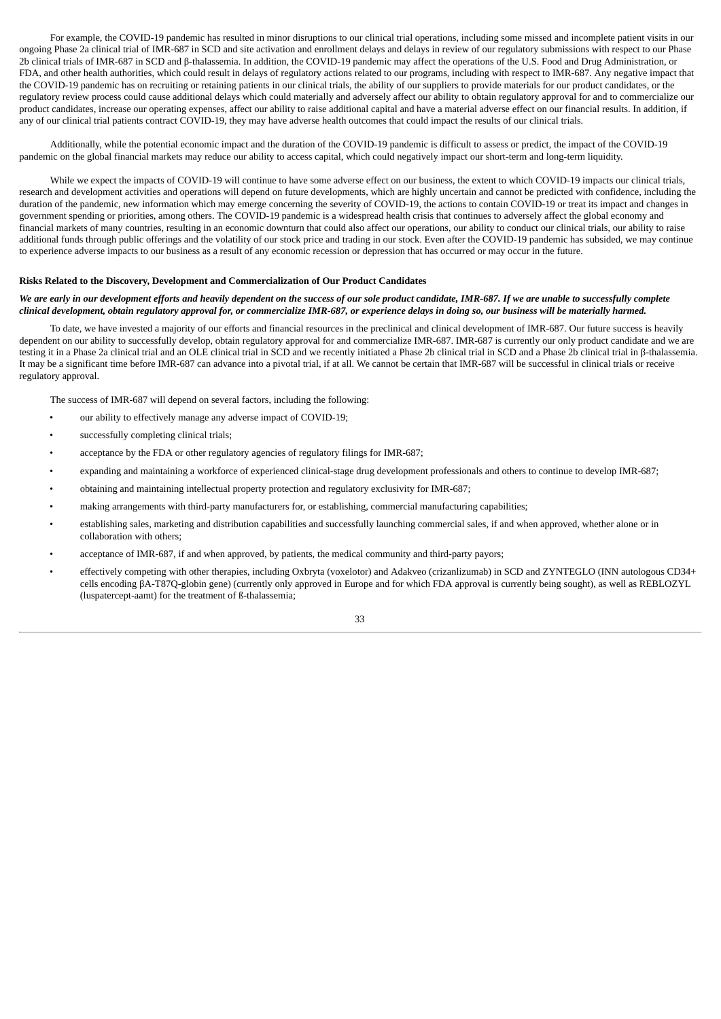For example, the COVID-19 pandemic has resulted in minor disruptions to our clinical trial operations, including some missed and incomplete patient visits in our ongoing Phase 2a clinical trial of IMR-687 in SCD and site activation and enrollment delays and delays in review of our regulatory submissions with respect to our Phase 2b clinical trials of IMR-687 in SCD and β-thalassemia. In addition, the COVID-19 pandemic may affect the operations of the U.S. Food and Drug Administration, or FDA, and other health authorities, which could result in delays of regulatory actions related to our programs, including with respect to IMR-687. Any negative impact that the COVID-19 pandemic has on recruiting or retaining patients in our clinical trials, the ability of our suppliers to provide materials for our product candidates, or the regulatory review process could cause additional delays which could materially and adversely affect our ability to obtain regulatory approval for and to commercialize our product candidates, increase our operating expenses, affect our ability to raise additional capital and have a material adverse effect on our financial results. In addition, if any of our clinical trial patients contract COVID-19, they may have adverse health outcomes that could impact the results of our clinical trials.

Additionally, while the potential economic impact and the duration of the COVID-19 pandemic is difficult to assess or predict, the impact of the COVID-19 pandemic on the global financial markets may reduce our ability to access capital, which could negatively impact our short-term and long-term liquidity.

While we expect the impacts of COVID-19 will continue to have some adverse effect on our business, the extent to which COVID-19 impacts our clinical trials, research and development activities and operations will depend on future developments, which are highly uncertain and cannot be predicted with confidence, including the duration of the pandemic, new information which may emerge concerning the severity of COVID-19, the actions to contain COVID-19 or treat its impact and changes in government spending or priorities, among others. The COVID-19 pandemic is a widespread health crisis that continues to adversely affect the global economy and financial markets of many countries, resulting in an economic downturn that could also affect our operations, our ability to conduct our clinical trials, our ability to raise additional funds through public offerings and the volatility of our stock price and trading in our stock. Even after the COVID-19 pandemic has subsided, we may continue to experience adverse impacts to our business as a result of any economic recession or depression that has occurred or may occur in the future.

#### **Risks Related to the Discovery, Development and Commercialization of Our Product Candidates**

# We are early in our development efforts and heavily dependent on the success of our sole product candidate, IMR-687. If we are unable to successfully complete clinical development, obtain regulatory approval for, or commercialize IMR-687, or experience delays in doing so, our business will be materially harmed.

To date, we have invested a majority of our efforts and financial resources in the preclinical and clinical development of IMR-687. Our future success is heavily dependent on our ability to successfully develop, obtain regulatory approval for and commercialize IMR-687. IMR-687 is currently our only product candidate and we are testing it in a Phase 2a clinical trial and an OLE clinical trial in SCD and we recently initiated a Phase 2b clinical trial in SCD and a Phase 2b clinical trial in β-thalassemia. It may be a significant time before IMR-687 can advance into a pivotal trial, if at all. We cannot be certain that IMR-687 will be successful in clinical trials or receive regulatory approval.

The success of IMR-687 will depend on several factors, including the following:

- our ability to effectively manage any adverse impact of COVID-19;
- successfully completing clinical trials:
- acceptance by the FDA or other regulatory agencies of regulatory filings for IMR-687;
- expanding and maintaining a workforce of experienced clinical-stage drug development professionals and others to continue to develop IMR-687;
- obtaining and maintaining intellectual property protection and regulatory exclusivity for IMR-687;
- making arrangements with third-party manufacturers for, or establishing, commercial manufacturing capabilities;
- establishing sales, marketing and distribution capabilities and successfully launching commercial sales, if and when approved, whether alone or in collaboration with others;
- acceptance of IMR-687, if and when approved, by patients, the medical community and third-party payors;
- effectively competing with other therapies, including Oxbryta (voxelotor) and Adakveo (crizanlizumab) in SCD and ZYNTEGLO (INN autologous CD34+ cells encoding βA-T87Q-globin gene) (currently only approved in Europe and for which FDA approval is currently being sought), as well as REBLOZYL (luspatercept-aamt) for the treatment of ß-thalassemia;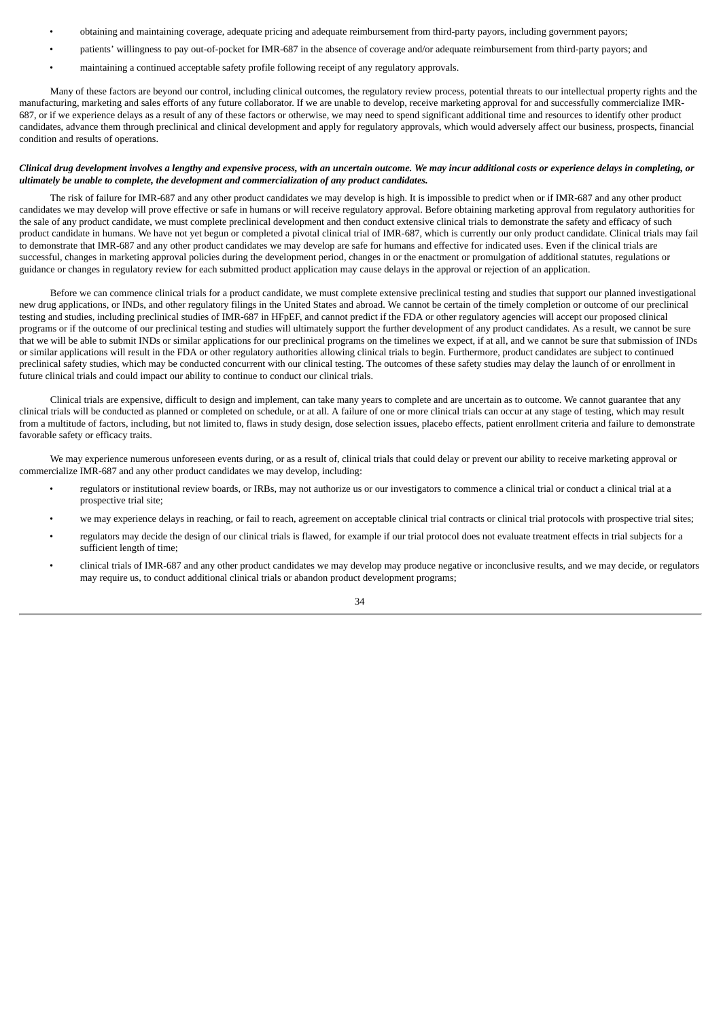- obtaining and maintaining coverage, adequate pricing and adequate reimbursement from third-party payors, including government payors;
- patients' willingness to pay out-of-pocket for IMR-687 in the absence of coverage and/or adequate reimbursement from third-party payors; and
- maintaining a continued acceptable safety profile following receipt of any regulatory approvals.

Many of these factors are beyond our control, including clinical outcomes, the regulatory review process, potential threats to our intellectual property rights and the manufacturing, marketing and sales efforts of any future collaborator. If we are unable to develop, receive marketing approval for and successfully commercialize IMR-687, or if we experience delays as a result of any of these factors or otherwise, we may need to spend significant additional time and resources to identify other product candidates, advance them through preclinical and clinical development and apply for regulatory approvals, which would adversely affect our business, prospects, financial condition and results of operations.

### Clinical drug development involves a lengthy and expensive process, with an uncertain outcome. We may incur additional costs or experience delays in completing, or *ultimately be unable to complete, the development and commercialization of any product candidates.*

The risk of failure for IMR-687 and any other product candidates we may develop is high. It is impossible to predict when or if IMR-687 and any other product candidates we may develop will prove effective or safe in humans or will receive regulatory approval. Before obtaining marketing approval from regulatory authorities for the sale of any product candidate, we must complete preclinical development and then conduct extensive clinical trials to demonstrate the safety and efficacy of such product candidate in humans. We have not yet begun or completed a pivotal clinical trial of IMR-687, which is currently our only product candidate. Clinical trials may fail to demonstrate that IMR-687 and any other product candidates we may develop are safe for humans and effective for indicated uses. Even if the clinical trials are successful, changes in marketing approval policies during the development period, changes in or the enactment or promulgation of additional statutes, regulations or guidance or changes in regulatory review for each submitted product application may cause delays in the approval or rejection of an application.

Before we can commence clinical trials for a product candidate, we must complete extensive preclinical testing and studies that support our planned investigational new drug applications, or INDs, and other regulatory filings in the United States and abroad. We cannot be certain of the timely completion or outcome of our preclinical testing and studies, including preclinical studies of IMR-687 in HFpEF, and cannot predict if the FDA or other regulatory agencies will accept our proposed clinical programs or if the outcome of our preclinical testing and studies will ultimately support the further development of any product candidates. As a result, we cannot be sure that we will be able to submit INDs or similar applications for our preclinical programs on the timelines we expect, if at all, and we cannot be sure that submission of INDs or similar applications will result in the FDA or other regulatory authorities allowing clinical trials to begin. Furthermore, product candidates are subject to continued preclinical safety studies, which may be conducted concurrent with our clinical testing. The outcomes of these safety studies may delay the launch of or enrollment in future clinical trials and could impact our ability to continue to conduct our clinical trials.

Clinical trials are expensive, difficult to design and implement, can take many years to complete and are uncertain as to outcome. We cannot guarantee that any clinical trials will be conducted as planned or completed on schedule, or at all. A failure of one or more clinical trials can occur at any stage of testing, which may result from a multitude of factors, including, but not limited to, flaws in study design, dose selection issues, placebo effects, patient enrollment criteria and failure to demonstrate favorable safety or efficacy traits.

We may experience numerous unforeseen events during, or as a result of, clinical trials that could delay or prevent our ability to receive marketing approval or commercialize IMR-687 and any other product candidates we may develop, including:

- regulators or institutional review boards, or IRBs, may not authorize us or our investigators to commence a clinical trial or conduct a clinical trial at a prospective trial site;
- we may experience delays in reaching, or fail to reach, agreement on acceptable clinical trial contracts or clinical trial protocols with prospective trial sites;
- regulators may decide the design of our clinical trials is flawed, for example if our trial protocol does not evaluate treatment effects in trial subjects for a sufficient length of time;
- clinical trials of IMR-687 and any other product candidates we may develop may produce negative or inconclusive results, and we may decide, or regulators may require us, to conduct additional clinical trials or abandon product development programs;

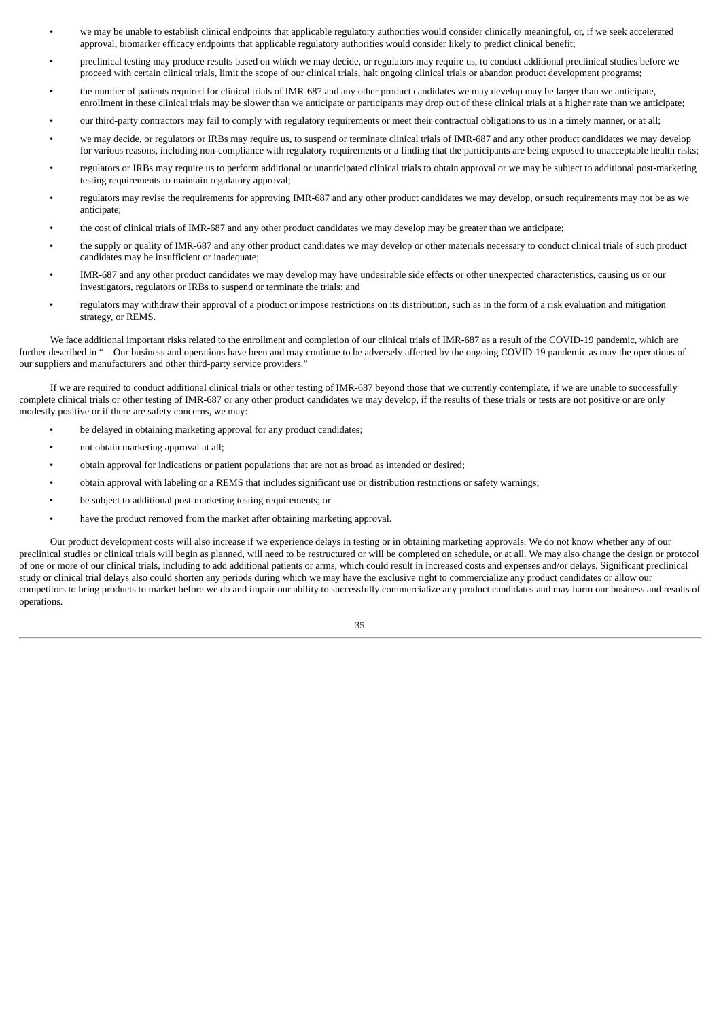- we may be unable to establish clinical endpoints that applicable regulatory authorities would consider clinically meaningful, or, if we seek accelerated approval, biomarker efficacy endpoints that applicable regulatory authorities would consider likely to predict clinical benefit;
- preclinical testing may produce results based on which we may decide, or regulators may require us, to conduct additional preclinical studies before we proceed with certain clinical trials, limit the scope of our clinical trials, halt ongoing clinical trials or abandon product development programs;
- the number of patients required for clinical trials of IMR-687 and any other product candidates we may develop may be larger than we anticipate, enrollment in these clinical trials may be slower than we anticipate or participants may drop out of these clinical trials at a higher rate than we anticipate;
- our third-party contractors may fail to comply with regulatory requirements or meet their contractual obligations to us in a timely manner, or at all;
- we may decide, or regulators or IRBs may require us, to suspend or terminate clinical trials of IMR-687 and any other product candidates we may develop for various reasons, including non-compliance with regulatory requirements or a finding that the participants are being exposed to unacceptable health risks;
- regulators or IRBs may require us to perform additional or unanticipated clinical trials to obtain approval or we may be subject to additional post-marketing testing requirements to maintain regulatory approval;
- regulators may revise the requirements for approving IMR-687 and any other product candidates we may develop, or such requirements may not be as we anticipate;
- the cost of clinical trials of IMR-687 and any other product candidates we may develop may be greater than we anticipate;
- the supply or quality of IMR-687 and any other product candidates we may develop or other materials necessary to conduct clinical trials of such product candidates may be insufficient or inadequate;
- IMR-687 and any other product candidates we may develop may have undesirable side effects or other unexpected characteristics, causing us or our investigators, regulators or IRBs to suspend or terminate the trials; and
- regulators may withdraw their approval of a product or impose restrictions on its distribution, such as in the form of a risk evaluation and mitigation strategy, or REMS.

We face additional important risks related to the enrollment and completion of our clinical trials of IMR-687 as a result of the COVID-19 pandemic, which are further described in "—Our business and operations have been and may continue to be adversely affected by the ongoing COVID-19 pandemic as may the operations of our suppliers and manufacturers and other third-party service providers."

If we are required to conduct additional clinical trials or other testing of IMR-687 beyond those that we currently contemplate, if we are unable to successfully complete clinical trials or other testing of IMR-687 or any other product candidates we may develop, if the results of these trials or tests are not positive or are only modestly positive or if there are safety concerns, we may:

- be delayed in obtaining marketing approval for any product candidates;
- not obtain marketing approval at all;
- obtain approval for indications or patient populations that are not as broad as intended or desired;
- obtain approval with labeling or a REMS that includes significant use or distribution restrictions or safety warnings;
- be subject to additional post-marketing testing requirements; or
- have the product removed from the market after obtaining marketing approval.

Our product development costs will also increase if we experience delays in testing or in obtaining marketing approvals. We do not know whether any of our preclinical studies or clinical trials will begin as planned, will need to be restructured or will be completed on schedule, or at all. We may also change the design or protocol of one or more of our clinical trials, including to add additional patients or arms, which could result in increased costs and expenses and/or delays. Significant preclinical study or clinical trial delays also could shorten any periods during which we may have the exclusive right to commercialize any product candidates or allow our competitors to bring products to market before we do and impair our ability to successfully commercialize any product candidates and may harm our business and results of operations.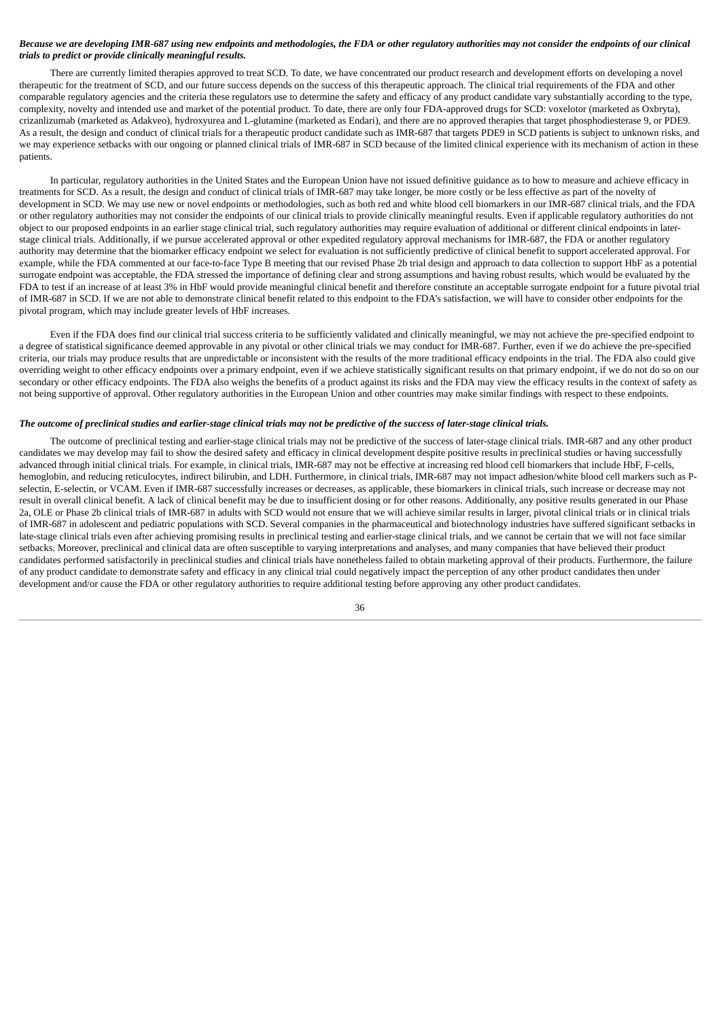## Because we are developing IMR-687 using new endpoints and methodologies, the FDA or other regulatory authorities may not consider the endpoints of our clinical *trials to predict or provide clinically meaningful results.*

There are currently limited therapies approved to treat SCD. To date, we have concentrated our product research and development efforts on developing a novel therapeutic for the treatment of SCD, and our future success depends on the success of this therapeutic approach. The clinical trial requirements of the FDA and other comparable regulatory agencies and the criteria these regulators use to determine the safety and efficacy of any product candidate vary substantially according to the type, complexity, novelty and intended use and market of the potential product. To date, there are only four FDA-approved drugs for SCD: voxelotor (marketed as Oxbryta), crizanlizumab (marketed as Adakveo), hydroxyurea and L-glutamine (marketed as Endari), and there are no approved therapies that target phosphodiesterase 9, or PDE9. As a result, the design and conduct of clinical trials for a therapeutic product candidate such as IMR-687 that targets PDE9 in SCD patients is subject to unknown risks, and we may experience setbacks with our ongoing or planned clinical trials of IMR-687 in SCD because of the limited clinical experience with its mechanism of action in these patients.

In particular, regulatory authorities in the United States and the European Union have not issued definitive guidance as to how to measure and achieve efficacy in treatments for SCD. As a result, the design and conduct of clinical trials of IMR-687 may take longer, be more costly or be less effective as part of the novelty of development in SCD. We may use new or novel endpoints or methodologies, such as both red and white blood cell biomarkers in our IMR-687 clinical trials, and the FDA or other regulatory authorities may not consider the endpoints of our clinical trials to provide clinically meaningful results. Even if applicable regulatory authorities do not object to our proposed endpoints in an earlier stage clinical trial, such regulatory authorities may require evaluation of additional or different clinical endpoints in laterstage clinical trials. Additionally, if we pursue accelerated approval or other expedited regulatory approval mechanisms for IMR-687, the FDA or another regulatory authority may determine that the biomarker efficacy endpoint we select for evaluation is not sufficiently predictive of clinical benefit to support accelerated approval. For example, while the FDA commented at our face-to-face Type B meeting that our revised Phase 2b trial design and approach to data collection to support HbF as a potential surrogate endpoint was acceptable, the FDA stressed the importance of defining clear and strong assumptions and having robust results, which would be evaluated by the FDA to test if an increase of at least 3% in HbF would provide meaningful clinical benefit and therefore constitute an acceptable surrogate endpoint for a future pivotal trial of IMR-687 in SCD. If we are not able to demonstrate clinical benefit related to this endpoint to the FDA's satisfaction, we will have to consider other endpoints for the pivotal program, which may include greater levels of HbF increases.

Even if the FDA does find our clinical trial success criteria to be sufficiently validated and clinically meaningful, we may not achieve the pre-specified endpoint to a degree of statistical significance deemed approvable in any pivotal or other clinical trials we may conduct for IMR-687. Further, even if we do achieve the pre-specified criteria, our trials may produce results that are unpredictable or inconsistent with the results of the more traditional efficacy endpoints in the trial. The FDA also could give overriding weight to other efficacy endpoints over a primary endpoint, even if we achieve statistically significant results on that primary endpoint, if we do not do so on our secondary or other efficacy endpoints. The FDA also weighs the benefits of a product against its risks and the FDA may view the efficacy results in the context of safety as not being supportive of approval. Other regulatory authorities in the European Union and other countries may make similar findings with respect to these endpoints.

#### The outcome of preclinical studies and earlier-stage clinical trials may not be predictive of the success of later-stage clinical trials.

The outcome of preclinical testing and earlier-stage clinical trials may not be predictive of the success of later-stage clinical trials. IMR-687 and any other product candidates we may develop may fail to show the desired safety and efficacy in clinical development despite positive results in preclinical studies or having successfully advanced through initial clinical trials. For example, in clinical trials, IMR-687 may not be effective at increasing red blood cell biomarkers that include HbF, F-cells, hemoglobin, and reducing reticulocytes, indirect bilirubin, and LDH. Furthermore, in clinical trials, IMR-687 may not impact adhesion/white blood cell markers such as Pselectin, E-selectin, or VCAM. Even if IMR-687 successfully increases or decreases, as applicable, these biomarkers in clinical trials, such increase or decrease may not result in overall clinical benefit. A lack of clinical benefit may be due to insufficient dosing or for other reasons. Additionally, any positive results generated in our Phase 2a, OLE or Phase 2b clinical trials of IMR-687 in adults with SCD would not ensure that we will achieve similar results in larger, pivotal clinical trials or in clinical trials of IMR-687 in adolescent and pediatric populations with SCD. Several companies in the pharmaceutical and biotechnology industries have suffered significant setbacks in late-stage clinical trials even after achieving promising results in preclinical testing and earlier-stage clinical trials, and we cannot be certain that we will not face similar setbacks. Moreover, preclinical and clinical data are often susceptible to varying interpretations and analyses, and many companies that have believed their product candidates performed satisfactorily in preclinical studies and clinical trials have nonetheless failed to obtain marketing approval of their products. Furthermore, the failure of any product candidate to demonstrate safety and efficacy in any clinical trial could negatively impact the perception of any other product candidates then under development and/or cause the FDA or other regulatory authorities to require additional testing before approving any other product candidates.

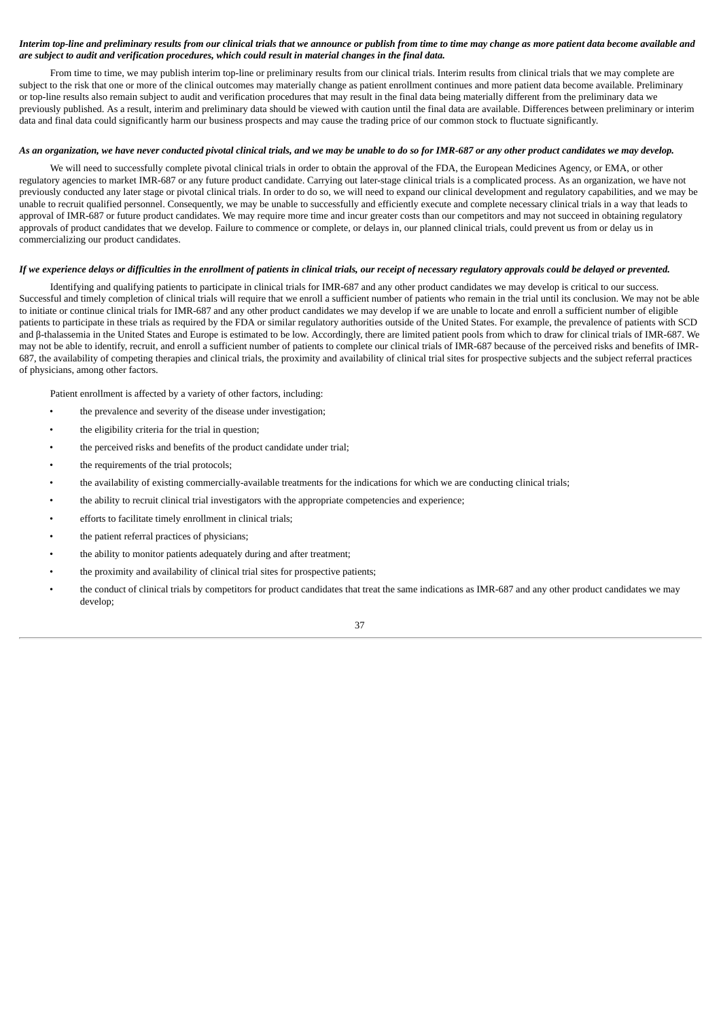# Interim top-line and preliminary results from our clinical trials that we announce or publish from time to time may change as more patient data become available and are subject to audit and verification procedures, which could result in material changes in the final data.

From time to time, we may publish interim top-line or preliminary results from our clinical trials. Interim results from clinical trials that we may complete are subject to the risk that one or more of the clinical outcomes may materially change as patient enrollment continues and more patient data become available. Preliminary or top-line results also remain subject to audit and verification procedures that may result in the final data being materially different from the preliminary data we previously published. As a result, interim and preliminary data should be viewed with caution until the final data are available. Differences between preliminary or interim data and final data could significantly harm our business prospects and may cause the trading price of our common stock to fluctuate significantly.

# As an organization, we have never conducted pivotal clinical trials, and we may be unable to do so for IMR-687 or any other product candidates we may develop.

We will need to successfully complete pivotal clinical trials in order to obtain the approval of the FDA, the European Medicines Agency, or EMA, or other regulatory agencies to market IMR-687 or any future product candidate. Carrying out later-stage clinical trials is a complicated process. As an organization, we have not previously conducted any later stage or pivotal clinical trials. In order to do so, we will need to expand our clinical development and regulatory capabilities, and we may be unable to recruit qualified personnel. Consequently, we may be unable to successfully and efficiently execute and complete necessary clinical trials in a way that leads to approval of IMR-687 or future product candidates. We may require more time and incur greater costs than our competitors and may not succeed in obtaining regulatory approvals of product candidates that we develop. Failure to commence or complete, or delays in, our planned clinical trials, could prevent us from or delay us in commercializing our product candidates.

## If we experience delays or difficulties in the enrollment of patients in clinical trials, our receipt of necessary reaulatory approvals could be delayed or prevented.

Identifying and qualifying patients to participate in clinical trials for IMR-687 and any other product candidates we may develop is critical to our success. Successful and timely completion of clinical trials will require that we enroll a sufficient number of patients who remain in the trial until its conclusion. We may not be able to initiate or continue clinical trials for IMR-687 and any other product candidates we may develop if we are unable to locate and enroll a sufficient number of eligible patients to participate in these trials as required by the FDA or similar regulatory authorities outside of the United States. For example, the prevalence of patients with SCD and β-thalassemia in the United States and Europe is estimated to be low. Accordingly, there are limited patient pools from which to draw for clinical trials of IMR-687. We may not be able to identify, recruit, and enroll a sufficient number of patients to complete our clinical trials of IMR-687 because of the perceived risks and benefits of IMR-687, the availability of competing therapies and clinical trials, the proximity and availability of clinical trial sites for prospective subjects and the subject referral practices of physicians, among other factors.

Patient enrollment is affected by a variety of other factors, including:

- the prevalence and severity of the disease under investigation;
- the eligibility criteria for the trial in question;
- the perceived risks and benefits of the product candidate under trial;
- the requirements of the trial protocols;
- the availability of existing commercially-available treatments for the indications for which we are conducting clinical trials;
- the ability to recruit clinical trial investigators with the appropriate competencies and experience;
- efforts to facilitate timely enrollment in clinical trials;
- the patient referral practices of physicians;
- the ability to monitor patients adequately during and after treatment;
- the proximity and availability of clinical trial sites for prospective patients;
- the conduct of clinical trials by competitors for product candidates that treat the same indications as IMR-687 and any other product candidates we may develop;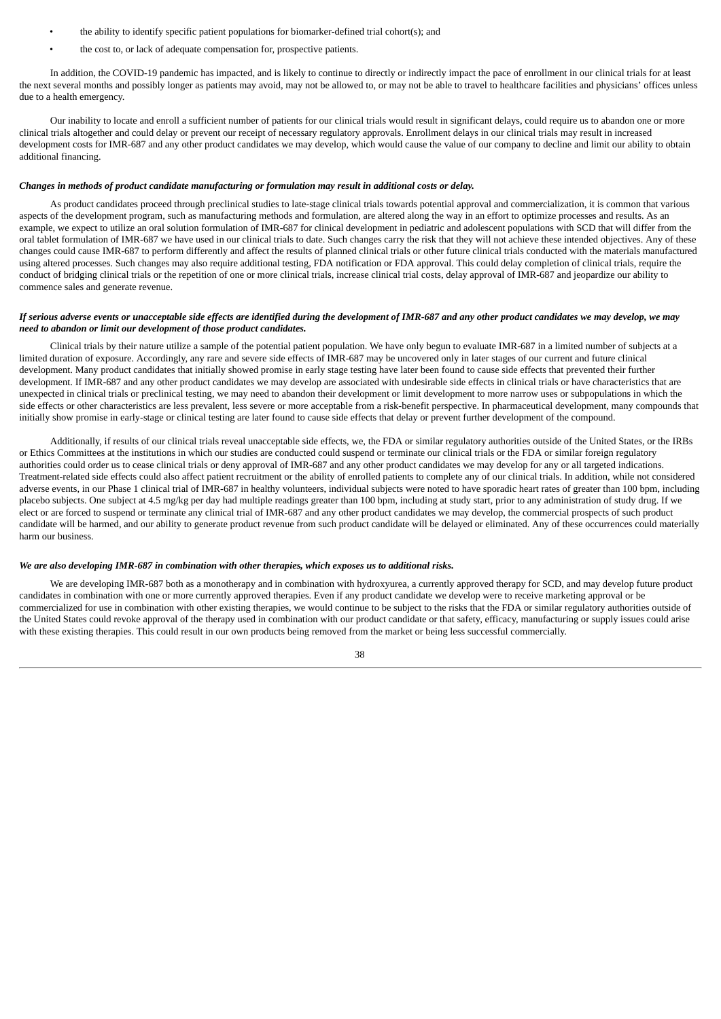- the ability to identify specific patient populations for biomarker-defined trial cohort(s); and
- the cost to, or lack of adequate compensation for, prospective patients.

In addition, the COVID-19 pandemic has impacted, and is likely to continue to directly or indirectly impact the pace of enrollment in our clinical trials for at least the next several months and possibly longer as patients may avoid, may not be allowed to, or may not be able to travel to healthcare facilities and physicians' offices unless due to a health emergency.

Our inability to locate and enroll a sufficient number of patients for our clinical trials would result in significant delays, could require us to abandon one or more clinical trials altogether and could delay or prevent our receipt of necessary regulatory approvals. Enrollment delays in our clinical trials may result in increased development costs for IMR-687 and any other product candidates we may develop, which would cause the value of our company to decline and limit our ability to obtain additional financing.

#### *Changes in methods of product candidate manufacturing or formulation may result in additional costs or delay.*

As product candidates proceed through preclinical studies to late-stage clinical trials towards potential approval and commercialization, it is common that various aspects of the development program, such as manufacturing methods and formulation, are altered along the way in an effort to optimize processes and results. As an example, we expect to utilize an oral solution formulation of IMR-687 for clinical development in pediatric and adolescent populations with SCD that will differ from the oral tablet formulation of IMR-687 we have used in our clinical trials to date. Such changes carry the risk that they will not achieve these intended objectives. Any of these changes could cause IMR-687 to perform differently and affect the results of planned clinical trials or other future clinical trials conducted with the materials manufactured using altered processes. Such changes may also require additional testing, FDA notification or FDA approval. This could delay completion of clinical trials, require the conduct of bridging clinical trials or the repetition of one or more clinical trials, increase clinical trial costs, delay approval of IMR-687 and jeopardize our ability to commence sales and generate revenue.

## If serious adverse events or unacceptable side effects are identified during the development of IMR-687 and any other product candidates we may develop, we may *need to abandon or limit our development of those product candidates.*

Clinical trials by their nature utilize a sample of the potential patient population. We have only begun to evaluate IMR-687 in a limited number of subjects at a limited duration of exposure. Accordingly, any rare and severe side effects of IMR-687 may be uncovered only in later stages of our current and future clinical development. Many product candidates that initially showed promise in early stage testing have later been found to cause side effects that prevented their further development. If IMR-687 and any other product candidates we may develop are associated with undesirable side effects in clinical trials or have characteristics that are unexpected in clinical trials or preclinical testing, we may need to abandon their development or limit development to more narrow uses or subpopulations in which the side effects or other characteristics are less prevalent, less severe or more acceptable from a risk-benefit perspective. In pharmaceutical development, many compounds that initially show promise in early-stage or clinical testing are later found to cause side effects that delay or prevent further development of the compound.

Additionally, if results of our clinical trials reveal unacceptable side effects, we, the FDA or similar regulatory authorities outside of the United States, or the IRBs or Ethics Committees at the institutions in which our studies are conducted could suspend or terminate our clinical trials or the FDA or similar foreign regulatory authorities could order us to cease clinical trials or deny approval of IMR-687 and any other product candidates we may develop for any or all targeted indications. Treatment-related side effects could also affect patient recruitment or the ability of enrolled patients to complete any of our clinical trials. In addition, while not considered adverse events, in our Phase 1 clinical trial of IMR-687 in healthy volunteers, individual subjects were noted to have sporadic heart rates of greater than 100 bpm, including placebo subjects. One subject at 4.5 mg/kg per day had multiple readings greater than 100 bpm, including at study start, prior to any administration of study drug. If we elect or are forced to suspend or terminate any clinical trial of IMR-687 and any other product candidates we may develop, the commercial prospects of such product candidate will be harmed, and our ability to generate product revenue from such product candidate will be delayed or eliminated. Any of these occurrences could materially harm our business.

### *We are also developing IMR-687 in combination with other therapies, which exposes us to additional risks.*

We are developing IMR-687 both as a monotherapy and in combination with hydroxyurea, a currently approved therapy for SCD, and may develop future product candidates in combination with one or more currently approved therapies. Even if any product candidate we develop were to receive marketing approval or be commercialized for use in combination with other existing therapies, we would continue to be subject to the risks that the FDA or similar regulatory authorities outside of the United States could revoke approval of the therapy used in combination with our product candidate or that safety, efficacy, manufacturing or supply issues could arise with these existing therapies. This could result in our own products being removed from the market or being less successful commercially.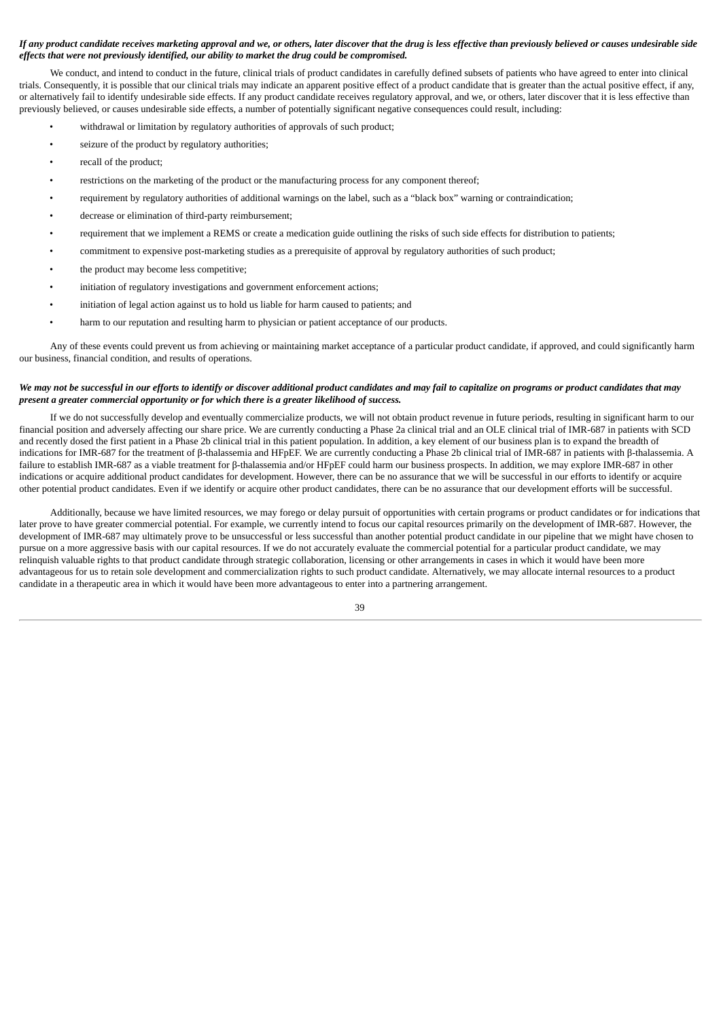# If any product candidate receives marketing approval and we, or others, later discover that the drug is less effective than previously believed or causes undesirable side *effects that were not previously identified, our ability to market the drug could be compromised.*

We conduct, and intend to conduct in the future, clinical trials of product candidates in carefully defined subsets of patients who have agreed to enter into clinical trials. Consequently, it is possible that our clinical trials may indicate an apparent positive effect of a product candidate that is greater than the actual positive effect, if any, or alternatively fail to identify undesirable side effects. If any product candidate receives regulatory approval, and we, or others, later discover that it is less effective than previously believed, or causes undesirable side effects, a number of potentially significant negative consequences could result, including:

- withdrawal or limitation by regulatory authorities of approvals of such product;
- seizure of the product by regulatory authorities;
- recall of the product;
- restrictions on the marketing of the product or the manufacturing process for any component thereof;
- requirement by regulatory authorities of additional warnings on the label, such as a "black box" warning or contraindication;
- decrease or elimination of third-party reimbursement;
- requirement that we implement a REMS or create a medication guide outlining the risks of such side effects for distribution to patients;
- commitment to expensive post-marketing studies as a prerequisite of approval by regulatory authorities of such product;
- the product may become less competitive;
- initiation of regulatory investigations and government enforcement actions;
- initiation of legal action against us to hold us liable for harm caused to patients; and
- harm to our reputation and resulting harm to physician or patient acceptance of our products.

Any of these events could prevent us from achieving or maintaining market acceptance of a particular product candidate, if approved, and could significantly harm our business, financial condition, and results of operations.

## We may not be successful in our efforts to identify or discover additional product candidates and may fail to capitalize on programs or product candidates that may *present a greater commercial opportunity or for which there is a greater likelihood of success.*

If we do not successfully develop and eventually commercialize products, we will not obtain product revenue in future periods, resulting in significant harm to our financial position and adversely affecting our share price. We are currently conducting a Phase 2a clinical trial and an OLE clinical trial of IMR-687 in patients with SCD and recently dosed the first patient in a Phase 2b clinical trial in this patient population. In addition, a key element of our business plan is to expand the breadth of indications for IMR-687 for the treatment of β-thalassemia and HFpEF. We are currently conducting a Phase 2b clinical trial of IMR-687 in patients with β-thalassemia. A failure to establish IMR-687 as a viable treatment for β-thalassemia and/or HFpEF could harm our business prospects. In addition, we may explore IMR-687 in other indications or acquire additional product candidates for development. However, there can be no assurance that we will be successful in our efforts to identify or acquire other potential product candidates. Even if we identify or acquire other product candidates, there can be no assurance that our development efforts will be successful.

Additionally, because we have limited resources, we may forego or delay pursuit of opportunities with certain programs or product candidates or for indications that later prove to have greater commercial potential. For example, we currently intend to focus our capital resources primarily on the development of IMR-687. However, the development of IMR-687 may ultimately prove to be unsuccessful or less successful than another potential product candidate in our pipeline that we might have chosen to pursue on a more aggressive basis with our capital resources. If we do not accurately evaluate the commercial potential for a particular product candidate, we may relinquish valuable rights to that product candidate through strategic collaboration, licensing or other arrangements in cases in which it would have been more advantageous for us to retain sole development and commercialization rights to such product candidate. Alternatively, we may allocate internal resources to a product candidate in a therapeutic area in which it would have been more advantageous to enter into a partnering arrangement.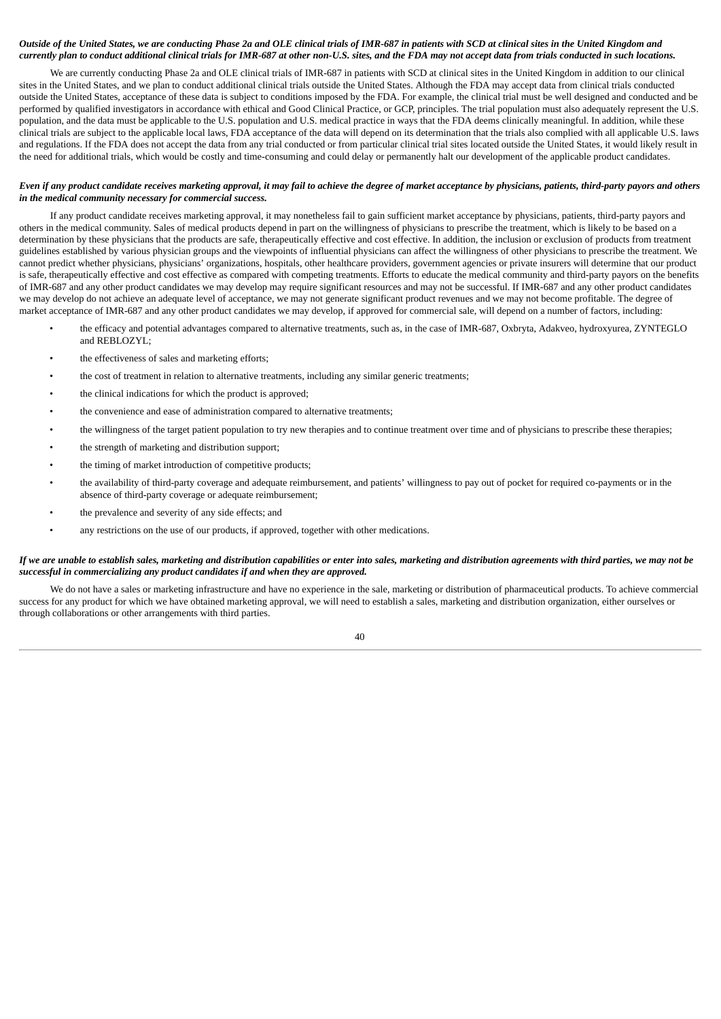# Outside of the United States, we are conducting Phase 2a and OLE clinical trials of IMR-687 in patients with SCD at clinical sites in the United Kingdom and currently plan to conduct additional clinical trials for IMR-687 at other non-U.S. sites, and the FDA may not accept data from trials conducted in such locations.

We are currently conducting Phase 2a and OLE clinical trials of IMR-687 in patients with SCD at clinical sites in the United Kingdom in addition to our clinical sites in the United States, and we plan to conduct additional clinical trials outside the United States. Although the FDA may accept data from clinical trials conducted outside the United States, acceptance of these data is subject to conditions imposed by the FDA. For example, the clinical trial must be well designed and conducted and be performed by qualified investigators in accordance with ethical and Good Clinical Practice, or GCP, principles. The trial population must also adequately represent the U.S. population, and the data must be applicable to the U.S. population and U.S. medical practice in ways that the FDA deems clinically meaningful. In addition, while these clinical trials are subject to the applicable local laws, FDA acceptance of the data will depend on its determination that the trials also complied with all applicable U.S. laws and regulations. If the FDA does not accept the data from any trial conducted or from particular clinical trial sites located outside the United States, it would likely result in the need for additional trials, which would be costly and time-consuming and could delay or permanently halt our development of the applicable product candidates.

### Even if any product candidate receives marketing approval, it may fail to achieve the degree of market acceptance by physicians, patients, third-party payors and others *in the medical community necessary for commercial success.*

If any product candidate receives marketing approval, it may nonetheless fail to gain sufficient market acceptance by physicians, patients, third-party payors and others in the medical community. Sales of medical products depend in part on the willingness of physicians to prescribe the treatment, which is likely to be based on a determination by these physicians that the products are safe, therapeutically effective and cost effective. In addition, the inclusion or exclusion of products from treatment guidelines established by various physician groups and the viewpoints of influential physicians can affect the willingness of other physicians to prescribe the treatment. We cannot predict whether physicians, physicians' organizations, hospitals, other healthcare providers, government agencies or private insurers will determine that our product is safe, therapeutically effective and cost effective as compared with competing treatments. Efforts to educate the medical community and third-party payors on the benefits of IMR-687 and any other product candidates we may develop may require significant resources and may not be successful. If IMR-687 and any other product candidates we may develop do not achieve an adequate level of acceptance, we may not generate significant product revenues and we may not become profitable. The degree of market acceptance of IMR-687 and any other product candidates we may develop, if approved for commercial sale, will depend on a number of factors, including:

- the efficacy and potential advantages compared to alternative treatments, such as, in the case of IMR-687, Oxbryta, Adakveo, hydroxyurea, ZYNTEGLO and REBLOZYL:
- the effectiveness of sales and marketing efforts:
- the cost of treatment in relation to alternative treatments, including any similar generic treatments;
- the clinical indications for which the product is approved;
- the convenience and ease of administration compared to alternative treatments;
- the willingness of the target patient population to try new therapies and to continue treatment over time and of physicians to prescribe these therapies;
- the strength of marketing and distribution support;
- the timing of market introduction of competitive products;
- the availability of third-party coverage and adequate reimbursement, and patients' willingness to pay out of pocket for required co-payments or in the absence of third-party coverage or adequate reimbursement;
- the prevalence and severity of any side effects; and
- any restrictions on the use of our products, if approved, together with other medications.

## If we are unable to establish sales, marketing and distribution capabilities or enter into sales, marketing and distribution agreements with third parties, we may not be *successful in commercializing any product candidates if and when they are approved.*

We do not have a sales or marketing infrastructure and have no experience in the sale, marketing or distribution of pharmaceutical products. To achieve commercial success for any product for which we have obtained marketing approval, we will need to establish a sales, marketing and distribution organization, either ourselves or through collaborations or other arrangements with third parties.

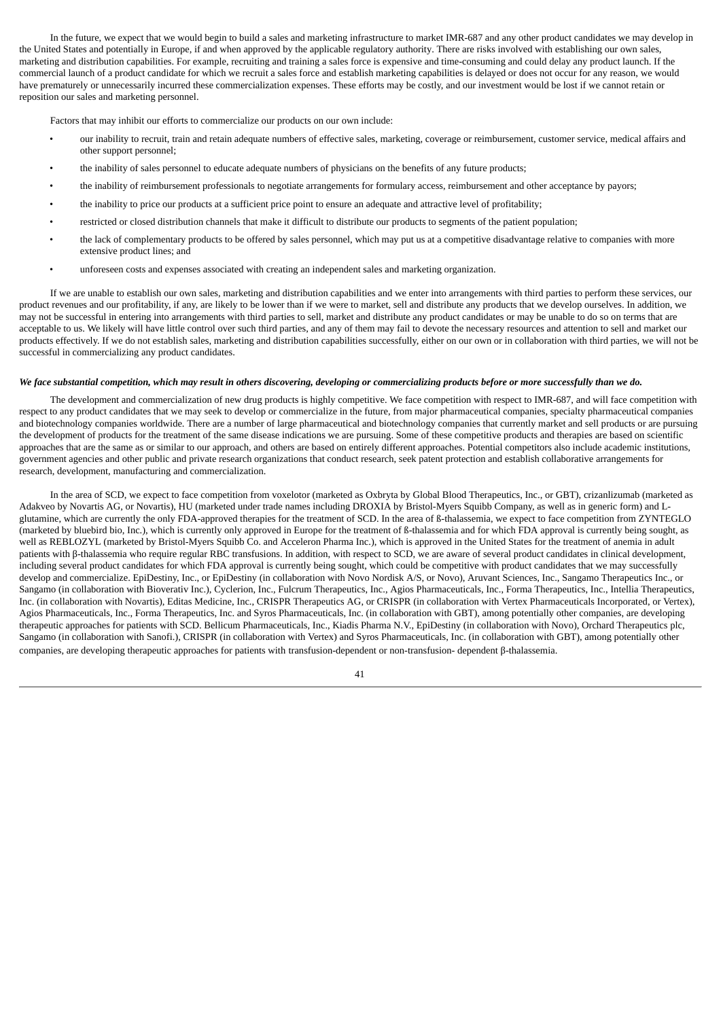In the future, we expect that we would begin to build a sales and marketing infrastructure to market IMR-687 and any other product candidates we may develop in the United States and potentially in Europe, if and when approved by the applicable regulatory authority. There are risks involved with establishing our own sales, marketing and distribution capabilities. For example, recruiting and training a sales force is expensive and time-consuming and could delay any product launch. If the commercial launch of a product candidate for which we recruit a sales force and establish marketing capabilities is delayed or does not occur for any reason, we would have prematurely or unnecessarily incurred these commercialization expenses. These efforts may be costly, and our investment would be lost if we cannot retain or reposition our sales and marketing personnel.

Factors that may inhibit our efforts to commercialize our products on our own include:

- our inability to recruit, train and retain adequate numbers of effective sales, marketing, coverage or reimbursement, customer service, medical affairs and other support personnel;
- the inability of sales personnel to educate adequate numbers of physicians on the benefits of any future products;
- the inability of reimbursement professionals to negotiate arrangements for formulary access, reimbursement and other acceptance by payors;
- the inability to price our products at a sufficient price point to ensure an adequate and attractive level of profitability;
- restricted or closed distribution channels that make it difficult to distribute our products to segments of the patient population;
- the lack of complementary products to be offered by sales personnel, which may put us at a competitive disadvantage relative to companies with more extensive product lines; and
- unforeseen costs and expenses associated with creating an independent sales and marketing organization.

If we are unable to establish our own sales, marketing and distribution capabilities and we enter into arrangements with third parties to perform these services, our product revenues and our profitability, if any, are likely to be lower than if we were to market, sell and distribute any products that we develop ourselves. In addition, we may not be successful in entering into arrangements with third parties to sell, market and distribute any product candidates or may be unable to do so on terms that are acceptable to us. We likely will have little control over such third parties, and any of them may fail to devote the necessary resources and attention to sell and market our products effectively. If we do not establish sales, marketing and distribution capabilities successfully, either on our own or in collaboration with third parties, we will not be successful in commercializing any product candidates.

#### We face substantial competition, which may result in others discovering, developing or commercializing products before or more successfully than we do.

The development and commercialization of new drug products is highly competitive. We face competition with respect to IMR-687, and will face competition with respect to any product candidates that we may seek to develop or commercialize in the future, from major pharmaceutical companies, specialty pharmaceutical companies and biotechnology companies worldwide. There are a number of large pharmaceutical and biotechnology companies that currently market and sell products or are pursuing the development of products for the treatment of the same disease indications we are pursuing. Some of these competitive products and therapies are based on scientific approaches that are the same as or similar to our approach, and others are based on entirely different approaches. Potential competitors also include academic institutions, government agencies and other public and private research organizations that conduct research, seek patent protection and establish collaborative arrangements for research, development, manufacturing and commercialization.

In the area of SCD, we expect to face competition from voxelotor (marketed as Oxbryta by Global Blood Therapeutics, Inc., or GBT), crizanlizumab (marketed as Adakveo by Novartis AG, or Novartis), HU (marketed under trade names including DROXIA by Bristol-Myers Squibb Company, as well as in generic form) and Lglutamine, which are currently the only FDA-approved therapies for the treatment of SCD. In the area of ß-thalassemia, we expect to face competition from ZYNTEGLO (marketed by bluebird bio, Inc.), which is currently only approved in Europe for the treatment of ß-thalassemia and for which FDA approval is currently being sought, as well as REBLOZYL (marketed by Bristol-Myers Squibb Co. and Acceleron Pharma Inc.), which is approved in the United States for the treatment of anemia in adult patients with β-thalassemia who require regular RBC transfusions. In addition, with respect to SCD, we are aware of several product candidates in clinical development, including several product candidates for which FDA approval is currently being sought, which could be competitive with product candidates that we may successfully develop and commercialize. EpiDestiny, Inc., or EpiDestiny (in collaboration with Novo Nordisk A/S, or Novo), Aruvant Sciences, Inc., Sangamo Therapeutics Inc., or Sangamo (in collaboration with Bioverativ Inc.), Cyclerion, Inc., Fulcrum Therapeutics, Inc., Agios Pharmaceuticals, Inc., Forma Therapeutics, Inc., Intellia Therapeutics, Inc. (in collaboration with Novartis), Editas Medicine, Inc., CRISPR Therapeutics AG, or CRISPR (in collaboration with Vertex Pharmaceuticals Incorporated, or Vertex), Agios Pharmaceuticals, Inc., Forma Therapeutics, Inc. and Syros Pharmaceuticals, Inc. (in collaboration with GBT), among potentially other companies, are developing therapeutic approaches for patients with SCD. Bellicum Pharmaceuticals, Inc., Kiadis Pharma N.V., EpiDestiny (in collaboration with Novo), Orchard Therapeutics plc, Sangamo (in collaboration with Sanofi.), CRISPR (in collaboration with Vertex) and Syros Pharmaceuticals, Inc. (in collaboration with GBT), among potentially other companies, are developing therapeutic approaches for patients with transfusion-dependent or non-transfusion- dependent β-thalassemia.

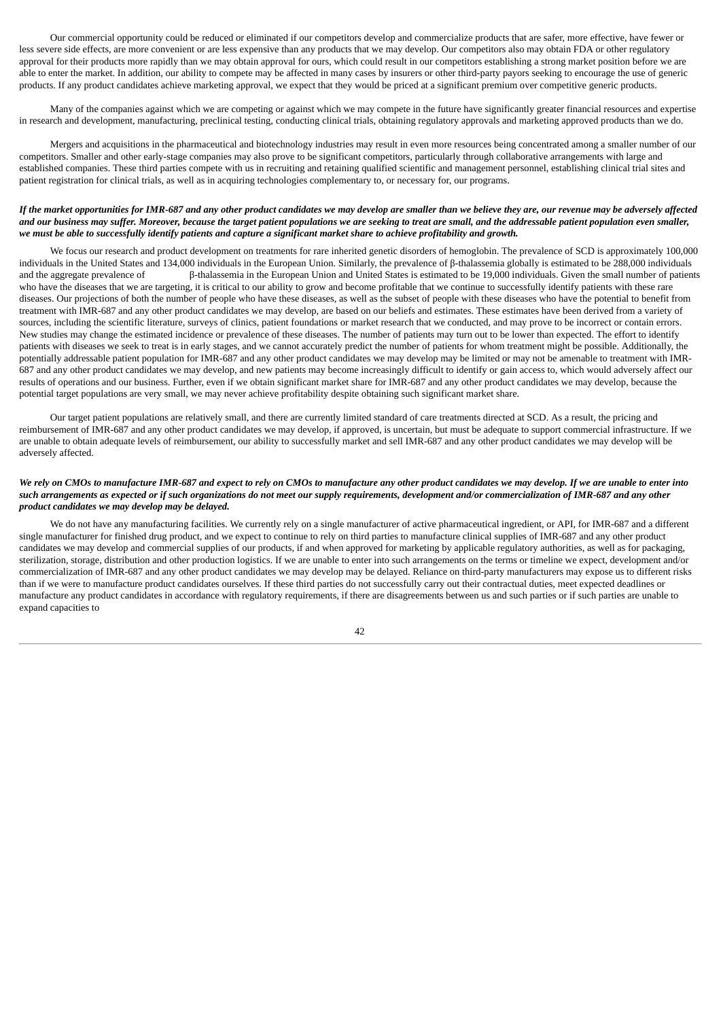Our commercial opportunity could be reduced or eliminated if our competitors develop and commercialize products that are safer, more effective, have fewer or less severe side effects, are more convenient or are less expensive than any products that we may develop. Our competitors also may obtain FDA or other regulatory approval for their products more rapidly than we may obtain approval for ours, which could result in our competitors establishing a strong market position before we are able to enter the market. In addition, our ability to compete may be affected in many cases by insurers or other third-party payors seeking to encourage the use of generic products. If any product candidates achieve marketing approval, we expect that they would be priced at a significant premium over competitive generic products.

Many of the companies against which we are competing or against which we may compete in the future have significantly greater financial resources and expertise in research and development, manufacturing, preclinical testing, conducting clinical trials, obtaining regulatory approvals and marketing approved products than we do.

Mergers and acquisitions in the pharmaceutical and biotechnology industries may result in even more resources being concentrated among a smaller number of our competitors. Smaller and other early-stage companies may also prove to be significant competitors, particularly through collaborative arrangements with large and established companies. These third parties compete with us in recruiting and retaining qualified scientific and management personnel, establishing clinical trial sites and patient registration for clinical trials, as well as in acquiring technologies complementary to, or necessary for, our programs.

## If the market opportunities for IMR-687 and any other product candidates we may develop are smaller than we believe they are, our revenue may be adversely affected and our business may suffer. Moreover, because the target patient populations we are seeking to treat are small, and the addressable patient population even smaller, we must be able to successfully identify patients and capture a significant market share to achieve profitability and growth.

We focus our research and product development on treatments for rare inherited genetic disorders of hemoglobin. The prevalence of SCD is approximately 100,000 individuals in the United States and 134,000 individuals in the European Union. Similarly, the prevalence of β-thalassemia globally is estimated to be 288,000 individuals and the aggregate prevalence of β-thalassemia in the European Union and United States is estimated to be 19,000 individuals. Given the small number of patients who have the diseases that we are targeting, it is critical to our ability to grow and become profitable that we continue to successfully identify patients with these rare diseases. Our projections of both the number of people who have these diseases, as well as the subset of people with these diseases who have the potential to benefit from treatment with IMR-687 and any other product candidates we may develop, are based on our beliefs and estimates. These estimates have been derived from a variety of sources, including the scientific literature, surveys of clinics, patient foundations or market research that we conducted, and may prove to be incorrect or contain errors. New studies may change the estimated incidence or prevalence of these diseases. The number of patients may turn out to be lower than expected. The effort to identify patients with diseases we seek to treat is in early stages, and we cannot accurately predict the number of patients for whom treatment might be possible. Additionally, the potentially addressable patient population for IMR-687 and any other product candidates we may develop may be limited or may not be amenable to treatment with IMR-687 and any other product candidates we may develop, and new patients may become increasingly difficult to identify or gain access to, which would adversely affect our results of operations and our business. Further, even if we obtain significant market share for IMR-687 and any other product candidates we may develop, because the potential target populations are very small, we may never achieve profitability despite obtaining such significant market share.

Our target patient populations are relatively small, and there are currently limited standard of care treatments directed at SCD. As a result, the pricing and reimbursement of IMR-687 and any other product candidates we may develop, if approved, is uncertain, but must be adequate to support commercial infrastructure. If we are unable to obtain adequate levels of reimbursement, our ability to successfully market and sell IMR-687 and any other product candidates we may develop will be adversely affected.

# We rely on CMOs to manufacture IMR-687 and expect to rely on CMOs to manufacture any other product candidates we may develop. If we are unable to enter into such arrangements as expected or if such organizations do not meet our supply requirements, development and/or commercialization of IMR-687 and any other *product candidates we may develop may be delayed.*

We do not have any manufacturing facilities. We currently rely on a single manufacturer of active pharmaceutical ingredient, or API, for IMR-687 and a different single manufacturer for finished drug product, and we expect to continue to rely on third parties to manufacture clinical supplies of IMR-687 and any other product candidates we may develop and commercial supplies of our products, if and when approved for marketing by applicable regulatory authorities, as well as for packaging, sterilization, storage, distribution and other production logistics. If we are unable to enter into such arrangements on the terms or timeline we expect, development and/or commercialization of IMR-687 and any other product candidates we may develop may be delayed. Reliance on third-party manufacturers may expose us to different risks than if we were to manufacture product candidates ourselves. If these third parties do not successfully carry out their contractual duties, meet expected deadlines or manufacture any product candidates in accordance with regulatory requirements, if there are disagreements between us and such parties or if such parties are unable to expand capacities to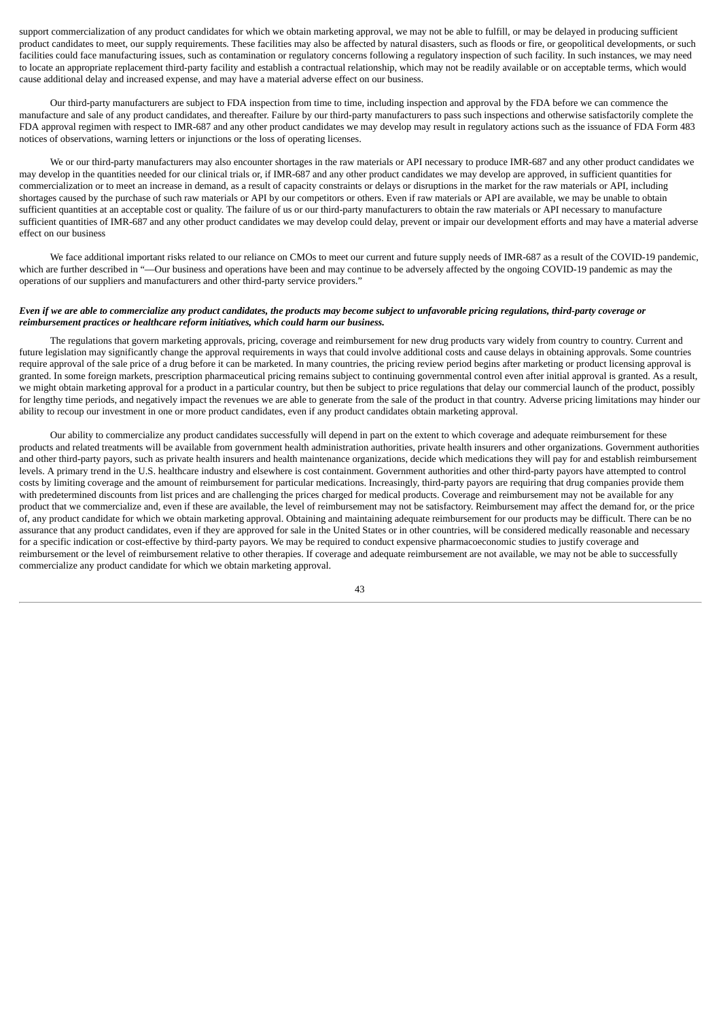support commercialization of any product candidates for which we obtain marketing approval, we may not be able to fulfill, or may be delayed in producing sufficient product candidates to meet, our supply requirements. These facilities may also be affected by natural disasters, such as floods or fire, or geopolitical developments, or such facilities could face manufacturing issues, such as contamination or regulatory concerns following a regulatory inspection of such facility. In such instances, we may need to locate an appropriate replacement third-party facility and establish a contractual relationship, which may not be readily available or on acceptable terms, which would cause additional delay and increased expense, and may have a material adverse effect on our business.

Our third-party manufacturers are subject to FDA inspection from time to time, including inspection and approval by the FDA before we can commence the manufacture and sale of any product candidates, and thereafter. Failure by our third-party manufacturers to pass such inspections and otherwise satisfactorily complete the FDA approval regimen with respect to IMR-687 and any other product candidates we may develop may result in regulatory actions such as the issuance of FDA Form 483 notices of observations, warning letters or injunctions or the loss of operating licenses.

We or our third-party manufacturers may also encounter shortages in the raw materials or API necessary to produce IMR-687 and any other product candidates we may develop in the quantities needed for our clinical trials or, if IMR-687 and any other product candidates we may develop are approved, in sufficient quantities for commercialization or to meet an increase in demand, as a result of capacity constraints or delays or disruptions in the market for the raw materials or API, including shortages caused by the purchase of such raw materials or API by our competitors or others. Even if raw materials or API are available, we may be unable to obtain sufficient quantities at an acceptable cost or quality. The failure of us or our third-party manufacturers to obtain the raw materials or API necessary to manufacture sufficient quantities of IMR-687 and any other product candidates we may develop could delay, prevent or impair our development efforts and may have a material adverse effect on our business

We face additional important risks related to our reliance on CMOs to meet our current and future supply needs of IMR-687 as a result of the COVID-19 pandemic, which are further described in "—Our business and operations have been and may continue to be adversely affected by the ongoing COVID-19 pandemic as may the operations of our suppliers and manufacturers and other third-party service providers."

# Even if we are able to commercialize any product candidates, the products may become subject to unfavorable pricing regulations, third-party coverage or *reimbursement practices or healthcare reform initiatives, which could harm our business.*

The regulations that govern marketing approvals, pricing, coverage and reimbursement for new drug products vary widely from country to country. Current and future legislation may significantly change the approval requirements in ways that could involve additional costs and cause delays in obtaining approvals. Some countries require approval of the sale price of a drug before it can be marketed. In many countries, the pricing review period begins after marketing or product licensing approval is granted. In some foreign markets, prescription pharmaceutical pricing remains subject to continuing governmental control even after initial approval is granted. As a result, we might obtain marketing approval for a product in a particular country, but then be subject to price regulations that delay our commercial launch of the product, possibly for lengthy time periods, and negatively impact the revenues we are able to generate from the sale of the product in that country. Adverse pricing limitations may hinder our ability to recoup our investment in one or more product candidates, even if any product candidates obtain marketing approval.

Our ability to commercialize any product candidates successfully will depend in part on the extent to which coverage and adequate reimbursement for these products and related treatments will be available from government health administration authorities, private health insurers and other organizations. Government authorities and other third-party payors, such as private health insurers and health maintenance organizations, decide which medications they will pay for and establish reimbursement levels. A primary trend in the U.S. healthcare industry and elsewhere is cost containment. Government authorities and other third-party payors have attempted to control costs by limiting coverage and the amount of reimbursement for particular medications. Increasingly, third-party payors are requiring that drug companies provide them with predetermined discounts from list prices and are challenging the prices charged for medical products. Coverage and reimbursement may not be available for any product that we commercialize and, even if these are available, the level of reimbursement may not be satisfactory. Reimbursement may affect the demand for, or the price of, any product candidate for which we obtain marketing approval. Obtaining and maintaining adequate reimbursement for our products may be difficult. There can be no assurance that any product candidates, even if they are approved for sale in the United States or in other countries, will be considered medically reasonable and necessary for a specific indication or cost-effective by third-party payors. We may be required to conduct expensive pharmacoeconomic studies to justify coverage and reimbursement or the level of reimbursement relative to other therapies. If coverage and adequate reimbursement are not available, we may not be able to successfully commercialize any product candidate for which we obtain marketing approval.

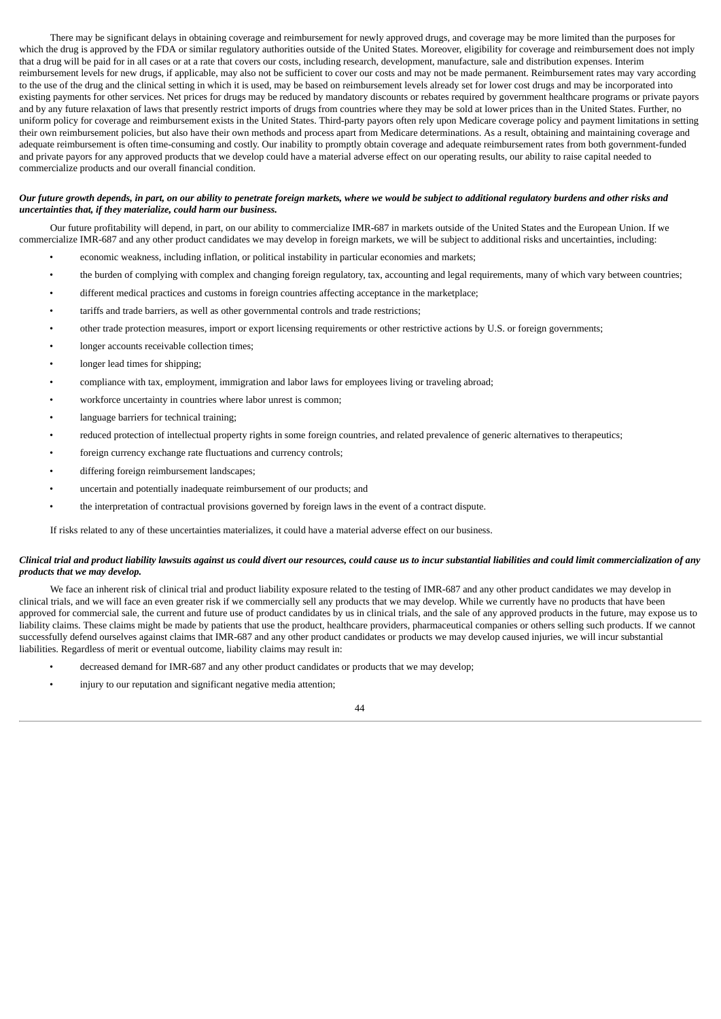There may be significant delays in obtaining coverage and reimbursement for newly approved drugs, and coverage may be more limited than the purposes for which the drug is approved by the FDA or similar regulatory authorities outside of the United States. Moreover, eligibility for coverage and reimbursement does not imply that a drug will be paid for in all cases or at a rate that covers our costs, including research, development, manufacture, sale and distribution expenses. Interim reimbursement levels for new drugs, if applicable, may also not be sufficient to cover our costs and may not be made permanent. Reimbursement rates may vary according to the use of the drug and the clinical setting in which it is used, may be based on reimbursement levels already set for lower cost drugs and may be incorporated into existing payments for other services. Net prices for drugs may be reduced by mandatory discounts or rebates required by government healthcare programs or private payors and by any future relaxation of laws that presently restrict imports of drugs from countries where they may be sold at lower prices than in the United States. Further, no uniform policy for coverage and reimbursement exists in the United States. Third-party payors often rely upon Medicare coverage policy and payment limitations in setting their own reimbursement policies, but also have their own methods and process apart from Medicare determinations. As a result, obtaining and maintaining coverage and adequate reimbursement is often time-consuming and costly. Our inability to promptly obtain coverage and adequate reimbursement rates from both government-funded and private payors for any approved products that we develop could have a material adverse effect on our operating results, our ability to raise capital needed to commercialize products and our overall financial condition.

## Our future growth depends, in part, on our ability to penetrate foreign markets, where we would be subject to additional regulatory burdens and other risks and *uncertainties that, if they materialize, could harm our business.*

Our future profitability will depend, in part, on our ability to commercialize IMR-687 in markets outside of the United States and the European Union. If we commercialize IMR-687 and any other product candidates we may develop in foreign markets, we will be subject to additional risks and uncertainties, including:

- economic weakness, including inflation, or political instability in particular economies and markets;
- the burden of complying with complex and changing foreign regulatory, tax, accounting and legal requirements, many of which vary between countries;
- different medical practices and customs in foreign countries affecting acceptance in the marketplace;
- tariffs and trade barriers, as well as other governmental controls and trade restrictions;
- other trade protection measures, import or export licensing requirements or other restrictive actions by U.S. or foreign governments;
- longer accounts receivable collection times;
- longer lead times for shipping;
- compliance with tax, employment, immigration and labor laws for employees living or traveling abroad;
- workforce uncertainty in countries where labor unrest is common;
- language barriers for technical training;
- reduced protection of intellectual property rights in some foreign countries, and related prevalence of generic alternatives to therapeutics;
- foreign currency exchange rate fluctuations and currency controls;
- differing foreign reimbursement landscapes;
- uncertain and potentially inadequate reimbursement of our products; and
- the interpretation of contractual provisions governed by foreign laws in the event of a contract dispute.

If risks related to any of these uncertainties materializes, it could have a material adverse effect on our business.

## Clinical trial and product liability lawsuits against us could divert our resources, could cause us to incur substantial liabilities and could limit commercialization of any *products that we may develop.*

We face an inherent risk of clinical trial and product liability exposure related to the testing of IMR-687 and any other product candidates we may develop in clinical trials, and we will face an even greater risk if we commercially sell any products that we may develop. While we currently have no products that have been approved for commercial sale, the current and future use of product candidates by us in clinical trials, and the sale of any approved products in the future, may expose us to liability claims. These claims might be made by patients that use the product, healthcare providers, pharmaceutical companies or others selling such products. If we cannot successfully defend ourselves against claims that IMR-687 and any other product candidates or products we may develop caused injuries, we will incur substantial liabilities. Regardless of merit or eventual outcome, liability claims may result in:

- decreased demand for IMR-687 and any other product candidates or products that we may develop;
- injury to our reputation and significant negative media attention;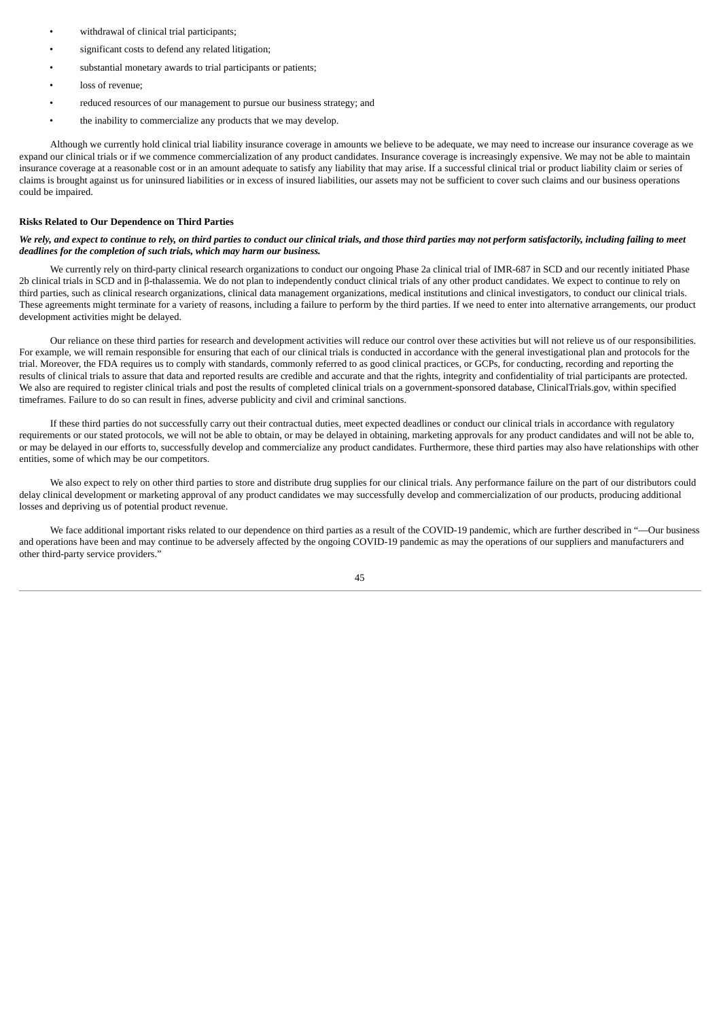- withdrawal of clinical trial participants;
- significant costs to defend any related litigation:
- substantial monetary awards to trial participants or patients;
- loss of revenue;
- reduced resources of our management to pursue our business strategy; and
- the inability to commercialize any products that we may develop.

Although we currently hold clinical trial liability insurance coverage in amounts we believe to be adequate, we may need to increase our insurance coverage as we expand our clinical trials or if we commence commercialization of any product candidates. Insurance coverage is increasingly expensive. We may not be able to maintain insurance coverage at a reasonable cost or in an amount adequate to satisfy any liability that may arise. If a successful clinical trial or product liability claim or series of claims is brought against us for uninsured liabilities or in excess of insured liabilities, our assets may not be sufficient to cover such claims and our business operations could be impaired.

#### **Risks Related to Our Dependence on Third Parties**

### We rely, and expect to continue to rely, on third parties to conduct our clinical trials, and those third parties may not perform satisfactorily, including failing to meet *deadlines for the completion of such trials, which may harm our business.*

We currently rely on third-party clinical research organizations to conduct our ongoing Phase 2a clinical trial of IMR-687 in SCD and our recently initiated Phase 2b clinical trials in SCD and in β-thalassemia. We do not plan to independently conduct clinical trials of any other product candidates. We expect to continue to rely on third parties, such as clinical research organizations, clinical data management organizations, medical institutions and clinical investigators, to conduct our clinical trials. These agreements might terminate for a variety of reasons, including a failure to perform by the third parties. If we need to enter into alternative arrangements, our product development activities might be delayed.

Our reliance on these third parties for research and development activities will reduce our control over these activities but will not relieve us of our responsibilities. For example, we will remain responsible for ensuring that each of our clinical trials is conducted in accordance with the general investigational plan and protocols for the trial. Moreover, the FDA requires us to comply with standards, commonly referred to as good clinical practices, or GCPs, for conducting, recording and reporting the results of clinical trials to assure that data and reported results are credible and accurate and that the rights, integrity and confidentiality of trial participants are protected. We also are required to register clinical trials and post the results of completed clinical trials on a government-sponsored database, ClinicalTrials.gov, within specified timeframes. Failure to do so can result in fines, adverse publicity and civil and criminal sanctions.

If these third parties do not successfully carry out their contractual duties, meet expected deadlines or conduct our clinical trials in accordance with regulatory requirements or our stated protocols, we will not be able to obtain, or may be delayed in obtaining, marketing approvals for any product candidates and will not be able to, or may be delayed in our efforts to, successfully develop and commercialize any product candidates. Furthermore, these third parties may also have relationships with other entities, some of which may be our competitors.

We also expect to rely on other third parties to store and distribute drug supplies for our clinical trials. Any performance failure on the part of our distributors could delay clinical development or marketing approval of any product candidates we may successfully develop and commercialization of our products, producing additional losses and depriving us of potential product revenue.

We face additional important risks related to our dependence on third parties as a result of the COVID-19 pandemic, which are further described in "—Our business and operations have been and may continue to be adversely affected by the ongoing COVID-19 pandemic as may the operations of our suppliers and manufacturers and other third-party service providers."

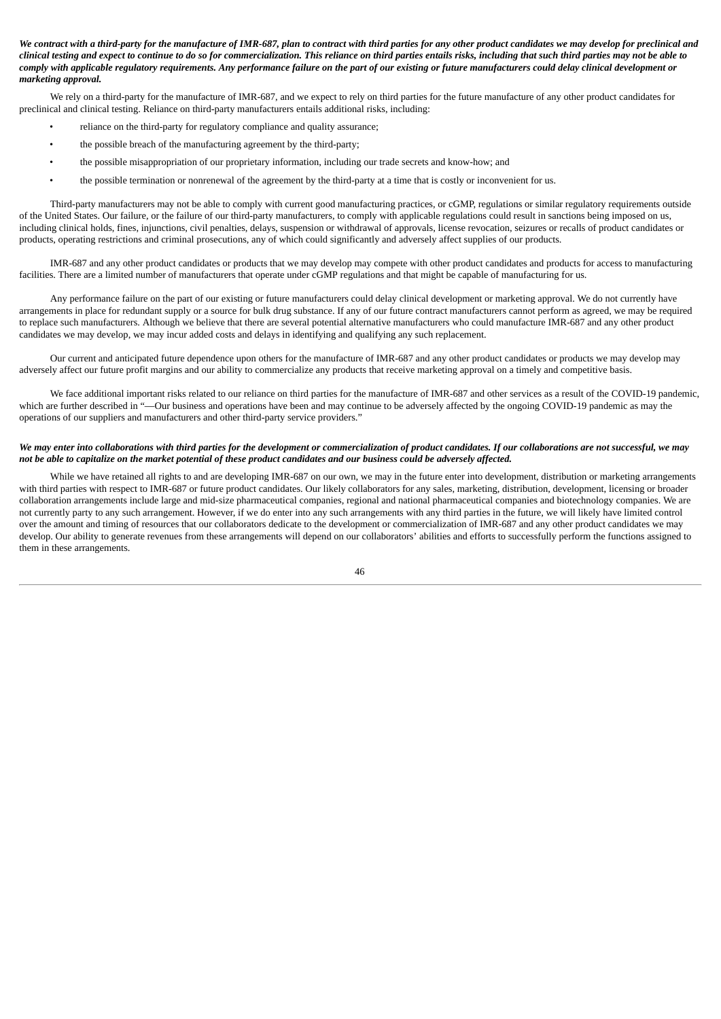We contract with a third-party for the manufacture of IMR-687, plan to contract with third parties for any other product candidates we may develop for preclinical and clinical testing and expect to continue to do so for commercialization. This reliance on third parties entails risks, including that such third parties may not be able to comply with applicable regulatory requirements. Any performance failure on the part of our existing or future manufacturers could delay clinical development or *marketing approval.*

We rely on a third-party for the manufacture of IMR-687, and we expect to rely on third parties for the future manufacture of any other product candidates for preclinical and clinical testing. Reliance on third-party manufacturers entails additional risks, including:

- reliance on the third-party for regulatory compliance and quality assurance;
- the possible breach of the manufacturing agreement by the third-party;
- the possible misappropriation of our proprietary information, including our trade secrets and know-how; and
- the possible termination or nonrenewal of the agreement by the third-party at a time that is costly or inconvenient for us.

Third-party manufacturers may not be able to comply with current good manufacturing practices, or cGMP, regulations or similar regulatory requirements outside of the United States. Our failure, or the failure of our third-party manufacturers, to comply with applicable regulations could result in sanctions being imposed on us, including clinical holds, fines, injunctions, civil penalties, delays, suspension or withdrawal of approvals, license revocation, seizures or recalls of product candidates or products, operating restrictions and criminal prosecutions, any of which could significantly and adversely affect supplies of our products.

IMR-687 and any other product candidates or products that we may develop may compete with other product candidates and products for access to manufacturing facilities. There are a limited number of manufacturers that operate under cGMP regulations and that might be capable of manufacturing for us.

Any performance failure on the part of our existing or future manufacturers could delay clinical development or marketing approval. We do not currently have arrangements in place for redundant supply or a source for bulk drug substance. If any of our future contract manufacturers cannot perform as agreed, we may be required to replace such manufacturers. Although we believe that there are several potential alternative manufacturers who could manufacture IMR-687 and any other product candidates we may develop, we may incur added costs and delays in identifying and qualifying any such replacement.

Our current and anticipated future dependence upon others for the manufacture of IMR-687 and any other product candidates or products we may develop may adversely affect our future profit margins and our ability to commercialize any products that receive marketing approval on a timely and competitive basis.

We face additional important risks related to our reliance on third parties for the manufacture of IMR-687 and other services as a result of the COVID-19 pandemic, which are further described in "-Our business and operations have been and may continue to be adversely affected by the ongoing COVID-19 pandemic as may the operations of our suppliers and manufacturers and other third-party service providers."

### We may enter into collaborations with third parties for the development or commercialization of product candidates. If our collaborations are not successful, we may not be able to capitalize on the market potential of these product candidates and our business could be adversely affected.

While we have retained all rights to and are developing IMR-687 on our own, we may in the future enter into development, distribution or marketing arrangements with third parties with respect to IMR-687 or future product candidates. Our likely collaborators for any sales, marketing, distribution, development, licensing or broader collaboration arrangements include large and mid-size pharmaceutical companies, regional and national pharmaceutical companies and biotechnology companies. We are not currently party to any such arrangement. However, if we do enter into any such arrangements with any third parties in the future, we will likely have limited control over the amount and timing of resources that our collaborators dedicate to the development or commercialization of IMR-687 and any other product candidates we may develop. Our ability to generate revenues from these arrangements will depend on our collaborators' abilities and efforts to successfully perform the functions assigned to them in these arrangements.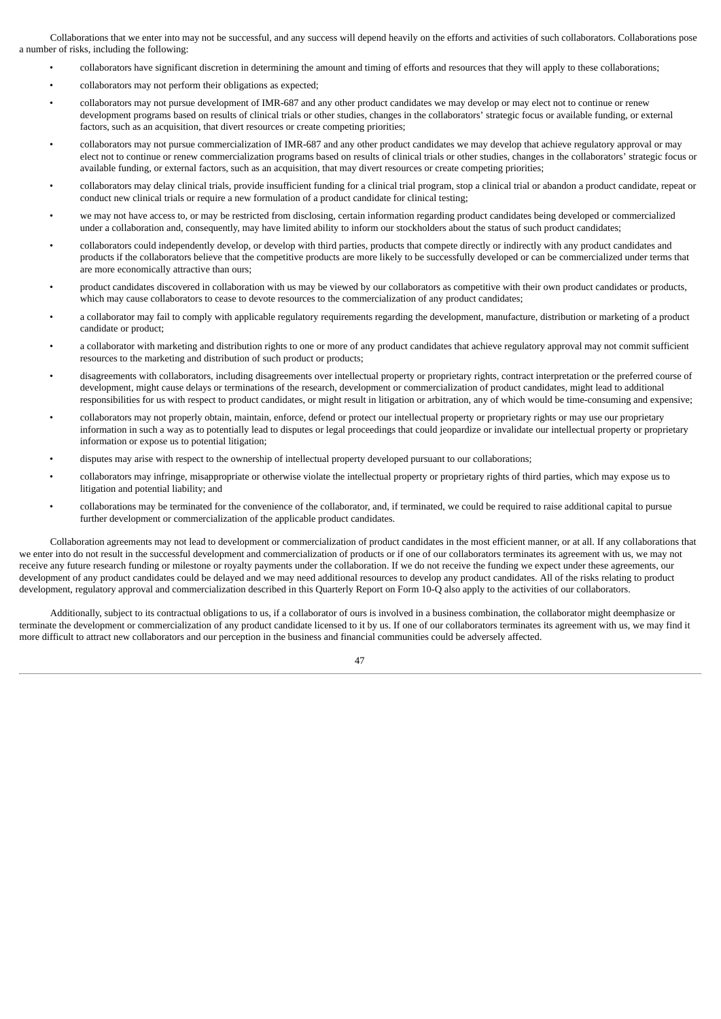Collaborations that we enter into may not be successful, and any success will depend heavily on the efforts and activities of such collaborators. Collaborations pose a number of risks, including the following:

- collaborators have significant discretion in determining the amount and timing of efforts and resources that they will apply to these collaborations;
- collaborators may not perform their obligations as expected;
- collaborators may not pursue development of IMR-687 and any other product candidates we may develop or may elect not to continue or renew development programs based on results of clinical trials or other studies, changes in the collaborators' strategic focus or available funding, or external factors, such as an acquisition, that divert resources or create competing priorities;
- collaborators may not pursue commercialization of IMR-687 and any other product candidates we may develop that achieve regulatory approval or may elect not to continue or renew commercialization programs based on results of clinical trials or other studies, changes in the collaborators' strategic focus or available funding, or external factors, such as an acquisition, that may divert resources or create competing priorities;
- collaborators may delay clinical trials, provide insufficient funding for a clinical trial program, stop a clinical trial or abandon a product candidate, repeat or conduct new clinical trials or require a new formulation of a product candidate for clinical testing;
- we may not have access to, or may be restricted from disclosing, certain information regarding product candidates being developed or commercialized under a collaboration and, consequently, may have limited ability to inform our stockholders about the status of such product candidates;
- collaborators could independently develop, or develop with third parties, products that compete directly or indirectly with any product candidates and products if the collaborators believe that the competitive products are more likely to be successfully developed or can be commercialized under terms that are more economically attractive than ours;
- product candidates discovered in collaboration with us may be viewed by our collaborators as competitive with their own product candidates or products, which may cause collaborators to cease to devote resources to the commercialization of any product candidates;
- a collaborator may fail to comply with applicable regulatory requirements regarding the development, manufacture, distribution or marketing of a product candidate or product;
- a collaborator with marketing and distribution rights to one or more of any product candidates that achieve regulatory approval may not commit sufficient resources to the marketing and distribution of such product or products;
- disagreements with collaborators, including disagreements over intellectual property or proprietary rights, contract interpretation or the preferred course of development, might cause delays or terminations of the research, development or commercialization of product candidates, might lead to additional responsibilities for us with respect to product candidates, or might result in litigation or arbitration, any of which would be time-consuming and expensive;
- collaborators may not properly obtain, maintain, enforce, defend or protect our intellectual property or proprietary rights or may use our proprietary information in such a way as to potentially lead to disputes or legal proceedings that could jeopardize or invalidate our intellectual property or proprietary information or expose us to potential litigation;
- disputes may arise with respect to the ownership of intellectual property developed pursuant to our collaborations;
- collaborators may infringe, misappropriate or otherwise violate the intellectual property or proprietary rights of third parties, which may expose us to litigation and potential liability; and
- collaborations may be terminated for the convenience of the collaborator, and, if terminated, we could be required to raise additional capital to pursue further development or commercialization of the applicable product candidates.

Collaboration agreements may not lead to development or commercialization of product candidates in the most efficient manner, or at all. If any collaborations that we enter into do not result in the successful development and commercialization of products or if one of our collaborators terminates its agreement with us, we may not receive any future research funding or milestone or royalty payments under the collaboration. If we do not receive the funding we expect under these agreements, our development of any product candidates could be delayed and we may need additional resources to develop any product candidates. All of the risks relating to product development, regulatory approval and commercialization described in this Quarterly Report on Form 10-Q also apply to the activities of our collaborators.

Additionally, subject to its contractual obligations to us, if a collaborator of ours is involved in a business combination, the collaborator might deemphasize or terminate the development or commercialization of any product candidate licensed to it by us. If one of our collaborators terminates its agreement with us, we may find it more difficult to attract new collaborators and our perception in the business and financial communities could be adversely affected.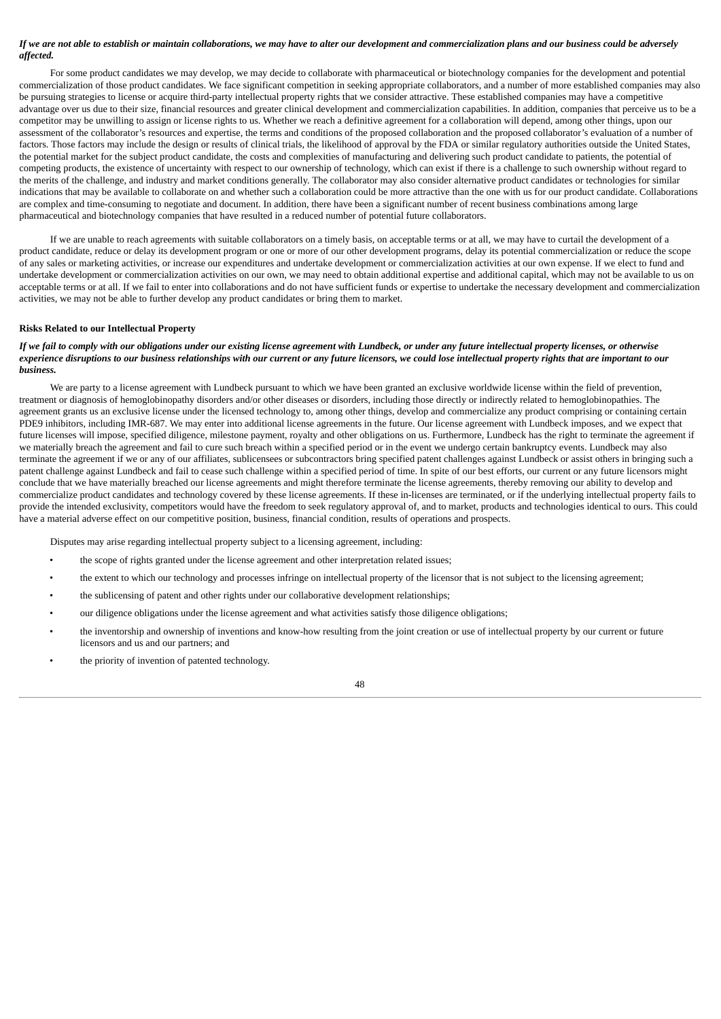### If we are not able to establish or maintain collaborations, we may have to alter our development and commercialization plans and our business could be adversely *affected.*

For some product candidates we may develop, we may decide to collaborate with pharmaceutical or biotechnology companies for the development and potential commercialization of those product candidates. We face significant competition in seeking appropriate collaborators, and a number of more established companies may also be pursuing strategies to license or acquire third-party intellectual property rights that we consider attractive. These established companies may have a competitive advantage over us due to their size, financial resources and greater clinical development and commercialization capabilities. In addition, companies that perceive us to be a competitor may be unwilling to assign or license rights to us. Whether we reach a definitive agreement for a collaboration will depend, among other things, upon our assessment of the collaborator's resources and expertise, the terms and conditions of the proposed collaboration and the proposed collaborator's evaluation of a number of factors. Those factors may include the design or results of clinical trials, the likelihood of approval by the FDA or similar regulatory authorities outside the United States, the potential market for the subject product candidate, the costs and complexities of manufacturing and delivering such product candidate to patients, the potential of competing products, the existence of uncertainty with respect to our ownership of technology, which can exist if there is a challenge to such ownership without regard to the merits of the challenge, and industry and market conditions generally. The collaborator may also consider alternative product candidates or technologies for similar indications that may be available to collaborate on and whether such a collaboration could be more attractive than the one with us for our product candidate. Collaborations are complex and time-consuming to negotiate and document. In addition, there have been a significant number of recent business combinations among large pharmaceutical and biotechnology companies that have resulted in a reduced number of potential future collaborators.

If we are unable to reach agreements with suitable collaborators on a timely basis, on acceptable terms or at all, we may have to curtail the development of a product candidate, reduce or delay its development program or one or more of our other development programs, delay its potential commercialization or reduce the scope of any sales or marketing activities, or increase our expenditures and undertake development or commercialization activities at our own expense. If we elect to fund and undertake development or commercialization activities on our own, we may need to obtain additional expertise and additional capital, which may not be available to us on acceptable terms or at all. If we fail to enter into collaborations and do not have sufficient funds or expertise to undertake the necessary development and commercialization activities, we may not be able to further develop any product candidates or bring them to market.

### **Risks Related to our Intellectual Property**

## If we fail to comply with our obligations under our existing license agreement with Lundbeck, or under any future intellectual property licenses, or otherwise experience disruptions to our business relationships with our current or any future licensors, we could lose intellectual property rights that are important to our *business.*

We are party to a license agreement with Lundbeck pursuant to which we have been granted an exclusive worldwide license within the field of prevention, treatment or diagnosis of hemoglobinopathy disorders and/or other diseases or disorders, including those directly or indirectly related to hemoglobinopathies. The agreement grants us an exclusive license under the licensed technology to, among other things, develop and commercialize any product comprising or containing certain PDE9 inhibitors, including IMR-687. We may enter into additional license agreements in the future. Our license agreement with Lundbeck imposes, and we expect that future licenses will impose, specified diligence, milestone payment, royalty and other obligations on us. Furthermore, Lundbeck has the right to terminate the agreement if we materially breach the agreement and fail to cure such breach within a specified period or in the event we undergo certain bankruptcy events. Lundbeck may also terminate the agreement if we or any of our affiliates, sublicensees or subcontractors bring specified patent challenges against Lundbeck or assist others in bringing such a patent challenge against Lundbeck and fail to cease such challenge within a specified period of time. In spite of our best efforts, our current or any future licensors might conclude that we have materially breached our license agreements and might therefore terminate the license agreements, thereby removing our ability to develop and commercialize product candidates and technology covered by these license agreements. If these in-licenses are terminated, or if the underlying intellectual property fails to provide the intended exclusivity, competitors would have the freedom to seek regulatory approval of, and to market, products and technologies identical to ours. This could have a material adverse effect on our competitive position, business, financial condition, results of operations and prospects.

Disputes may arise regarding intellectual property subject to a licensing agreement, including:

- the scope of rights granted under the license agreement and other interpretation related issues;
- the extent to which our technology and processes infringe on intellectual property of the licensor that is not subject to the licensing agreement;
- the sublicensing of patent and other rights under our collaborative development relationships;
- our diligence obligations under the license agreement and what activities satisfy those diligence obligations;
- the inventorship and ownership of inventions and know-how resulting from the joint creation or use of intellectual property by our current or future licensors and us and our partners; and
- the priority of invention of patented technology.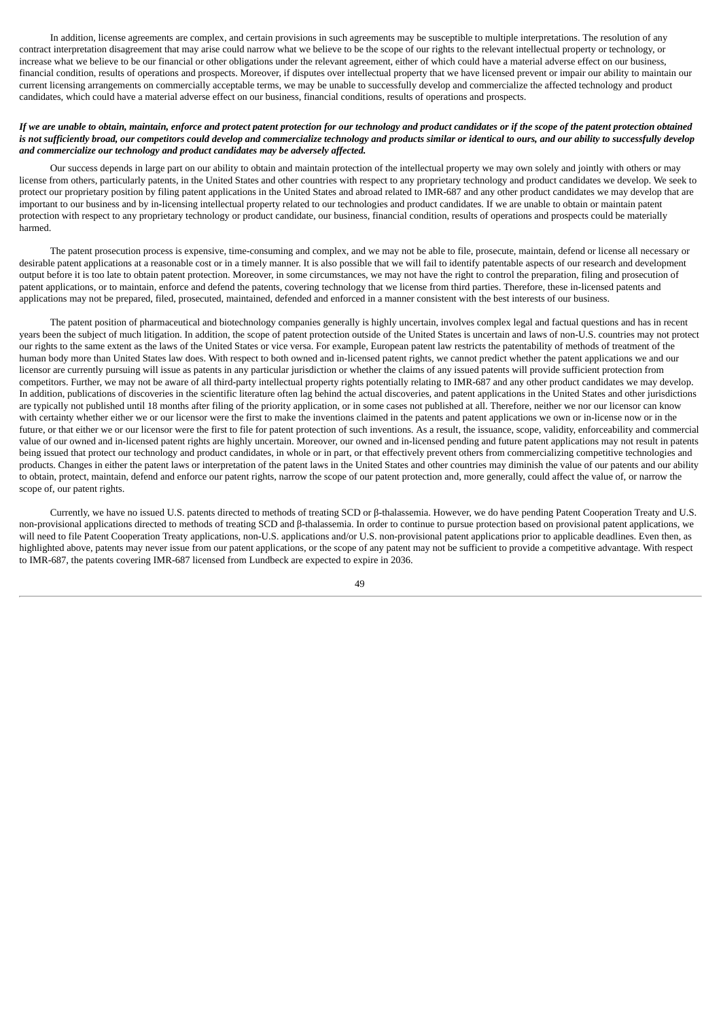In addition, license agreements are complex, and certain provisions in such agreements may be susceptible to multiple interpretations. The resolution of any contract interpretation disagreement that may arise could narrow what we believe to be the scope of our rights to the relevant intellectual property or technology, or increase what we believe to be our financial or other obligations under the relevant agreement, either of which could have a material adverse effect on our business, financial condition, results of operations and prospects. Moreover, if disputes over intellectual property that we have licensed prevent or impair our ability to maintain our current licensing arrangements on commercially acceptable terms, we may be unable to successfully develop and commercialize the affected technology and product candidates, which could have a material adverse effect on our business, financial conditions, results of operations and prospects.

# If we are unable to obtain, maintain, enforce and protect patent protection for our technology and product candidates or if the scope of the patent protection obtained is not sufficiently broad, our competitors could develop and commercialize technology and products similar or identical to ours, and our ability to successfully develop *and commercialize our technology and product candidates may be adversely affected.*

Our success depends in large part on our ability to obtain and maintain protection of the intellectual property we may own solely and jointly with others or may license from others, particularly patents, in the United States and other countries with respect to any proprietary technology and product candidates we develop. We seek to protect our proprietary position by filing patent applications in the United States and abroad related to IMR-687 and any other product candidates we may develop that are important to our business and by in-licensing intellectual property related to our technologies and product candidates. If we are unable to obtain or maintain patent protection with respect to any proprietary technology or product candidate, our business, financial condition, results of operations and prospects could be materially harmed.

The patent prosecution process is expensive, time-consuming and complex, and we may not be able to file, prosecute, maintain, defend or license all necessary or desirable patent applications at a reasonable cost or in a timely manner. It is also possible that we will fail to identify patentable aspects of our research and development output before it is too late to obtain patent protection. Moreover, in some circumstances, we may not have the right to control the preparation, filing and prosecution of patent applications, or to maintain, enforce and defend the patents, covering technology that we license from third parties. Therefore, these in-licensed patents and applications may not be prepared, filed, prosecuted, maintained, defended and enforced in a manner consistent with the best interests of our business.

The patent position of pharmaceutical and biotechnology companies generally is highly uncertain, involves complex legal and factual questions and has in recent years been the subject of much litigation. In addition, the scope of patent protection outside of the United States is uncertain and laws of non-U.S. countries may not protect our rights to the same extent as the laws of the United States or vice versa. For example, European patent law restricts the patentability of methods of treatment of the human body more than United States law does. With respect to both owned and in-licensed patent rights, we cannot predict whether the patent applications we and our licensor are currently pursuing will issue as patents in any particular jurisdiction or whether the claims of any issued patents will provide sufficient protection from competitors. Further, we may not be aware of all third-party intellectual property rights potentially relating to IMR-687 and any other product candidates we may develop. In addition, publications of discoveries in the scientific literature often lag behind the actual discoveries, and patent applications in the United States and other jurisdictions are typically not published until 18 months after filing of the priority application, or in some cases not published at all. Therefore, neither we nor our licensor can know with certainty whether either we or our licensor were the first to make the inventions claimed in the patents and patent applications we own or in-license now or in the future, or that either we or our licensor were the first to file for patent protection of such inventions. As a result, the issuance, scope, validity, enforceability and commercial value of our owned and in-licensed patent rights are highly uncertain. Moreover, our owned and in-licensed pending and future patent applications may not result in patents being issued that protect our technology and product candidates, in whole or in part, or that effectively prevent others from commercializing competitive technologies and products. Changes in either the patent laws or interpretation of the patent laws in the United States and other countries may diminish the value of our patents and our ability to obtain, protect, maintain, defend and enforce our patent rights, narrow the scope of our patent protection and, more generally, could affect the value of, or narrow the scope of, our patent rights.

Currently, we have no issued U.S. patents directed to methods of treating SCD or β-thalassemia. However, we do have pending Patent Cooperation Treaty and U.S. non-provisional applications directed to methods of treating SCD and β-thalassemia. In order to continue to pursue protection based on provisional patent applications, we will need to file Patent Cooperation Treaty applications, non-U.S. applications and/or U.S. non-provisional patent applications prior to applicable deadlines. Even then, as highlighted above, patents may never issue from our patent applications, or the scope of any patent may not be sufficient to provide a competitive advantage. With respect to IMR-687, the patents covering IMR-687 licensed from Lundbeck are expected to expire in 2036.

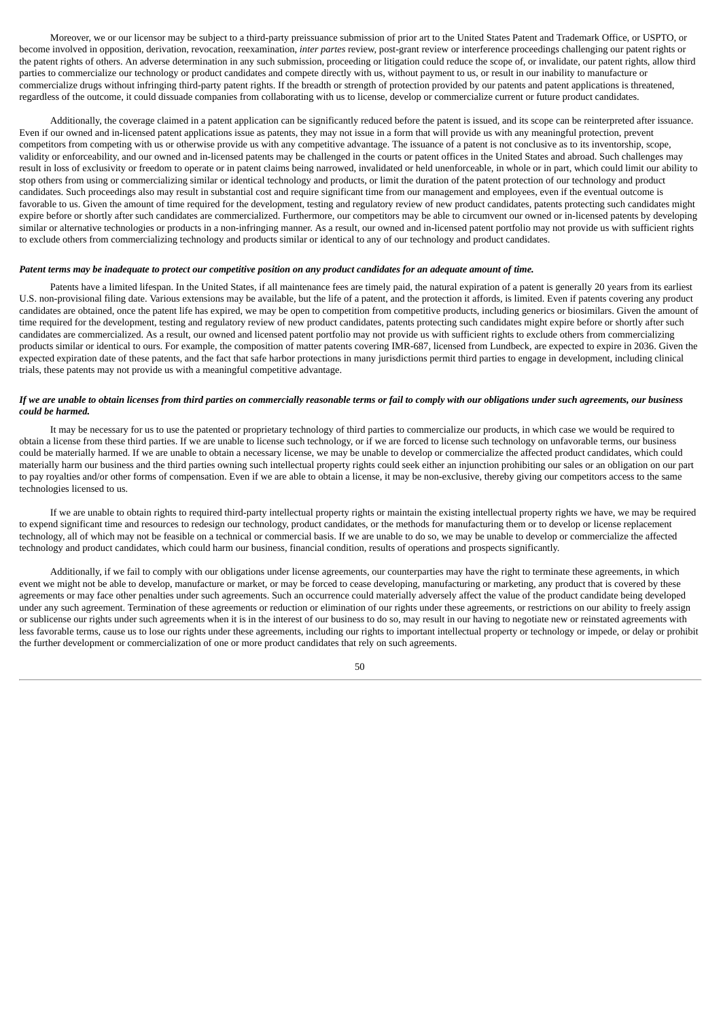Moreover, we or our licensor may be subject to a third-party preissuance submission of prior art to the United States Patent and Trademark Office, or USPTO, or become involved in opposition, derivation, revocation, reexamination, *inter partes* review, post-grant review or interference proceedings challenging our patent rights or the patent rights of others. An adverse determination in any such submission, proceeding or litigation could reduce the scope of, or invalidate, our patent rights, allow third parties to commercialize our technology or product candidates and compete directly with us, without payment to us, or result in our inability to manufacture or commercialize drugs without infringing third-party patent rights. If the breadth or strength of protection provided by our patents and patent applications is threatened, regardless of the outcome, it could dissuade companies from collaborating with us to license, develop or commercialize current or future product candidates.

Additionally, the coverage claimed in a patent application can be significantly reduced before the patent is issued, and its scope can be reinterpreted after issuance. Even if our owned and in-licensed patent applications issue as patents, they may not issue in a form that will provide us with any meaningful protection, prevent competitors from competing with us or otherwise provide us with any competitive advantage. The issuance of a patent is not conclusive as to its inventorship, scope, validity or enforceability, and our owned and in-licensed patents may be challenged in the courts or patent offices in the United States and abroad. Such challenges may result in loss of exclusivity or freedom to operate or in patent claims being narrowed, invalidated or held unenforceable, in whole or in part, which could limit our ability to stop others from using or commercializing similar or identical technology and products, or limit the duration of the patent protection of our technology and product candidates. Such proceedings also may result in substantial cost and require significant time from our management and employees, even if the eventual outcome is favorable to us. Given the amount of time required for the development, testing and regulatory review of new product candidates, patents protecting such candidates might expire before or shortly after such candidates are commercialized. Furthermore, our competitors may be able to circumvent our owned or in-licensed patents by developing similar or alternative technologies or products in a non-infringing manner. As a result, our owned and in-licensed patent portfolio may not provide us with sufficient rights to exclude others from commercializing technology and products similar or identical to any of our technology and product candidates.

#### Patent terms may be inadequate to protect our competitive position on any product candidates for an adequate amount of time.

Patents have a limited lifespan. In the United States, if all maintenance fees are timely paid, the natural expiration of a patent is generally 20 years from its earliest U.S. non-provisional filing date. Various extensions may be available, but the life of a patent, and the protection it affords, is limited. Even if patents covering any product candidates are obtained, once the patent life has expired, we may be open to competition from competitive products, including generics or biosimilars. Given the amount of time required for the development, testing and regulatory review of new product candidates, patents protecting such candidates might expire before or shortly after such candidates are commercialized. As a result, our owned and licensed patent portfolio may not provide us with sufficient rights to exclude others from commercializing products similar or identical to ours. For example, the composition of matter patents covering IMR-687, licensed from Lundbeck, are expected to expire in 2036. Given the expected expiration date of these patents, and the fact that safe harbor protections in many jurisdictions permit third parties to engage in development, including clinical trials, these patents may not provide us with a meaningful competitive advantage.

### If we are unable to obtain licenses from third parties on commercially reasonable terms or fail to comply with our obligations under such agreements, our business *could be harmed.*

It may be necessary for us to use the patented or proprietary technology of third parties to commercialize our products, in which case we would be required to obtain a license from these third parties. If we are unable to license such technology, or if we are forced to license such technology on unfavorable terms, our business could be materially harmed. If we are unable to obtain a necessary license, we may be unable to develop or commercialize the affected product candidates, which could materially harm our business and the third parties owning such intellectual property rights could seek either an injunction prohibiting our sales or an obligation on our part to pay royalties and/or other forms of compensation. Even if we are able to obtain a license, it may be non-exclusive, thereby giving our competitors access to the same technologies licensed to us.

If we are unable to obtain rights to required third-party intellectual property rights or maintain the existing intellectual property rights we have, we may be required to expend significant time and resources to redesign our technology, product candidates, or the methods for manufacturing them or to develop or license replacement technology, all of which may not be feasible on a technical or commercial basis. If we are unable to do so, we may be unable to develop or commercialize the affected technology and product candidates, which could harm our business, financial condition, results of operations and prospects significantly.

Additionally, if we fail to comply with our obligations under license agreements, our counterparties may have the right to terminate these agreements, in which event we might not be able to develop, manufacture or market, or may be forced to cease developing, manufacturing or marketing, any product that is covered by these agreements or may face other penalties under such agreements. Such an occurrence could materially adversely affect the value of the product candidate being developed under any such agreement. Termination of these agreements or reduction or elimination of our rights under these agreements, or restrictions on our ability to freely assign or sublicense our rights under such agreements when it is in the interest of our business to do so, may result in our having to negotiate new or reinstated agreements with less favorable terms, cause us to lose our rights under these agreements, including our rights to important intellectual property or technology or impede, or delay or prohibit the further development or commercialization of one or more product candidates that rely on such agreements.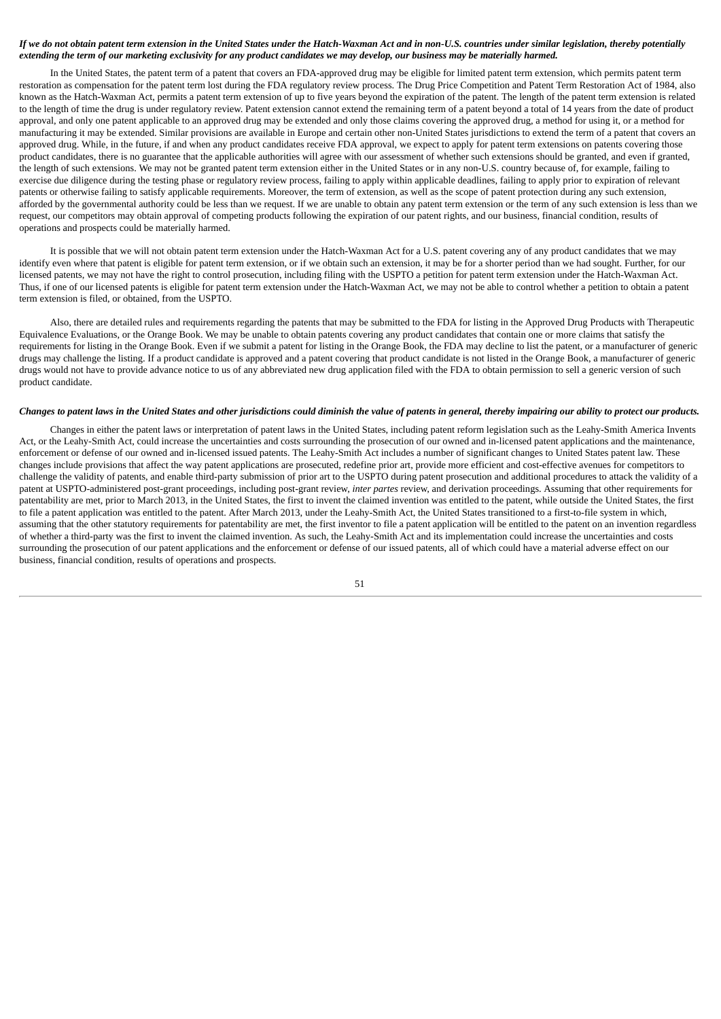## If we do not obtain patent term extension in the United States under the Hatch-Waxman Act and in non-U.S. countries under similar legislation, thereby potentially extending the term of our marketing exclusivity for any product candidates we may develop, our business may be materially harmed.

In the United States, the patent term of a patent that covers an FDA-approved drug may be eligible for limited patent term extension, which permits patent term restoration as compensation for the patent term lost during the FDA regulatory review process. The Drug Price Competition and Patent Term Restoration Act of 1984, also known as the Hatch-Waxman Act, permits a patent term extension of up to five years beyond the expiration of the patent. The length of the patent term extension is related to the length of time the drug is under regulatory review. Patent extension cannot extend the remaining term of a patent beyond a total of 14 years from the date of product approval, and only one patent applicable to an approved drug may be extended and only those claims covering the approved drug, a method for using it, or a method for manufacturing it may be extended. Similar provisions are available in Europe and certain other non-United States jurisdictions to extend the term of a patent that covers an approved drug. While, in the future, if and when any product candidates receive FDA approval, we expect to apply for patent term extensions on patents covering those product candidates, there is no guarantee that the applicable authorities will agree with our assessment of whether such extensions should be granted, and even if granted, the length of such extensions. We may not be granted patent term extension either in the United States or in any non-U.S. country because of, for example, failing to exercise due diligence during the testing phase or regulatory review process, failing to apply within applicable deadlines, failing to apply prior to expiration of relevant patents or otherwise failing to satisfy applicable requirements. Moreover, the term of extension, as well as the scope of patent protection during any such extension, afforded by the governmental authority could be less than we request. If we are unable to obtain any patent term extension or the term of any such extension is less than we request, our competitors may obtain approval of competing products following the expiration of our patent rights, and our business, financial condition, results of operations and prospects could be materially harmed.

It is possible that we will not obtain patent term extension under the Hatch-Waxman Act for a U.S. patent covering any of any product candidates that we may identify even where that patent is eligible for patent term extension, or if we obtain such an extension, it may be for a shorter period than we had sought. Further, for our licensed patents, we may not have the right to control prosecution, including filing with the USPTO a petition for patent term extension under the Hatch-Waxman Act. Thus, if one of our licensed patents is eligible for patent term extension under the Hatch-Waxman Act, we may not be able to control whether a petition to obtain a patent term extension is filed, or obtained, from the USPTO.

Also, there are detailed rules and requirements regarding the patents that may be submitted to the FDA for listing in the Approved Drug Products with Therapeutic Equivalence Evaluations, or the Orange Book. We may be unable to obtain patents covering any product candidates that contain one or more claims that satisfy the requirements for listing in the Orange Book. Even if we submit a patent for listing in the Orange Book, the FDA may decline to list the patent, or a manufacturer of generic drugs may challenge the listing. If a product candidate is approved and a patent covering that product candidate is not listed in the Orange Book, a manufacturer of generic drugs would not have to provide advance notice to us of any abbreviated new drug application filed with the FDA to obtain permission to sell a generic version of such product candidate.

### Changes to patent laws in the United States and other jurisdictions could diminish the value of patents in general, thereby impairing our ability to protect our products.

Changes in either the patent laws or interpretation of patent laws in the United States, including patent reform legislation such as the Leahy-Smith America Invents Act, or the Leahy-Smith Act, could increase the uncertainties and costs surrounding the prosecution of our owned and in-licensed patent applications and the maintenance, enforcement or defense of our owned and in-licensed issued patents. The Leahy-Smith Act includes a number of significant changes to United States patent law. These changes include provisions that affect the way patent applications are prosecuted, redefine prior art, provide more efficient and cost-effective avenues for competitors to challenge the validity of patents, and enable third-party submission of prior art to the USPTO during patent prosecution and additional procedures to attack the validity of a patent at USPTO-administered post-grant proceedings, including post-grant review, *inter partes* review, and derivation proceedings. Assuming that other requirements for patentability are met, prior to March 2013, in the United States, the first to invent the claimed invention was entitled to the patent, while outside the United States, the first to file a patent application was entitled to the patent. After March 2013, under the Leahy-Smith Act, the United States transitioned to a first-to-file system in which, assuming that the other statutory requirements for patentability are met, the first inventor to file a patent application will be entitled to the patent on an invention regardless of whether a third-party was the first to invent the claimed invention. As such, the Leahy-Smith Act and its implementation could increase the uncertainties and costs surrounding the prosecution of our patent applications and the enforcement or defense of our issued patents, all of which could have a material adverse effect on our business, financial condition, results of operations and prospects.

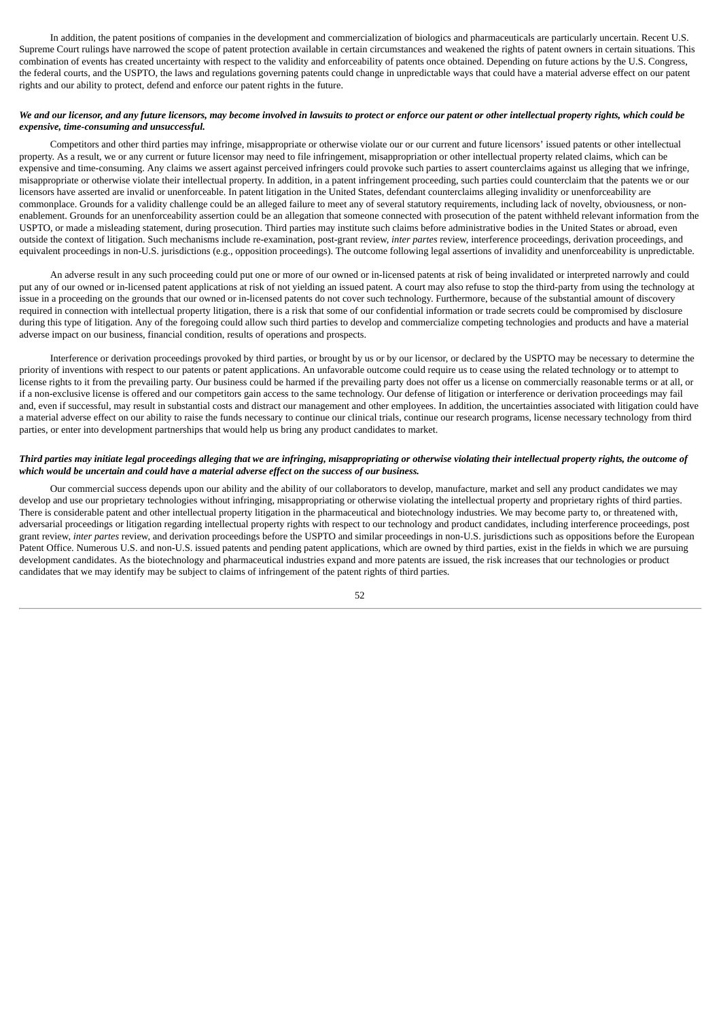In addition, the patent positions of companies in the development and commercialization of biologics and pharmaceuticals are particularly uncertain. Recent U.S. Supreme Court rulings have narrowed the scope of patent protection available in certain circumstances and weakened the rights of patent owners in certain situations. This combination of events has created uncertainty with respect to the validity and enforceability of patents once obtained. Depending on future actions by the U.S. Congress, the federal courts, and the USPTO, the laws and regulations governing patents could change in unpredictable ways that could have a material adverse effect on our patent rights and our ability to protect, defend and enforce our patent rights in the future.

## We and our licensor, and any future licensors, may become involved in lawsuits to protect or enforce our patent or other intellectual property rights, which could be *expensive, time-consuming and unsuccessful.*

Competitors and other third parties may infringe, misappropriate or otherwise violate our or our current and future licensors' issued patents or other intellectual property. As a result, we or any current or future licensor may need to file infringement, misappropriation or other intellectual property related claims, which can be expensive and time-consuming. Any claims we assert against perceived infringers could provoke such parties to assert counterclaims against us alleging that we infringe, misappropriate or otherwise violate their intellectual property. In addition, in a patent infringement proceeding, such parties could counterclaim that the patents we or our licensors have asserted are invalid or unenforceable. In patent litigation in the United States, defendant counterclaims alleging invalidity or unenforceability are commonplace. Grounds for a validity challenge could be an alleged failure to meet any of several statutory requirements, including lack of novelty, obviousness, or nonenablement. Grounds for an unenforceability assertion could be an allegation that someone connected with prosecution of the patent withheld relevant information from the USPTO, or made a misleading statement, during prosecution. Third parties may institute such claims before administrative bodies in the United States or abroad, even outside the context of litigation. Such mechanisms include re-examination, post-grant review, *inter partes* review, interference proceedings, derivation proceedings, and equivalent proceedings in non-U.S. jurisdictions (e.g., opposition proceedings). The outcome following legal assertions of invalidity and unenforceability is unpredictable.

An adverse result in any such proceeding could put one or more of our owned or in-licensed patents at risk of being invalidated or interpreted narrowly and could put any of our owned or in-licensed patent applications at risk of not yielding an issued patent. A court may also refuse to stop the third-party from using the technology at issue in a proceeding on the grounds that our owned or in-licensed patents do not cover such technology. Furthermore, because of the substantial amount of discovery required in connection with intellectual property litigation, there is a risk that some of our confidential information or trade secrets could be compromised by disclosure during this type of litigation. Any of the foregoing could allow such third parties to develop and commercialize competing technologies and products and have a material adverse impact on our business, financial condition, results of operations and prospects.

Interference or derivation proceedings provoked by third parties, or brought by us or by our licensor, or declared by the USPTO may be necessary to determine the priority of inventions with respect to our patents or patent applications. An unfavorable outcome could require us to cease using the related technology or to attempt to license rights to it from the prevailing party. Our business could be harmed if the prevailing party does not offer us a license on commercially reasonable terms or at all, or if a non-exclusive license is offered and our competitors gain access to the same technology. Our defense of litigation or interference or derivation proceedings may fail and, even if successful, may result in substantial costs and distract our management and other employees. In addition, the uncertainties associated with litigation could have a material adverse effect on our ability to raise the funds necessary to continue our clinical trials, continue our research programs, license necessary technology from third parties, or enter into development partnerships that would help us bring any product candidates to market.

# Third parties may initiate legal proceedings alleging that we are infringing, misappropriating or otherwise violating their intellectual property rights, the outcome of *which would be uncertain and could have a material adverse effect on the success of our business.*

Our commercial success depends upon our ability and the ability of our collaborators to develop, manufacture, market and sell any product candidates we may develop and use our proprietary technologies without infringing, misappropriating or otherwise violating the intellectual property and proprietary rights of third parties. There is considerable patent and other intellectual property litigation in the pharmaceutical and biotechnology industries. We may become party to, or threatened with, adversarial proceedings or litigation regarding intellectual property rights with respect to our technology and product candidates, including interference proceedings, post grant review, *inter partes* review, and derivation proceedings before the USPTO and similar proceedings in non-U.S. jurisdictions such as oppositions before the European Patent Office. Numerous U.S. and non-U.S. issued patents and pending patent applications, which are owned by third parties, exist in the fields in which we are pursuing development candidates. As the biotechnology and pharmaceutical industries expand and more patents are issued, the risk increases that our technologies or product candidates that we may identify may be subject to claims of infringement of the patent rights of third parties.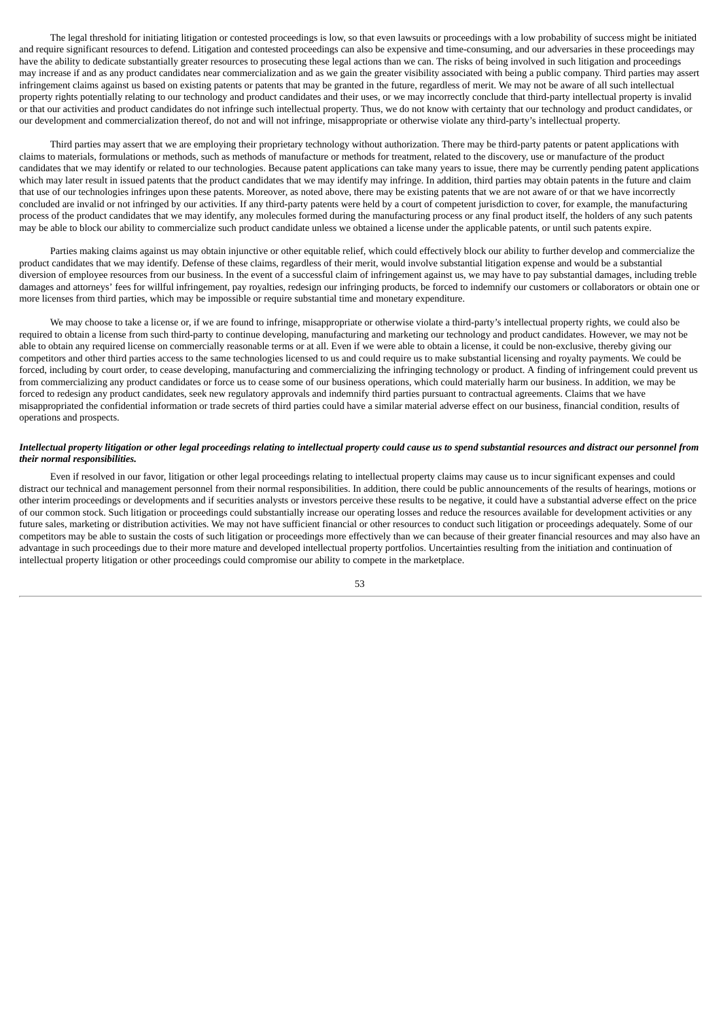The legal threshold for initiating litigation or contested proceedings is low, so that even lawsuits or proceedings with a low probability of success might be initiated and require significant resources to defend. Litigation and contested proceedings can also be expensive and time-consuming, and our adversaries in these proceedings may have the ability to dedicate substantially greater resources to prosecuting these legal actions than we can. The risks of being involved in such litigation and proceedings may increase if and as any product candidates near commercialization and as we gain the greater visibility associated with being a public company. Third parties may assert infringement claims against us based on existing patents or patents that may be granted in the future, regardless of merit. We may not be aware of all such intellectual property rights potentially relating to our technology and product candidates and their uses, or we may incorrectly conclude that third-party intellectual property is invalid or that our activities and product candidates do not infringe such intellectual property. Thus, we do not know with certainty that our technology and product candidates, or our development and commercialization thereof, do not and will not infringe, misappropriate or otherwise violate any third-party's intellectual property.

Third parties may assert that we are employing their proprietary technology without authorization. There may be third-party patents or patent applications with claims to materials, formulations or methods, such as methods of manufacture or methods for treatment, related to the discovery, use or manufacture of the product candidates that we may identify or related to our technologies. Because patent applications can take many years to issue, there may be currently pending patent applications which may later result in issued patents that the product candidates that we may identify may infringe. In addition, third parties may obtain patents in the future and claim that use of our technologies infringes upon these patents. Moreover, as noted above, there may be existing patents that we are not aware of or that we have incorrectly concluded are invalid or not infringed by our activities. If any third-party patents were held by a court of competent jurisdiction to cover, for example, the manufacturing process of the product candidates that we may identify, any molecules formed during the manufacturing process or any final product itself, the holders of any such patents may be able to block our ability to commercialize such product candidate unless we obtained a license under the applicable patents, or until such patents expire.

Parties making claims against us may obtain injunctive or other equitable relief, which could effectively block our ability to further develop and commercialize the product candidates that we may identify. Defense of these claims, regardless of their merit, would involve substantial litigation expense and would be a substantial diversion of employee resources from our business. In the event of a successful claim of infringement against us, we may have to pay substantial damages, including treble damages and attorneys' fees for willful infringement, pay royalties, redesign our infringing products, be forced to indemnify our customers or collaborators or obtain one or more licenses from third parties, which may be impossible or require substantial time and monetary expenditure.

We may choose to take a license or, if we are found to infringe, misappropriate or otherwise violate a third-party's intellectual property rights, we could also be required to obtain a license from such third-party to continue developing, manufacturing and marketing our technology and product candidates. However, we may not be able to obtain any required license on commercially reasonable terms or at all. Even if we were able to obtain a license, it could be non-exclusive, thereby giving our competitors and other third parties access to the same technologies licensed to us and could require us to make substantial licensing and royalty payments. We could be forced, including by court order, to cease developing, manufacturing and commercializing the infringing technology or product. A finding of infringement could prevent us from commercializing any product candidates or force us to cease some of our business operations, which could materially harm our business. In addition, we may be forced to redesign any product candidates, seek new regulatory approvals and indemnify third parties pursuant to contractual agreements. Claims that we have misappropriated the confidential information or trade secrets of third parties could have a similar material adverse effect on our business, financial condition, results of operations and prospects.

# Intellectual property litigation or other legal proceedings relating to intellectual property could cause us to spend substantial resources and distract our personnel from *their normal responsibilities.*

Even if resolved in our favor, litigation or other legal proceedings relating to intellectual property claims may cause us to incur significant expenses and could distract our technical and management personnel from their normal responsibilities. In addition, there could be public announcements of the results of hearings, motions or other interim proceedings or developments and if securities analysts or investors perceive these results to be negative, it could have a substantial adverse effect on the price of our common stock. Such litigation or proceedings could substantially increase our operating losses and reduce the resources available for development activities or any future sales, marketing or distribution activities. We may not have sufficient financial or other resources to conduct such litigation or proceedings adequately. Some of our competitors may be able to sustain the costs of such litigation or proceedings more effectively than we can because of their greater financial resources and may also have an advantage in such proceedings due to their more mature and developed intellectual property portfolios. Uncertainties resulting from the initiation and continuation of intellectual property litigation or other proceedings could compromise our ability to compete in the marketplace.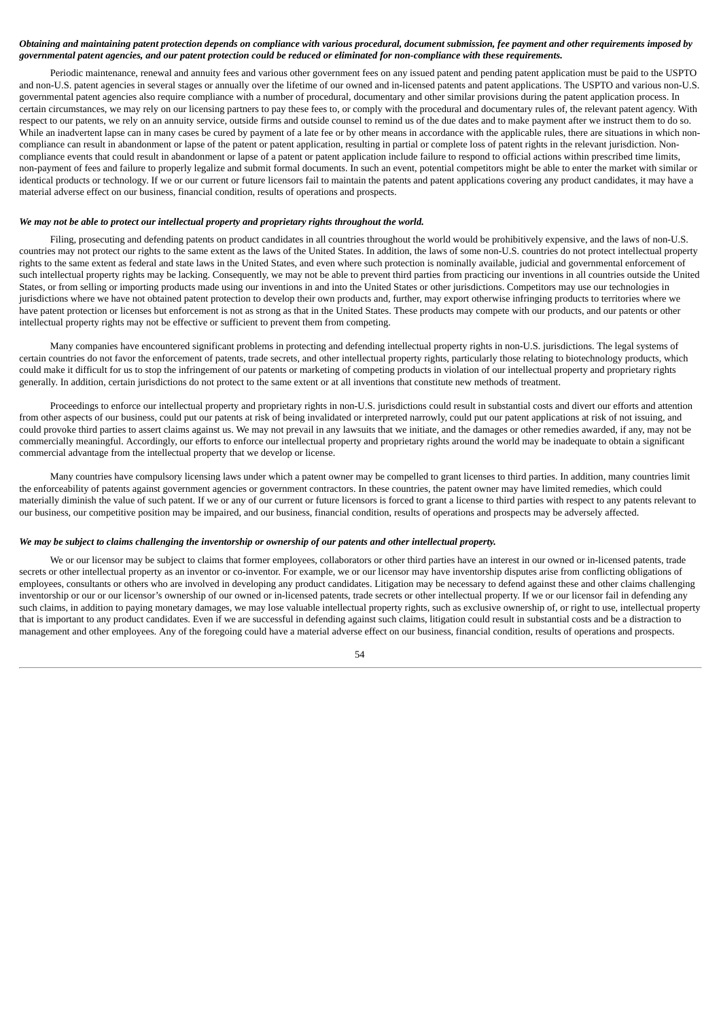# Obtaining and maintaining patent protection depends on compliance with various procedural, document submission, fee payment and other requirements imposed by governmental patent agencies, and our patent protection could be reduced or eliminated for non-compliance with these requirements.

Periodic maintenance, renewal and annuity fees and various other government fees on any issued patent and pending patent application must be paid to the USPTO and non-U.S. patent agencies in several stages or annually over the lifetime of our owned and in-licensed patents and patent applications. The USPTO and various non-U.S. governmental patent agencies also require compliance with a number of procedural, documentary and other similar provisions during the patent application process. In certain circumstances, we may rely on our licensing partners to pay these fees to, or comply with the procedural and documentary rules of, the relevant patent agency. With respect to our patents, we rely on an annuity service, outside firms and outside counsel to remind us of the due dates and to make payment after we instruct them to do so. While an inadvertent lapse can in many cases be cured by payment of a late fee or by other means in accordance with the applicable rules, there are situations in which noncompliance can result in abandonment or lapse of the patent or patent application, resulting in partial or complete loss of patent rights in the relevant jurisdiction. Noncompliance events that could result in abandonment or lapse of a patent or patent application include failure to respond to official actions within prescribed time limits, non-payment of fees and failure to properly legalize and submit formal documents. In such an event, potential competitors might be able to enter the market with similar or identical products or technology. If we or our current or future licensors fail to maintain the patents and patent applications covering any product candidates, it may have a material adverse effect on our business, financial condition, results of operations and prospects.

# *We may not be able to protect our intellectual property and proprietary rights throughout the world.*

Filing, prosecuting and defending patents on product candidates in all countries throughout the world would be prohibitively expensive, and the laws of non-U.S. countries may not protect our rights to the same extent as the laws of the United States. In addition, the laws of some non-U.S. countries do not protect intellectual property rights to the same extent as federal and state laws in the United States, and even where such protection is nominally available, judicial and governmental enforcement of such intellectual property rights may be lacking. Consequently, we may not be able to prevent third parties from practicing our inventions in all countries outside the United States, or from selling or importing products made using our inventions in and into the United States or other jurisdictions. Competitors may use our technologies in jurisdictions where we have not obtained patent protection to develop their own products and, further, may export otherwise infringing products to territories where we have patent protection or licenses but enforcement is not as strong as that in the United States. These products may compete with our products, and our patents or other intellectual property rights may not be effective or sufficient to prevent them from competing.

Many companies have encountered significant problems in protecting and defending intellectual property rights in non-U.S. jurisdictions. The legal systems of certain countries do not favor the enforcement of patents, trade secrets, and other intellectual property rights, particularly those relating to biotechnology products, which could make it difficult for us to stop the infringement of our patents or marketing of competing products in violation of our intellectual property and proprietary rights generally. In addition, certain jurisdictions do not protect to the same extent or at all inventions that constitute new methods of treatment.

Proceedings to enforce our intellectual property and proprietary rights in non-U.S. jurisdictions could result in substantial costs and divert our efforts and attention from other aspects of our business, could put our patents at risk of being invalidated or interpreted narrowly, could put our patent applications at risk of not issuing, and could provoke third parties to assert claims against us. We may not prevail in any lawsuits that we initiate, and the damages or other remedies awarded, if any, may not be commercially meaningful. Accordingly, our efforts to enforce our intellectual property and proprietary rights around the world may be inadequate to obtain a significant commercial advantage from the intellectual property that we develop or license.

Many countries have compulsory licensing laws under which a patent owner may be compelled to grant licenses to third parties. In addition, many countries limit the enforceability of patents against government agencies or government contractors. In these countries, the patent owner may have limited remedies, which could materially diminish the value of such patent. If we or any of our current or future licensors is forced to grant a license to third parties with respect to any patents relevant to our business, our competitive position may be impaired, and our business, financial condition, results of operations and prospects may be adversely affected.

### We may be subject to claims challenging the inventorship or ownership of our patents and other intellectual property.

We or our licensor may be subject to claims that former employees, collaborators or other third parties have an interest in our owned or in-licensed patents, trade secrets or other intellectual property as an inventor or co-inventor. For example, we or our licensor may have inventorship disputes arise from conflicting obligations of employees, consultants or others who are involved in developing any product candidates. Litigation may be necessary to defend against these and other claims challenging inventorship or our or our licensor's ownership of our owned or in-licensed patents, trade secrets or other intellectual property. If we or our licensor fail in defending any such claims, in addition to paying monetary damages, we may lose valuable intellectual property rights, such as exclusive ownership of, or right to use, intellectual property that is important to any product candidates. Even if we are successful in defending against such claims, litigation could result in substantial costs and be a distraction to management and other employees. Any of the foregoing could have a material adverse effect on our business, financial condition, results of operations and prospects.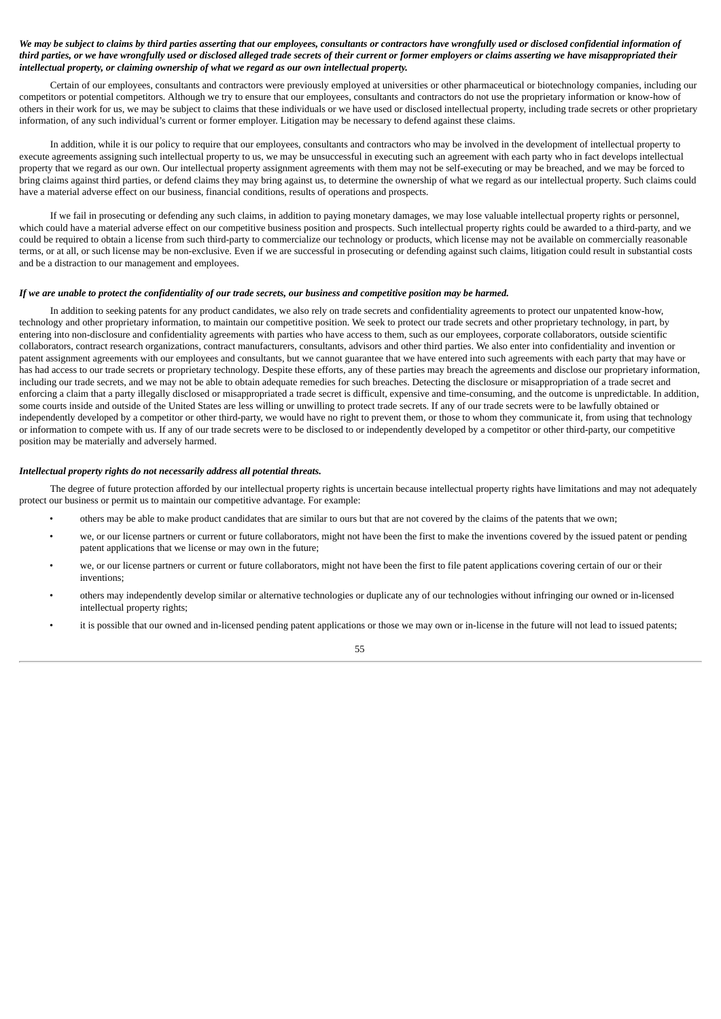## We may be subject to claims by third parties asserting that our employees, consultants or contractors have wrongfully used or disclosed confidential information of third parties, or we have wrongfully used or disclosed alleged trade secrets of their current or former employers or claims asserting we have misappropriated their *intellectual property, or claiming ownership of what we regard as our own intellectual property.*

Certain of our employees, consultants and contractors were previously employed at universities or other pharmaceutical or biotechnology companies, including our competitors or potential competitors. Although we try to ensure that our employees, consultants and contractors do not use the proprietary information or know-how of others in their work for us, we may be subject to claims that these individuals or we have used or disclosed intellectual property, including trade secrets or other proprietary information, of any such individual's current or former employer. Litigation may be necessary to defend against these claims.

In addition, while it is our policy to require that our employees, consultants and contractors who may be involved in the development of intellectual property to execute agreements assigning such intellectual property to us, we may be unsuccessful in executing such an agreement with each party who in fact develops intellectual property that we regard as our own. Our intellectual property assignment agreements with them may not be self-executing or may be breached, and we may be forced to bring claims against third parties, or defend claims they may bring against us, to determine the ownership of what we regard as our intellectual property. Such claims could have a material adverse effect on our business, financial conditions, results of operations and prospects.

If we fail in prosecuting or defending any such claims, in addition to paying monetary damages, we may lose valuable intellectual property rights or personnel, which could have a material adverse effect on our competitive business position and prospects. Such intellectual property rights could be awarded to a third-party, and we could be required to obtain a license from such third-party to commercialize our technology or products, which license may not be available on commercially reasonable terms, or at all, or such license may be non-exclusive. Even if we are successful in prosecuting or defending against such claims, litigation could result in substantial costs and be a distraction to our management and employees.

### If we are unable to protect the confidentiality of our trade secrets, our business and competitive position may be harmed.

In addition to seeking patents for any product candidates, we also rely on trade secrets and confidentiality agreements to protect our unpatented know-how, technology and other proprietary information, to maintain our competitive position. We seek to protect our trade secrets and other proprietary technology, in part, by entering into non-disclosure and confidentiality agreements with parties who have access to them, such as our employees, corporate collaborators, outside scientific collaborators, contract research organizations, contract manufacturers, consultants, advisors and other third parties. We also enter into confidentiality and invention or patent assignment agreements with our employees and consultants, but we cannot guarantee that we have entered into such agreements with each party that may have or has had access to our trade secrets or proprietary technology. Despite these efforts, any of these parties may breach the agreements and disclose our proprietary information, including our trade secrets, and we may not be able to obtain adequate remedies for such breaches. Detecting the disclosure or misappropriation of a trade secret and enforcing a claim that a party illegally disclosed or misappropriated a trade secret is difficult, expensive and time-consuming, and the outcome is unpredictable. In addition, some courts inside and outside of the United States are less willing or unwilling to protect trade secrets. If any of our trade secrets were to be lawfully obtained or independently developed by a competitor or other third-party, we would have no right to prevent them, or those to whom they communicate it, from using that technology or information to compete with us. If any of our trade secrets were to be disclosed to or independently developed by a competitor or other third-party, our competitive position may be materially and adversely harmed.

#### *Intellectual property rights do not necessarily address all potential threats.*

The degree of future protection afforded by our intellectual property rights is uncertain because intellectual property rights have limitations and may not adequately protect our business or permit us to maintain our competitive advantage. For example:

- others may be able to make product candidates that are similar to ours but that are not covered by the claims of the patents that we own;
- we, or our license partners or current or future collaborators, might not have been the first to make the inventions covered by the issued patent or pending patent applications that we license or may own in the future;
- we, or our license partners or current or future collaborators, might not have been the first to file patent applications covering certain of our or their inventions;
- others may independently develop similar or alternative technologies or duplicate any of our technologies without infringing our owned or in-licensed intellectual property rights;
- it is possible that our owned and in-licensed pending patent applications or those we may own or in-license in the future will not lead to issued patents;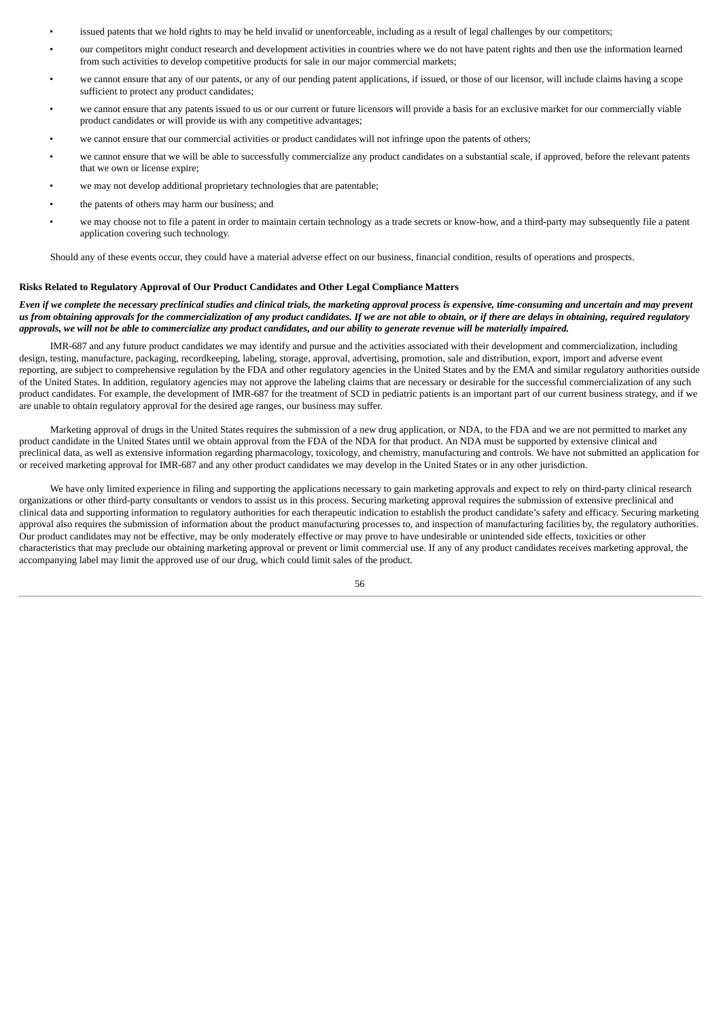- issued patents that we hold rights to may be held invalid or unenforceable, including as a result of legal challenges by our competitors;
- our competitors might conduct research and development activities in countries where we do not have patent rights and then use the information learned from such activities to develop competitive products for sale in our major commercial markets;
- we cannot ensure that any of our patents, or any of our pending patent applications, if issued, or those of our licensor, will include claims having a scope sufficient to protect any product candidates;
- we cannot ensure that any patents issued to us or our current or future licensors will provide a basis for an exclusive market for our commercially viable product candidates or will provide us with any competitive advantages;
- we cannot ensure that our commercial activities or product candidates will not infringe upon the patents of others;
- we cannot ensure that we will be able to successfully commercialize any product candidates on a substantial scale, if approved, before the relevant patents that we own or license expire;
- we may not develop additional proprietary technologies that are patentable;
- the patents of others may harm our business; and
- we may choose not to file a patent in order to maintain certain technology as a trade secrets or know-how, and a third-party may subsequently file a patent application covering such technology.

Should any of these events occur, they could have a material adverse effect on our business, financial condition, results of operations and prospects.

#### **Risks Related to Regulatory Approval of Our Product Candidates and Other Legal Compliance Matters**

## Even if we complete the necessary preclinical studies and clinical trials, the marketing approval process is expensive, time-consuming and uncertain and may prevent us from obtaining approvals for the commercialization of any product candidates. If we are not able to obtain, or if there are delays in obtaining, required regulatory approvals, we will not be able to commercialize any product candidates, and our ability to generate revenue will be materially impaired.

IMR-687 and any future product candidates we may identify and pursue and the activities associated with their development and commercialization, including design, testing, manufacture, packaging, recordkeeping, labeling, storage, approval, advertising, promotion, sale and distribution, export, import and adverse event reporting, are subject to comprehensive regulation by the FDA and other regulatory agencies in the United States and by the EMA and similar regulatory authorities outside of the United States. In addition, regulatory agencies may not approve the labeling claims that are necessary or desirable for the successful commercialization of any such product candidates. For example, the development of IMR-687 for the treatment of SCD in pediatric patients is an important part of our current business strategy, and if we are unable to obtain regulatory approval for the desired age ranges, our business may suffer.

Marketing approval of drugs in the United States requires the submission of a new drug application, or NDA, to the FDA and we are not permitted to market any product candidate in the United States until we obtain approval from the FDA of the NDA for that product. An NDA must be supported by extensive clinical and preclinical data, as well as extensive information regarding pharmacology, toxicology, and chemistry, manufacturing and controls. We have not submitted an application for or received marketing approval for IMR-687 and any other product candidates we may develop in the United States or in any other jurisdiction.

We have only limited experience in filing and supporting the applications necessary to gain marketing approvals and expect to rely on third-party clinical research organizations or other third-party consultants or vendors to assist us in this process. Securing marketing approval requires the submission of extensive preclinical and clinical data and supporting information to regulatory authorities for each therapeutic indication to establish the product candidate's safety and efficacy. Securing marketing approval also requires the submission of information about the product manufacturing processes to, and inspection of manufacturing facilities by, the regulatory authorities. Our product candidates may not be effective, may be only moderately effective or may prove to have undesirable or unintended side effects, toxicities or other characteristics that may preclude our obtaining marketing approval or prevent or limit commercial use. If any of any product candidates receives marketing approval, the accompanying label may limit the approved use of our drug, which could limit sales of the product.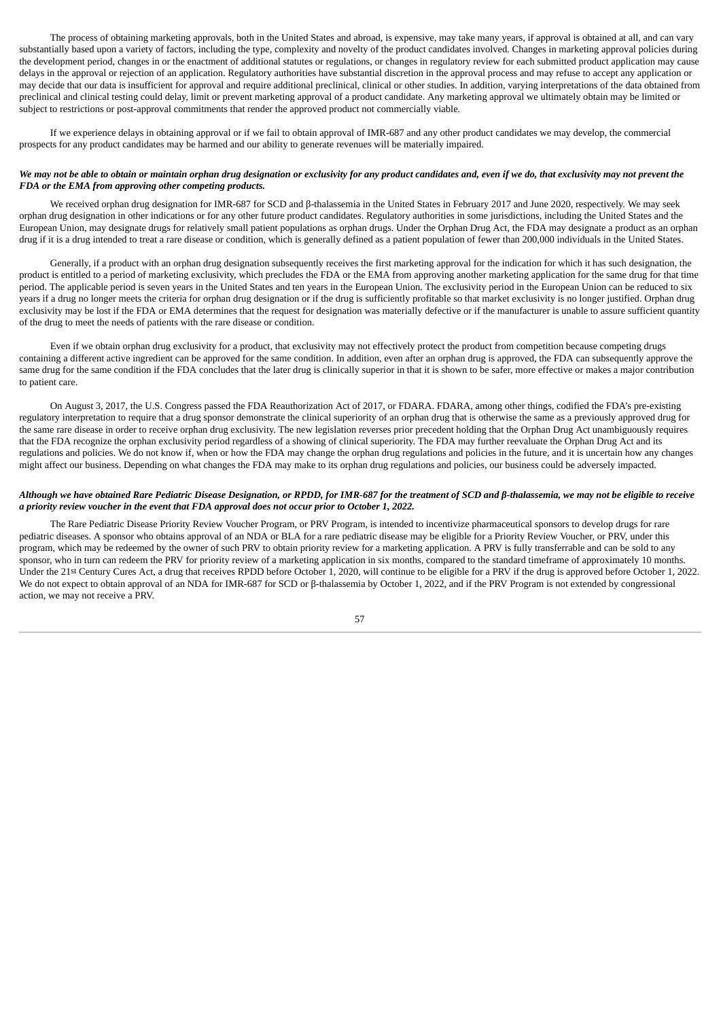The process of obtaining marketing approvals, both in the United States and abroad, is expensive, may take many years, if approval is obtained at all, and can vary substantially based upon a variety of factors, including the type, complexity and novelty of the product candidates involved. Changes in marketing approval policies during the development period, changes in or the enactment of additional statutes or regulations, or changes in regulatory review for each submitted product application may cause delays in the approval or rejection of an application. Regulatory authorities have substantial discretion in the approval process and may refuse to accept any application or may decide that our data is insufficient for approval and require additional preclinical, clinical or other studies. In addition, varying interpretations of the data obtained from preclinical and clinical testing could delay, limit or prevent marketing approval of a product candidate. Any marketing approval we ultimately obtain may be limited or subject to restrictions or post-approval commitments that render the approved product not commercially viable.

If we experience delays in obtaining approval or if we fail to obtain approval of IMR-687 and any other product candidates we may develop, the commercial prospects for any product candidates may be harmed and our ability to generate revenues will be materially impaired.

### We may not be able to obtain or maintain orphan drug designation or exclusivity for any product candidates and, even if we do, that exclusivity may not prevent the *FDA or the EMA from approving other competing products.*

We received orphan drug designation for IMR-687 for SCD and β-thalassemia in the United States in February 2017 and June 2020, respectively. We may seek orphan drug designation in other indications or for any other future product candidates. Regulatory authorities in some jurisdictions, including the United States and the European Union, may designate drugs for relatively small patient populations as orphan drugs. Under the Orphan Drug Act, the FDA may designate a product as an orphan drug if it is a drug intended to treat a rare disease or condition, which is generally defined as a patient population of fewer than 200,000 individuals in the United States.

Generally, if a product with an orphan drug designation subsequently receives the first marketing approval for the indication for which it has such designation, the product is entitled to a period of marketing exclusivity, which precludes the FDA or the EMA from approving another marketing application for the same drug for that time period. The applicable period is seven years in the United States and ten years in the European Union. The exclusivity period in the European Union can be reduced to six years if a drug no longer meets the criteria for orphan drug designation or if the drug is sufficiently profitable so that market exclusivity is no longer justified. Orphan drug exclusivity may be lost if the FDA or EMA determines that the request for designation was materially defective or if the manufacturer is unable to assure sufficient quantity of the drug to meet the needs of patients with the rare disease or condition.

Even if we obtain orphan drug exclusivity for a product, that exclusivity may not effectively protect the product from competition because competing drugs containing a different active ingredient can be approved for the same condition. In addition, even after an orphan drug is approved, the FDA can subsequently approve the same drug for the same condition if the FDA concludes that the later drug is clinically superior in that it is shown to be safer, more effective or makes a major contribution to patient care.

On August 3, 2017, the U.S. Congress passed the FDA Reauthorization Act of 2017, or FDARA. FDARA, among other things, codified the FDA's pre-existing regulatory interpretation to require that a drug sponsor demonstrate the clinical superiority of an orphan drug that is otherwise the same as a previously approved drug for the same rare disease in order to receive orphan drug exclusivity. The new legislation reverses prior precedent holding that the Orphan Drug Act unambiguously requires that the FDA recognize the orphan exclusivity period regardless of a showing of clinical superiority. The FDA may further reevaluate the Orphan Drug Act and its regulations and policies. We do not know if, when or how the FDA may change the orphan drug regulations and policies in the future, and it is uncertain how any changes might affect our business. Depending on what changes the FDA may make to its orphan drug regulations and policies, our business could be adversely impacted.

### Although we have obtained Rare Pediatric Disease Designation, or RPDD, for IMR-687 for the treatment of SCD and ß-thalassemia, we may not be eligible to receive *a priority review voucher in the event that FDA approval does not occur prior to October 1, 2022.*

The Rare Pediatric Disease Priority Review Voucher Program, or PRV Program, is intended to incentivize pharmaceutical sponsors to develop drugs for rare pediatric diseases. A sponsor who obtains approval of an NDA or BLA for a rare pediatric disease may be eligible for a Priority Review Voucher, or PRV, under this program, which may be redeemed by the owner of such PRV to obtain priority review for a marketing application. A PRV is fully transferrable and can be sold to any sponsor, who in turn can redeem the PRV for priority review of a marketing application in six months, compared to the standard timeframe of approximately 10 months. Under the 21st Century Cures Act, a drug that receives RPDD before October 1, 2020, will continue to be eligible for a PRV if the drug is approved before October 1, 2022. We do not expect to obtain approval of an NDA for IMR-687 for SCD or β-thalassemia by October 1, 2022, and if the PRV Program is not extended by congressional action, we may not receive a PRV.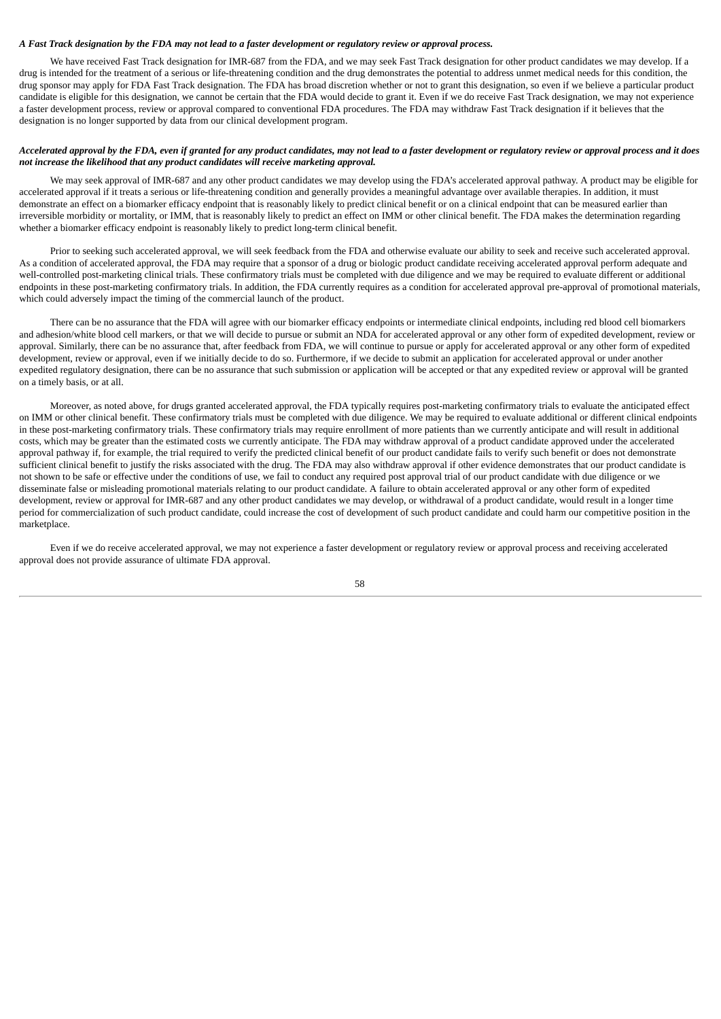## A Fast Track designation by the FDA may not lead to a faster development or regulatory review or approval process.

We have received Fast Track designation for IMR-687 from the FDA, and we may seek Fast Track designation for other product candidates we may develop. If a drug is intended for the treatment of a serious or life-threatening condition and the drug demonstrates the potential to address unmet medical needs for this condition, the drug sponsor may apply for FDA Fast Track designation. The FDA has broad discretion whether or not to grant this designation, so even if we believe a particular product candidate is eligible for this designation, we cannot be certain that the FDA would decide to grant it. Even if we do receive Fast Track designation, we may not experience a faster development process, review or approval compared to conventional FDA procedures. The FDA may withdraw Fast Track designation if it believes that the designation is no longer supported by data from our clinical development program.

# Accelerated approval by the FDA, even if granted for any product candidates, may not lead to a faster development or regulatory review or approval process and it does *not increase the likelihood that any product candidates will receive marketing approval.*

We may seek approval of IMR-687 and any other product candidates we may develop using the FDA's accelerated approval pathway. A product may be eligible for accelerated approval if it treats a serious or life-threatening condition and generally provides a meaningful advantage over available therapies. In addition, it must demonstrate an effect on a biomarker efficacy endpoint that is reasonably likely to predict clinical benefit or on a clinical endpoint that can be measured earlier than irreversible morbidity or mortality, or IMM, that is reasonably likely to predict an effect on IMM or other clinical benefit. The FDA makes the determination regarding whether a biomarker efficacy endpoint is reasonably likely to predict long-term clinical benefit.

Prior to seeking such accelerated approval, we will seek feedback from the FDA and otherwise evaluate our ability to seek and receive such accelerated approval. As a condition of accelerated approval, the FDA may require that a sponsor of a drug or biologic product candidate receiving accelerated approval perform adequate and well-controlled post-marketing clinical trials. These confirmatory trials must be completed with due diligence and we may be required to evaluate different or additional endpoints in these post-marketing confirmatory trials. In addition, the FDA currently requires as a condition for accelerated approval pre-approval of promotional materials, which could adversely impact the timing of the commercial launch of the product.

There can be no assurance that the FDA will agree with our biomarker efficacy endpoints or intermediate clinical endpoints, including red blood cell biomarkers and adhesion/white blood cell markers, or that we will decide to pursue or submit an NDA for accelerated approval or any other form of expedited development, review or approval. Similarly, there can be no assurance that, after feedback from FDA, we will continue to pursue or apply for accelerated approval or any other form of expedited development, review or approval, even if we initially decide to do so. Furthermore, if we decide to submit an application for accelerated approval or under another expedited regulatory designation, there can be no assurance that such submission or application will be accepted or that any expedited review or approval will be granted on a timely basis, or at all.

Moreover, as noted above, for drugs granted accelerated approval, the FDA typically requires post-marketing confirmatory trials to evaluate the anticipated effect on IMM or other clinical benefit. These confirmatory trials must be completed with due diligence. We may be required to evaluate additional or different clinical endpoints in these post-marketing confirmatory trials. These confirmatory trials may require enrollment of more patients than we currently anticipate and will result in additional costs, which may be greater than the estimated costs we currently anticipate. The FDA may withdraw approval of a product candidate approved under the accelerated approval pathway if, for example, the trial required to verify the predicted clinical benefit of our product candidate fails to verify such benefit or does not demonstrate sufficient clinical benefit to justify the risks associated with the drug. The FDA may also withdraw approval if other evidence demonstrates that our product candidate is not shown to be safe or effective under the conditions of use, we fail to conduct any required post approval trial of our product candidate with due diligence or we disseminate false or misleading promotional materials relating to our product candidate. A failure to obtain accelerated approval or any other form of expedited development, review or approval for IMR-687 and any other product candidates we may develop, or withdrawal of a product candidate, would result in a longer time period for commercialization of such product candidate, could increase the cost of development of such product candidate and could harm our competitive position in the marketplace.

Even if we do receive accelerated approval, we may not experience a faster development or regulatory review or approval process and receiving accelerated approval does not provide assurance of ultimate FDA approval.

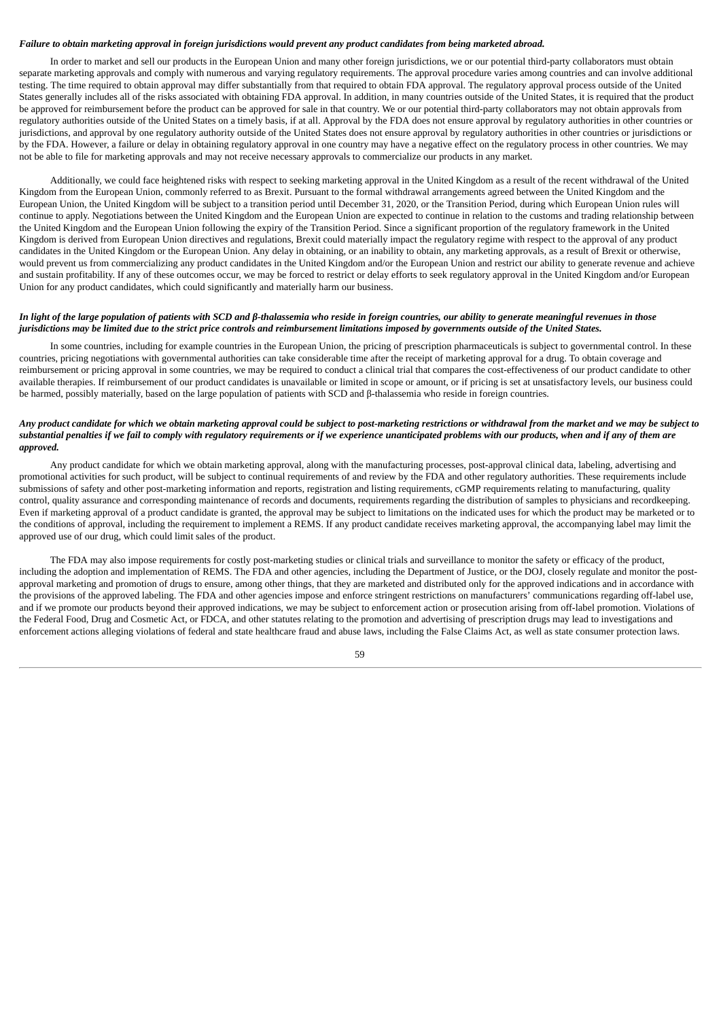### Failure to obtain marketing approval in foreign jurisdictions would prevent any product candidates from being marketed abroad.

In order to market and sell our products in the European Union and many other foreign jurisdictions, we or our potential third-party collaborators must obtain separate marketing approvals and comply with numerous and varying regulatory requirements. The approval procedure varies among countries and can involve additional testing. The time required to obtain approval may differ substantially from that required to obtain FDA approval. The regulatory approval process outside of the United States generally includes all of the risks associated with obtaining FDA approval. In addition, in many countries outside of the United States, it is required that the product be approved for reimbursement before the product can be approved for sale in that country. We or our potential third-party collaborators may not obtain approvals from regulatory authorities outside of the United States on a timely basis, if at all. Approval by the FDA does not ensure approval by regulatory authorities in other countries or jurisdictions, and approval by one regulatory authority outside of the United States does not ensure approval by regulatory authorities in other countries or jurisdictions or by the FDA. However, a failure or delay in obtaining regulatory approval in one country may have a negative effect on the regulatory process in other countries. We may not be able to file for marketing approvals and may not receive necessary approvals to commercialize our products in any market.

Additionally, we could face heightened risks with respect to seeking marketing approval in the United Kingdom as a result of the recent withdrawal of the United Kingdom from the European Union, commonly referred to as Brexit. Pursuant to the formal withdrawal arrangements agreed between the United Kingdom and the European Union, the United Kingdom will be subject to a transition period until December 31, 2020, or the Transition Period, during which European Union rules will continue to apply. Negotiations between the United Kingdom and the European Union are expected to continue in relation to the customs and trading relationship between the United Kingdom and the European Union following the expiry of the Transition Period. Since a significant proportion of the regulatory framework in the United Kingdom is derived from European Union directives and regulations, Brexit could materially impact the regulatory regime with respect to the approval of any product candidates in the United Kingdom or the European Union. Any delay in obtaining, or an inability to obtain, any marketing approvals, as a result of Brexit or otherwise, would prevent us from commercializing any product candidates in the United Kingdom and/or the European Union and restrict our ability to generate revenue and achieve and sustain profitability. If any of these outcomes occur, we may be forced to restrict or delay efforts to seek regulatory approval in the United Kingdom and/or European Union for any product candidates, which could significantly and materially harm our business.

# In light of the large population of patients with SCD and  $\beta$ -thalassemia who reside in foreign countries, our ability to generate meaningful revenues in those jurisdictions may be limited due to the strict price controls and reimbursement limitations imposed by governments outside of the United States.

In some countries, including for example countries in the European Union, the pricing of prescription pharmaceuticals is subject to governmental control. In these countries, pricing negotiations with governmental authorities can take considerable time after the receipt of marketing approval for a drug. To obtain coverage and reimbursement or pricing approval in some countries, we may be required to conduct a clinical trial that compares the cost-effectiveness of our product candidate to other available therapies. If reimbursement of our product candidates is unavailable or limited in scope or amount, or if pricing is set at unsatisfactory levels, our business could be harmed, possibly materially, based on the large population of patients with SCD and β-thalassemia who reside in foreign countries.

# Any product candidate for which we obtain marketing approval could be subject to post-marketing restrictions or withdrawal from the market and we may be subject to substantial penalties if we fail to comply with reaulatory reauirements or if we experience unanticipated problems with our products, when and if any of them are *approved.*

Any product candidate for which we obtain marketing approval, along with the manufacturing processes, post-approval clinical data, labeling, advertising and promotional activities for such product, will be subject to continual requirements of and review by the FDA and other regulatory authorities. These requirements include submissions of safety and other post-marketing information and reports, registration and listing requirements, cGMP requirements relating to manufacturing, quality control, quality assurance and corresponding maintenance of records and documents, requirements regarding the distribution of samples to physicians and recordkeeping. Even if marketing approval of a product candidate is granted, the approval may be subject to limitations on the indicated uses for which the product may be marketed or to the conditions of approval, including the requirement to implement a REMS. If any product candidate receives marketing approval, the accompanying label may limit the approved use of our drug, which could limit sales of the product.

The FDA may also impose requirements for costly post-marketing studies or clinical trials and surveillance to monitor the safety or efficacy of the product, including the adoption and implementation of REMS. The FDA and other agencies, including the Department of Justice, or the DOJ, closely regulate and monitor the postapproval marketing and promotion of drugs to ensure, among other things, that they are marketed and distributed only for the approved indications and in accordance with the provisions of the approved labeling. The FDA and other agencies impose and enforce stringent restrictions on manufacturers' communications regarding off-label use, and if we promote our products beyond their approved indications, we may be subject to enforcement action or prosecution arising from off-label promotion. Violations of the Federal Food, Drug and Cosmetic Act, or FDCA, and other statutes relating to the promotion and advertising of prescription drugs may lead to investigations and enforcement actions alleging violations of federal and state healthcare fraud and abuse laws, including the False Claims Act, as well as state consumer protection laws.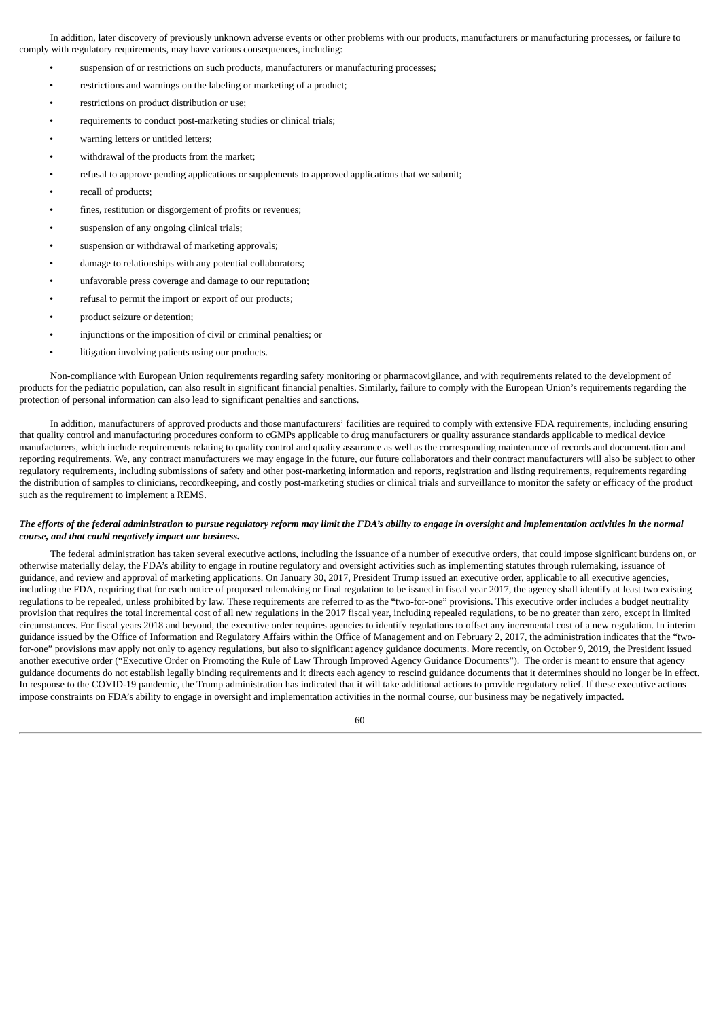In addition, later discovery of previously unknown adverse events or other problems with our products, manufacturers or manufacturing processes, or failure to comply with regulatory requirements, may have various consequences, including:

- suspension of or restrictions on such products, manufacturers or manufacturing processes;
- restrictions and warnings on the labeling or marketing of a product;
- restrictions on product distribution or use;
- requirements to conduct post-marketing studies or clinical trials;
- warning letters or untitled letters;
- withdrawal of the products from the market;
- refusal to approve pending applications or supplements to approved applications that we submit;
- recall of products;
- fines, restitution or disgorgement of profits or revenues;
- suspension of any ongoing clinical trials;
- suspension or withdrawal of marketing approvals;
- damage to relationships with any potential collaborators;
- unfavorable press coverage and damage to our reputation;
- refusal to permit the import or export of our products;
- product seizure or detention;
- injunctions or the imposition of civil or criminal penalties; or
- litigation involving patients using our products.

Non-compliance with European Union requirements regarding safety monitoring or pharmacovigilance, and with requirements related to the development of products for the pediatric population, can also result in significant financial penalties. Similarly, failure to comply with the European Union's requirements regarding the protection of personal information can also lead to significant penalties and sanctions.

In addition, manufacturers of approved products and those manufacturers' facilities are required to comply with extensive FDA requirements, including ensuring that quality control and manufacturing procedures conform to cGMPs applicable to drug manufacturers or quality assurance standards applicable to medical device manufacturers, which include requirements relating to quality control and quality assurance as well as the corresponding maintenance of records and documentation and reporting requirements. We, any contract manufacturers we may engage in the future, our future collaborators and their contract manufacturers will also be subject to other regulatory requirements, including submissions of safety and other post-marketing information and reports, registration and listing requirements, requirements regarding the distribution of samples to clinicians, recordkeeping, and costly post-marketing studies or clinical trials and surveillance to monitor the safety or efficacy of the product such as the requirement to implement a REMS.

### The efforts of the federal administration to pursue regulatory reform may limit the FDA's ability to engage in oversight and implementation activities in the normal *course, and that could negatively impact our business.*

The federal administration has taken several executive actions, including the issuance of a number of executive orders, that could impose significant burdens on, or otherwise materially delay, the FDA's ability to engage in routine regulatory and oversight activities such as implementing statutes through rulemaking, issuance of guidance, and review and approval of marketing applications. On January 30, 2017, President Trump issued an executive order, applicable to all executive agencies, including the FDA, requiring that for each notice of proposed rulemaking or final regulation to be issued in fiscal year 2017, the agency shall identify at least two existing regulations to be repealed, unless prohibited by law. These requirements are referred to as the "two-for-one" provisions. This executive order includes a budget neutrality provision that requires the total incremental cost of all new regulations in the 2017 fiscal year, including repealed regulations, to be no greater than zero, except in limited circumstances. For fiscal years 2018 and beyond, the executive order requires agencies to identify regulations to offset any incremental cost of a new regulation. In interim guidance issued by the Office of Information and Regulatory Affairs within the Office of Management and on February 2, 2017, the administration indicates that the "twofor-one" provisions may apply not only to agency regulations, but also to significant agency guidance documents. More recently, on October 9, 2019, the President issued another executive order ("Executive Order on Promoting the Rule of Law Through Improved Agency Guidance Documents"). The order is meant to ensure that agency guidance documents do not establish legally binding requirements and it directs each agency to rescind guidance documents that it determines should no longer be in effect. In response to the COVID-19 pandemic, the Trump administration has indicated that it will take additional actions to provide regulatory relief. If these executive actions impose constraints on FDA's ability to engage in oversight and implementation activities in the normal course, our business may be negatively impacted.

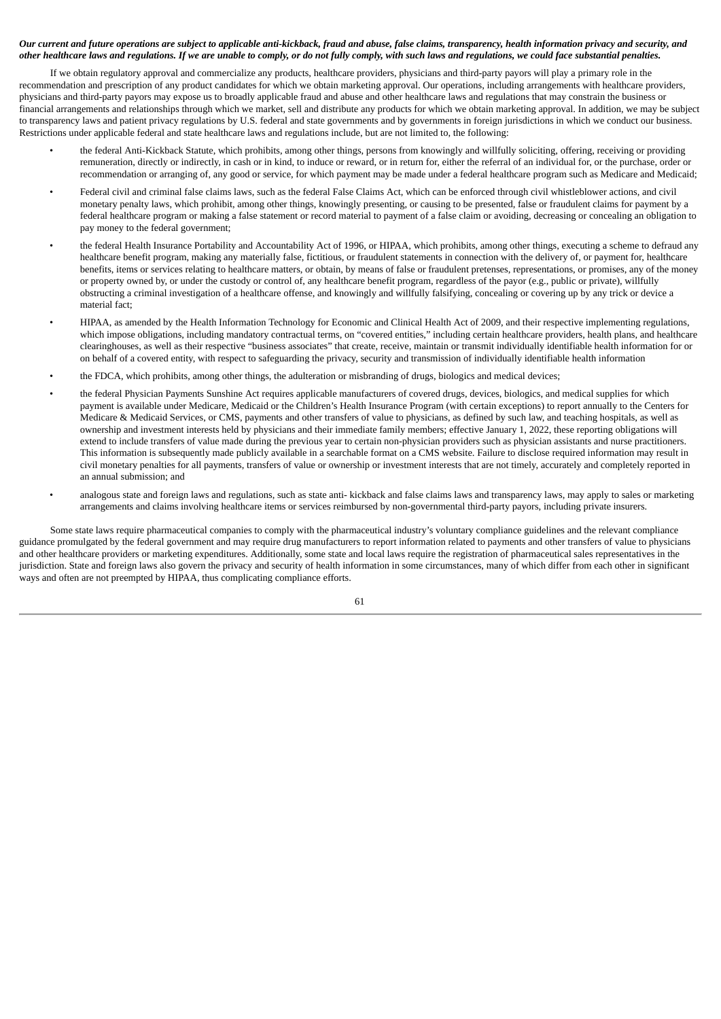# Our current and future operations are subject to applicable anti-kickback, fraud and abuse, false claims, transparency, health information privacy and security, and other healthcare laws and regulations. If we are unable to comply, or do not fully comply, with such laws and regulations, we could face substantial penalties.

If we obtain regulatory approval and commercialize any products, healthcare providers, physicians and third-party payors will play a primary role in the recommendation and prescription of any product candidates for which we obtain marketing approval. Our operations, including arrangements with healthcare providers, physicians and third-party payors may expose us to broadly applicable fraud and abuse and other healthcare laws and regulations that may constrain the business or financial arrangements and relationships through which we market, sell and distribute any products for which we obtain marketing approval. In addition, we may be subject to transparency laws and patient privacy regulations by U.S. federal and state governments and by governments in foreign jurisdictions in which we conduct our business. Restrictions under applicable federal and state healthcare laws and regulations include, but are not limited to, the following:

- the federal Anti-Kickback Statute, which prohibits, among other things, persons from knowingly and willfully soliciting, offering, receiving or providing remuneration, directly or indirectly, in cash or in kind, to induce or reward, or in return for, either the referral of an individual for, or the purchase, order or recommendation or arranging of, any good or service, for which payment may be made under a federal healthcare program such as Medicare and Medicaid;
- Federal civil and criminal false claims laws, such as the federal False Claims Act, which can be enforced through civil whistleblower actions, and civil monetary penalty laws, which prohibit, among other things, knowingly presenting, or causing to be presented, false or fraudulent claims for payment by a federal healthcare program or making a false statement or record material to payment of a false claim or avoiding, decreasing or concealing an obligation to pay money to the federal government;
- the federal Health Insurance Portability and Accountability Act of 1996, or HIPAA, which prohibits, among other things, executing a scheme to defraud any healthcare benefit program, making any materially false, fictitious, or fraudulent statements in connection with the delivery of, or payment for, healthcare benefits, items or services relating to healthcare matters, or obtain, by means of false or fraudulent pretenses, representations, or promises, any of the money or property owned by, or under the custody or control of, any healthcare benefit program, regardless of the payor (e.g., public or private), willfully obstructing a criminal investigation of a healthcare offense, and knowingly and willfully falsifying, concealing or covering up by any trick or device a material fact;
- HIPAA, as amended by the Health Information Technology for Economic and Clinical Health Act of 2009, and their respective implementing regulations, which impose obligations, including mandatory contractual terms, on "covered entities," including certain healthcare providers, health plans, and healthcare clearinghouses, as well as their respective "business associates" that create, receive, maintain or transmit individually identifiable health information for or on behalf of a covered entity, with respect to safeguarding the privacy, security and transmission of individually identifiable health information
- the FDCA, which prohibits, among other things, the adulteration or misbranding of drugs, biologics and medical devices;
- the federal Physician Payments Sunshine Act requires applicable manufacturers of covered drugs, devices, biologics, and medical supplies for which payment is available under Medicare, Medicaid or the Children's Health Insurance Program (with certain exceptions) to report annually to the Centers for Medicare & Medicaid Services, or CMS, payments and other transfers of value to physicians, as defined by such law, and teaching hospitals, as well as ownership and investment interests held by physicians and their immediate family members; effective January 1, 2022, these reporting obligations will extend to include transfers of value made during the previous year to certain non-physician providers such as physician assistants and nurse practitioners. This information is subsequently made publicly available in a searchable format on a CMS website. Failure to disclose required information may result in civil monetary penalties for all payments, transfers of value or ownership or investment interests that are not timely, accurately and completely reported in an annual submission; and
- analogous state and foreign laws and regulations, such as state anti- kickback and false claims laws and transparency laws, may apply to sales or marketing arrangements and claims involving healthcare items or services reimbursed by non-governmental third-party payors, including private insurers.

Some state laws require pharmaceutical companies to comply with the pharmaceutical industry's voluntary compliance guidelines and the relevant compliance guidance promulgated by the federal government and may require drug manufacturers to report information related to payments and other transfers of value to physicians and other healthcare providers or marketing expenditures. Additionally, some state and local laws require the registration of pharmaceutical sales representatives in the jurisdiction. State and foreign laws also govern the privacy and security of health information in some circumstances, many of which differ from each other in significant ways and often are not preempted by HIPAA, thus complicating compliance efforts.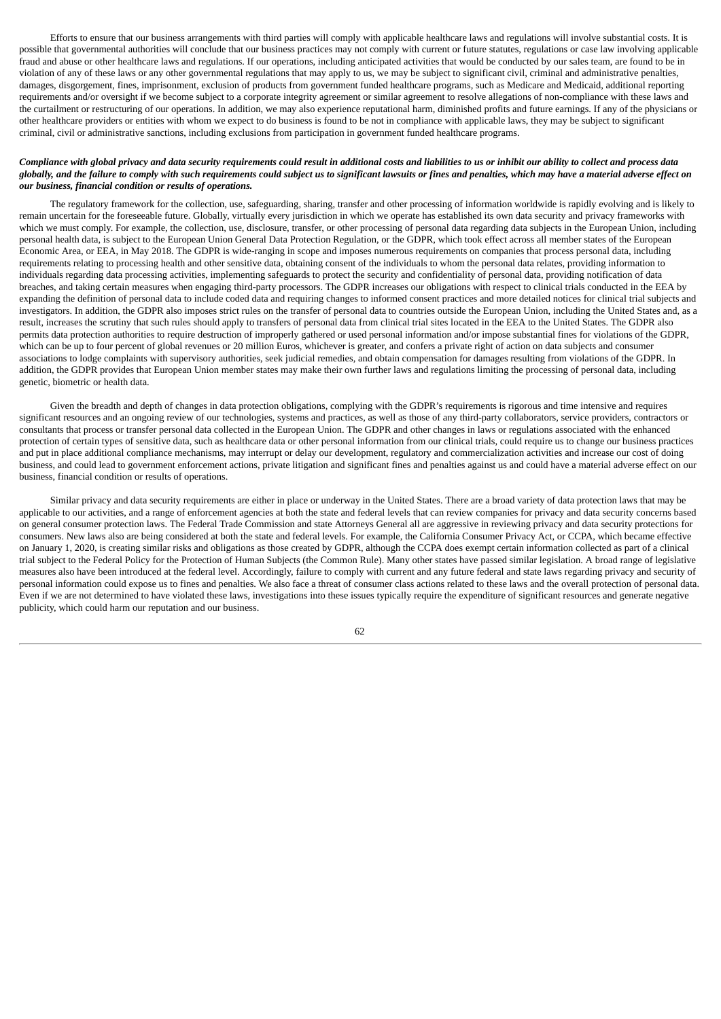Efforts to ensure that our business arrangements with third parties will comply with applicable healthcare laws and regulations will involve substantial costs. It is possible that governmental authorities will conclude that our business practices may not comply with current or future statutes, regulations or case law involving applicable fraud and abuse or other healthcare laws and regulations. If our operations, including anticipated activities that would be conducted by our sales team, are found to be in violation of any of these laws or any other governmental regulations that may apply to us, we may be subject to significant civil, criminal and administrative penalties, damages, disgorgement, fines, imprisonment, exclusion of products from government funded healthcare programs, such as Medicare and Medicaid, additional reporting requirements and/or oversight if we become subject to a corporate integrity agreement or similar agreement to resolve allegations of non-compliance with these laws and the curtailment or restructuring of our operations. In addition, we may also experience reputational harm, diminished profits and future earnings. If any of the physicians or other healthcare providers or entities with whom we expect to do business is found to be not in compliance with applicable laws, they may be subject to significant criminal, civil or administrative sanctions, including exclusions from participation in government funded healthcare programs.

## Compliance with global privacy and data security requirements could result in additional costs and liabilities to us or inhibit our ability to collect and process data globally, and the failure to comply with such requirements could subject us to significant lawsuits or fines and penalties, which may have a material adverse effect on *our business, financial condition or results of operations.*

The regulatory framework for the collection, use, safeguarding, sharing, transfer and other processing of information worldwide is rapidly evolving and is likely to remain uncertain for the foreseeable future. Globally, virtually every jurisdiction in which we operate has established its own data security and privacy frameworks with which we must comply. For example, the collection, use, disclosure, transfer, or other processing of personal data regarding data subjects in the European Union, including personal health data, is subject to the European Union General Data Protection Regulation, or the GDPR, which took effect across all member states of the European Economic Area, or EEA, in May 2018. The GDPR is wide-ranging in scope and imposes numerous requirements on companies that process personal data, including requirements relating to processing health and other sensitive data, obtaining consent of the individuals to whom the personal data relates, providing information to individuals regarding data processing activities, implementing safeguards to protect the security and confidentiality of personal data, providing notification of data breaches, and taking certain measures when engaging third-party processors. The GDPR increases our obligations with respect to clinical trials conducted in the EEA by expanding the definition of personal data to include coded data and requiring changes to informed consent practices and more detailed notices for clinical trial subjects and investigators. In addition, the GDPR also imposes strict rules on the transfer of personal data to countries outside the European Union, including the United States and, as a result, increases the scrutiny that such rules should apply to transfers of personal data from clinical trial sites located in the EEA to the United States. The GDPR also permits data protection authorities to require destruction of improperly gathered or used personal information and/or impose substantial fines for violations of the GDPR, which can be up to four percent of global revenues or 20 million Euros, whichever is greater, and confers a private right of action on data subjects and consumer associations to lodge complaints with supervisory authorities, seek judicial remedies, and obtain compensation for damages resulting from violations of the GDPR. In addition, the GDPR provides that European Union member states may make their own further laws and regulations limiting the processing of personal data, including genetic, biometric or health data.

Given the breadth and depth of changes in data protection obligations, complying with the GDPR's requirements is rigorous and time intensive and requires significant resources and an ongoing review of our technologies, systems and practices, as well as those of any third-party collaborators, service providers, contractors or consultants that process or transfer personal data collected in the European Union. The GDPR and other changes in laws or regulations associated with the enhanced protection of certain types of sensitive data, such as healthcare data or other personal information from our clinical trials, could require us to change our business practices and put in place additional compliance mechanisms, may interrupt or delay our development, regulatory and commercialization activities and increase our cost of doing business, and could lead to government enforcement actions, private litigation and significant fines and penalties against us and could have a material adverse effect on our business, financial condition or results of operations.

Similar privacy and data security requirements are either in place or underway in the United States. There are a broad variety of data protection laws that may be applicable to our activities, and a range of enforcement agencies at both the state and federal levels that can review companies for privacy and data security concerns based on general consumer protection laws. The Federal Trade Commission and state Attorneys General all are aggressive in reviewing privacy and data security protections for consumers. New laws also are being considered at both the state and federal levels. For example, the California Consumer Privacy Act, or CCPA, which became effective on January 1, 2020, is creating similar risks and obligations as those created by GDPR, although the CCPA does exempt certain information collected as part of a clinical trial subject to the Federal Policy for the Protection of Human Subjects (the Common Rule). Many other states have passed similar legislation. A broad range of legislative measures also have been introduced at the federal level. Accordingly, failure to comply with current and any future federal and state laws regarding privacy and security of personal information could expose us to fines and penalties. We also face a threat of consumer class actions related to these laws and the overall protection of personal data. Even if we are not determined to have violated these laws, investigations into these issues typically require the expenditure of significant resources and generate negative publicity, which could harm our reputation and our business.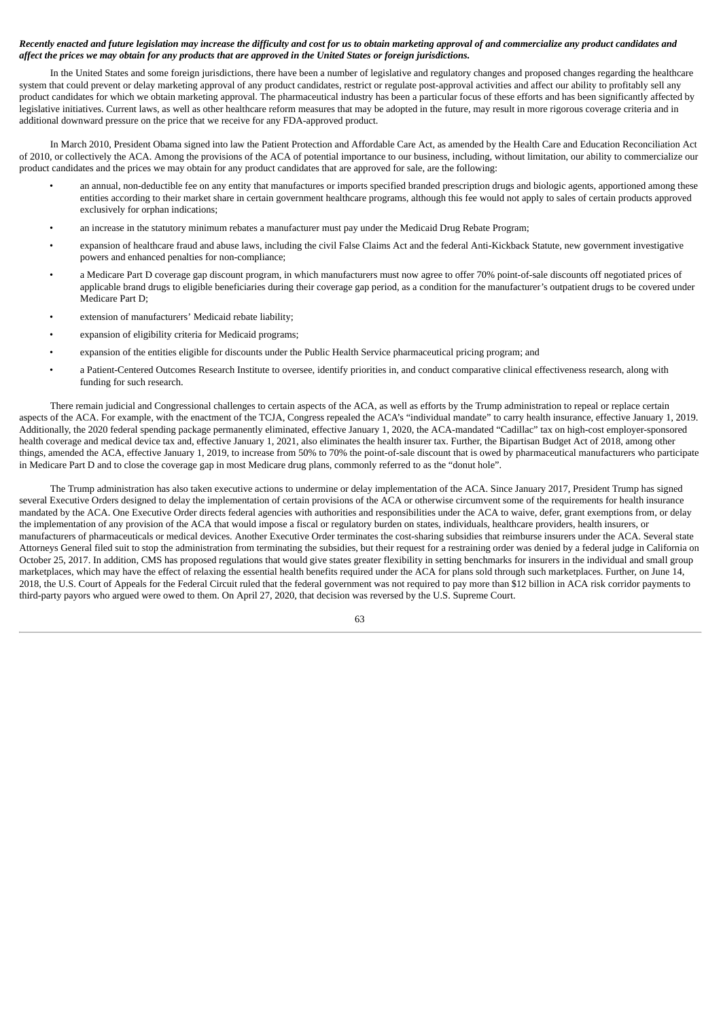# Recently enacted and future legislation may increase the difficulty and cost for us to obtain marketing approval of and commercialize any product candidates and affect the prices we may obtain for any products that are approved in the United States or foreign jurisdictions.

In the United States and some foreign jurisdictions, there have been a number of legislative and regulatory changes and proposed changes regarding the healthcare system that could prevent or delay marketing approval of any product candidates, restrict or regulate post-approval activities and affect our ability to profitably sell any product candidates for which we obtain marketing approval. The pharmaceutical industry has been a particular focus of these efforts and has been significantly affected by legislative initiatives. Current laws, as well as other healthcare reform measures that may be adopted in the future, may result in more rigorous coverage criteria and in additional downward pressure on the price that we receive for any FDA-approved product.

In March 2010, President Obama signed into law the Patient Protection and Affordable Care Act, as amended by the Health Care and Education Reconciliation Act of 2010, or collectively the ACA. Among the provisions of the ACA of potential importance to our business, including, without limitation, our ability to commercialize our product candidates and the prices we may obtain for any product candidates that are approved for sale, are the following:

- an annual, non-deductible fee on any entity that manufactures or imports specified branded prescription drugs and biologic agents, apportioned among these entities according to their market share in certain government healthcare programs, although this fee would not apply to sales of certain products approved exclusively for orphan indications;
- an increase in the statutory minimum rebates a manufacturer must pay under the Medicaid Drug Rebate Program;
- expansion of healthcare fraud and abuse laws, including the civil False Claims Act and the federal Anti-Kickback Statute, new government investigative powers and enhanced penalties for non-compliance;
- a Medicare Part D coverage gap discount program, in which manufacturers must now agree to offer 70% point-of-sale discounts off negotiated prices of applicable brand drugs to eligible beneficiaries during their coverage gap period, as a condition for the manufacturer's outpatient drugs to be covered under Medicare Part D;
- extension of manufacturers' Medicaid rebate liability;
- expansion of eligibility criteria for Medicaid programs;
- expansion of the entities eligible for discounts under the Public Health Service pharmaceutical pricing program; and
- a Patient-Centered Outcomes Research Institute to oversee, identify priorities in, and conduct comparative clinical effectiveness research, along with funding for such research.

There remain judicial and Congressional challenges to certain aspects of the ACA, as well as efforts by the Trump administration to repeal or replace certain aspects of the ACA. For example, with the enactment of the TCJA, Congress repealed the ACA's "individual mandate" to carry health insurance, effective January 1, 2019. Additionally, the 2020 federal spending package permanently eliminated, effective January 1, 2020, the ACA-mandated "Cadillac" tax on high-cost employer-sponsored health coverage and medical device tax and, effective January 1, 2021, also eliminates the health insurer tax. Further, the Bipartisan Budget Act of 2018, among other things, amended the ACA, effective January 1, 2019, to increase from 50% to 70% the point-of-sale discount that is owed by pharmaceutical manufacturers who participate in Medicare Part D and to close the coverage gap in most Medicare drug plans, commonly referred to as the "donut hole".

The Trump administration has also taken executive actions to undermine or delay implementation of the ACA. Since January 2017, President Trump has signed several Executive Orders designed to delay the implementation of certain provisions of the ACA or otherwise circumvent some of the requirements for health insurance mandated by the ACA. One Executive Order directs federal agencies with authorities and responsibilities under the ACA to waive, defer, grant exemptions from, or delay the implementation of any provision of the ACA that would impose a fiscal or regulatory burden on states, individuals, healthcare providers, health insurers, or manufacturers of pharmaceuticals or medical devices. Another Executive Order terminates the cost-sharing subsidies that reimburse insurers under the ACA. Several state Attorneys General filed suit to stop the administration from terminating the subsidies, but their request for a restraining order was denied by a federal judge in California on October 25, 2017. In addition, CMS has proposed regulations that would give states greater flexibility in setting benchmarks for insurers in the individual and small group marketplaces, which may have the effect of relaxing the essential health benefits required under the ACA for plans sold through such marketplaces. Further, on June 14, 2018, the U.S. Court of Appeals for the Federal Circuit ruled that the federal government was not required to pay more than \$12 billion in ACA risk corridor payments to third-party payors who argued were owed to them. On April 27, 2020, that decision was reversed by the U.S. Supreme Court.

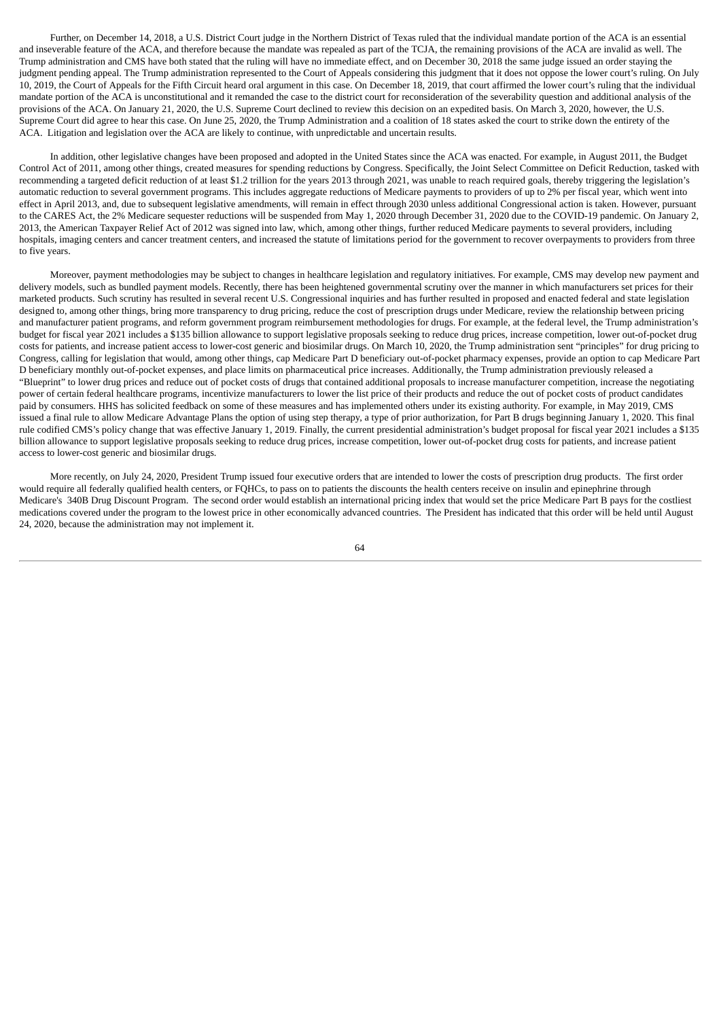Further, on December 14, 2018, a U.S. District Court judge in the Northern District of Texas ruled that the individual mandate portion of the ACA is an essential and inseverable feature of the ACA, and therefore because the mandate was repealed as part of the TCJA, the remaining provisions of the ACA are invalid as well. The Trump administration and CMS have both stated that the ruling will have no immediate effect, and on December 30, 2018 the same judge issued an order staying the judgment pending appeal. The Trump administration represented to the Court of Appeals considering this judgment that it does not oppose the lower court's ruling. On July 10, 2019, the Court of Appeals for the Fifth Circuit heard oral argument in this case. On December 18, 2019, that court affirmed the lower court's ruling that the individual mandate portion of the ACA is unconstitutional and it remanded the case to the district court for reconsideration of the severability question and additional analysis of the provisions of the ACA. On January 21, 2020, the U.S. Supreme Court declined to review this decision on an expedited basis. On March 3, 2020, however, the U.S. Supreme Court did agree to hear this case. On June 25, 2020, the Trump Administration and a coalition of 18 states asked the court to strike down the entirety of the ACA. Litigation and legislation over the ACA are likely to continue, with unpredictable and uncertain results.

In addition, other legislative changes have been proposed and adopted in the United States since the ACA was enacted. For example, in August 2011, the Budget Control Act of 2011, among other things, created measures for spending reductions by Congress. Specifically, the Joint Select Committee on Deficit Reduction, tasked with recommending a targeted deficit reduction of at least \$1.2 trillion for the years 2013 through 2021, was unable to reach required goals, thereby triggering the legislation's automatic reduction to several government programs. This includes aggregate reductions of Medicare payments to providers of up to 2% per fiscal year, which went into effect in April 2013, and, due to subsequent legislative amendments, will remain in effect through 2030 unless additional Congressional action is taken. However, pursuant to the CARES Act, the 2% Medicare sequester reductions will be suspended from May 1, 2020 through December 31, 2020 due to the COVID-19 pandemic. On January 2, 2013, the American Taxpayer Relief Act of 2012 was signed into law, which, among other things, further reduced Medicare payments to several providers, including hospitals, imaging centers and cancer treatment centers, and increased the statute of limitations period for the government to recover overpayments to providers from three to five years.

Moreover, payment methodologies may be subject to changes in healthcare legislation and regulatory initiatives. For example, CMS may develop new payment and delivery models, such as bundled payment models. Recently, there has been heightened governmental scrutiny over the manner in which manufacturers set prices for their marketed products. Such scrutiny has resulted in several recent U.S. Congressional inquiries and has further resulted in proposed and enacted federal and state legislation designed to, among other things, bring more transparency to drug pricing, reduce the cost of prescription drugs under Medicare, review the relationship between pricing and manufacturer patient programs, and reform government program reimbursement methodologies for drugs. For example, at the federal level, the Trump administration's budget for fiscal year 2021 includes a \$135 billion allowance to support legislative proposals seeking to reduce drug prices, increase competition, lower out-of-pocket drug costs for patients, and increase patient access to lower-cost generic and biosimilar drugs. On March 10, 2020, the Trump administration sent "principles" for drug pricing to Congress, calling for legislation that would, among other things, cap Medicare Part D beneficiary out-of-pocket pharmacy expenses, provide an option to cap Medicare Part D beneficiary monthly out-of-pocket expenses, and place limits on pharmaceutical price increases. Additionally, the Trump administration previously released a "Blueprint" to lower drug prices and reduce out of pocket costs of drugs that contained additional proposals to increase manufacturer competition, increase the negotiating power of certain federal healthcare programs, incentivize manufacturers to lower the list price of their products and reduce the out of pocket costs of product candidates paid by consumers. HHS has solicited feedback on some of these measures and has implemented others under its existing authority. For example, in May 2019, CMS issued a final rule to allow Medicare Advantage Plans the option of using step therapy, a type of prior authorization, for Part B drugs beginning January 1, 2020. This final rule codified CMS's policy change that was effective January 1, 2019. Finally, the current presidential administration's budget proposal for fiscal year 2021 includes a \$135 billion allowance to support legislative proposals seeking to reduce drug prices, increase competition, lower out-of-pocket drug costs for patients, and increase patient access to lower-cost generic and biosimilar drugs.

More recently, on July 24, 2020, President Trump issued four executive orders that are intended to lower the costs of prescription drug products. The first order would require all federally qualified health centers, or FQHCs, to pass on to patients the discounts the health centers receive on insulin and epinephrine through Medicare's 340B Drug Discount Program. The second order would establish an international pricing index that would set the price Medicare Part B pays for the costliest medications covered under the program to the lowest price in other economically advanced countries. The President has indicated that this order will be held until August 24, 2020, because the administration may not implement it.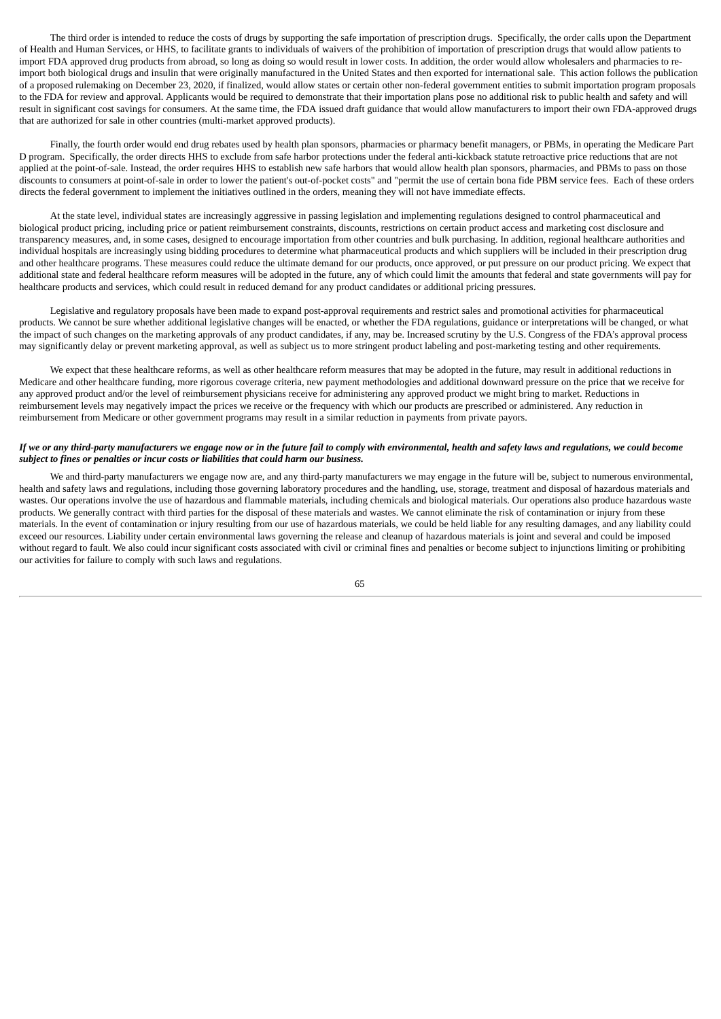The third order is intended to reduce the costs of drugs by supporting the safe importation of prescription drugs. Specifically, the order calls upon the Department of Health and Human Services, or HHS, to facilitate grants to individuals of waivers of the prohibition of importation of prescription drugs that would allow patients to import FDA approved drug products from abroad, so long as doing so would result in lower costs. In addition, the order would allow wholesalers and pharmacies to reimport both biological drugs and insulin that were originally manufactured in the United States and then exported for international sale. This action follows the publication of a proposed rulemaking on December 23, 2020, if finalized, would allow states or certain other non-federal government entities to submit importation program proposals to the FDA for review and approval. Applicants would be required to demonstrate that their importation plans pose no additional risk to public health and safety and will result in significant cost savings for consumers. At the same time, the FDA issued draft guidance that would allow manufacturers to import their own FDA-approved drugs that are authorized for sale in other countries (multi-market approved products).

Finally, the fourth order would end drug rebates used by health plan sponsors, pharmacies or pharmacy benefit managers, or PBMs, in operating the Medicare Part D program. Specifically, the order directs HHS to exclude from safe harbor protections under the federal anti-kickback statute retroactive price reductions that are not applied at the point-of-sale. Instead, the order requires HHS to establish new safe harbors that would allow health plan sponsors, pharmacies, and PBMs to pass on those discounts to consumers at point-of-sale in order to lower the patient's out-of-pocket costs" and "permit the use of certain bona fide PBM service fees. Each of these orders directs the federal government to implement the initiatives outlined in the orders, meaning they will not have immediate effects.

At the state level, individual states are increasingly aggressive in passing legislation and implementing regulations designed to control pharmaceutical and biological product pricing, including price or patient reimbursement constraints, discounts, restrictions on certain product access and marketing cost disclosure and transparency measures, and, in some cases, designed to encourage importation from other countries and bulk purchasing. In addition, regional healthcare authorities and individual hospitals are increasingly using bidding procedures to determine what pharmaceutical products and which suppliers will be included in their prescription drug and other healthcare programs. These measures could reduce the ultimate demand for our products, once approved, or put pressure on our product pricing. We expect that additional state and federal healthcare reform measures will be adopted in the future, any of which could limit the amounts that federal and state governments will pay for healthcare products and services, which could result in reduced demand for any product candidates or additional pricing pressures.

Legislative and regulatory proposals have been made to expand post-approval requirements and restrict sales and promotional activities for pharmaceutical products. We cannot be sure whether additional legislative changes will be enacted, or whether the FDA regulations, guidance or interpretations will be changed, or what the impact of such changes on the marketing approvals of any product candidates, if any, may be. Increased scrutiny by the U.S. Congress of the FDA's approval process may significantly delay or prevent marketing approval, as well as subject us to more stringent product labeling and post-marketing testing and other requirements.

We expect that these healthcare reforms, as well as other healthcare reform measures that may be adopted in the future, may result in additional reductions in Medicare and other healthcare funding, more rigorous coverage criteria, new payment methodologies and additional downward pressure on the price that we receive for any approved product and/or the level of reimbursement physicians receive for administering any approved product we might bring to market. Reductions in reimbursement levels may negatively impact the prices we receive or the frequency with which our products are prescribed or administered. Any reduction in reimbursement from Medicare or other government programs may result in a similar reduction in payments from private payors.

## If we or any third-party manufacturers we engage now or in the future fail to comply with environmental, health and safety laws and regulations, we could become *subject to fines or penalties or incur costs or liabilities that could harm our business.*

We and third-party manufacturers we engage now are, and any third-party manufacturers we may engage in the future will be, subject to numerous environmental, health and safety laws and regulations, including those governing laboratory procedures and the handling, use, storage, treatment and disposal of hazardous materials and wastes. Our operations involve the use of hazardous and flammable materials, including chemicals and biological materials. Our operations also produce hazardous waste products. We generally contract with third parties for the disposal of these materials and wastes. We cannot eliminate the risk of contamination or injury from these materials. In the event of contamination or injury resulting from our use of hazardous materials, we could be held liable for any resulting damages, and any liability could exceed our resources. Liability under certain environmental laws governing the release and cleanup of hazardous materials is joint and several and could be imposed without regard to fault. We also could incur significant costs associated with civil or criminal fines and penalties or become subject to injunctions limiting or prohibiting our activities for failure to comply with such laws and regulations.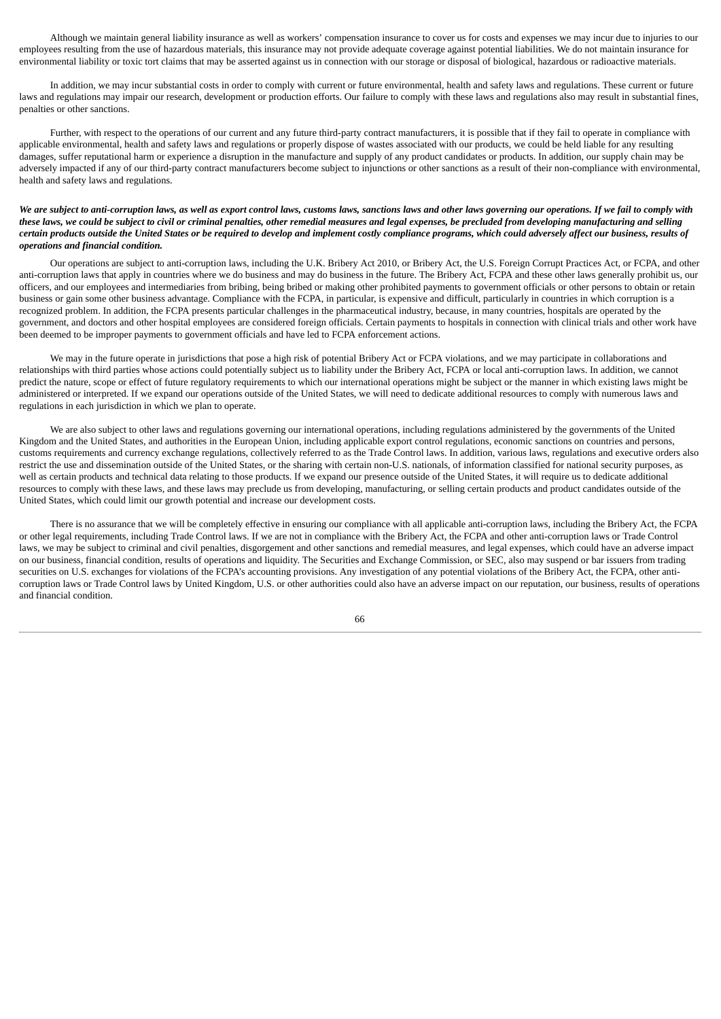Although we maintain general liability insurance as well as workers' compensation insurance to cover us for costs and expenses we may incur due to injuries to our employees resulting from the use of hazardous materials, this insurance may not provide adequate coverage against potential liabilities. We do not maintain insurance for environmental liability or toxic tort claims that may be asserted against us in connection with our storage or disposal of biological, hazardous or radioactive materials.

In addition, we may incur substantial costs in order to comply with current or future environmental, health and safety laws and regulations. These current or future laws and regulations may impair our research, development or production efforts. Our failure to comply with these laws and regulations also may result in substantial fines, penalties or other sanctions.

Further, with respect to the operations of our current and any future third-party contract manufacturers, it is possible that if they fail to operate in compliance with applicable environmental, health and safety laws and regulations or properly dispose of wastes associated with our products, we could be held liable for any resulting damages, suffer reputational harm or experience a disruption in the manufacture and supply of any product candidates or products. In addition, our supply chain may be adversely impacted if any of our third-party contract manufacturers become subject to injunctions or other sanctions as a result of their non-compliance with environmental, health and safety laws and regulations.

## We are subject to anti-corruption laws, as well as export control laws, customs laws, sanctions laws and other laws governing our operations. If we fail to comply with these laws, we could be subject to civil or criminal penalties, other remedial measures and legal expenses, be precluded from developing manufacturing and selling certain products outside the United States or be required to develop and implement costly compliance programs, which could adversely affect our business, results of *operations and financial condition.*

Our operations are subject to anti-corruption laws, including the U.K. Bribery Act 2010, or Bribery Act, the U.S. Foreign Corrupt Practices Act, or FCPA, and other anti-corruption laws that apply in countries where we do business and may do business in the future. The Bribery Act, FCPA and these other laws generally prohibit us, our officers, and our employees and intermediaries from bribing, being bribed or making other prohibited payments to government officials or other persons to obtain or retain business or gain some other business advantage. Compliance with the FCPA, in particular, is expensive and difficult, particularly in countries in which corruption is a recognized problem. In addition, the FCPA presents particular challenges in the pharmaceutical industry, because, in many countries, hospitals are operated by the government, and doctors and other hospital employees are considered foreign officials. Certain payments to hospitals in connection with clinical trials and other work have been deemed to be improper payments to government officials and have led to FCPA enforcement actions.

We may in the future operate in jurisdictions that pose a high risk of potential Bribery Act or FCPA violations, and we may participate in collaborations and relationships with third parties whose actions could potentially subject us to liability under the Bribery Act, FCPA or local anti-corruption laws. In addition, we cannot predict the nature, scope or effect of future regulatory requirements to which our international operations might be subject or the manner in which existing laws might be administered or interpreted. If we expand our operations outside of the United States, we will need to dedicate additional resources to comply with numerous laws and regulations in each jurisdiction in which we plan to operate.

We are also subject to other laws and regulations governing our international operations, including regulations administered by the governments of the United Kingdom and the United States, and authorities in the European Union, including applicable export control regulations, economic sanctions on countries and persons, customs requirements and currency exchange regulations, collectively referred to as the Trade Control laws. In addition, various laws, regulations and executive orders also restrict the use and dissemination outside of the United States, or the sharing with certain non-U.S. nationals, of information classified for national security purposes, as well as certain products and technical data relating to those products. If we expand our presence outside of the United States, it will require us to dedicate additional resources to comply with these laws, and these laws may preclude us from developing, manufacturing, or selling certain products and product candidates outside of the United States, which could limit our growth potential and increase our development costs.

There is no assurance that we will be completely effective in ensuring our compliance with all applicable anti-corruption laws, including the Bribery Act, the FCPA or other legal requirements, including Trade Control laws. If we are not in compliance with the Bribery Act, the FCPA and other anti-corruption laws or Trade Control laws, we may be subject to criminal and civil penalties, disgorgement and other sanctions and remedial measures, and legal expenses, which could have an adverse impact on our business, financial condition, results of operations and liquidity. The Securities and Exchange Commission, or SEC, also may suspend or bar issuers from trading securities on U.S. exchanges for violations of the FCPA's accounting provisions. Any investigation of any potential violations of the Bribery Act, the FCPA, other anticorruption laws or Trade Control laws by United Kingdom, U.S. or other authorities could also have an adverse impact on our reputation, our business, results of operations and financial condition.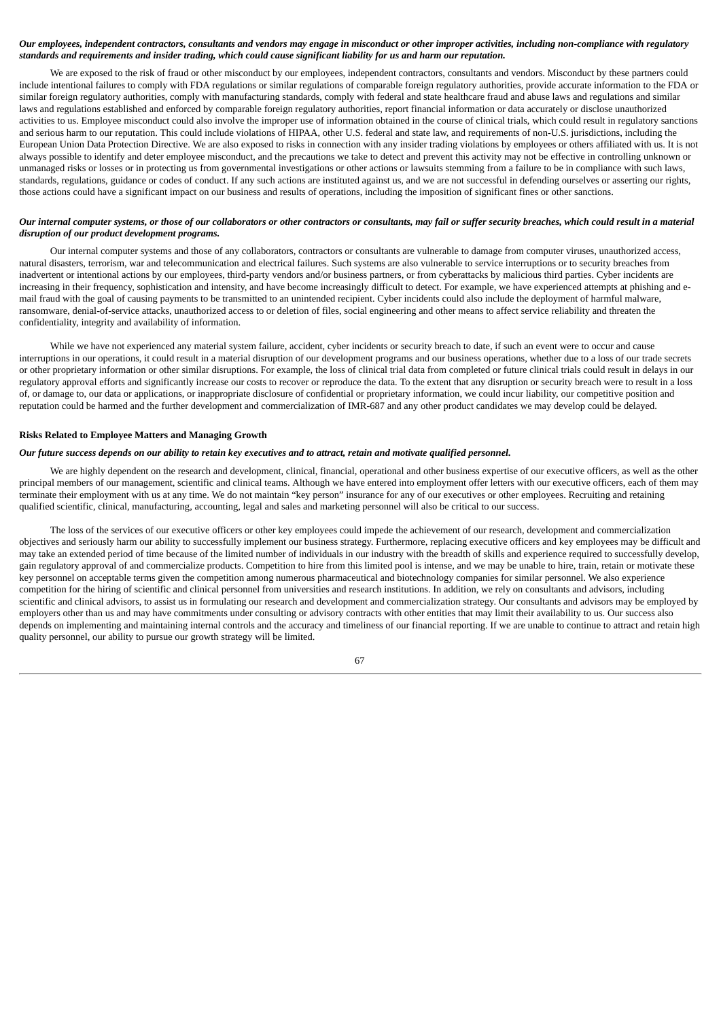## Our employees, independent contractors, consultants and vendors may engage in misconduct or other improper activities, including non-compliance with regulatory standards and requirements and insider trading, which could cause significant liability for us and harm our reputation.

We are exposed to the risk of fraud or other misconduct by our employees, independent contractors, consultants and vendors. Misconduct by these partners could include intentional failures to comply with FDA regulations or similar regulations of comparable foreign regulatory authorities, provide accurate information to the FDA or similar foreign regulatory authorities, comply with manufacturing standards, comply with federal and state healthcare fraud and abuse laws and regulations and similar laws and regulations established and enforced by comparable foreign regulatory authorities, report financial information or data accurately or disclose unauthorized activities to us. Employee misconduct could also involve the improper use of information obtained in the course of clinical trials, which could result in regulatory sanctions and serious harm to our reputation. This could include violations of HIPAA, other U.S. federal and state law, and requirements of non-U.S. jurisdictions, including the European Union Data Protection Directive. We are also exposed to risks in connection with any insider trading violations by employees or others affiliated with us. It is not always possible to identify and deter employee misconduct, and the precautions we take to detect and prevent this activity may not be effective in controlling unknown or unmanaged risks or losses or in protecting us from governmental investigations or other actions or lawsuits stemming from a failure to be in compliance with such laws, standards, regulations, guidance or codes of conduct. If any such actions are instituted against us, and we are not successful in defending ourselves or asserting our rights, those actions could have a significant impact on our business and results of operations, including the imposition of significant fines or other sanctions.

# Our internal computer systems, or those of our collaborators or other contractors or consultants, may fail or suffer security breaches, which could result in a material *disruption of our product development programs.*

Our internal computer systems and those of any collaborators, contractors or consultants are vulnerable to damage from computer viruses, unauthorized access, natural disasters, terrorism, war and telecommunication and electrical failures. Such systems are also vulnerable to service interruptions or to security breaches from inadvertent or intentional actions by our employees, third-party vendors and/or business partners, or from cyberattacks by malicious third parties. Cyber incidents are increasing in their frequency, sophistication and intensity, and have become increasingly difficult to detect. For example, we have experienced attempts at phishing and email fraud with the goal of causing payments to be transmitted to an unintended recipient. Cyber incidents could also include the deployment of harmful malware, ransomware, denial-of-service attacks, unauthorized access to or deletion of files, social engineering and other means to affect service reliability and threaten the confidentiality, integrity and availability of information.

While we have not experienced any material system failure, accident, cyber incidents or security breach to date, if such an event were to occur and cause interruptions in our operations, it could result in a material disruption of our development programs and our business operations, whether due to a loss of our trade secrets or other proprietary information or other similar disruptions. For example, the loss of clinical trial data from completed or future clinical trials could result in delays in our regulatory approval efforts and significantly increase our costs to recover or reproduce the data. To the extent that any disruption or security breach were to result in a loss of, or damage to, our data or applications, or inappropriate disclosure of confidential or proprietary information, we could incur liability, our competitive position and reputation could be harmed and the further development and commercialization of IMR-687 and any other product candidates we may develop could be delayed.

### **Risks Related to Employee Matters and Managing Growth**

#### Our future success depends on our ability to retain key executives and to attract, retain and motivate qualified personnel.

We are highly dependent on the research and development, clinical, financial, operational and other business expertise of our executive officers, as well as the other principal members of our management, scientific and clinical teams. Although we have entered into employment offer letters with our executive officers, each of them may terminate their employment with us at any time. We do not maintain "key person" insurance for any of our executives or other employees. Recruiting and retaining qualified scientific, clinical, manufacturing, accounting, legal and sales and marketing personnel will also be critical to our success.

The loss of the services of our executive officers or other key employees could impede the achievement of our research, development and commercialization objectives and seriously harm our ability to successfully implement our business strategy. Furthermore, replacing executive officers and key employees may be difficult and may take an extended period of time because of the limited number of individuals in our industry with the breadth of skills and experience required to successfully develop, gain regulatory approval of and commercialize products. Competition to hire from this limited pool is intense, and we may be unable to hire, train, retain or motivate these key personnel on acceptable terms given the competition among numerous pharmaceutical and biotechnology companies for similar personnel. We also experience competition for the hiring of scientific and clinical personnel from universities and research institutions. In addition, we rely on consultants and advisors, including scientific and clinical advisors, to assist us in formulating our research and development and commercialization strategy. Our consultants and advisors may be employed by employers other than us and may have commitments under consulting or advisory contracts with other entities that may limit their availability to us. Our success also depends on implementing and maintaining internal controls and the accuracy and timeliness of our financial reporting. If we are unable to continue to attract and retain high quality personnel, our ability to pursue our growth strategy will be limited.

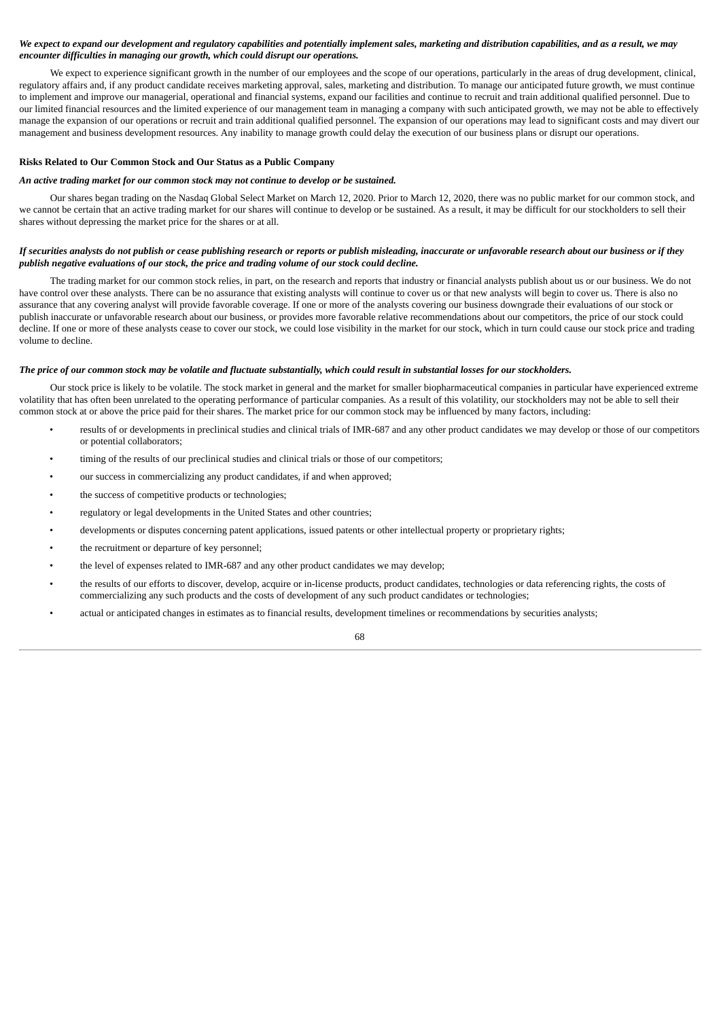# We expect to expand our development and regulatory capabilities and potentially implement sales, marketing and distribution capabilities, and as a result, we may *encounter difficulties in managing our growth, which could disrupt our operations.*

We expect to experience significant growth in the number of our employees and the scope of our operations, particularly in the areas of drug development, clinical, regulatory affairs and, if any product candidate receives marketing approval, sales, marketing and distribution. To manage our anticipated future growth, we must continue to implement and improve our managerial, operational and financial systems, expand our facilities and continue to recruit and train additional qualified personnel. Due to our limited financial resources and the limited experience of our management team in managing a company with such anticipated growth, we may not be able to effectively manage the expansion of our operations or recruit and train additional qualified personnel. The expansion of our operations may lead to significant costs and may divert our management and business development resources. Any inability to manage growth could delay the execution of our business plans or disrupt our operations.

### **Risks Related to Our Common Stock and Our Status as a Public Company**

### *An active trading market for our common stock may not continue to develop or be sustained.*

Our shares began trading on the Nasdaq Global Select Market on March 12, 2020. Prior to March 12, 2020, there was no public market for our common stock, and we cannot be certain that an active trading market for our shares will continue to develop or be sustained. As a result, it may be difficult for our stockholders to sell their shares without depressing the market price for the shares or at all.

## If securities analysts do not publish or cease publishing research or reports or publish misleading, inaccurate or unfavorable research about our business or if they *publish negative evaluations of our stock, the price and trading volume of our stock could decline.*

The trading market for our common stock relies, in part, on the research and reports that industry or financial analysts publish about us or our business. We do not have control over these analysts. There can be no assurance that existing analysts will continue to cover us or that new analysts will begin to cover us. There is also no assurance that any covering analyst will provide favorable coverage. If one or more of the analysts covering our business downgrade their evaluations of our stock or publish inaccurate or unfavorable research about our business, or provides more favorable relative recommendations about our competitors, the price of our stock could decline. If one or more of these analysts cease to cover our stock, we could lose visibility in the market for our stock, which in turn could cause our stock price and trading volume to decline.

### The price of our common stock may be volatile and fluctuate substantially, which could result in substantial losses for our stockholders.

Our stock price is likely to be volatile. The stock market in general and the market for smaller biopharmaceutical companies in particular have experienced extreme volatility that has often been unrelated to the operating performance of particular companies. As a result of this volatility, our stockholders may not be able to sell their common stock at or above the price paid for their shares. The market price for our common stock may be influenced by many factors, including:

- results of or developments in preclinical studies and clinical trials of IMR-687 and any other product candidates we may develop or those of our competitors or potential collaborators;
- timing of the results of our preclinical studies and clinical trials or those of our competitors;
- our success in commercializing any product candidates, if and when approved;
- the success of competitive products or technologies;
- regulatory or legal developments in the United States and other countries;
- developments or disputes concerning patent applications, issued patents or other intellectual property or proprietary rights;
- the recruitment or departure of key personnel;
- the level of expenses related to IMR-687 and any other product candidates we may develop;
- the results of our efforts to discover, develop, acquire or in-license products, product candidates, technologies or data referencing rights, the costs of commercializing any such products and the costs of development of any such product candidates or technologies;
- actual or anticipated changes in estimates as to financial results, development timelines or recommendations by securities analysts;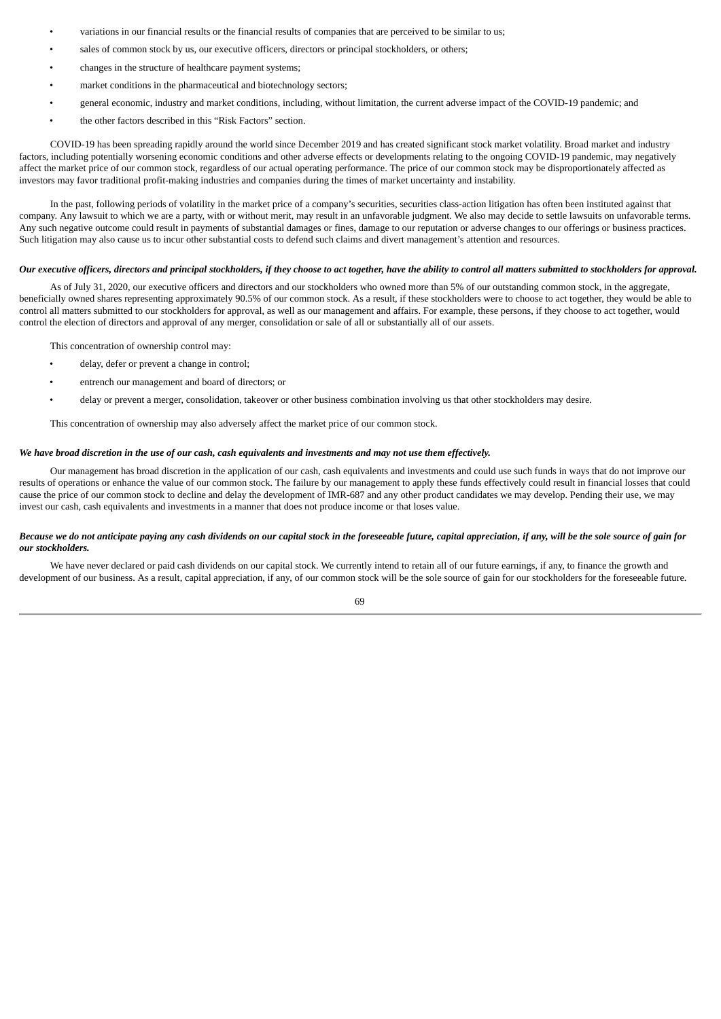- variations in our financial results or the financial results of companies that are perceived to be similar to us;
- sales of common stock by us, our executive officers, directors or principal stockholders, or others;
- changes in the structure of healthcare payment systems;
- market conditions in the pharmaceutical and biotechnology sectors;
- general economic, industry and market conditions, including, without limitation, the current adverse impact of the COVID-19 pandemic; and
- the other factors described in this "Risk Factors" section.

COVID-19 has been spreading rapidly around the world since December 2019 and has created significant stock market volatility. Broad market and industry factors, including potentially worsening economic conditions and other adverse effects or developments relating to the ongoing COVID-19 pandemic, may negatively affect the market price of our common stock, regardless of our actual operating performance. The price of our common stock may be disproportionately affected as investors may favor traditional profit-making industries and companies during the times of market uncertainty and instability.

In the past, following periods of volatility in the market price of a company's securities, securities class-action litigation has often been instituted against that company. Any lawsuit to which we are a party, with or without merit, may result in an unfavorable judgment. We also may decide to settle lawsuits on unfavorable terms. Any such negative outcome could result in payments of substantial damages or fines, damage to our reputation or adverse changes to our offerings or business practices. Such litigation may also cause us to incur other substantial costs to defend such claims and divert management's attention and resources.

#### Our executive officers, directors and principal stockholders, if they choose to act together, have the ability to control all matters submitted to stockholders for approval,

As of July 31, 2020, our executive officers and directors and our stockholders who owned more than 5% of our outstanding common stock, in the aggregate, beneficially owned shares representing approximately 90.5% of our common stock. As a result, if these stockholders were to choose to act together, they would be able to control all matters submitted to our stockholders for approval, as well as our management and affairs. For example, these persons, if they choose to act together, would control the election of directors and approval of any merger, consolidation or sale of all or substantially all of our assets.

This concentration of ownership control may:

- delay, defer or prevent a change in control;
- entrench our management and board of directors; or
- delay or prevent a merger, consolidation, takeover or other business combination involving us that other stockholders may desire.

This concentration of ownership may also adversely affect the market price of our common stock.

#### We have broad discretion in the use of our cash, cash equivalents and investments and may not use them effectively.

Our management has broad discretion in the application of our cash, cash equivalents and investments and could use such funds in ways that do not improve our results of operations or enhance the value of our common stock. The failure by our management to apply these funds effectively could result in financial losses that could cause the price of our common stock to decline and delay the development of IMR-687 and any other product candidates we may develop. Pending their use, we may invest our cash, cash equivalents and investments in a manner that does not produce income or that loses value.

## Because we do not anticipate paying any cash dividends on our capital stock in the foreseeable future, capital appreciation, if any, will be the sole source of gain for *our stockholders.*

We have never declared or paid cash dividends on our capital stock. We currently intend to retain all of our future earnings, if any, to finance the growth and development of our business. As a result, capital appreciation, if any, of our common stock will be the sole source of gain for our stockholders for the foreseeable future.

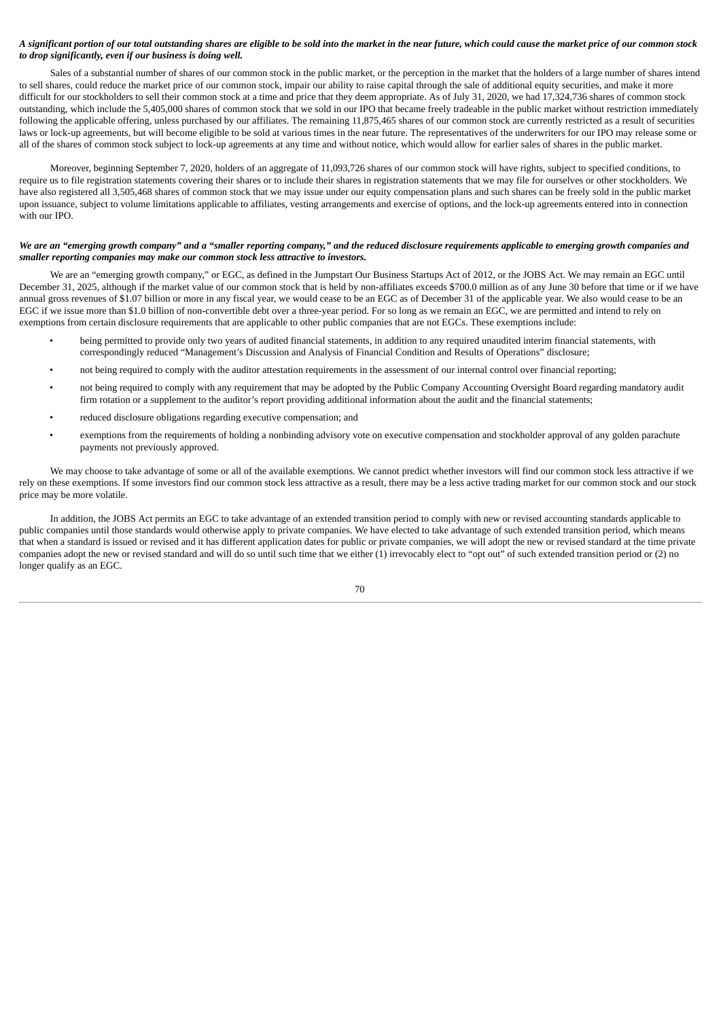## A significant portion of our total outstanding shares are eligible to be sold into the market in the near future, which could cause the market price of our common stock *to drop significantly, even if our business is doing well.*

Sales of a substantial number of shares of our common stock in the public market, or the perception in the market that the holders of a large number of shares intend to sell shares, could reduce the market price of our common stock, impair our ability to raise capital through the sale of additional equity securities, and make it more difficult for our stockholders to sell their common stock at a time and price that they deem appropriate. As of July 31, 2020, we had 17,324,736 shares of common stock outstanding, which include the 5,405,000 shares of common stock that we sold in our IPO that became freely tradeable in the public market without restriction immediately following the applicable offering, unless purchased by our affiliates. The remaining 11,875,465 shares of our common stock are currently restricted as a result of securities laws or lock-up agreements, but will become eligible to be sold at various times in the near future. The representatives of the underwriters for our IPO may release some or all of the shares of common stock subject to lock-up agreements at any time and without notice, which would allow for earlier sales of shares in the public market.

Moreover, beginning September 7, 2020, holders of an aggregate of 11,093,726 shares of our common stock will have rights, subject to specified conditions, to require us to file registration statements covering their shares or to include their shares in registration statements that we may file for ourselves or other stockholders. We have also registered all 3,505,468 shares of common stock that we may issue under our equity compensation plans and such shares can be freely sold in the public market upon issuance, subject to volume limitations applicable to affiliates, vesting arrangements and exercise of options, and the lock-up agreements entered into in connection with our IPO.

## We are an "emerging growth company" and a "smaller reporting company," and the reduced disclosure requirements applicable to emerging growth companies and *smaller reporting companies may make our common stock less attractive to investors.*

We are an "emerging growth company," or EGC, as defined in the Jumpstart Our Business Startups Act of 2012, or the JOBS Act. We may remain an EGC until December 31, 2025, although if the market value of our common stock that is held by non-affiliates exceeds \$700.0 million as of any June 30 before that time or if we have annual gross revenues of \$1.07 billion or more in any fiscal year, we would cease to be an EGC as of December 31 of the applicable year. We also would cease to be an EGC if we issue more than \$1.0 billion of non-convertible debt over a three-year period. For so long as we remain an EGC, we are permitted and intend to rely on exemptions from certain disclosure requirements that are applicable to other public companies that are not EGCs. These exemptions include:

- being permitted to provide only two years of audited financial statements, in addition to any required unaudited interim financial statements, with correspondingly reduced "Management's Discussion and Analysis of Financial Condition and Results of Operations" disclosure;
- not being required to comply with the auditor attestation requirements in the assessment of our internal control over financial reporting;
- not being required to comply with any requirement that may be adopted by the Public Company Accounting Oversight Board regarding mandatory audit firm rotation or a supplement to the auditor's report providing additional information about the audit and the financial statements;
- reduced disclosure obligations regarding executive compensation; and
- exemptions from the requirements of holding a nonbinding advisory vote on executive compensation and stockholder approval of any golden parachute payments not previously approved.

We may choose to take advantage of some or all of the available exemptions. We cannot predict whether investors will find our common stock less attractive if we rely on these exemptions. If some investors find our common stock less attractive as a result, there may be a less active trading market for our common stock and our stock price may be more volatile.

In addition, the JOBS Act permits an EGC to take advantage of an extended transition period to comply with new or revised accounting standards applicable to public companies until those standards would otherwise apply to private companies. We have elected to take advantage of such extended transition period, which means that when a standard is issued or revised and it has different application dates for public or private companies, we will adopt the new or revised standard at the time private companies adopt the new or revised standard and will do so until such time that we either (1) irrevocably elect to "opt out" of such extended transition period or (2) no longer qualify as an EGC.

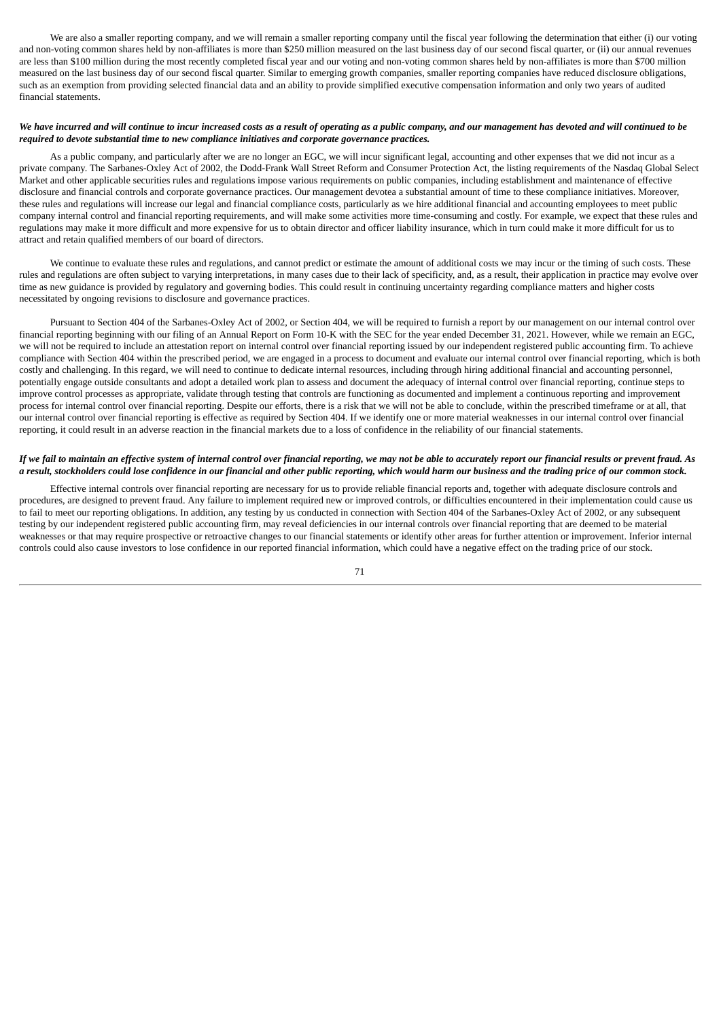We are also a smaller reporting company, and we will remain a smaller reporting company until the fiscal year following the determination that either (i) our voting and non-voting common shares held by non-affiliates is more than \$250 million measured on the last business day of our second fiscal quarter, or (ii) our annual revenues are less than \$100 million during the most recently completed fiscal year and our voting and non-voting common shares held by non-affiliates is more than \$700 million measured on the last business day of our second fiscal quarter. Similar to emerging growth companies, smaller reporting companies have reduced disclosure obligations, such as an exemption from providing selected financial data and an ability to provide simplified executive compensation information and only two years of audited financial statements.

## We have incurred and will continue to incur increased costs as a result of operating as a public company, and our management has devoted and will continued to be *required to devote substantial time to new compliance initiatives and corporate governance practices.*

As a public company, and particularly after we are no longer an EGC, we will incur significant legal, accounting and other expenses that we did not incur as a private company. The Sarbanes-Oxley Act of 2002, the Dodd-Frank Wall Street Reform and Consumer Protection Act, the listing requirements of the Nasdaq Global Select Market and other applicable securities rules and regulations impose various requirements on public companies, including establishment and maintenance of effective disclosure and financial controls and corporate governance practices. Our management devotea a substantial amount of time to these compliance initiatives. Moreover, these rules and regulations will increase our legal and financial compliance costs, particularly as we hire additional financial and accounting employees to meet public company internal control and financial reporting requirements, and will make some activities more time-consuming and costly. For example, we expect that these rules and regulations may make it more difficult and more expensive for us to obtain director and officer liability insurance, which in turn could make it more difficult for us to attract and retain qualified members of our board of directors.

We continue to evaluate these rules and regulations, and cannot predict or estimate the amount of additional costs we may incur or the timing of such costs. These rules and regulations are often subject to varying interpretations, in many cases due to their lack of specificity, and, as a result, their application in practice may evolve over time as new guidance is provided by regulatory and governing bodies. This could result in continuing uncertainty regarding compliance matters and higher costs necessitated by ongoing revisions to disclosure and governance practices.

Pursuant to Section 404 of the Sarbanes-Oxley Act of 2002, or Section 404, we will be required to furnish a report by our management on our internal control over financial reporting beginning with our filing of an Annual Report on Form 10-K with the SEC for the year ended December 31, 2021. However, while we remain an EGC, we will not be required to include an attestation report on internal control over financial reporting issued by our independent registered public accounting firm. To achieve compliance with Section 404 within the prescribed period, we are engaged in a process to document and evaluate our internal control over financial reporting, which is both costly and challenging. In this regard, we will need to continue to dedicate internal resources, including through hiring additional financial and accounting personnel, potentially engage outside consultants and adopt a detailed work plan to assess and document the adequacy of internal control over financial reporting, continue steps to improve control processes as appropriate, validate through testing that controls are functioning as documented and implement a continuous reporting and improvement process for internal control over financial reporting. Despite our efforts, there is a risk that we will not be able to conclude, within the prescribed timeframe or at all, that our internal control over financial reporting is effective as required by Section 404. If we identify one or more material weaknesses in our internal control over financial reporting, it could result in an adverse reaction in the financial markets due to a loss of confidence in the reliability of our financial statements.

## If we fail to maintain an effective system of internal control over financial reporting, we may not be able to accurately report our financial results or prevent fraud. As a result, stockholders could lose confidence in our financial and other public reporting, which would harm our business and the trading price of our common stock.

Effective internal controls over financial reporting are necessary for us to provide reliable financial reports and, together with adequate disclosure controls and procedures, are designed to prevent fraud. Any failure to implement required new or improved controls, or difficulties encountered in their implementation could cause us to fail to meet our reporting obligations. In addition, any testing by us conducted in connection with Section 404 of the Sarbanes-Oxley Act of 2002, or any subsequent testing by our independent registered public accounting firm, may reveal deficiencies in our internal controls over financial reporting that are deemed to be material weaknesses or that may require prospective or retroactive changes to our financial statements or identify other areas for further attention or improvement. Inferior internal controls could also cause investors to lose confidence in our reported financial information, which could have a negative effect on the trading price of our stock.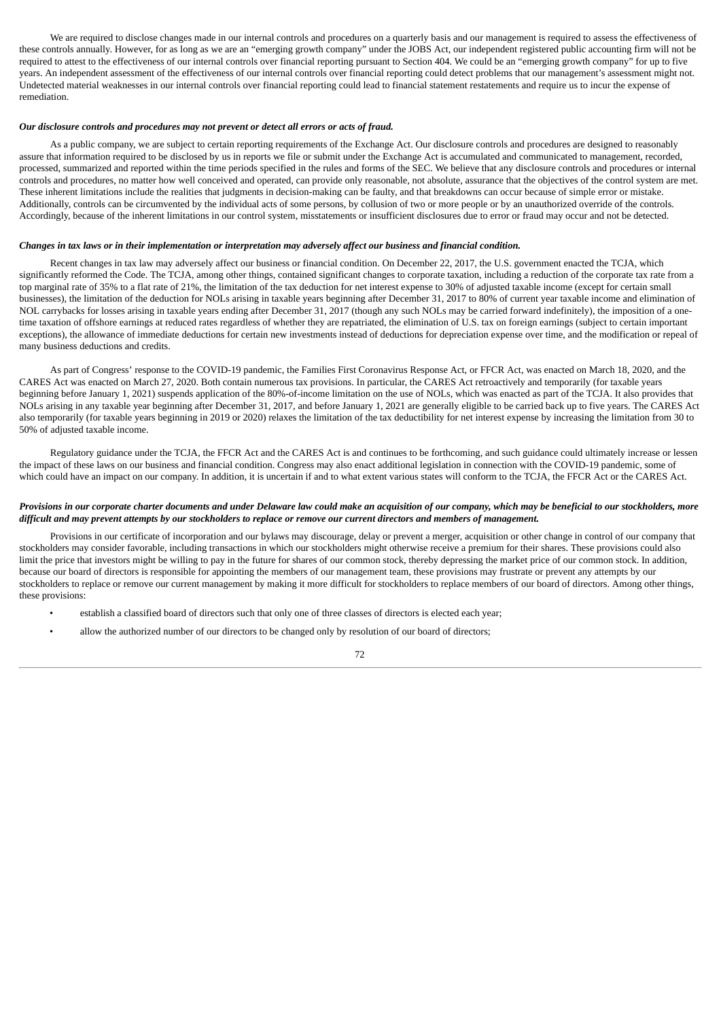We are required to disclose changes made in our internal controls and procedures on a quarterly basis and our management is required to assess the effectiveness of these controls annually. However, for as long as we are an "emerging growth company" under the JOBS Act, our independent registered public accounting firm will not be required to attest to the effectiveness of our internal controls over financial reporting pursuant to Section 404. We could be an "emerging growth company" for up to five years. An independent assessment of the effectiveness of our internal controls over financial reporting could detect problems that our management's assessment might not. Undetected material weaknesses in our internal controls over financial reporting could lead to financial statement restatements and require us to incur the expense of remediation.

#### *Our disclosure controls and procedures may not prevent or detect all errors or acts of fraud.*

As a public company, we are subject to certain reporting requirements of the Exchange Act. Our disclosure controls and procedures are designed to reasonably assure that information required to be disclosed by us in reports we file or submit under the Exchange Act is accumulated and communicated to management, recorded, processed, summarized and reported within the time periods specified in the rules and forms of the SEC. We believe that any disclosure controls and procedures or internal controls and procedures, no matter how well conceived and operated, can provide only reasonable, not absolute, assurance that the objectives of the control system are met. These inherent limitations include the realities that judgments in decision-making can be faulty, and that breakdowns can occur because of simple error or mistake. Additionally, controls can be circumvented by the individual acts of some persons, by collusion of two or more people or by an unauthorized override of the controls. Accordingly, because of the inherent limitations in our control system, misstatements or insufficient disclosures due to error or fraud may occur and not be detected.

# Changes in tax laws or in their implementation or interpretation may adversely affect our business and financial condition.

Recent changes in tax law may adversely affect our business or financial condition. On December 22, 2017, the U.S. government enacted the TCJA, which significantly reformed the Code. The TCJA, among other things, contained significant changes to corporate taxation, including a reduction of the corporate tax rate from a top marginal rate of 35% to a flat rate of 21%, the limitation of the tax deduction for net interest expense to 30% of adjusted taxable income (except for certain small businesses), the limitation of the deduction for NOLs arising in taxable years beginning after December 31, 2017 to 80% of current year taxable income and elimination of NOL carrybacks for losses arising in taxable years ending after December 31, 2017 (though any such NOLs may be carried forward indefinitely), the imposition of a onetime taxation of offshore earnings at reduced rates regardless of whether they are repatriated, the elimination of U.S. tax on foreign earnings (subject to certain important exceptions), the allowance of immediate deductions for certain new investments instead of deductions for depreciation expense over time, and the modification or repeal of many business deductions and credits.

As part of Congress' response to the COVID-19 pandemic, the Families First Coronavirus Response Act, or FFCR Act, was enacted on March 18, 2020, and the CARES Act was enacted on March 27, 2020. Both contain numerous tax provisions. In particular, the CARES Act retroactively and temporarily (for taxable years beginning before January 1, 2021) suspends application of the 80%-of-income limitation on the use of NOLs, which was enacted as part of the TCJA. It also provides that NOLs arising in any taxable year beginning after December 31, 2017, and before January 1, 2021 are generally eligible to be carried back up to five years. The CARES Act also temporarily (for taxable years beginning in 2019 or 2020) relaxes the limitation of the tax deductibility for net interest expense by increasing the limitation from 30 to 50% of adjusted taxable income.

Regulatory guidance under the TCJA, the FFCR Act and the CARES Act is and continues to be forthcoming, and such guidance could ultimately increase or lessen the impact of these laws on our business and financial condition. Congress may also enact additional legislation in connection with the COVID-19 pandemic, some of which could have an impact on our company. In addition, it is uncertain if and to what extent various states will conform to the TCJA, the FFCR Act or the CARES Act.

#### Provisions in our corporate charter documents and under Delaware law could make an acquisition of our company, which may be beneficial to our stockholders, more difficult and may prevent attempts by our stockholders to replace or remove our current directors and members of management.

Provisions in our certificate of incorporation and our bylaws may discourage, delay or prevent a merger, acquisition or other change in control of our company that stockholders may consider favorable, including transactions in which our stockholders might otherwise receive a premium for their shares. These provisions could also limit the price that investors might be willing to pay in the future for shares of our common stock, thereby depressing the market price of our common stock. In addition, because our board of directors is responsible for appointing the members of our management team, these provisions may frustrate or prevent any attempts by our stockholders to replace or remove our current management by making it more difficult for stockholders to replace members of our board of directors. Among other things, these provisions:

- establish a classified board of directors such that only one of three classes of directors is elected each year;
- allow the authorized number of our directors to be changed only by resolution of our board of directors;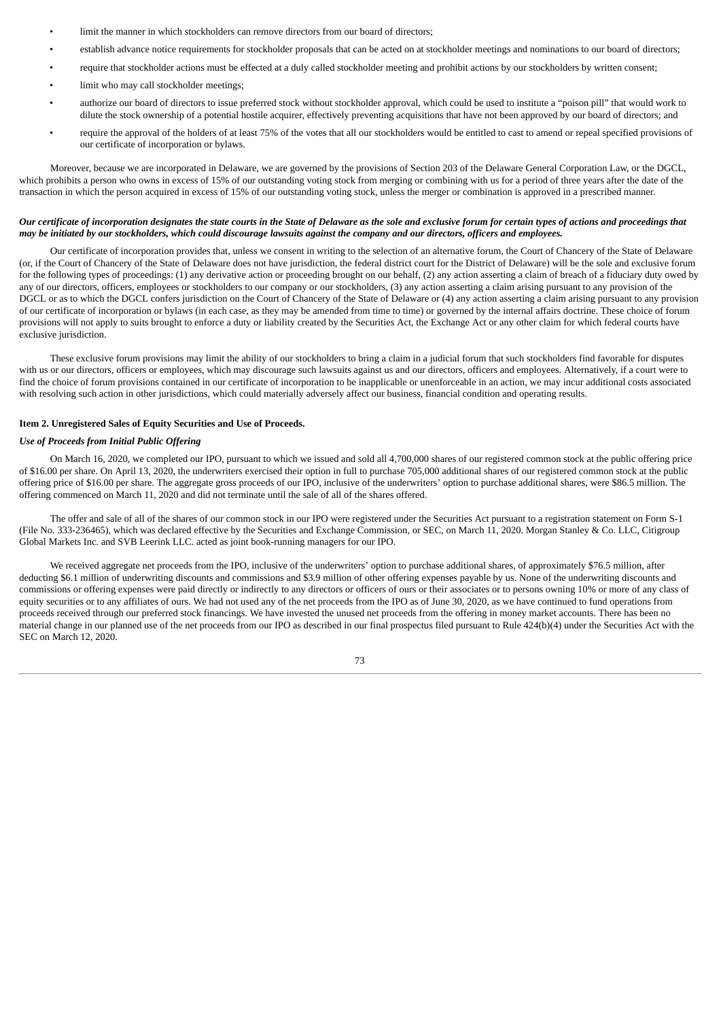- limit the manner in which stockholders can remove directors from our board of directors:
- establish advance notice requirements for stockholder proposals that can be acted on at stockholder meetings and nominations to our board of directors;
- require that stockholder actions must be effected at a duly called stockholder meeting and prohibit actions by our stockholders by written consent;
- limit who may call stockholder meetings;
- authorize our board of directors to issue preferred stock without stockholder approval, which could be used to institute a "poison pill" that would work to dilute the stock ownership of a potential hostile acquirer, effectively preventing acquisitions that have not been approved by our board of directors; and
- require the approval of the holders of at least 75% of the votes that all our stockholders would be entitled to cast to amend or repeal specified provisions of our certificate of incorporation or bylaws.

Moreover, because we are incorporated in Delaware, we are governed by the provisions of Section 203 of the Delaware General Corporation Law, or the DGCL, which prohibits a person who owns in excess of 15% of our outstanding voting stock from merging or combining with us for a period of three years after the date of the transaction in which the person acquired in excess of 15% of our outstanding voting stock, unless the merger or combination is approved in a prescribed manner.

#### Our certificate of incorporation designates the state courts in the State of Delaware as the sole and exclusive forum for certain types of actions and proceedings that may be initiated by our stockholders, which could discourage lawsuits against the company and our directors, officers and employees.

Our certificate of incorporation provides that, unless we consent in writing to the selection of an alternative forum, the Court of Chancery of the State of Delaware (or, if the Court of Chancery of the State of Delaware does not have jurisdiction, the federal district court for the District of Delaware) will be the sole and exclusive forum for the following types of proceedings: (1) any derivative action or proceeding brought on our behalf, (2) any action asserting a claim of breach of a fiduciary duty owed by any of our directors, officers, employees or stockholders to our company or our stockholders, (3) any action asserting a claim arising pursuant to any provision of the DGCL or as to which the DGCL confers jurisdiction on the Court of Chancery of the State of Delaware or (4) any action asserting a claim arising pursuant to any provision of our certificate of incorporation or bylaws (in each case, as they may be amended from time to time) or governed by the internal affairs doctrine. These choice of forum provisions will not apply to suits brought to enforce a duty or liability created by the Securities Act, the Exchange Act or any other claim for which federal courts have exclusive jurisdiction.

These exclusive forum provisions may limit the ability of our stockholders to bring a claim in a judicial forum that such stockholders find favorable for disputes with us or our directors, officers or employees, which may discourage such lawsuits against us and our directors, officers and employees. Alternatively, if a court were to find the choice of forum provisions contained in our certificate of incorporation to be inapplicable or unenforceable in an action, we may incur additional costs associated with resolving such action in other jurisdictions, which could materially adversely affect our business, financial condition and operating results.

#### **Item 2. Unregistered Sales of Equity Securities and Use of Proceeds.**

## *Use of Proceeds from Initial Public Offering*

On March 16, 2020, we completed our IPO, pursuant to which we issued and sold all 4,700,000 shares of our registered common stock at the public offering price of \$16.00 per share. On April 13, 2020, the underwriters exercised their option in full to purchase 705,000 additional shares of our registered common stock at the public offering price of \$16.00 per share. The aggregate gross proceeds of our IPO, inclusive of the underwriters' option to purchase additional shares, were \$86.5 million. The offering commenced on March 11, 2020 and did not terminate until the sale of all of the shares offered.

The offer and sale of all of the shares of our common stock in our IPO were registered under the Securities Act pursuant to a registration statement on Form S-1 (File No. 333-236465), which was declared effective by the Securities and Exchange Commission, or SEC, on March 11, 2020. Morgan Stanley & Co. LLC, Citigroup Global Markets Inc. and SVB Leerink LLC. acted as joint book-running managers for our IPO.

We received aggregate net proceeds from the IPO, inclusive of the underwriters' option to purchase additional shares, of approximately \$76.5 million, after deducting \$6.1 million of underwriting discounts and commissions and \$3.9 million of other offering expenses payable by us. None of the underwriting discounts and commissions or offering expenses were paid directly or indirectly to any directors or officers of ours or their associates or to persons owning 10% or more of any class of equity securities or to any affiliates of ours. We had not used any of the net proceeds from the IPO as of June 30, 2020, as we have continued to fund operations from proceeds received through our preferred stock financings. We have invested the unused net proceeds from the offering in money market accounts. There has been no material change in our planned use of the net proceeds from our IPO as described in our final prospectus filed pursuant to Rule 424(b)(4) under the Securities Act with the SEC on March 12, 2020.

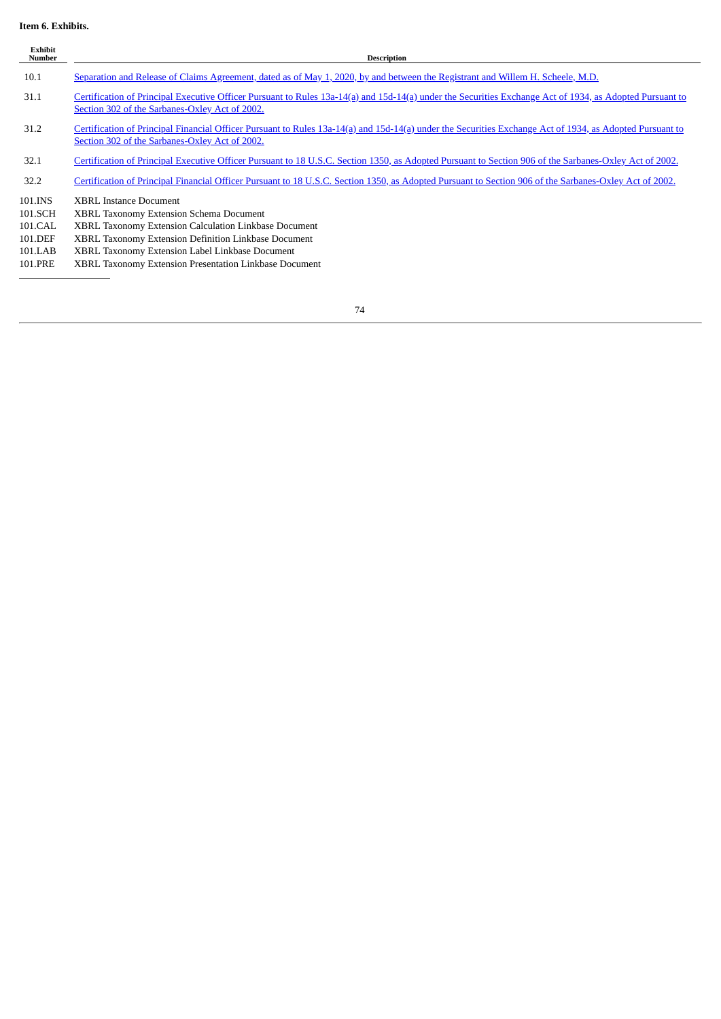# **Item 6. Exhibits.**

| <b>Exhibit</b><br><b>Number</b>                                | <b>Description</b>                                                                                                                                                                                                                                                                                            |
|----------------------------------------------------------------|---------------------------------------------------------------------------------------------------------------------------------------------------------------------------------------------------------------------------------------------------------------------------------------------------------------|
| 10.1                                                           | Separation and Release of Claims Agreement, dated as of May 1, 2020, by and between the Registrant and Willem H. Scheele, M.D.                                                                                                                                                                                |
| 31.1                                                           | Certification of Principal Executive Officer Pursuant to Rules 13a-14(a) and 15d-14(a) under the Securities Exchange Act of 1934, as Adopted Pursuant to<br>Section 302 of the Sarbanes-Oxley Act of 2002.                                                                                                    |
| 31.2                                                           | Certification of Principal Financial Officer Pursuant to Rules 13a-14(a) and 15d-14(a) under the Securities Exchange Act of 1934, as Adopted Pursuant to<br>Section 302 of the Sarbanes-Oxley Act of 2002.                                                                                                    |
| 32.1                                                           | Certification of Principal Executive Officer Pursuant to 18 U.S.C. Section 1350, as Adopted Pursuant to Section 906 of the Sarbanes-Oxley Act of 2002.                                                                                                                                                        |
| 32.2                                                           | Certification of Principal Financial Officer Pursuant to 18 U.S.C. Section 1350, as Adopted Pursuant to Section 906 of the Sarbanes-Oxley Act of 2002.                                                                                                                                                        |
| 101.INS<br>101.SCH<br>101.CAL<br>101.DEF<br>101.LAB<br>101.PRE | <b>XBRL Instance Document</b><br><b>XBRL Taxonomy Extension Schema Document</b><br>XBRL Taxonomy Extension Calculation Linkbase Document<br>XBRL Taxonomy Extension Definition Linkbase Document<br>XBRL Taxonomy Extension Label Linkbase Document<br>XBRL Taxonomy Extension Presentation Linkbase Document |
|                                                                |                                                                                                                                                                                                                                                                                                               |

 $\overline{a}$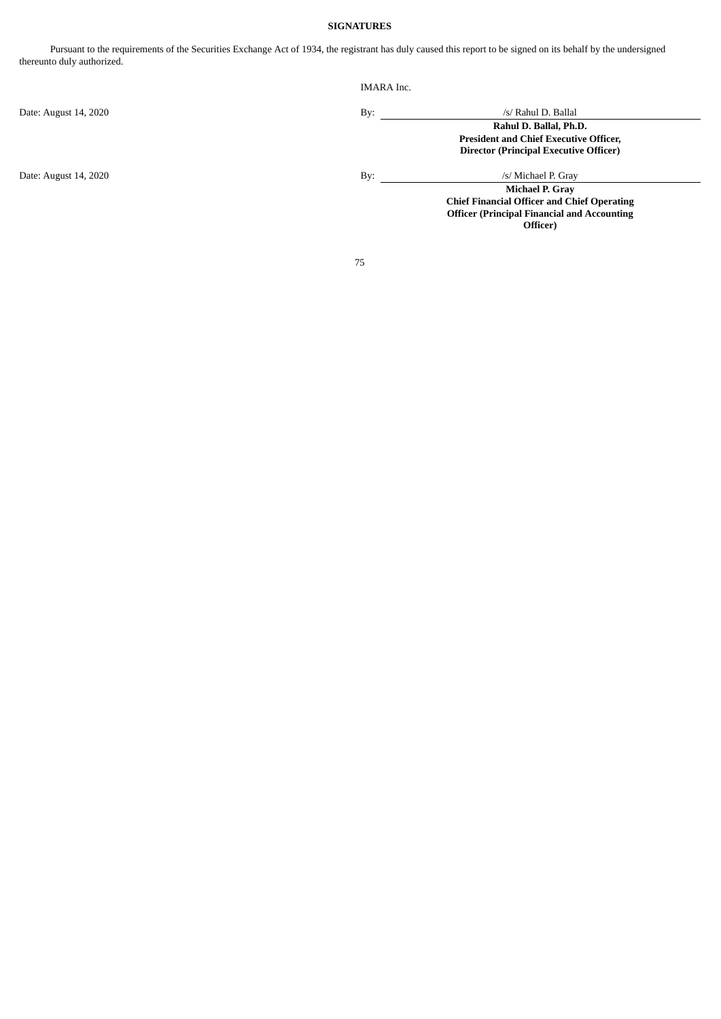# **SIGNATURES**

Pursuant to the requirements of the Securities Exchange Act of 1934, the registrant has duly caused this report to be signed on its behalf by the undersigned thereunto duly authorized.

| <b>IMARA</b> Inc. |                                                    |
|-------------------|----------------------------------------------------|
| By:               | /s/ Rahul D. Ballal                                |
|                   | Rahul D. Ballal, Ph.D.                             |
|                   | <b>President and Chief Executive Officer,</b>      |
|                   | <b>Director (Principal Executive Officer)</b>      |
| By:               | /s/ Michael P. Gray                                |
|                   | Michael P. Gray                                    |
|                   | <b>Chief Financial Officer and Chief Operating</b> |
|                   | <b>Officer (Principal Financial and Accounting</b> |
|                   | Officer)                                           |
|                   |                                                    |
|                   |                                                    |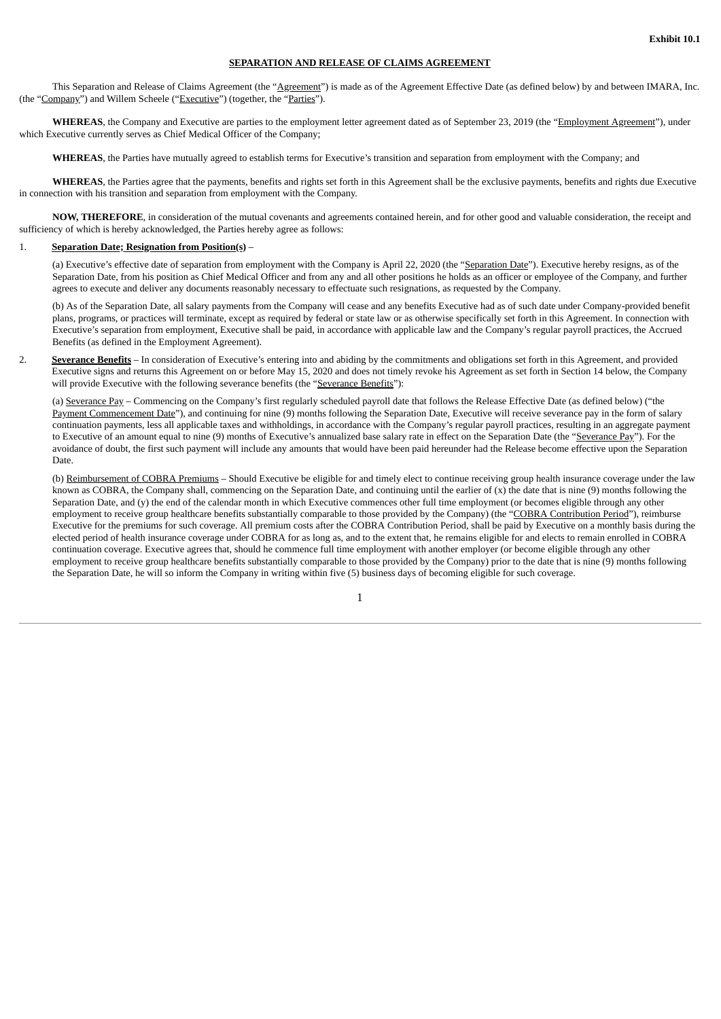# **SEPARATION AND RELEASE OF CLAIMS AGREEMENT**

<span id="page-78-0"></span>This Separation and Release of Claims Agreement (the "Agreement") is made as of the Agreement Effective Date (as defined below) by and between IMARA, Inc. (the "Company") and Willem Scheele ("Executive") (together, the "Parties").

**WHEREAS**, the Company and Executive are parties to the employment letter agreement dated as of September 23, 2019 (the "Employment Agreement"), under which Executive currently serves as Chief Medical Officer of the Company;

**WHEREAS**, the Parties have mutually agreed to establish terms for Executive's transition and separation from employment with the Company; and

**WHEREAS**, the Parties agree that the payments, benefits and rights set forth in this Agreement shall be the exclusive payments, benefits and rights due Executive in connection with his transition and separation from employment with the Company.

**NOW, THEREFORE**, in consideration of the mutual covenants and agreements contained herein, and for other good and valuable consideration, the receipt and sufficiency of which is hereby acknowledged, the Parties hereby agree as follows:

#### 1. **Separation Date; Resignation from Position(s)** –

(a) Executive's effective date of separation from employment with the Company is April 22, 2020 (the "Separation Date"). Executive hereby resigns, as of the Separation Date, from his position as Chief Medical Officer and from any and all other positions he holds as an officer or employee of the Company, and further agrees to execute and deliver any documents reasonably necessary to effectuate such resignations, as requested by the Company.

(b) As of the Separation Date, all salary payments from the Company will cease and any benefits Executive had as of such date under Company-provided benefit plans, programs, or practices will terminate, except as required by federal or state law or as otherwise specifically set forth in this Agreement. In connection with Executive's separation from employment, Executive shall be paid, in accordance with applicable law and the Company's regular payroll practices, the Accrued Benefits (as defined in the Employment Agreement).

2. **Severance Benefits** – In consideration of Executive's entering into and abiding by the commitments and obligations set forth in this Agreement, and provided Executive signs and returns this Agreement on or before May 15, 2020 and does not timely revoke his Agreement as set forth in Section 14 below, the Company will provide Executive with the following severance benefits (the "Severance Benefits"):

(a) Severance Pay – Commencing on the Company's first regularly scheduled payroll date that follows the Release Effective Date (as defined below) ("the Payment Commencement Date"), and continuing for nine (9) months following the Separation Date, Executive will receive severance pay in the form of salary continuation payments, less all applicable taxes and withholdings, in accordance with the Company's regular payroll practices, resulting in an aggregate payment to Executive of an amount equal to nine (9) months of Executive's annualized base salary rate in effect on the Separation Date (the "Severance Pay"). For the avoidance of doubt, the first such payment will include any amounts that would have been paid hereunder had the Release become effective upon the Separation Date.

(b) Reimbursement of COBRA Premiums - Should Executive be eligible for and timely elect to continue receiving group health insurance coverage under the law known as COBRA, the Company shall, commencing on the Separation Date, and continuing until the earlier of  $(x)$  the date that is nine (9) months following the Separation Date, and (y) the end of the calendar month in which Executive commences other full time employment (or becomes eligible through any other employment to receive group healthcare benefits substantially comparable to those provided by the Company) (the "COBRA Contribution Period"), reimburse Executive for the premiums for such coverage. All premium costs after the COBRA Contribution Period, shall be paid by Executive on a monthly basis during the elected period of health insurance coverage under COBRA for as long as, and to the extent that, he remains eligible for and elects to remain enrolled in COBRA continuation coverage. Executive agrees that, should he commence full time employment with another employer (or become eligible through any other employment to receive group healthcare benefits substantially comparable to those provided by the Company) prior to the date that is nine (9) months following the Separation Date, he will so inform the Company in writing within five (5) business days of becoming eligible for such coverage.

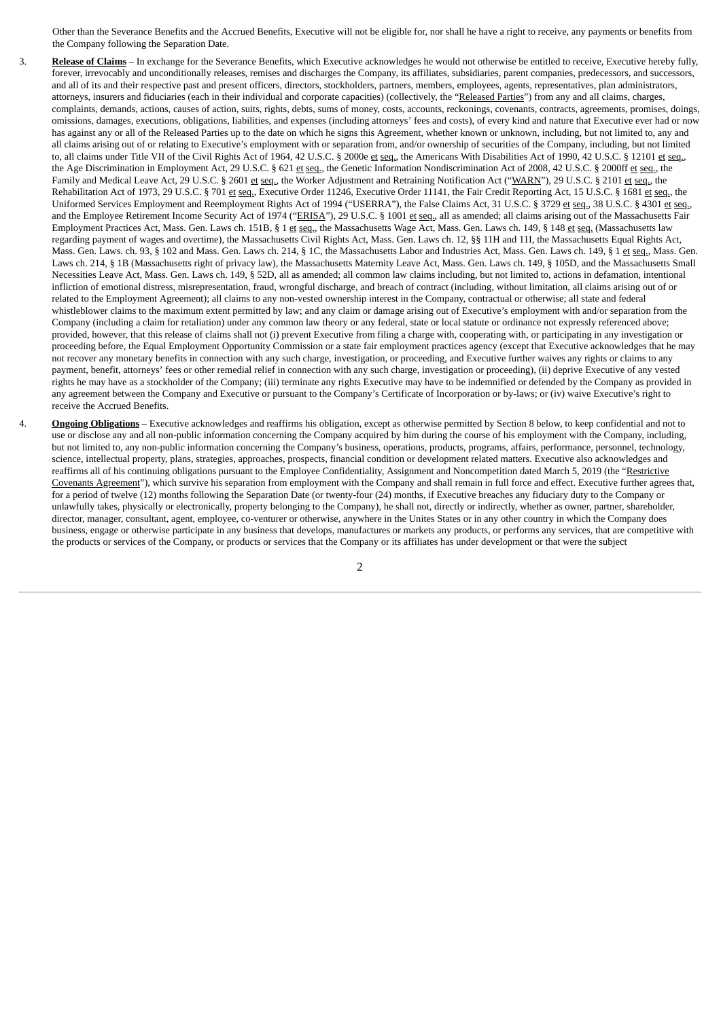Other than the Severance Benefits and the Accrued Benefits, Executive will not be eligible for, nor shall he have a right to receive, any payments or benefits from the Company following the Separation Date.

- 3. **Release of Claims** In exchange for the Severance Benefits, which Executive acknowledges he would not otherwise be entitled to receive, Executive hereby fully, forever, irrevocably and unconditionally releases, remises and discharges the Company, its affiliates, subsidiaries, parent companies, predecessors, and successors, and all of its and their respective past and present officers, directors, stockholders, partners, members, employees, agents, representatives, plan administrators, attorneys, insurers and fiduciaries (each in their individual and corporate capacities) (collectively, the "Released Parties") from any and all claims, charges, complaints, demands, actions, causes of action, suits, rights, debts, sums of money, costs, accounts, reckonings, covenants, contracts, agreements, promises, doings, omissions, damages, executions, obligations, liabilities, and expenses (including attorneys' fees and costs), of every kind and nature that Executive ever had or now has against any or all of the Released Parties up to the date on which he signs this Agreement, whether known or unknown, including, but not limited to, any and all claims arising out of or relating to Executive's employment with or separation from, and/or ownership of securities of the Company, including, but not limited to, all claims under Title VII of the Civil Rights Act of 1964, 42 U.S.C. § 2000e et seq., the Americans With Disabilities Act of 1990, 42 U.S.C. § 12101 et seq., the Age Discrimination in Employment Act, 29 U.S.C. § 621 et seq., the Genetic Information Nondiscrimination Act of 2008, 42 U.S.C. § 2000ff et seq., the Family and Medical Leave Act, 29 U.S.C. § 2601 et seq., the Worker Adjustment and Retraining Notification Act ("WARN"), 29 U.S.C. § 2101 et seq., the Rehabilitation Act of 1973, 29 U.S.C. § 701 et seq., Executive Order 11246, Executive Order 11141, the Fair Credit Reporting Act, 15 U.S.C. § 1681 et seq., the Uniformed Services Employment and Reemployment Rights Act of 1994 ("USERRA"), the False Claims Act, 31 U.S.C. § 3729 et seq., 38 U.S.C. § 4301 et seq., and the Employee Retirement Income Security Act of 1974 ("ERISA"), 29 U.S.C. § 1001 et seq., all as amended; all claims arising out of the Massachusetts Fair Employment Practices Act, Mass. Gen. Laws ch. 151B, § 1 et seq., the Massachusetts Wage Act, Mass. Gen. Laws ch. 149, § 148 et seq. (Massachusetts law regarding payment of wages and overtime), the Massachusetts Civil Rights Act, Mass. Gen. Laws ch. 12, §§ 11H and 11I, the Massachusetts Equal Rights Act, Mass. Gen. Laws. ch. 93, § 102 and Mass. Gen. Laws ch. 214, § 1C, the Massachusetts Labor and Industries Act, Mass. Gen. Laws ch. 149, § 1 et seq., Mass. Gen. Laws ch. 214, § 1B (Massachusetts right of privacy law), the Massachusetts Maternity Leave Act, Mass. Gen. Laws ch. 149, § 105D, and the Massachusetts Small Necessities Leave Act, Mass. Gen. Laws ch. 149, § 52D, all as amended; all common law claims including, but not limited to, actions in defamation, intentional infliction of emotional distress, misrepresentation, fraud, wrongful discharge, and breach of contract (including, without limitation, all claims arising out of or related to the Employment Agreement); all claims to any non-vested ownership interest in the Company, contractual or otherwise; all state and federal whistleblower claims to the maximum extent permitted by law; and any claim or damage arising out of Executive's employment with and/or separation from the Company (including a claim for retaliation) under any common law theory or any federal, state or local statute or ordinance not expressly referenced above; provided, however, that this release of claims shall not (i) prevent Executive from filing a charge with, cooperating with, or participating in any investigation or proceeding before, the Equal Employment Opportunity Commission or a state fair employment practices agency (except that Executive acknowledges that he may not recover any monetary benefits in connection with any such charge, investigation, or proceeding, and Executive further waives any rights or claims to any payment, benefit, attorneys' fees or other remedial relief in connection with any such charge, investigation or proceeding), (ii) deprive Executive of any vested rights he may have as a stockholder of the Company; (iii) terminate any rights Executive may have to be indemnified or defended by the Company as provided in any agreement between the Company and Executive or pursuant to the Company's Certificate of Incorporation or by-laws; or (iv) waive Executive's right to receive the Accrued Benefits.
- 4. **Ongoing Obligations** Executive acknowledges and reaffirms his obligation, except as otherwise permitted by Section 8 below, to keep confidential and not to use or disclose any and all non-public information concerning the Company acquired by him during the course of his employment with the Company, including, but not limited to, any non-public information concerning the Company's business, operations, products, programs, affairs, performance, personnel, technology, science, intellectual property, plans, strategies, approaches, prospects, financial condition or development related matters. Executive also acknowledges and reaffirms all of his continuing obligations pursuant to the Employee Confidentiality, Assignment and Noncompetition dated March 5, 2019 (the "Restrictive Covenants Agreement"), which survive his separation from employment with the Company and shall remain in full force and effect. Executive further agrees that, for a period of twelve (12) months following the Separation Date (or twenty-four (24) months, if Executive breaches any fiduciary duty to the Company or unlawfully takes, physically or electronically, property belonging to the Company), he shall not, directly or indirectly, whether as owner, partner, shareholder, director, manager, consultant, agent, employee, co-venturer or otherwise, anywhere in the Unites States or in any other country in which the Company does business, engage or otherwise participate in any business that develops, manufactures or markets any products, or performs any services, that are competitive with the products or services of the Company, or products or services that the Company or its affiliates has under development or that were the subject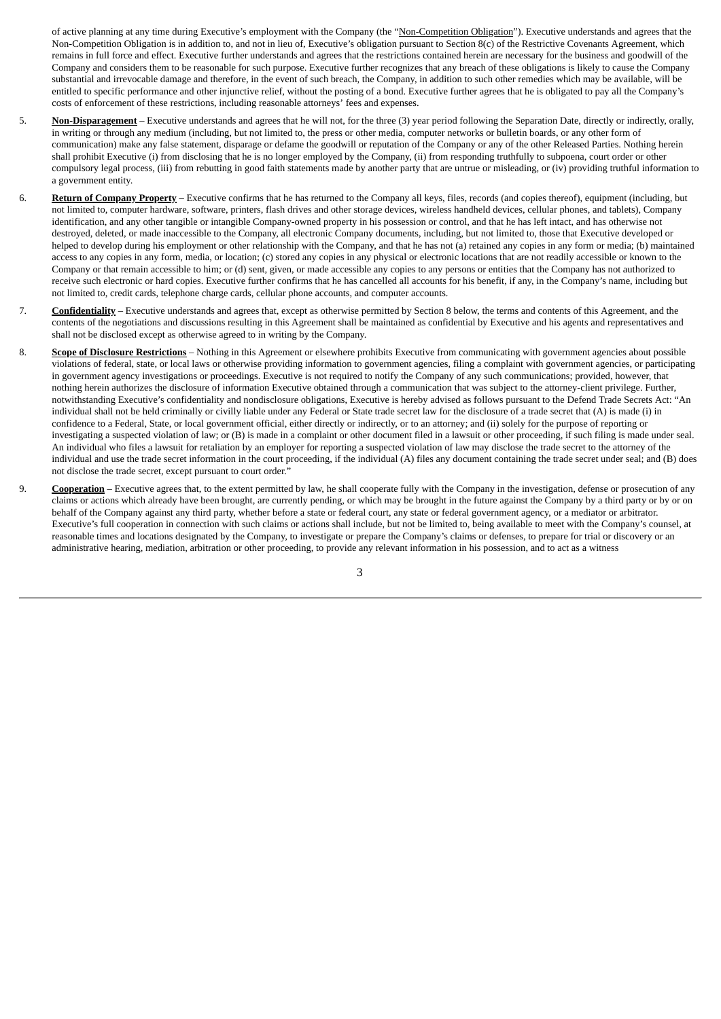of active planning at any time during Executive's employment with the Company (the "Non-Competition Obligation"). Executive understands and agrees that the Non-Competition Obligation is in addition to, and not in lieu of, Executive's obligation pursuant to Section 8(c) of the Restrictive Covenants Agreement, which remains in full force and effect. Executive further understands and agrees that the restrictions contained herein are necessary for the business and goodwill of the Company and considers them to be reasonable for such purpose. Executive further recognizes that any breach of these obligations is likely to cause the Company substantial and irrevocable damage and therefore, in the event of such breach, the Company, in addition to such other remedies which may be available, will be entitled to specific performance and other injunctive relief, without the posting of a bond. Executive further agrees that he is obligated to pay all the Company's costs of enforcement of these restrictions, including reasonable attorneys' fees and expenses.

- 5. **Non-Disparagement** Executive understands and agrees that he will not, for the three (3) year period following the Separation Date, directly or indirectly, orally, in writing or through any medium (including, but not limited to, the press or other media, computer networks or bulletin boards, or any other form of communication) make any false statement, disparage or defame the goodwill or reputation of the Company or any of the other Released Parties. Nothing herein shall prohibit Executive (i) from disclosing that he is no longer employed by the Company, (ii) from responding truthfully to subpoena, court order or other compulsory legal process, (iii) from rebutting in good faith statements made by another party that are untrue or misleading, or (iv) providing truthful information to a government entity.
- 6. **Return of Company Property** Executive confirms that he has returned to the Company all keys, files, records (and copies thereof), equipment (including, but not limited to, computer hardware, software, printers, flash drives and other storage devices, wireless handheld devices, cellular phones, and tablets), Company identification, and any other tangible or intangible Company-owned property in his possession or control, and that he has left intact, and has otherwise not destroyed, deleted, or made inaccessible to the Company, all electronic Company documents, including, but not limited to, those that Executive developed or helped to develop during his employment or other relationship with the Company, and that he has not (a) retained any copies in any form or media; (b) maintained access to any copies in any form, media, or location; (c) stored any copies in any physical or electronic locations that are not readily accessible or known to the Company or that remain accessible to him; or (d) sent, given, or made accessible any copies to any persons or entities that the Company has not authorized to receive such electronic or hard copies. Executive further confirms that he has cancelled all accounts for his benefit, if any, in the Company's name, including but not limited to, credit cards, telephone charge cards, cellular phone accounts, and computer accounts.
- 7. **Confidentiality** Executive understands and agrees that, except as otherwise permitted by Section 8 below, the terms and contents of this Agreement, and the contents of the negotiations and discussions resulting in this Agreement shall be maintained as confidential by Executive and his agents and representatives and shall not be disclosed except as otherwise agreed to in writing by the Company.
- 8. **Scope of Disclosure Restrictions** Nothing in this Agreement or elsewhere prohibits Executive from communicating with government agencies about possible violations of federal, state, or local laws or otherwise providing information to government agencies, filing a complaint with government agencies, or participating in government agency investigations or proceedings. Executive is not required to notify the Company of any such communications; provided, however, that nothing herein authorizes the disclosure of information Executive obtained through a communication that was subject to the attorney-client privilege. Further, notwithstanding Executive's confidentiality and nondisclosure obligations, Executive is hereby advised as follows pursuant to the Defend Trade Secrets Act: "An individual shall not be held criminally or civilly liable under any Federal or State trade secret law for the disclosure of a trade secret that (A) is made (i) in confidence to a Federal, State, or local government official, either directly or indirectly, or to an attorney; and (ii) solely for the purpose of reporting or investigating a suspected violation of law; or (B) is made in a complaint or other document filed in a lawsuit or other proceeding, if such filing is made under seal. An individual who files a lawsuit for retaliation by an employer for reporting a suspected violation of law may disclose the trade secret to the attorney of the individual and use the trade secret information in the court proceeding, if the individual (A) files any document containing the trade secret under seal; and (B) does not disclose the trade secret, except pursuant to court order."
- 9. **Cooperation** Executive agrees that, to the extent permitted by law, he shall cooperate fully with the Company in the investigation, defense or prosecution of any claims or actions which already have been brought, are currently pending, or which may be brought in the future against the Company by a third party or by or on behalf of the Company against any third party, whether before a state or federal court, any state or federal government agency, or a mediator or arbitrator. Executive's full cooperation in connection with such claims or actions shall include, but not be limited to, being available to meet with the Company's counsel, at reasonable times and locations designated by the Company, to investigate or prepare the Company's claims or defenses, to prepare for trial or discovery or an administrative hearing, mediation, arbitration or other proceeding, to provide any relevant information in his possession, and to act as a witness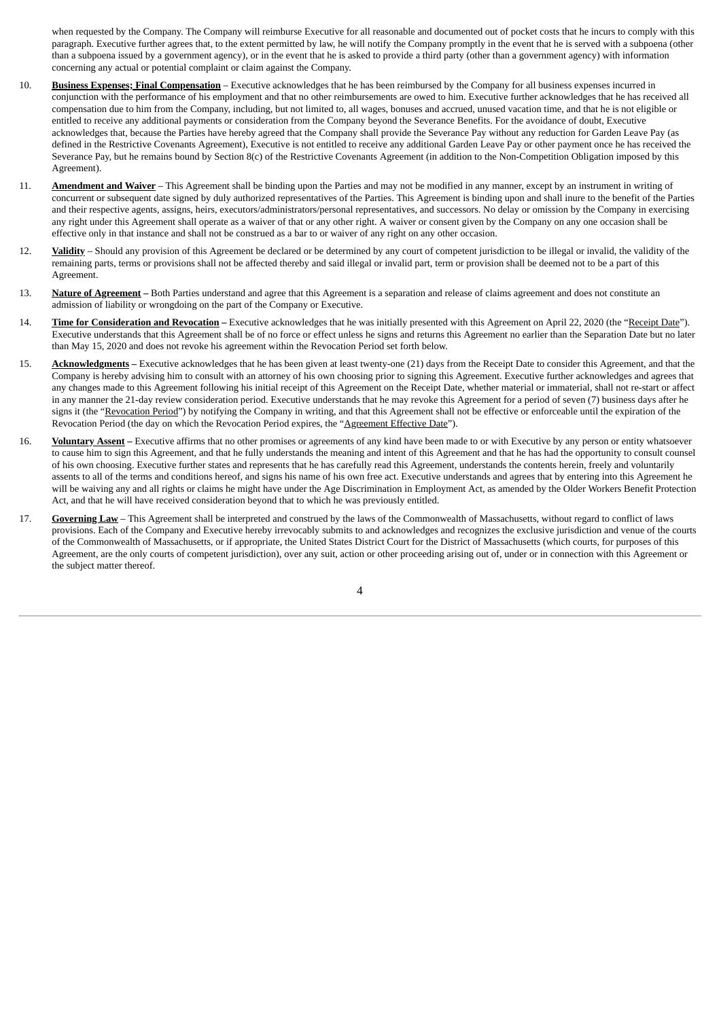when requested by the Company. The Company will reimburse Executive for all reasonable and documented out of pocket costs that he incurs to comply with this paragraph. Executive further agrees that, to the extent permitted by law, he will notify the Company promptly in the event that he is served with a subpoena (other than a subpoena issued by a government agency), or in the event that he is asked to provide a third party (other than a government agency) with information concerning any actual or potential complaint or claim against the Company.

- 10. **Business Expenses; Final Compensation** Executive acknowledges that he has been reimbursed by the Company for all business expenses incurred in conjunction with the performance of his employment and that no other reimbursements are owed to him. Executive further acknowledges that he has received all compensation due to him from the Company, including, but not limited to, all wages, bonuses and accrued, unused vacation time, and that he is not eligible or entitled to receive any additional payments or consideration from the Company beyond the Severance Benefits. For the avoidance of doubt, Executive acknowledges that, because the Parties have hereby agreed that the Company shall provide the Severance Pay without any reduction for Garden Leave Pay (as defined in the Restrictive Covenants Agreement), Executive is not entitled to receive any additional Garden Leave Pay or other payment once he has received the Severance Pay, but he remains bound by Section 8(c) of the Restrictive Covenants Agreement (in addition to the Non-Competition Obligation imposed by this Agreement).
- 11. **Amendment and Waiver** This Agreement shall be binding upon the Parties and may not be modified in any manner, except by an instrument in writing of concurrent or subsequent date signed by duly authorized representatives of the Parties. This Agreement is binding upon and shall inure to the benefit of the Parties and their respective agents, assigns, heirs, executors/administrators/personal representatives, and successors. No delay or omission by the Company in exercising any right under this Agreement shall operate as a waiver of that or any other right. A waiver or consent given by the Company on any one occasion shall be effective only in that instance and shall not be construed as a bar to or waiver of any right on any other occasion.
- 12. **Validity** Should any provision of this Agreement be declared or be determined by any court of competent jurisdiction to be illegal or invalid, the validity of the remaining parts, terms or provisions shall not be affected thereby and said illegal or invalid part, term or provision shall be deemed not to be a part of this Agreement.
- 13. **Nature of Agreement –** Both Parties understand and agree that this Agreement is a separation and release of claims agreement and does not constitute an admission of liability or wrongdoing on the part of the Company or Executive.
- 14. **Time for Consideration and Revocation –** Executive acknowledges that he was initially presented with this Agreement on April 22, 2020 (the "Receipt Date"). Executive understands that this Agreement shall be of no force or effect unless he signs and returns this Agreement no earlier than the Separation Date but no later than May 15, 2020 and does not revoke his agreement within the Revocation Period set forth below.
- 15. **Acknowledgments –** Executive acknowledges that he has been given at least twenty-one (21) days from the Receipt Date to consider this Agreement, and that the Company is hereby advising him to consult with an attorney of his own choosing prior to signing this Agreement. Executive further acknowledges and agrees that any changes made to this Agreement following his initial receipt of this Agreement on the Receipt Date, whether material or immaterial, shall not re-start or affect in any manner the 21-day review consideration period. Executive understands that he may revoke this Agreement for a period of seven (7) business days after he signs it (the "Revocation Period") by notifying the Company in writing, and that this Agreement shall not be effective or enforceable until the expiration of the Revocation Period (the day on which the Revocation Period expires, the "Agreement Effective Date").
- 16. **Voluntary Assent –** Executive affirms that no other promises or agreements of any kind have been made to or with Executive by any person or entity whatsoever to cause him to sign this Agreement, and that he fully understands the meaning and intent of this Agreement and that he has had the opportunity to consult counsel of his own choosing. Executive further states and represents that he has carefully read this Agreement, understands the contents herein, freely and voluntarily assents to all of the terms and conditions hereof, and signs his name of his own free act. Executive understands and agrees that by entering into this Agreement he will be waiving any and all rights or claims he might have under the Age Discrimination in Employment Act, as amended by the Older Workers Benefit Protection Act, and that he will have received consideration beyond that to which he was previously entitled.
- 17. **Governing Law** This Agreement shall be interpreted and construed by the laws of the Commonwealth of Massachusetts, without regard to conflict of laws provisions. Each of the Company and Executive hereby irrevocably submits to and acknowledges and recognizes the exclusive jurisdiction and venue of the courts of the Commonwealth of Massachusetts, or if appropriate, the United States District Court for the District of Massachusetts (which courts, for purposes of this Agreement, are the only courts of competent jurisdiction), over any suit, action or other proceeding arising out of, under or in connection with this Agreement or the subject matter thereof.

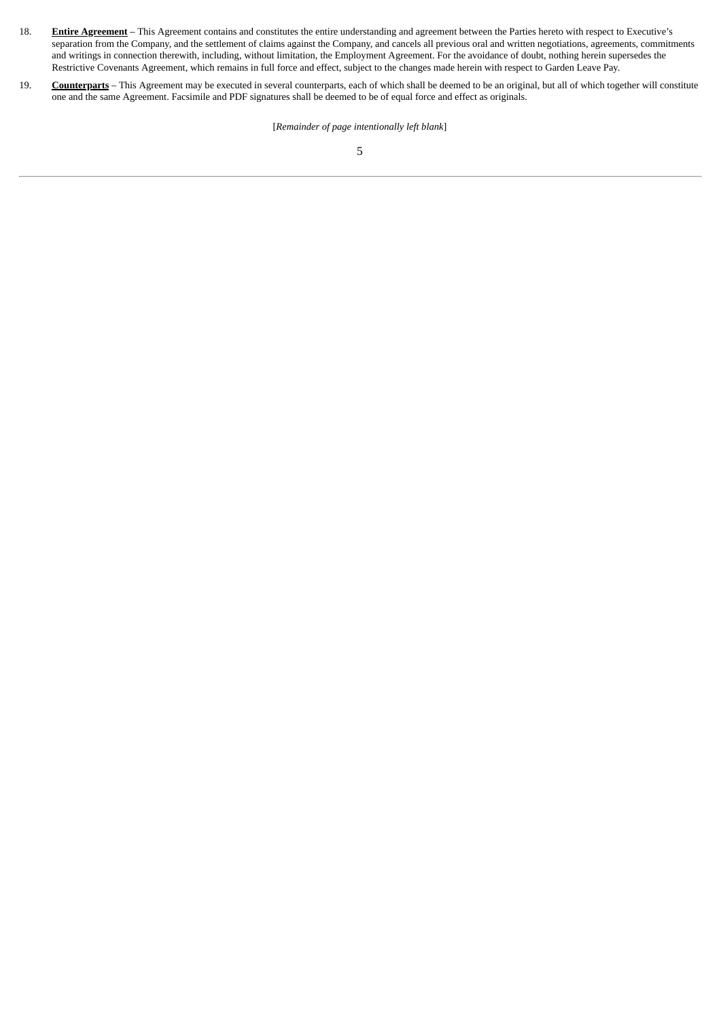- 18. **Entire Agreement** This Agreement contains and constitutes the entire understanding and agreement between the Parties hereto with respect to Executive's separation from the Company, and the settlement of claims against the Company, and cancels all previous oral and written negotiations, agreements, commitments and writings in connection therewith, including, without limitation, the Employment Agreement. For the avoidance of doubt, nothing herein supersedes the Restrictive Covenants Agreement, which remains in full force and effect, subject to the changes made herein with respect to Garden Leave Pay.
- 19. **Counterparts** This Agreement may be executed in several counterparts, each of which shall be deemed to be an original, but all of which together will constitute one and the same Agreement. Facsimile and PDF signatures shall be deemed to be of equal force and effect as originals.

[*Remainder of page intentionally left blank*]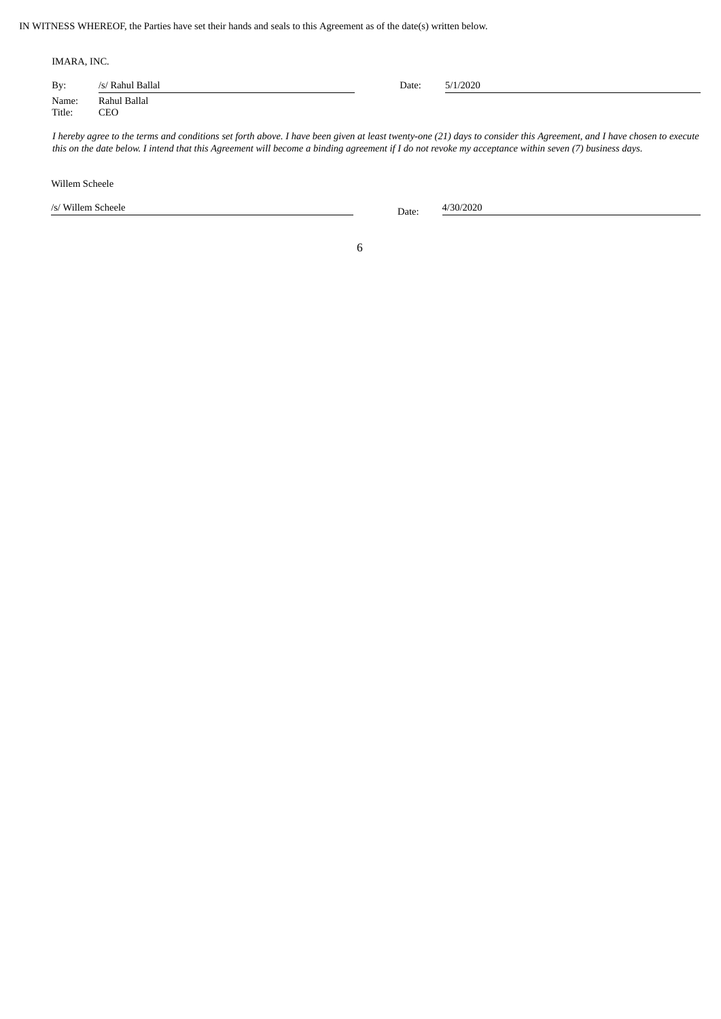IN WITNESS WHEREOF, the Parties have set their hands and seals to this Agreement as of the date(s) written below.

| IMARA, INC.     |                     |       |          |  |  |  |
|-----------------|---------------------|-------|----------|--|--|--|
| By:             | /s/ Rahul Ballal    | Date: | 5/1/2020 |  |  |  |
| Name:<br>Title: | Rahul Ballal<br>CEO |       |          |  |  |  |

I hereby agree to the terms and conditions set forth above. I have been given at least twenty-one (21) days to consider this Agreement, and I have chosen to execute this on the date below. I intend that this Agreement will become a binding agreement if I do not revoke my acceptance within seven (7) business days.

Willem Scheele

/s/ Willem Scheele Date: 4/30/2020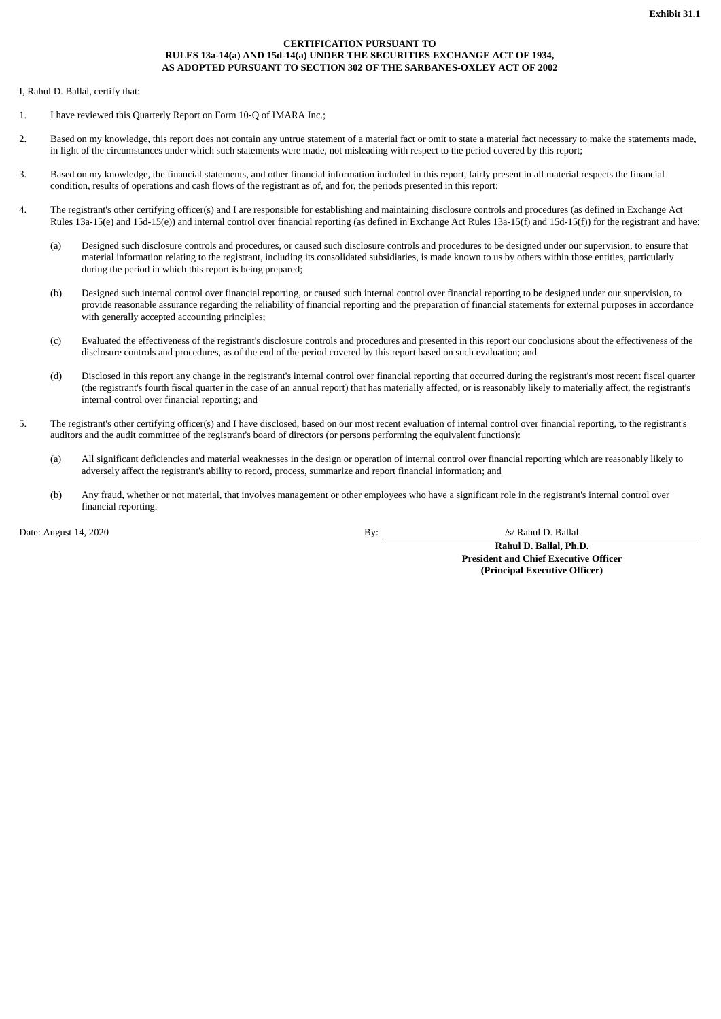## **CERTIFICATION PURSUANT TO RULES 13a-14(a) AND 15d-14(a) UNDER THE SECURITIES EXCHANGE ACT OF 1934, AS ADOPTED PURSUANT TO SECTION 302 OF THE SARBANES-OXLEY ACT OF 2002**

<span id="page-84-0"></span>I, Rahul D. Ballal, certify that:

- 1. I have reviewed this Quarterly Report on Form 10-Q of IMARA Inc.;
- 2. Based on my knowledge, this report does not contain any untrue statement of a material fact or omit to state a material fact necessary to make the statements made, in light of the circumstances under which such statements were made, not misleading with respect to the period covered by this report;
- 3. Based on my knowledge, the financial statements, and other financial information included in this report, fairly present in all material respects the financial condition, results of operations and cash flows of the registrant as of, and for, the periods presented in this report;
- 4. The registrant's other certifying officer(s) and I are responsible for establishing and maintaining disclosure controls and procedures (as defined in Exchange Act Rules 13a-15(e) and 15d-15(e)) and internal control over financial reporting (as defined in Exchange Act Rules 13a-15(f) and 15d-15(f)) for the registrant and have:
	- (a) Designed such disclosure controls and procedures, or caused such disclosure controls and procedures to be designed under our supervision, to ensure that material information relating to the registrant, including its consolidated subsidiaries, is made known to us by others within those entities, particularly during the period in which this report is being prepared;
	- (b) Designed such internal control over financial reporting, or caused such internal control over financial reporting to be designed under our supervision, to provide reasonable assurance regarding the reliability of financial reporting and the preparation of financial statements for external purposes in accordance with generally accepted accounting principles;
	- (c) Evaluated the effectiveness of the registrant's disclosure controls and procedures and presented in this report our conclusions about the effectiveness of the disclosure controls and procedures, as of the end of the period covered by this report based on such evaluation; and
	- (d) Disclosed in this report any change in the registrant's internal control over financial reporting that occurred during the registrant's most recent fiscal quarter (the registrant's fourth fiscal quarter in the case of an annual report) that has materially affected, or is reasonably likely to materially affect, the registrant's internal control over financial reporting; and
- 5. The registrant's other certifying officer(s) and I have disclosed, based on our most recent evaluation of internal control over financial reporting, to the registrant's auditors and the audit committee of the registrant's board of directors (or persons performing the equivalent functions):
	- (a) All significant deficiencies and material weaknesses in the design or operation of internal control over financial reporting which are reasonably likely to adversely affect the registrant's ability to record, process, summarize and report financial information; and
	- (b) Any fraud, whether or not material, that involves management or other employees who have a significant role in the registrant's internal control over financial reporting.

Date: August 14, 2020 <br>By: <u>August 14, 2020</u> <br>By: <u>August 14, 2020</u>

**Rahul D. Ballal, Ph.D. President and Chief Executive Officer (Principal Executive Officer)**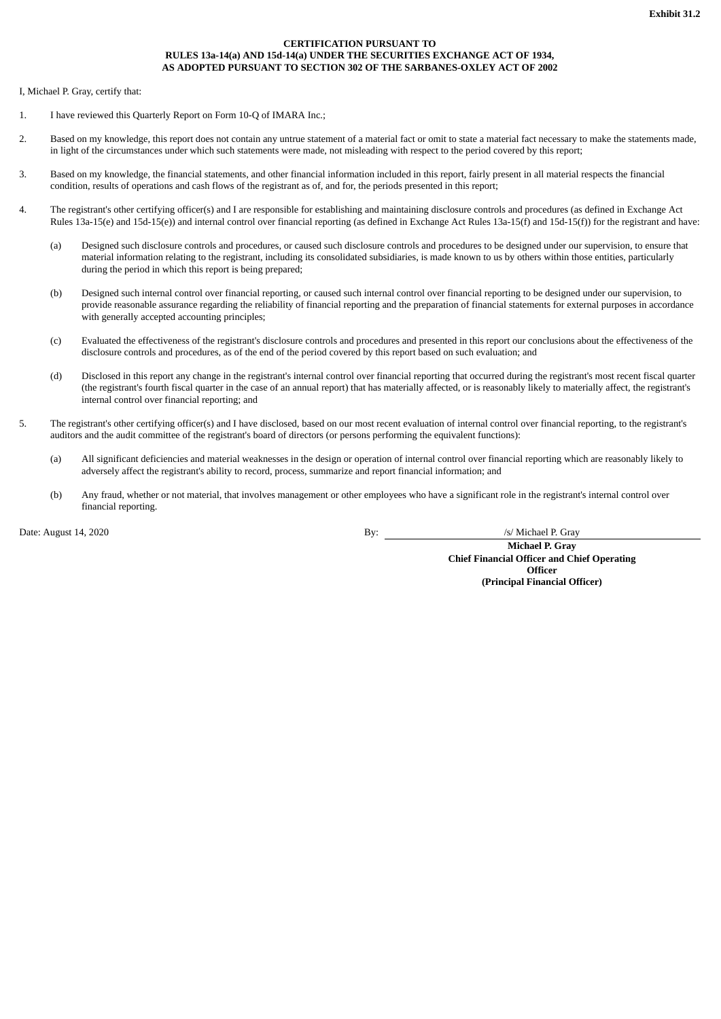### **CERTIFICATION PURSUANT TO RULES 13a-14(a) AND 15d-14(a) UNDER THE SECURITIES EXCHANGE ACT OF 1934, AS ADOPTED PURSUANT TO SECTION 302 OF THE SARBANES-OXLEY ACT OF 2002**

<span id="page-85-0"></span>I, Michael P. Gray, certify that:

- 1. I have reviewed this Quarterly Report on Form 10-Q of IMARA Inc.;
- 2. Based on my knowledge, this report does not contain any untrue statement of a material fact or omit to state a material fact necessary to make the statements made, in light of the circumstances under which such statements were made, not misleading with respect to the period covered by this report;
- 3. Based on my knowledge, the financial statements, and other financial information included in this report, fairly present in all material respects the financial condition, results of operations and cash flows of the registrant as of, and for, the periods presented in this report;
- 4. The registrant's other certifying officer(s) and I are responsible for establishing and maintaining disclosure controls and procedures (as defined in Exchange Act Rules 13a-15(e) and 15d-15(e)) and internal control over financial reporting (as defined in Exchange Act Rules 13a-15(f) and 15d-15(f)) for the registrant and have:
	- (a) Designed such disclosure controls and procedures, or caused such disclosure controls and procedures to be designed under our supervision, to ensure that material information relating to the registrant, including its consolidated subsidiaries, is made known to us by others within those entities, particularly during the period in which this report is being prepared;
	- (b) Designed such internal control over financial reporting, or caused such internal control over financial reporting to be designed under our supervision, to provide reasonable assurance regarding the reliability of financial reporting and the preparation of financial statements for external purposes in accordance with generally accepted accounting principles;
	- (c) Evaluated the effectiveness of the registrant's disclosure controls and procedures and presented in this report our conclusions about the effectiveness of the disclosure controls and procedures, as of the end of the period covered by this report based on such evaluation; and
	- (d) Disclosed in this report any change in the registrant's internal control over financial reporting that occurred during the registrant's most recent fiscal quarter (the registrant's fourth fiscal quarter in the case of an annual report) that has materially affected, or is reasonably likely to materially affect, the registrant's internal control over financial reporting; and
- 5. The registrant's other certifying officer(s) and I have disclosed, based on our most recent evaluation of internal control over financial reporting, to the registrant's auditors and the audit committee of the registrant's board of directors (or persons performing the equivalent functions):
	- (a) All significant deficiencies and material weaknesses in the design or operation of internal control over financial reporting which are reasonably likely to adversely affect the registrant's ability to record, process, summarize and report financial information; and
	- (b) Any fraud, whether or not material, that involves management or other employees who have a significant role in the registrant's internal control over financial reporting.

Date: August 14, 2020 /s/ Michael P. Gray

**Michael P. Gray Chief Financial Officer and Chief Operating Officer (Principal Financial Officer)**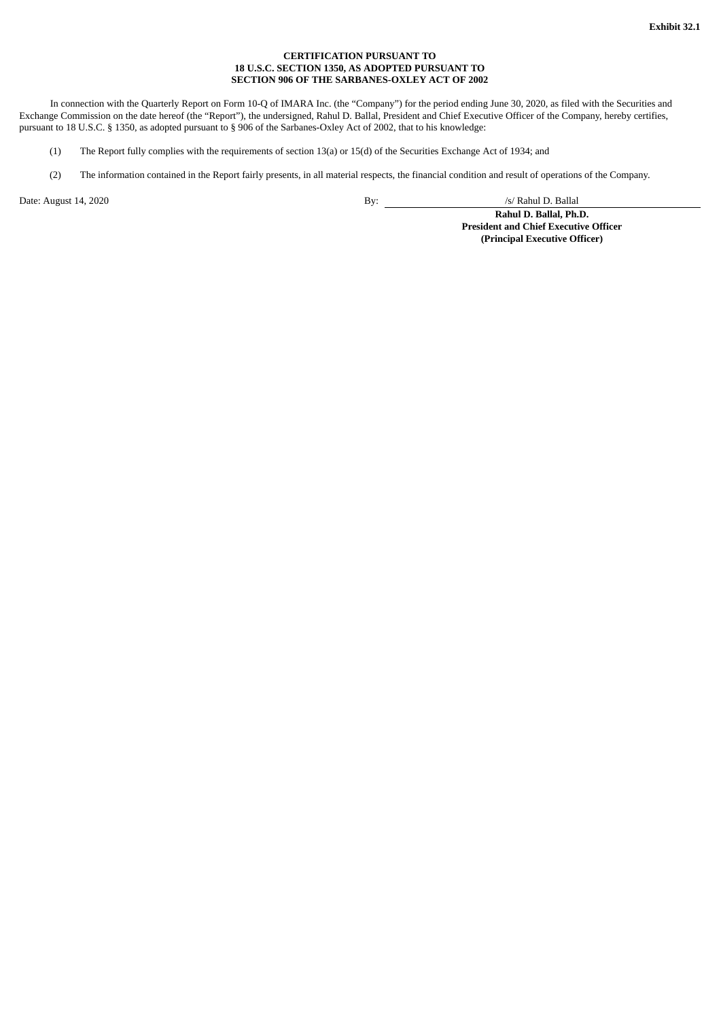## **CERTIFICATION PURSUANT TO 18 U.S.C. SECTION 1350, AS ADOPTED PURSUANT TO SECTION 906 OF THE SARBANES-OXLEY ACT OF 2002**

<span id="page-86-0"></span>In connection with the Quarterly Report on Form 10-Q of IMARA Inc. (the "Company") for the period ending June 30, 2020, as filed with the Securities and Exchange Commission on the date hereof (the "Report"), the undersigned, Rahul D. Ballal, President and Chief Executive Officer of the Company, hereby certifies, pursuant to 18 U.S.C. § 1350, as adopted pursuant to § 906 of the Sarbanes-Oxley Act of 2002, that to his knowledge:

- (1) The Report fully complies with the requirements of section 13(a) or 15(d) of the Securities Exchange Act of 1934; and
- (2) The information contained in the Report fairly presents, in all material respects, the financial condition and result of operations of the Company.

Date: August 14, 2020 <br>By: /s/ Rahul D. Ballal

**Rahul D. Ballal, Ph.D. President and Chief Executive Officer (Principal Executive Officer)**